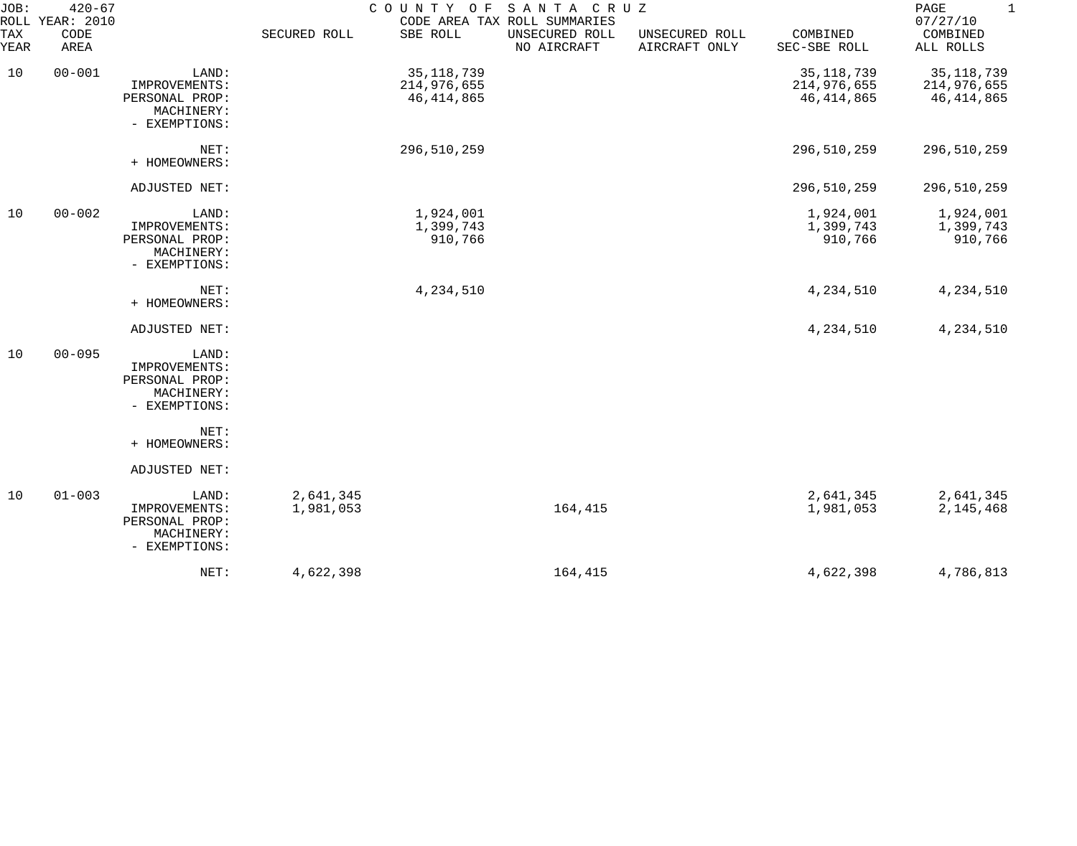| JOB:<br>TAX | $420 - 67$<br>ROLL YEAR: 2010<br>CODE |                                                                         | SECURED ROLL           | COUNTY OF<br>SBE ROLL                       | SANTA CRUZ<br>CODE AREA TAX ROLL SUMMARIES<br>UNSECURED ROLL | UNSECURED ROLL | COMBINED                                    | $\mathbf{1}$<br>$\mathop{\mathtt{PAGE}}$<br>07/27/10<br>COMBINED |
|-------------|---------------------------------------|-------------------------------------------------------------------------|------------------------|---------------------------------------------|--------------------------------------------------------------|----------------|---------------------------------------------|------------------------------------------------------------------|
| YEAR        | AREA                                  |                                                                         |                        |                                             | NO AIRCRAFT                                                  | AIRCRAFT ONLY  | SEC-SBE ROLL                                | ALL ROLLS                                                        |
| 10          | $00 - 001$                            | LAND:<br>IMPROVEMENTS:<br>PERSONAL PROP:<br>MACHINERY:<br>- EXEMPTIONS: |                        | 35, 118, 739<br>214,976,655<br>46, 414, 865 |                                                              |                | 35, 118, 739<br>214,976,655<br>46, 414, 865 | 35, 118, 739<br>214,976,655<br>46, 414, 865                      |
|             |                                       | NET:<br>+ HOMEOWNERS:                                                   |                        | 296,510,259                                 |                                                              |                | 296,510,259                                 | 296,510,259                                                      |
|             |                                       | ADJUSTED NET:                                                           |                        |                                             |                                                              |                | 296,510,259                                 | 296,510,259                                                      |
| 10          | $00 - 002$                            | LAND:<br>IMPROVEMENTS:<br>PERSONAL PROP:<br>MACHINERY:<br>- EXEMPTIONS: |                        | 1,924,001<br>1,399,743<br>910,766           |                                                              |                | 1,924,001<br>1,399,743<br>910,766           | 1,924,001<br>1,399,743<br>910,766                                |
|             |                                       | NET:<br>+ HOMEOWNERS:                                                   |                        | 4,234,510                                   |                                                              |                | 4,234,510                                   | 4,234,510                                                        |
|             |                                       | ADJUSTED NET:                                                           |                        |                                             |                                                              |                | 4,234,510                                   | 4,234,510                                                        |
| 10          | $00 - 095$                            | LAND:<br>IMPROVEMENTS:<br>PERSONAL PROP:<br>MACHINERY:<br>- EXEMPTIONS: |                        |                                             |                                                              |                |                                             |                                                                  |
|             |                                       | NET:<br>+ HOMEOWNERS:                                                   |                        |                                             |                                                              |                |                                             |                                                                  |
|             |                                       | ADJUSTED NET:                                                           |                        |                                             |                                                              |                |                                             |                                                                  |
| 10          | $01 - 003$                            | LAND:<br>IMPROVEMENTS:<br>PERSONAL PROP:<br>MACHINERY:<br>- EXEMPTIONS: | 2,641,345<br>1,981,053 |                                             | 164,415                                                      |                | 2,641,345<br>1,981,053                      | 2,641,345<br>2, 145, 468                                         |
|             |                                       | NET:                                                                    | 4,622,398              |                                             | 164,415                                                      |                | 4,622,398                                   | 4,786,813                                                        |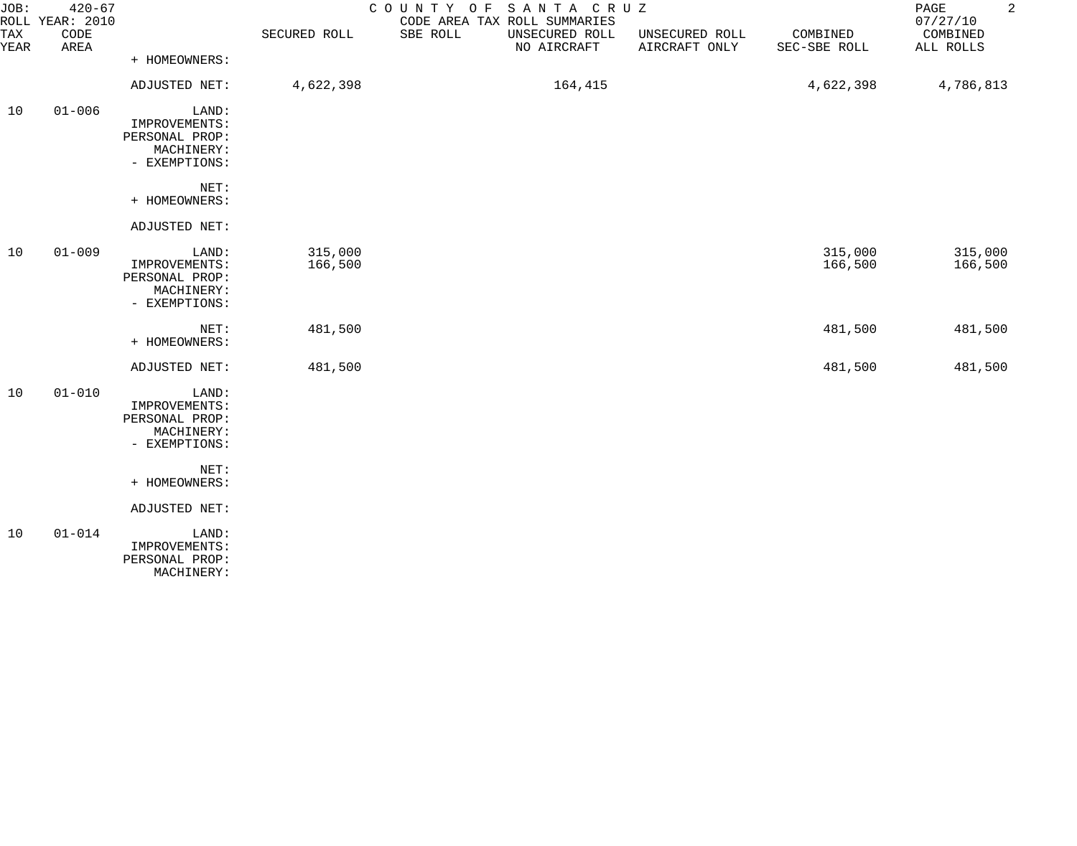| JOB:<br><b>TAX</b><br>YEAR | $420 - 67$<br>ROLL YEAR: 2010<br>CODE<br>AREA | + HOMEOWNERS:                                                           | SECURED ROLL       | SANTA CRUZ<br>COUNTY OF<br>CODE AREA TAX ROLL SUMMARIES<br>SBE ROLL<br>UNSECURED ROLL<br>NO AIRCRAFT | UNSECURED ROLL<br>AIRCRAFT ONLY | COMBINED<br>SEC-SBE ROLL | $\overline{a}$<br>PAGE<br>07/27/10<br>COMBINED<br>ALL ROLLS |
|----------------------------|-----------------------------------------------|-------------------------------------------------------------------------|--------------------|------------------------------------------------------------------------------------------------------|---------------------------------|--------------------------|-------------------------------------------------------------|
|                            |                                               | ADJUSTED NET:                                                           | 4,622,398          | 164,415                                                                                              |                                 | 4,622,398                | 4,786,813                                                   |
| 10                         | $01 - 006$                                    | LAND:<br>IMPROVEMENTS:<br>PERSONAL PROP:<br>MACHINERY:<br>- EXEMPTIONS: |                    |                                                                                                      |                                 |                          |                                                             |
|                            |                                               | NET:<br>+ HOMEOWNERS:                                                   |                    |                                                                                                      |                                 |                          |                                                             |
|                            |                                               | ADJUSTED NET:                                                           |                    |                                                                                                      |                                 |                          |                                                             |
| 10                         | $01 - 009$                                    | LAND:<br>IMPROVEMENTS:<br>PERSONAL PROP:<br>MACHINERY:<br>- EXEMPTIONS: | 315,000<br>166,500 |                                                                                                      |                                 | 315,000<br>166,500       | 315,000<br>166,500                                          |
|                            |                                               | NET:<br>+ HOMEOWNERS:                                                   | 481,500            |                                                                                                      |                                 | 481,500                  | 481,500                                                     |
|                            |                                               | ADJUSTED NET:                                                           | 481,500            |                                                                                                      |                                 | 481,500                  | 481,500                                                     |
| 10                         | $01 - 010$                                    | LAND:<br>IMPROVEMENTS:<br>PERSONAL PROP:<br>MACHINERY:<br>- EXEMPTIONS: |                    |                                                                                                      |                                 |                          |                                                             |
|                            |                                               | NET:<br>+ HOMEOWNERS:                                                   |                    |                                                                                                      |                                 |                          |                                                             |
|                            |                                               | <b>ADJUSTED NET:</b>                                                    |                    |                                                                                                      |                                 |                          |                                                             |
| 10                         | $01 - 014$                                    | LAND:<br>IMPROVEMENTS:<br>PERSONAL PROP:<br>MACHINERY:                  |                    |                                                                                                      |                                 |                          |                                                             |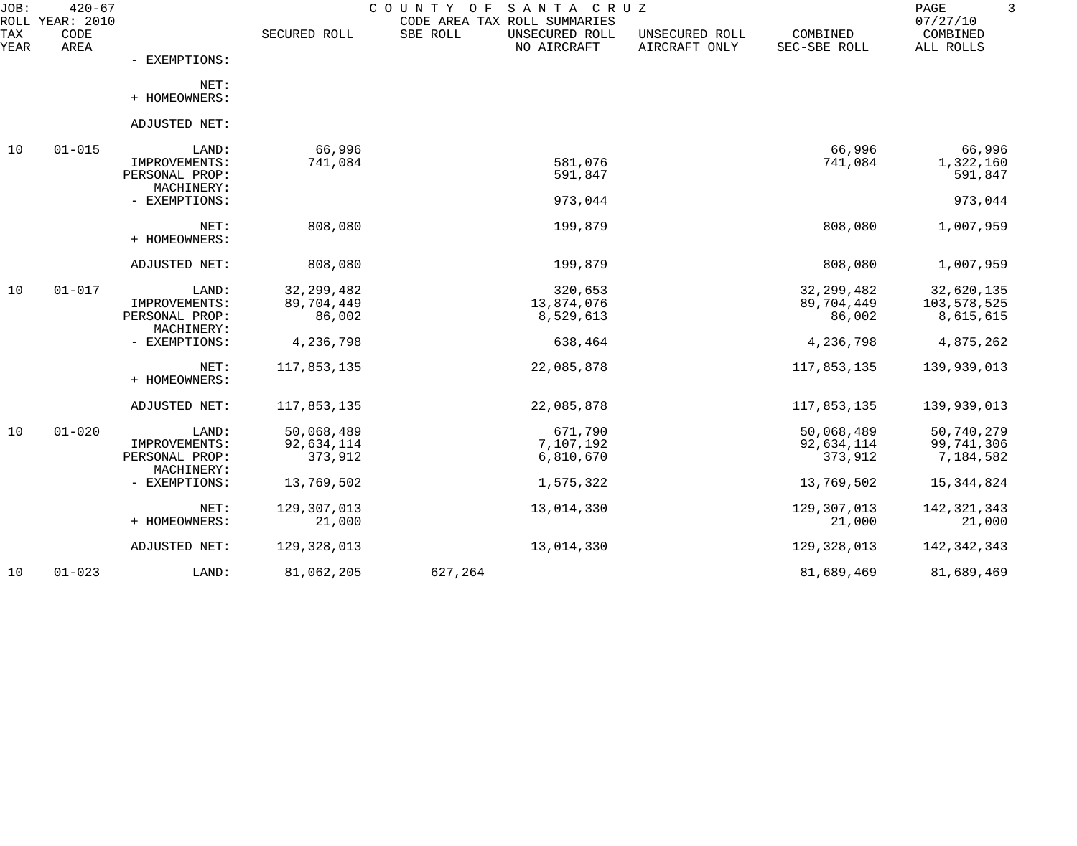| JOB:<br>ROLL | $420 - 67$<br>YEAR: 2010 |                                                        |                                      | COUNTY<br>O F<br>SANTA CRUZ<br>CODE AREA TAX ROLL SUMMARIES |                                 |                                      | PAGE<br>07/27/10                       |
|--------------|--------------------------|--------------------------------------------------------|--------------------------------------|-------------------------------------------------------------|---------------------------------|--------------------------------------|----------------------------------------|
| TAX<br>YEAR  | CODE<br>AREA             |                                                        | SECURED ROLL                         | SBE ROLL<br>UNSECURED ROLL<br>NO AIRCRAFT                   | UNSECURED ROLL<br>AIRCRAFT ONLY | COMBINED<br>SEC-SBE ROLL             | COMBINED<br>ALL ROLLS                  |
|              |                          | - EXEMPTIONS:                                          |                                      |                                                             |                                 |                                      |                                        |
|              |                          | NET:<br>+ HOMEOWNERS:                                  |                                      |                                                             |                                 |                                      |                                        |
|              |                          | ADJUSTED NET:                                          |                                      |                                                             |                                 |                                      |                                        |
| 10           | $01 - 015$               | LAND:                                                  | 66,996                               |                                                             |                                 | 66,996                               | 66,996                                 |
|              |                          | IMPROVEMENTS:<br>PERSONAL PROP:<br>MACHINERY:          | 741,084                              | 581,076<br>591,847                                          |                                 | 741,084                              | 1,322,160<br>591,847                   |
|              |                          | - EXEMPTIONS:                                          |                                      | 973,044                                                     |                                 |                                      | 973,044                                |
|              |                          | NET:<br>+ HOMEOWNERS:                                  | 808,080                              | 199,879                                                     |                                 | 808,080                              | 1,007,959                              |
|              |                          | ADJUSTED NET:                                          | 808,080                              | 199,879                                                     |                                 | 808,080                              | 1,007,959                              |
| 10           | $01 - 017$               | LAND:<br>IMPROVEMENTS:<br>PERSONAL PROP:               | 32, 299, 482<br>89,704,449<br>86,002 | 320,653<br>13,874,076<br>8,529,613                          |                                 | 32, 299, 482<br>89,704,449<br>86,002 | 32,620,135<br>103,578,525<br>8,615,615 |
|              |                          | MACHINERY:<br>- EXEMPTIONS:                            | 4,236,798                            | 638,464                                                     |                                 | 4,236,798                            | 4,875,262                              |
|              |                          | NET:<br>+ HOMEOWNERS:                                  | 117,853,135                          | 22,085,878                                                  |                                 | 117,853,135                          | 139,939,013                            |
|              |                          | ADJUSTED NET:                                          | 117,853,135                          | 22,085,878                                                  |                                 | 117,853,135                          | 139,939,013                            |
| 10           | $01 - 020$               | LAND:<br>IMPROVEMENTS:<br>PERSONAL PROP:<br>MACHINERY: | 50,068,489<br>92,634,114<br>373,912  | 671,790<br>7,107,192<br>6,810,670                           |                                 | 50,068,489<br>92,634,114<br>373,912  | 50,740,279<br>99,741,306<br>7,184,582  |
|              |                          | - EXEMPTIONS:                                          | 13,769,502                           | 1,575,322                                                   |                                 | 13,769,502                           | 15, 344, 824                           |
|              |                          | NET:<br>+ HOMEOWNERS:                                  | 129, 307, 013<br>21,000              | 13,014,330                                                  |                                 | 129,307,013<br>21,000                | 142, 321, 343<br>21,000                |
|              |                          | ADJUSTED NET:                                          | 129,328,013                          | 13,014,330                                                  |                                 | 129,328,013                          | 142, 342, 343                          |
| 10           | $01 - 023$               | LAND:                                                  | 81,062,205                           | 627,264                                                     |                                 | 81,689,469                           | 81,689,469                             |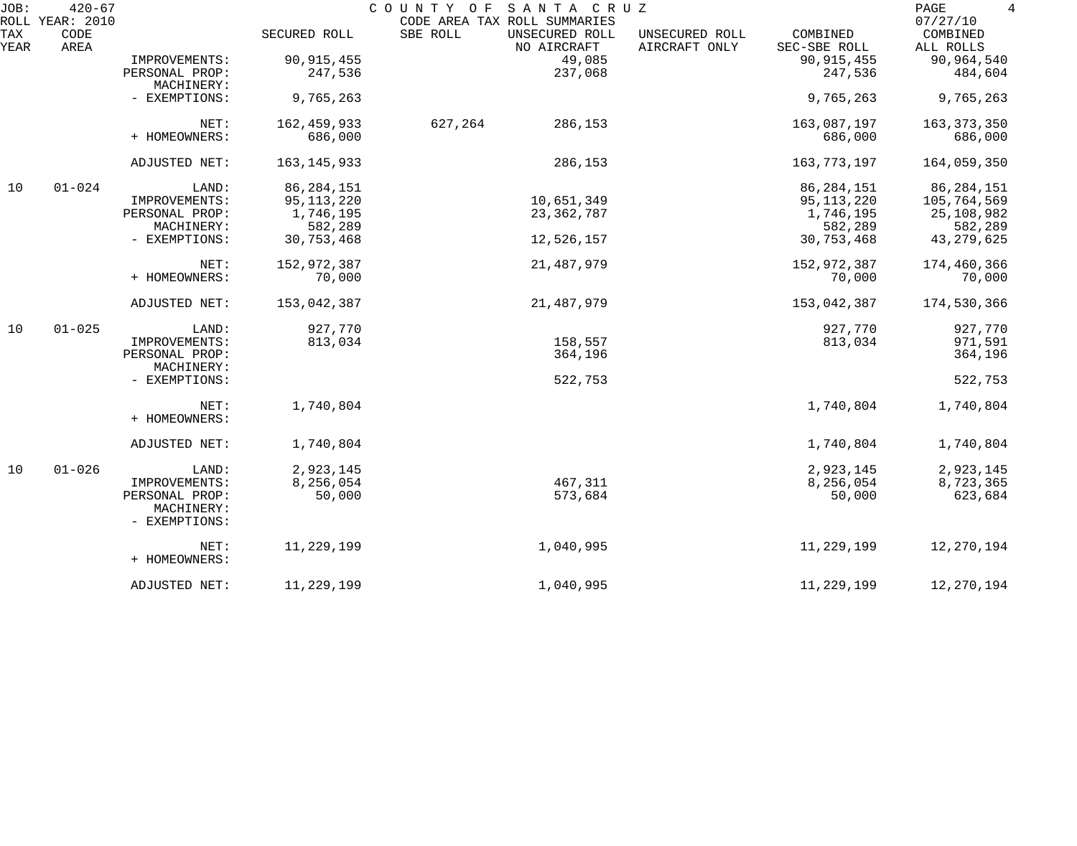| JOB:        | $420 - 67$<br>ROLL YEAR: 2010 |                              |               | COUNTY<br>SANTA CRUZ<br>O F<br>CODE AREA TAX ROLL SUMMARIES |                                 |                          | 4<br>PAGE<br>07/27/10 |
|-------------|-------------------------------|------------------------------|---------------|-------------------------------------------------------------|---------------------------------|--------------------------|-----------------------|
| TAX<br>YEAR | CODE<br>AREA                  |                              | SECURED ROLL  | SBE ROLL<br>UNSECURED ROLL<br>NO AIRCRAFT                   | UNSECURED ROLL<br>AIRCRAFT ONLY | COMBINED<br>SEC-SBE ROLL | COMBINED<br>ALL ROLLS |
|             |                               | IMPROVEMENTS:                | 90, 915, 455  | 49,085                                                      |                                 | 90, 915, 455             | 90,964,540            |
|             |                               | PERSONAL PROP:<br>MACHINERY: | 247,536       | 237,068                                                     |                                 | 247,536                  | 484,604               |
|             |                               | - EXEMPTIONS:                | 9,765,263     |                                                             |                                 | 9,765,263                | 9,765,263             |
|             |                               | NET:                         | 162, 459, 933 | 627,264<br>286,153                                          |                                 | 163,087,197              | 163, 373, 350         |
|             |                               | + HOMEOWNERS:                | 686,000       |                                                             |                                 | 686,000                  | 686,000               |
|             |                               | ADJUSTED NET:                | 163, 145, 933 | 286,153                                                     |                                 | 163,773,197              | 164,059,350           |
| 10          | $01 - 024$                    | LAND:                        | 86, 284, 151  |                                                             |                                 | 86, 284, 151             | 86, 284, 151          |
|             |                               | IMPROVEMENTS:                | 95, 113, 220  | 10,651,349                                                  |                                 | 95,113,220               | 105,764,569           |
|             |                               | PERSONAL PROP:               | 1,746,195     | 23,362,787                                                  |                                 | 1,746,195                | 25,108,982            |
|             |                               | MACHINERY:                   | 582,289       |                                                             |                                 | 582,289                  | 582,289               |
|             |                               | - EXEMPTIONS:                | 30,753,468    | 12,526,157                                                  |                                 | 30,753,468               | 43, 279, 625          |
|             |                               | NET:                         | 152,972,387   | 21, 487, 979                                                |                                 | 152,972,387              | 174,460,366           |
|             |                               | + HOMEOWNERS:                | 70,000        |                                                             |                                 | 70,000                   | 70,000                |
|             |                               | ADJUSTED NET:                | 153,042,387   | 21,487,979                                                  |                                 | 153,042,387              | 174,530,366           |
| 10          | $01 - 025$                    | LAND:                        | 927,770       |                                                             |                                 | 927,770                  | 927,770               |
|             |                               | IMPROVEMENTS:                | 813,034       | 158,557                                                     |                                 | 813,034                  | 971,591               |
|             |                               | PERSONAL PROP:<br>MACHINERY: |               | 364,196                                                     |                                 |                          | 364,196               |
|             |                               | - EXEMPTIONS:                |               | 522,753                                                     |                                 |                          | 522,753               |
|             |                               | NET:<br>+ HOMEOWNERS:        | 1,740,804     |                                                             |                                 | 1,740,804                | 1,740,804             |
|             |                               |                              |               |                                                             |                                 |                          |                       |
|             |                               | ADJUSTED NET:                | 1,740,804     |                                                             |                                 | 1,740,804                | 1,740,804             |
| 10          | $01 - 026$                    | LAND:                        | 2,923,145     |                                                             |                                 | 2,923,145                | 2,923,145             |
|             |                               | IMPROVEMENTS:                | 8,256,054     | 467,311                                                     |                                 | 8,256,054                | 8,723,365             |
|             |                               | PERSONAL PROP:               | 50,000        | 573,684                                                     |                                 | 50,000                   | 623,684               |
|             |                               | MACHINERY:<br>- EXEMPTIONS:  |               |                                                             |                                 |                          |                       |
|             |                               | NET:                         | 11,229,199    | 1,040,995                                                   |                                 | 11,229,199               | 12,270,194            |
|             |                               | + HOMEOWNERS:                |               |                                                             |                                 |                          |                       |
|             |                               | ADJUSTED NET:                | 11,229,199    | 1,040,995                                                   |                                 | 11,229,199               | 12,270,194            |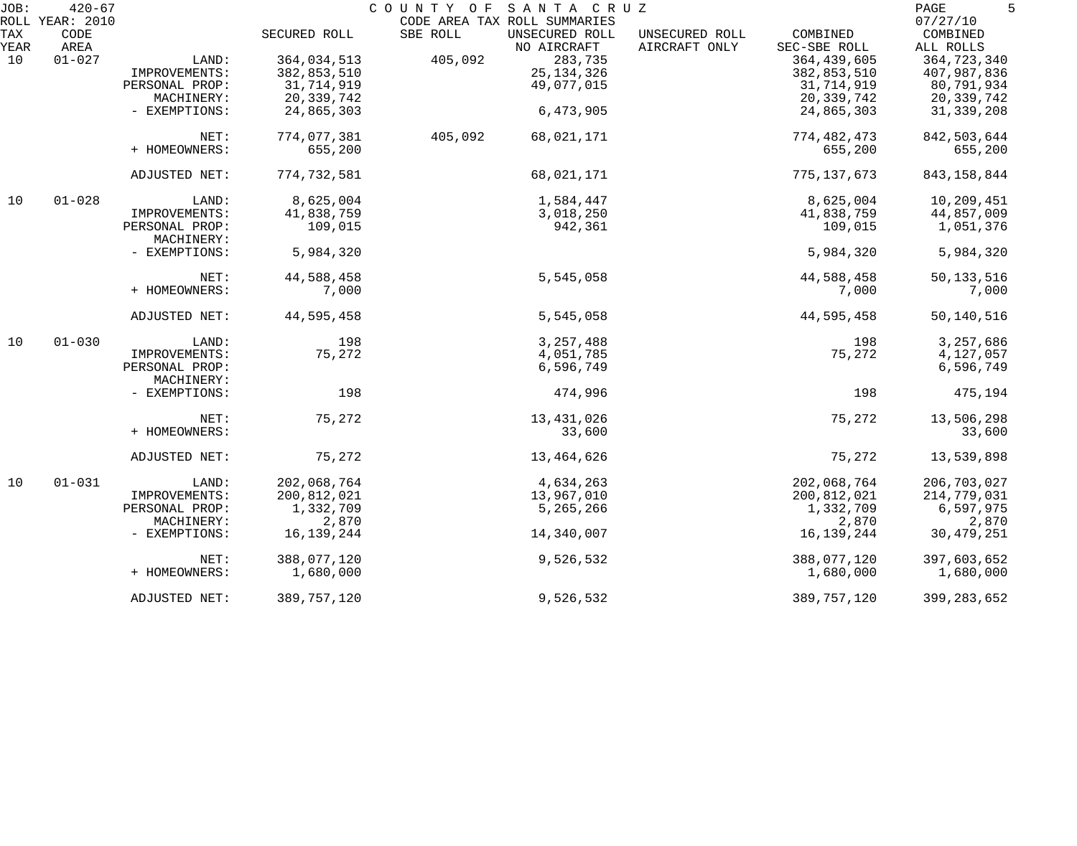| JOB: | $420 - 67$      |                |              | COUNTY OF SANTA CRUZ         |                |               | 5<br>PAGE     |
|------|-----------------|----------------|--------------|------------------------------|----------------|---------------|---------------|
|      | ROLL YEAR: 2010 |                |              | CODE AREA TAX ROLL SUMMARIES |                |               | 07/27/10      |
| TAX  | CODE            |                | SECURED ROLL | SBE ROLL<br>UNSECURED ROLL   | UNSECURED ROLL | COMBINED      | COMBINED      |
| YEAR | AREA            |                |              | NO AIRCRAFT                  | AIRCRAFT ONLY  | SEC-SBE ROLL  | ALL ROLLS     |
| 10   | $01 - 027$      | LAND:          | 364,034,513  | 405,092                      | 283,735        | 364, 439, 605 | 364,723,340   |
|      |                 | IMPROVEMENTS:  | 382,853,510  |                              | 25, 134, 326   | 382,853,510   | 407,987,836   |
|      |                 | PERSONAL PROP: | 31,714,919   |                              | 49,077,015     | 31,714,919    | 80,791,934    |
|      |                 | MACHINERY:     | 20,339,742   |                              |                | 20,339,742    | 20,339,742    |
|      |                 | - EXEMPTIONS:  | 24,865,303   |                              | 6,473,905      | 24,865,303    | 31, 339, 208  |
|      |                 | NET:           | 774,077,381  | 405,092                      | 68,021,171     | 774, 482, 473 | 842,503,644   |
|      |                 | + HOMEOWNERS:  | 655,200      |                              |                | 655,200       | 655,200       |
|      |                 |                |              |                              |                |               |               |
|      |                 | ADJUSTED NET:  | 774,732,581  |                              | 68,021,171     | 775, 137, 673 | 843, 158, 844 |
| 10   | $01 - 028$      | LAND:          | 8,625,004    |                              | 1,584,447      | 8,625,004     | 10,209,451    |
|      |                 | IMPROVEMENTS:  | 41,838,759   |                              | 3,018,250      | 41,838,759    | 44,857,009    |
|      |                 | PERSONAL PROP: | 109,015      |                              | 942,361        | 109,015       | 1,051,376     |
|      |                 | MACHINERY:     |              |                              |                |               |               |
|      |                 | - EXEMPTIONS:  | 5,984,320    |                              |                | 5,984,320     | 5,984,320     |
|      |                 | NET:           | 44,588,458   |                              | 5,545,058      | 44,588,458    | 50, 133, 516  |
|      |                 | + HOMEOWNERS:  | 7,000        |                              |                | 7,000         | 7,000         |
|      |                 |                |              |                              |                |               |               |
|      |                 | ADJUSTED NET:  | 44,595,458   |                              | 5,545,058      | 44,595,458    | 50,140,516    |
| 10   | $01 - 030$      | LAND:          | 198          |                              | 3, 257, 488    | 198           | 3,257,686     |
|      |                 | IMPROVEMENTS:  | 75,272       |                              | 4,051,785      | 75,272        | 4,127,057     |
|      |                 | PERSONAL PROP: |              |                              | 6,596,749      |               | 6,596,749     |
|      |                 | MACHINERY:     |              |                              |                |               |               |
|      |                 | - EXEMPTIONS:  | 198          |                              | 474,996        | 198           | 475,194       |
|      |                 | NET:           | 75,272       |                              | 13,431,026     | 75,272        | 13,506,298    |
|      |                 | + HOMEOWNERS:  |              |                              | 33,600         |               | 33,600        |
|      |                 |                |              |                              |                |               |               |
|      |                 | ADJUSTED NET:  | 75,272       |                              | 13,464,626     | 75,272        | 13,539,898    |
| 10   | $01 - 031$      | LAND:          | 202,068,764  |                              | 4,634,263      | 202,068,764   | 206,703,027   |
|      |                 | IMPROVEMENTS:  | 200,812,021  |                              | 13,967,010     | 200,812,021   | 214,779,031   |
|      |                 | PERSONAL PROP: | 1,332,709    |                              | 5,265,266      | 1,332,709     | 6,597,975     |
|      |                 | MACHINERY:     | 2,870        |                              |                | 2,870         | 2,870         |
|      |                 | - EXEMPTIONS:  | 16, 139, 244 |                              | 14,340,007     | 16,139,244    | 30, 479, 251  |
|      |                 | NET:           | 388,077,120  |                              | 9,526,532      | 388,077,120   | 397,603,652   |
|      |                 | + HOMEOWNERS:  | 1,680,000    |                              |                | 1,680,000     | 1,680,000     |
|      |                 | ADJUSTED NET:  | 389,757,120  |                              | 9,526,532      | 389,757,120   | 399, 283, 652 |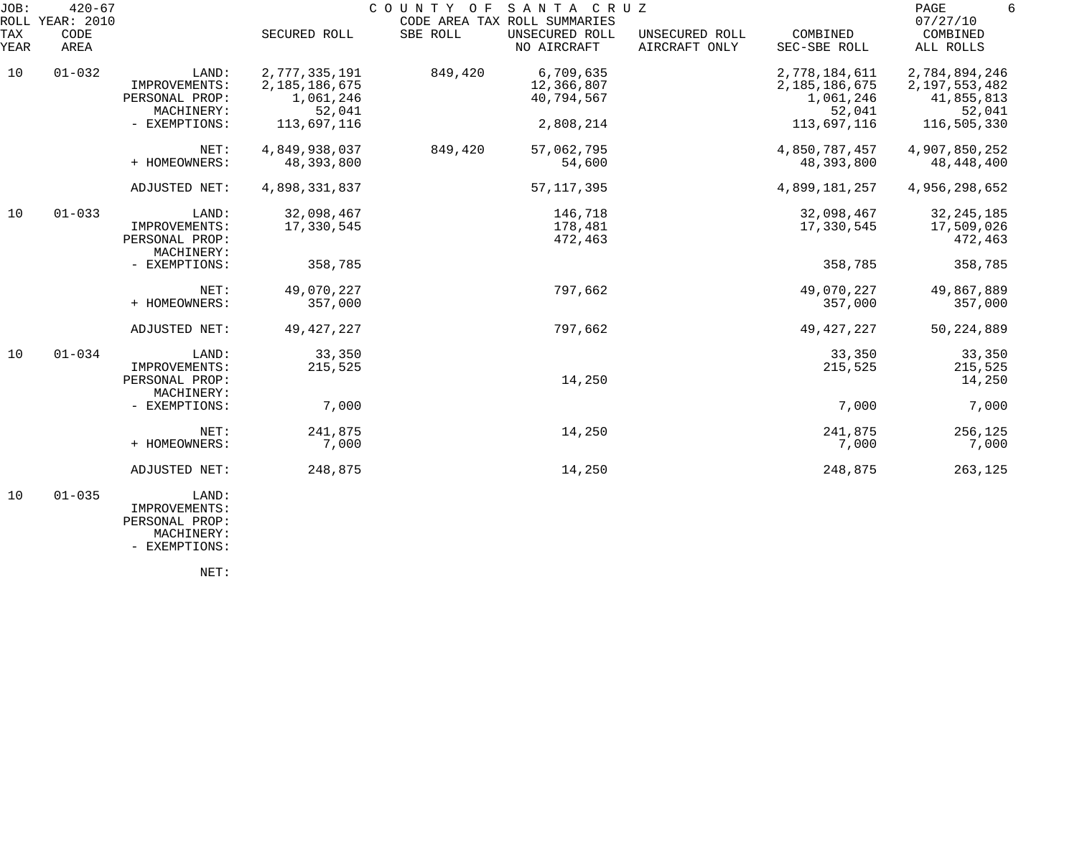| JOB:<br>ROLL | $420 - 67$<br><b>YEAR: 2010</b> |                                                        |                                                       | COUNTY OF SANTA CRUZ | CODE AREA TAX ROLL SUMMARIES          |                                 |                                                       | PAGE<br>6<br>07/27/10                                     |
|--------------|---------------------------------|--------------------------------------------------------|-------------------------------------------------------|----------------------|---------------------------------------|---------------------------------|-------------------------------------------------------|-----------------------------------------------------------|
| TAX<br>YEAR  | CODE<br>AREA                    |                                                        | SECURED ROLL                                          | SBE ROLL             | UNSECURED ROLL<br>NO AIRCRAFT         | UNSECURED ROLL<br>AIRCRAFT ONLY | COMBINED<br>SEC-SBE ROLL                              | COMBINED<br>ALL ROLLS                                     |
| 10           | $01 - 032$                      | LAND:<br>IMPROVEMENTS:<br>PERSONAL PROP:<br>MACHINERY: | 2,777,335,191<br>2,185,186,675<br>1,061,246<br>52,041 | 849,420              | 6,709,635<br>12,366,807<br>40,794,567 |                                 | 2,778,184,611<br>2,185,186,675<br>1,061,246<br>52,041 | 2,784,894,246<br>2, 197, 553, 482<br>41,855,813<br>52,041 |
|              |                                 | - EXEMPTIONS:                                          | 113,697,116                                           |                      | 2,808,214                             |                                 | 113,697,116                                           | 116,505,330                                               |
|              |                                 | NET:<br>+ HOMEOWNERS:                                  | 4,849,938,037<br>48,393,800                           | 849,420              | 57,062,795<br>54,600                  |                                 | 4,850,787,457<br>48,393,800                           | 4,907,850,252<br>48,448,400                               |
|              |                                 | ADJUSTED NET:                                          | 4,898,331,837                                         |                      | 57, 117, 395                          |                                 | 4,899,181,257                                         | 4,956,298,652                                             |
| 10           | $01 - 033$                      | LAND:<br>IMPROVEMENTS:<br>PERSONAL PROP:<br>MACHINERY: | 32,098,467<br>17,330,545                              |                      | 146,718<br>178,481<br>472,463         |                                 | 32,098,467<br>17,330,545                              | 32, 245, 185<br>17,509,026<br>472,463                     |
|              |                                 | - EXEMPTIONS:                                          | 358,785                                               |                      |                                       |                                 | 358,785                                               | 358,785                                                   |
|              |                                 | NET:<br>+ HOMEOWNERS:                                  | 49,070,227<br>357,000                                 |                      | 797,662                               |                                 | 49,070,227<br>357,000                                 | 49,867,889<br>357,000                                     |
|              |                                 | ADJUSTED NET:                                          | 49, 427, 227                                          |                      | 797,662                               |                                 | 49, 427, 227                                          | 50, 224, 889                                              |
| 10           | $01 - 034$                      | LAND:<br>IMPROVEMENTS:<br>PERSONAL PROP:<br>MACHINERY: | 33,350<br>215,525                                     |                      | 14,250                                |                                 | 33,350<br>215,525                                     | 33,350<br>215,525<br>14,250                               |
|              |                                 | - EXEMPTIONS:                                          | 7,000                                                 |                      |                                       |                                 | 7,000                                                 | 7,000                                                     |
|              |                                 | NET:<br>+ HOMEOWNERS:                                  | 241,875<br>7,000                                      |                      | 14,250                                |                                 | 241,875<br>7,000                                      | 256,125<br>7,000                                          |
|              |                                 | ADJUSTED NET:                                          | 248,875                                               |                      | 14,250                                |                                 | 248,875                                               | 263,125                                                   |
| 10           | $01 - 035$                      | LAND:<br>IMPROVEMENTS:                                 |                                                       |                      |                                       |                                 |                                                       |                                                           |

 PERSONAL PROP: MACHINERY:

- EXEMPTIONS:

NET: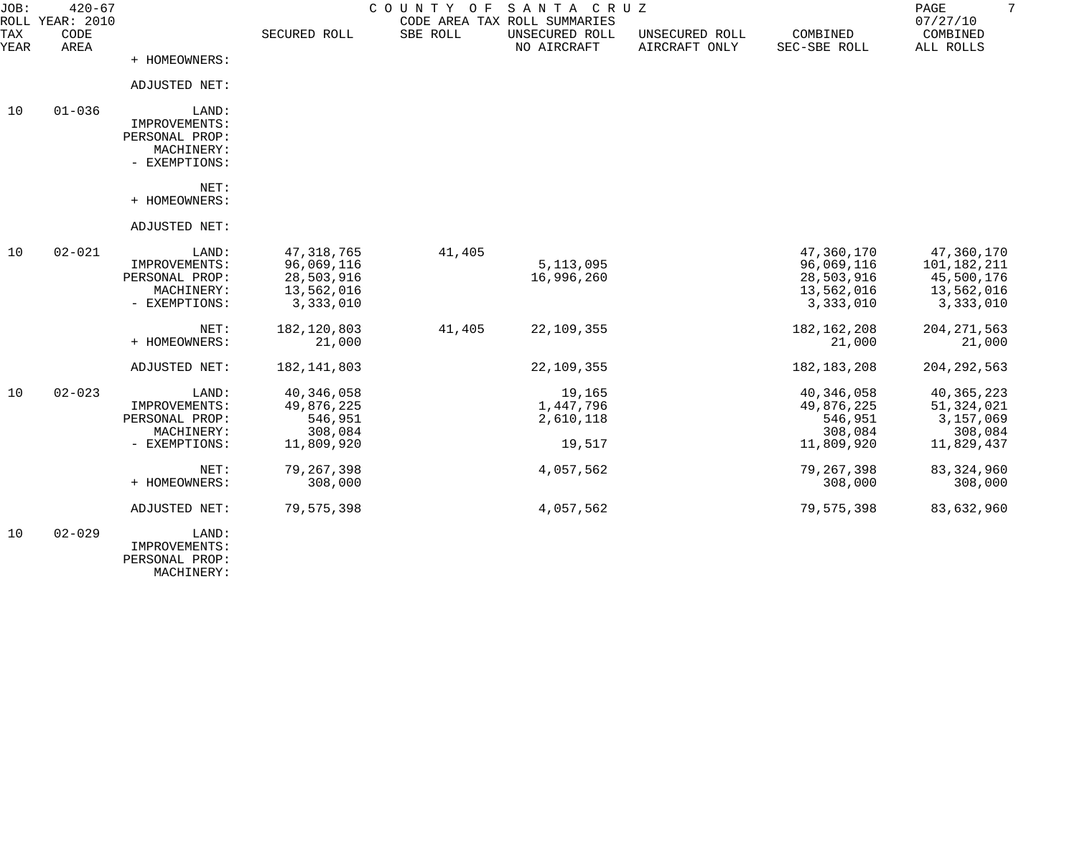| JOB:        | $420 - 67$<br>ROLL YEAR: 2010 |                                                                         |                                                                     | COUNTY OF | SANTA CRUZ<br>CODE AREA TAX ROLL SUMMARIES |                                 |                                                                   | $7\overline{ }$<br>PAGE<br>07/27/10                                |
|-------------|-------------------------------|-------------------------------------------------------------------------|---------------------------------------------------------------------|-----------|--------------------------------------------|---------------------------------|-------------------------------------------------------------------|--------------------------------------------------------------------|
| TAX<br>YEAR | CODE<br>AREA                  |                                                                         | SECURED ROLL                                                        | SBE ROLL  | UNSECURED ROLL<br>NO AIRCRAFT              | UNSECURED ROLL<br>AIRCRAFT ONLY | COMBINED<br>SEC-SBE ROLL                                          | COMBINED<br>ALL ROLLS                                              |
|             |                               | + HOMEOWNERS:                                                           |                                                                     |           |                                            |                                 |                                                                   |                                                                    |
|             |                               | ADJUSTED NET:                                                           |                                                                     |           |                                            |                                 |                                                                   |                                                                    |
| 10          | $01 - 036$                    | LAND:<br>IMPROVEMENTS:<br>PERSONAL PROP:<br>MACHINERY:<br>- EXEMPTIONS: |                                                                     |           |                                            |                                 |                                                                   |                                                                    |
|             |                               | NET:<br>+ HOMEOWNERS:                                                   |                                                                     |           |                                            |                                 |                                                                   |                                                                    |
|             |                               | ADJUSTED NET:                                                           |                                                                     |           |                                            |                                 |                                                                   |                                                                    |
| 10          | $02 - 021$                    | LAND:<br>IMPROVEMENTS:<br>PERSONAL PROP:<br>MACHINERY:<br>- EXEMPTIONS: | 47, 318, 765<br>96,069,116<br>28,503,916<br>13,562,016<br>3,333,010 | 41,405    | 5, 113, 095<br>16,996,260                  |                                 | 47,360,170<br>96,069,116<br>28,503,916<br>13,562,016<br>3,333,010 | 47,360,170<br>101,182,211<br>45,500,176<br>13,562,016<br>3,333,010 |
|             |                               | NET:<br>+ HOMEOWNERS:                                                   | 182, 120, 803<br>21,000                                             | 41,405    | 22,109,355                                 |                                 | 182, 162, 208<br>21,000                                           | 204, 271, 563<br>21,000                                            |
|             |                               | ADJUSTED NET:                                                           | 182, 141, 803                                                       |           | 22,109,355                                 |                                 | 182, 183, 208                                                     | 204, 292, 563                                                      |
| 10          | $02 - 023$                    | LAND:<br>IMPROVEMENTS:<br>PERSONAL PROP:<br>MACHINERY:                  | 40, 346, 058<br>49,876,225<br>546,951<br>308,084                    |           | 19,165<br>1,447,796<br>2,610,118           |                                 | 40,346,058<br>49,876,225<br>546,951<br>308,084                    | 40, 365, 223<br>51,324,021<br>3,157,069<br>308,084                 |
|             |                               | - EXEMPTIONS:                                                           | 11,809,920                                                          |           | 19,517                                     |                                 | 11,809,920                                                        | 11,829,437                                                         |
|             |                               | NET:<br>+ HOMEOWNERS:                                                   | 79, 267, 398<br>308,000                                             |           | 4,057,562                                  |                                 | 79, 267, 398<br>308,000                                           | 83, 324, 960<br>308,000                                            |
|             |                               | ADJUSTED NET:                                                           | 79,575,398                                                          |           | 4,057,562                                  |                                 | 79,575,398                                                        | 83,632,960                                                         |
| 10          | $02 - 029$                    | LAND:<br>IMPROVEMENTS:<br>PERSONAL PROP:                                |                                                                     |           |                                            |                                 |                                                                   |                                                                    |

MACHINERY: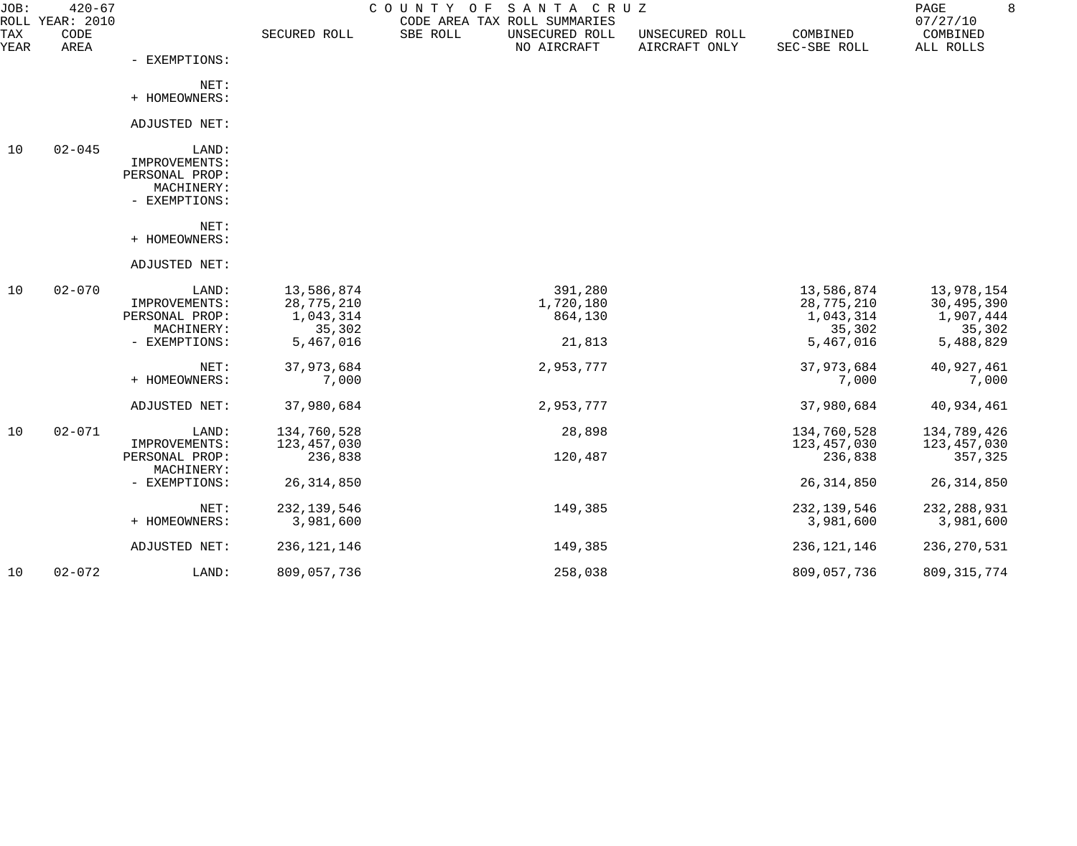| JOB:               | $420 - 67$<br>ROLL YEAR: 2010 |                                                                         |                                                              | COUNTY OF SANTA CRUZ<br>CODE AREA TAX ROLL SUMMARIES |                                 |                                                              | 8<br>PAGE<br>07/27/10                                        |
|--------------------|-------------------------------|-------------------------------------------------------------------------|--------------------------------------------------------------|------------------------------------------------------|---------------------------------|--------------------------------------------------------------|--------------------------------------------------------------|
| <b>TAX</b><br>YEAR | CODE<br>AREA                  |                                                                         | SECURED ROLL                                                 | SBE ROLL<br>UNSECURED ROLL<br>NO AIRCRAFT            | UNSECURED ROLL<br>AIRCRAFT ONLY | COMBINED<br>SEC-SBE ROLL                                     | COMBINED<br>ALL ROLLS                                        |
|                    |                               | - EXEMPTIONS:                                                           |                                                              |                                                      |                                 |                                                              |                                                              |
|                    |                               | NET:<br>+ HOMEOWNERS:                                                   |                                                              |                                                      |                                 |                                                              |                                                              |
|                    |                               | ADJUSTED NET:                                                           |                                                              |                                                      |                                 |                                                              |                                                              |
| 10                 | $02 - 045$                    | LAND:<br>IMPROVEMENTS:<br>PERSONAL PROP:<br>MACHINERY:<br>- EXEMPTIONS: |                                                              |                                                      |                                 |                                                              |                                                              |
|                    |                               | NET:<br>+ HOMEOWNERS:                                                   |                                                              |                                                      |                                 |                                                              |                                                              |
|                    |                               | ADJUSTED NET:                                                           |                                                              |                                                      |                                 |                                                              |                                                              |
| 10                 | $02 - 070$                    | LAND:<br>IMPROVEMENTS:<br>PERSONAL PROP:<br>MACHINERY:<br>- EXEMPTIONS: | 13,586,874<br>28,775,210<br>1,043,314<br>35,302<br>5,467,016 | 391,280<br>1,720,180<br>864,130<br>21,813            |                                 | 13,586,874<br>28,775,210<br>1,043,314<br>35,302<br>5,467,016 | 13,978,154<br>30,495,390<br>1,907,444<br>35,302<br>5,488,829 |
|                    |                               | NET:<br>+ HOMEOWNERS:                                                   | 37,973,684<br>7,000                                          | 2,953,777                                            |                                 | 37,973,684<br>7,000                                          | 40,927,461<br>7,000                                          |
|                    |                               | ADJUSTED NET:                                                           | 37,980,684                                                   | 2,953,777                                            |                                 | 37,980,684                                                   | 40,934,461                                                   |
| 10                 | $02 - 071$                    | LAND:<br>IMPROVEMENTS:<br>PERSONAL PROP:                                | 134,760,528<br>123,457,030<br>236,838                        | 28,898<br>120,487                                    |                                 | 134,760,528<br>123,457,030<br>236,838                        | 134,789,426<br>123,457,030<br>357,325                        |
|                    |                               | MACHINERY:<br>- EXEMPTIONS:                                             | 26, 314, 850                                                 |                                                      |                                 | 26, 314, 850                                                 | 26, 314, 850                                                 |
|                    |                               | NET:<br>+ HOMEOWNERS:                                                   | 232, 139, 546<br>3,981,600                                   | 149,385                                              |                                 | 232, 139, 546<br>3,981,600                                   | 232, 288, 931<br>3,981,600                                   |
|                    |                               | ADJUSTED NET:                                                           | 236, 121, 146                                                | 149,385                                              |                                 | 236, 121, 146                                                | 236, 270, 531                                                |
| 10                 | $02 - 072$                    | LAND:                                                                   | 809,057,736                                                  | 258,038                                              |                                 | 809,057,736                                                  | 809, 315, 774                                                |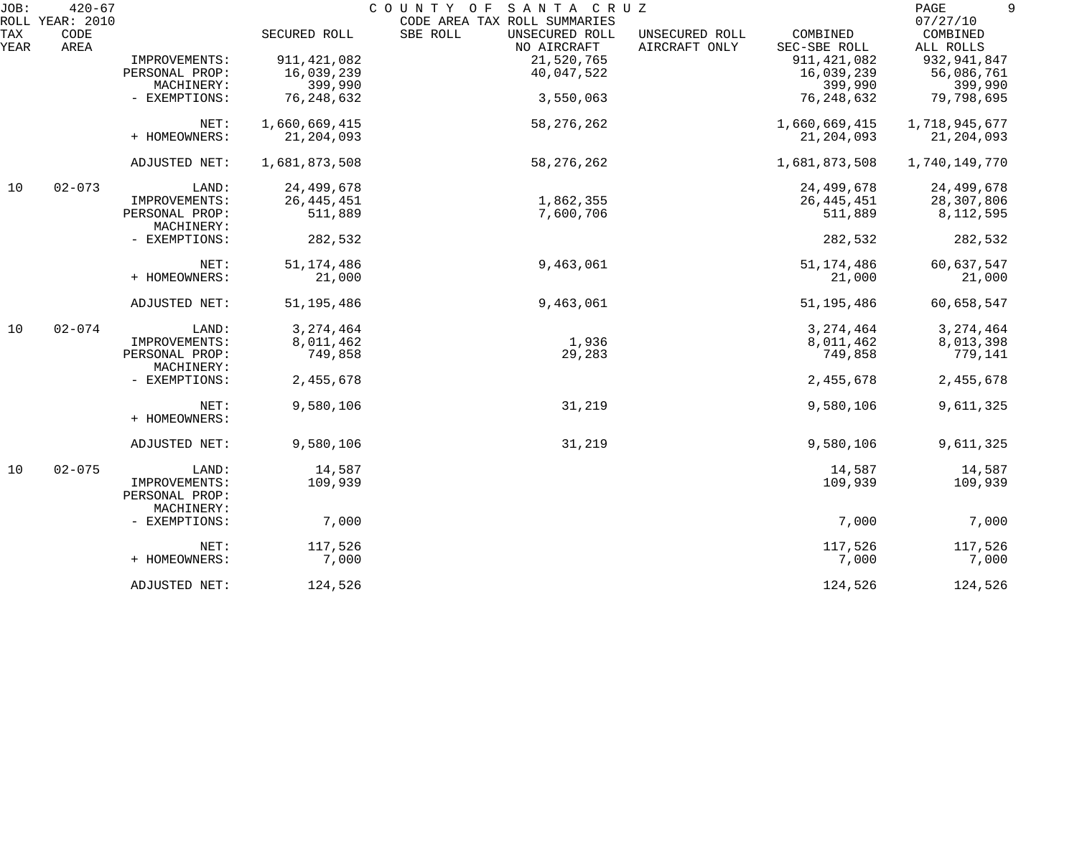| JOB:        | $420 - 67$<br>ROLL YEAR: 2010 |                                               |               | COUNTY OF SANTA CRUZ<br>CODE AREA TAX ROLL SUMMARIES |                                 |                          | 9<br>PAGE<br>07/27/10 |
|-------------|-------------------------------|-----------------------------------------------|---------------|------------------------------------------------------|---------------------------------|--------------------------|-----------------------|
| TAX<br>YEAR | CODE<br>AREA                  |                                               | SECURED ROLL  | SBE ROLL<br>UNSECURED ROLL<br>NO AIRCRAFT            | UNSECURED ROLL<br>AIRCRAFT ONLY | COMBINED<br>SEC-SBE ROLL | COMBINED<br>ALL ROLLS |
|             |                               | IMPROVEMENTS:                                 | 911, 421, 082 | 21,520,765                                           |                                 | 911, 421, 082            | 932, 941, 847         |
|             |                               | PERSONAL PROP:                                | 16,039,239    | 40,047,522                                           |                                 | 16,039,239               | 56,086,761            |
|             |                               | MACHINERY:                                    | 399,990       |                                                      |                                 | 399,990                  | 399,990               |
|             |                               | - EXEMPTIONS:                                 | 76, 248, 632  | 3,550,063                                            |                                 | 76, 248, 632             | 79,798,695            |
|             |                               |                                               |               |                                                      |                                 |                          |                       |
|             |                               | NET:                                          | 1,660,669,415 | 58, 276, 262                                         |                                 | 1,660,669,415            | 1,718,945,677         |
|             |                               | + HOMEOWNERS:                                 | 21, 204, 093  |                                                      |                                 | 21,204,093               | 21, 204, 093          |
|             |                               | ADJUSTED NET:                                 | 1,681,873,508 | 58, 276, 262                                         |                                 | 1,681,873,508            | 1,740,149,770         |
| 10          | $02 - 073$                    | LAND:                                         | 24,499,678    |                                                      |                                 | 24,499,678               | 24,499,678            |
|             |                               | IMPROVEMENTS:                                 | 26, 445, 451  | 1,862,355                                            |                                 | 26, 445, 451             | 28,307,806            |
|             |                               | PERSONAL PROP:<br>MACHINERY:                  | 511,889       | 7,600,706                                            |                                 | 511,889                  | 8, 112, 595           |
|             |                               | - EXEMPTIONS:                                 | 282,532       |                                                      |                                 | 282,532                  | 282,532               |
|             |                               | NET:                                          | 51, 174, 486  | 9,463,061                                            |                                 | 51, 174, 486             | 60,637,547            |
|             |                               | + HOMEOWNERS:                                 | 21,000        |                                                      |                                 | 21,000                   | 21,000                |
|             |                               | ADJUSTED NET:                                 | 51, 195, 486  | 9,463,061                                            |                                 | 51, 195, 486             | 60,658,547            |
| 10          | $02 - 074$                    | LAND:                                         | 3, 274, 464   |                                                      |                                 | 3, 274, 464              | 3, 274, 464           |
|             |                               | IMPROVEMENTS:                                 | 8,011,462     | 1,936                                                |                                 | 8,011,462                | 8,013,398             |
|             |                               | PERSONAL PROP:<br>MACHINERY:                  | 749,858       | 29,283                                               |                                 | 749,858                  | 779,141               |
|             |                               | - EXEMPTIONS:                                 | 2,455,678     |                                                      |                                 | 2,455,678                | 2,455,678             |
|             |                               | NET:<br>+ HOMEOWNERS:                         | 9,580,106     | 31,219                                               |                                 | 9,580,106                | 9,611,325             |
|             |                               | ADJUSTED NET:                                 | 9,580,106     | 31,219                                               |                                 | 9,580,106                | 9,611,325             |
| 10          | $02 - 075$                    | LAND:                                         | 14,587        |                                                      |                                 | 14,587                   | 14,587                |
|             |                               | IMPROVEMENTS:<br>PERSONAL PROP:<br>MACHINERY: | 109,939       |                                                      |                                 | 109,939                  | 109,939               |
|             |                               | - EXEMPTIONS:                                 | 7,000         |                                                      |                                 | 7,000                    | 7,000                 |
|             |                               | NET:                                          | 117,526       |                                                      |                                 | 117,526                  | 117,526               |
|             |                               | + HOMEOWNERS:                                 | 7,000         |                                                      |                                 | 7,000                    | 7,000                 |
|             |                               | ADJUSTED NET:                                 | 124,526       |                                                      |                                 | 124,526                  | 124,526               |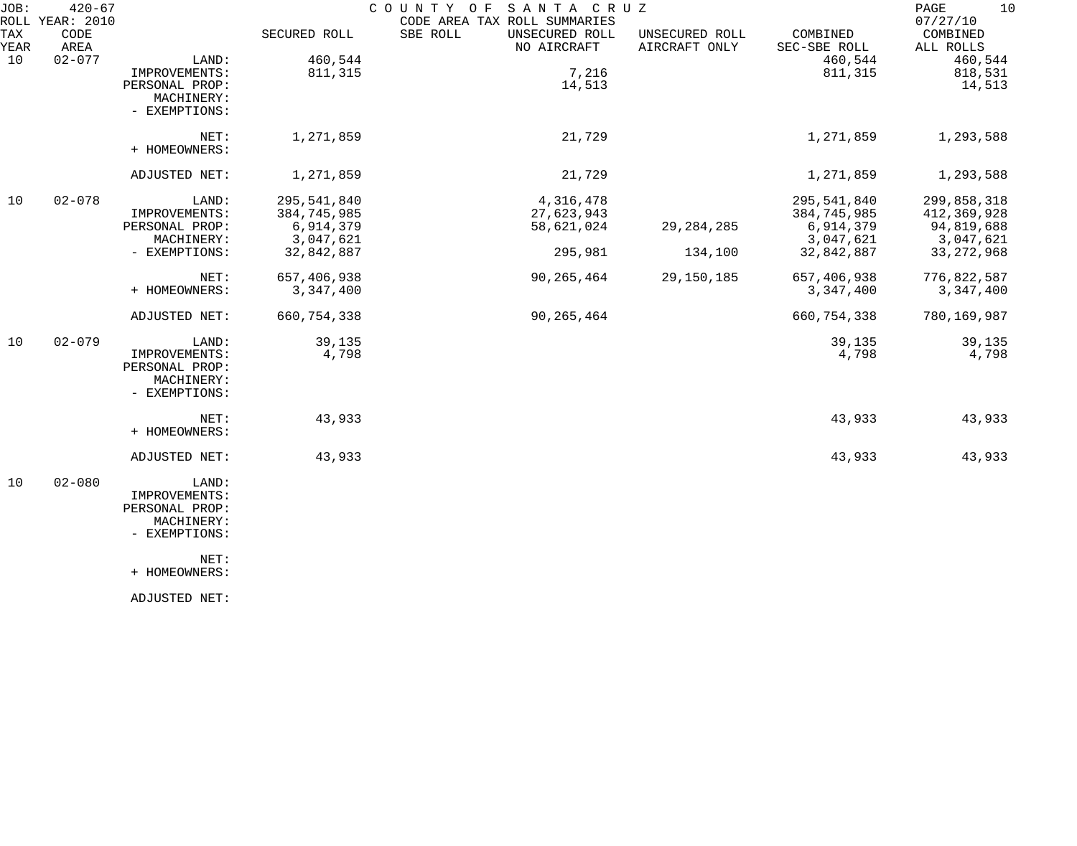| JOB:        | $420 - 67$<br>ROLL YEAR: 2010 |                |               | COUNTY OF<br>SANTA CRUZ<br>CODE AREA TAX ROLL SUMMARIES |                                 |                          | 10<br>PAGE<br>07/27/10 |
|-------------|-------------------------------|----------------|---------------|---------------------------------------------------------|---------------------------------|--------------------------|------------------------|
| TAX<br>YEAR | CODE<br>AREA                  |                | SECURED ROLL  | SBE ROLL<br>UNSECURED ROLL<br>NO AIRCRAFT               | UNSECURED ROLL<br>AIRCRAFT ONLY | COMBINED<br>SEC-SBE ROLL | COMBINED<br>ALL ROLLS  |
| 10          | $02 - 077$                    | LAND:          | 460,544       |                                                         |                                 | 460,544                  | 460,544                |
|             |                               | IMPROVEMENTS:  | 811,315       | 7,216                                                   |                                 | 811,315                  | 818,531                |
|             |                               | PERSONAL PROP: |               | 14,513                                                  |                                 |                          | 14,513                 |
|             |                               | MACHINERY:     |               |                                                         |                                 |                          |                        |
|             |                               | - EXEMPTIONS:  |               |                                                         |                                 |                          |                        |
|             |                               | NET:           | 1,271,859     | 21,729                                                  |                                 | 1,271,859                | 1,293,588              |
|             |                               | + HOMEOWNERS:  |               |                                                         |                                 |                          |                        |
|             |                               | ADJUSTED NET:  | 1,271,859     | 21,729                                                  |                                 | 1,271,859                | 1,293,588              |
| 10          | $02 - 078$                    | LAND:          | 295,541,840   | 4,316,478                                               |                                 | 295,541,840              | 299,858,318            |
|             |                               | IMPROVEMENTS:  | 384,745,985   | 27,623,943                                              |                                 | 384,745,985              | 412,369,928            |
|             |                               | PERSONAL PROP: | 6,914,379     | 58,621,024                                              | 29, 284, 285                    | 6,914,379                | 94,819,688             |
|             |                               | MACHINERY:     | 3,047,621     |                                                         |                                 | 3,047,621                | 3,047,621              |
|             |                               | - EXEMPTIONS:  | 32,842,887    | 295,981                                                 | 134,100                         | 32,842,887               | 33, 272, 968           |
|             |                               | NET:           | 657,406,938   | 90, 265, 464                                            | 29,150,185                      | 657,406,938              | 776,822,587            |
|             |                               | + HOMEOWNERS:  | 3,347,400     |                                                         |                                 | 3,347,400                | 3,347,400              |
|             |                               | ADJUSTED NET:  | 660, 754, 338 | 90,265,464                                              |                                 | 660, 754, 338            | 780,169,987            |
| 10          | $02 - 079$                    | LAND:          | 39,135        |                                                         |                                 | 39,135                   | 39,135                 |
|             |                               | IMPROVEMENTS:  | 4,798         |                                                         |                                 | 4,798                    | 4,798                  |
|             |                               | PERSONAL PROP: |               |                                                         |                                 |                          |                        |
|             |                               | MACHINERY:     |               |                                                         |                                 |                          |                        |
|             |                               | - EXEMPTIONS:  |               |                                                         |                                 |                          |                        |
|             |                               | NET:           | 43,933        |                                                         |                                 | 43,933                   | 43,933                 |
|             |                               | + HOMEOWNERS:  |               |                                                         |                                 |                          |                        |
|             |                               | ADJUSTED NET:  | 43,933        |                                                         |                                 | 43,933                   | 43,933                 |
| 10          | $02 - 080$                    | LAND:          |               |                                                         |                                 |                          |                        |
|             |                               | IMPROVEMENTS:  |               |                                                         |                                 |                          |                        |
|             |                               | PERSONAL PROP: |               |                                                         |                                 |                          |                        |
|             |                               | MACHINERY:     |               |                                                         |                                 |                          |                        |
|             |                               | - EXEMPTIONS:  |               |                                                         |                                 |                          |                        |
|             |                               | NET:           |               |                                                         |                                 |                          |                        |
|             |                               | + HOMEOWNERS:  |               |                                                         |                                 |                          |                        |
|             |                               |                |               |                                                         |                                 |                          |                        |

ADJUSTED NET: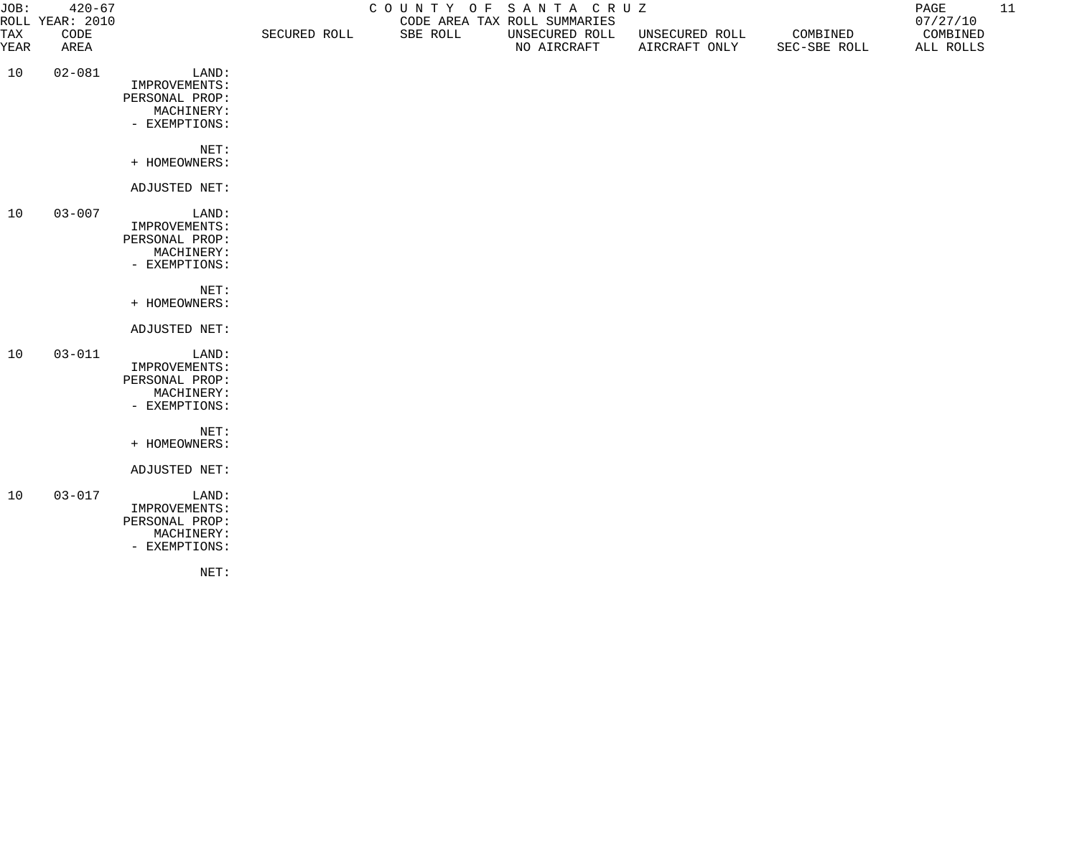| JOB:        | $420 - 67$<br>ROLL YEAR: 2010 | COUNTY OF SANTA CRUZ<br>CODE AREA TAX ROLL SUMMARIES                    |              |          |                               |                                 | PAGE<br>07/27/10         | 11                    |  |
|-------------|-------------------------------|-------------------------------------------------------------------------|--------------|----------|-------------------------------|---------------------------------|--------------------------|-----------------------|--|
| TAX<br>YEAR | CODE<br>AREA                  |                                                                         | SECURED ROLL | SBE ROLL | UNSECURED ROLL<br>NO AIRCRAFT | UNSECURED ROLL<br>AIRCRAFT ONLY | COMBINED<br>SEC-SBE ROLL | COMBINED<br>ALL ROLLS |  |
| 10          | $02 - 081$                    | LAND:<br>IMPROVEMENTS:<br>PERSONAL PROP:<br>MACHINERY:<br>- EXEMPTIONS: |              |          |                               |                                 |                          |                       |  |
|             |                               | NET:<br>+ HOMEOWNERS:                                                   |              |          |                               |                                 |                          |                       |  |
|             |                               | ADJUSTED NET:                                                           |              |          |                               |                                 |                          |                       |  |
| 10          | $03 - 007$                    | LAND:<br>IMPROVEMENTS:<br>PERSONAL PROP:<br>MACHINERY:<br>- EXEMPTIONS: |              |          |                               |                                 |                          |                       |  |
|             |                               | NET:<br>+ HOMEOWNERS:                                                   |              |          |                               |                                 |                          |                       |  |
|             |                               | ADJUSTED NET:                                                           |              |          |                               |                                 |                          |                       |  |
| 10          | $03 - 011$                    | LAND:<br>IMPROVEMENTS:<br>PERSONAL PROP:<br>MACHINERY:<br>- EXEMPTIONS: |              |          |                               |                                 |                          |                       |  |
|             |                               | NET:<br>+ HOMEOWNERS:                                                   |              |          |                               |                                 |                          |                       |  |
|             |                               | ADJUSTED NET:                                                           |              |          |                               |                                 |                          |                       |  |
| 10          | $03 - 017$                    | LAND:<br>IMPROVEMENTS:<br>PERSONAL PROP:<br>MACHINERY:<br>- EXEMPTIONS: |              |          |                               |                                 |                          |                       |  |

NET: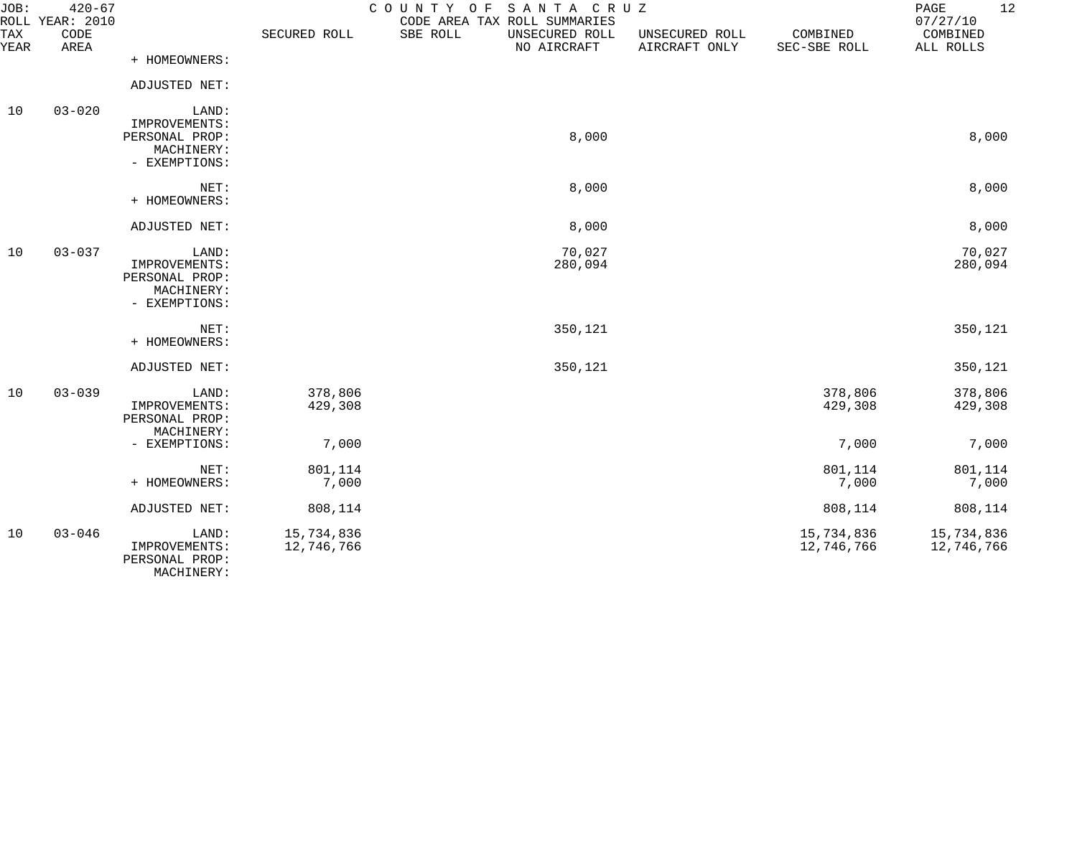| JOB:        | $420 - 67$<br>ROLL YEAR: 2010 |                                                                         |                          | COUNTY OF<br>SANTA CRUZ<br>CODE AREA TAX ROLL SUMMARIES |                                 |                          | 12<br>PAGE<br>07/27/10   |
|-------------|-------------------------------|-------------------------------------------------------------------------|--------------------------|---------------------------------------------------------|---------------------------------|--------------------------|--------------------------|
| TAX<br>YEAR | CODE<br>AREA                  |                                                                         | SECURED ROLL             | SBE ROLL<br>UNSECURED ROLL<br>NO AIRCRAFT               | UNSECURED ROLL<br>AIRCRAFT ONLY | COMBINED<br>SEC-SBE ROLL | COMBINED<br>ALL ROLLS    |
|             |                               | + HOMEOWNERS:                                                           |                          |                                                         |                                 |                          |                          |
|             |                               | ADJUSTED NET:                                                           |                          |                                                         |                                 |                          |                          |
| 10          | $03 - 020$                    | LAND:<br>IMPROVEMENTS:<br>PERSONAL PROP:<br>MACHINERY:<br>- EXEMPTIONS: |                          | 8,000                                                   |                                 |                          | 8,000                    |
|             |                               | NET:<br>+ HOMEOWNERS:                                                   |                          | 8,000                                                   |                                 |                          | 8,000                    |
|             |                               | ADJUSTED NET:                                                           |                          | 8,000                                                   |                                 |                          | 8,000                    |
| 10          | $03 - 037$                    | LAND:<br>IMPROVEMENTS:<br>PERSONAL PROP:<br>MACHINERY:<br>- EXEMPTIONS: |                          | 70,027<br>280,094                                       |                                 |                          | 70,027<br>280,094        |
|             |                               | NET:<br>+ HOMEOWNERS:                                                   |                          | 350,121                                                 |                                 |                          | 350,121                  |
|             |                               | ADJUSTED NET:                                                           |                          | 350,121                                                 |                                 |                          | 350,121                  |
| 10          | $03 - 039$                    | LAND:<br>IMPROVEMENTS:<br>PERSONAL PROP:<br>MACHINERY:                  | 378,806<br>429,308       |                                                         |                                 | 378,806<br>429,308       | 378,806<br>429,308       |
|             |                               | - EXEMPTIONS:                                                           | 7,000                    |                                                         |                                 | 7,000                    | 7,000                    |
|             |                               | NET:<br>+ HOMEOWNERS:                                                   | 801,114<br>7,000         |                                                         |                                 | 801,114<br>7,000         | 801,114<br>7,000         |
|             |                               | ADJUSTED NET:                                                           | 808,114                  |                                                         |                                 | 808,114                  | 808,114                  |
| 10          | $03 - 046$                    | LAND:<br>IMPROVEMENTS:<br>PERSONAL PROP:<br>MACHINERY:                  | 15,734,836<br>12,746,766 |                                                         |                                 | 15,734,836<br>12,746,766 | 15,734,836<br>12,746,766 |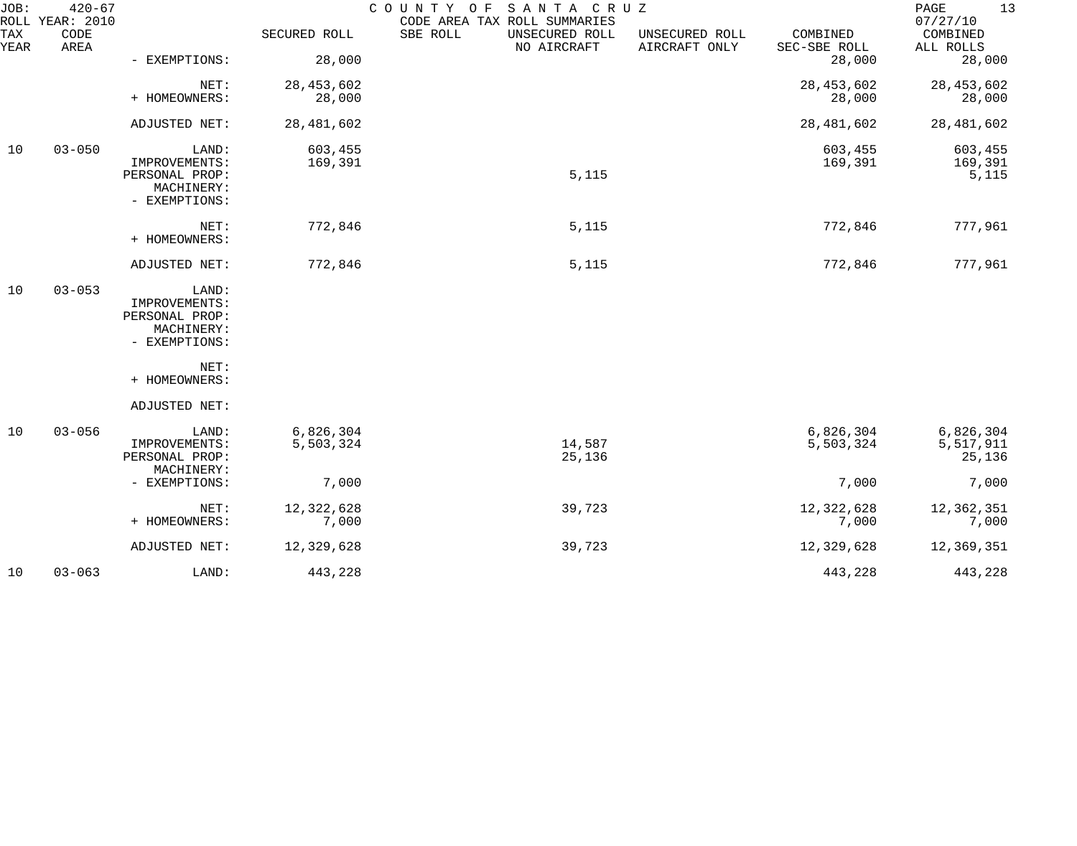| JOB:        | $420 - 67$<br>ROLL YEAR: 2010 |                                                                         |                        | COUNTY OF SANTA CRUZ<br>CODE AREA TAX ROLL SUMMARIES |                                 |                          | PAGE<br>13<br>07/27/10           |
|-------------|-------------------------------|-------------------------------------------------------------------------|------------------------|------------------------------------------------------|---------------------------------|--------------------------|----------------------------------|
| TAX<br>YEAR | CODE<br>AREA                  |                                                                         | SECURED ROLL           | SBE ROLL<br>UNSECURED ROLL<br>NO AIRCRAFT            | UNSECURED ROLL<br>AIRCRAFT ONLY | COMBINED<br>SEC-SBE ROLL | COMBINED<br>ALL ROLLS            |
|             |                               | - EXEMPTIONS:                                                           | 28,000                 |                                                      |                                 | 28,000                   | 28,000                           |
|             |                               | NET:<br>+ HOMEOWNERS:                                                   | 28, 453, 602<br>28,000 |                                                      |                                 | 28, 453, 602<br>28,000   | 28, 453, 602<br>28,000           |
|             |                               | ADJUSTED NET:                                                           | 28, 481, 602           |                                                      |                                 | 28,481,602               | 28,481,602                       |
| 10          | $03 - 050$                    | LAND:<br>IMPROVEMENTS:<br>PERSONAL PROP:<br>MACHINERY:<br>- EXEMPTIONS: | 603,455<br>169,391     | 5,115                                                |                                 | 603,455<br>169,391       | 603,455<br>169,391<br>5,115      |
|             |                               | NET:<br>+ HOMEOWNERS:                                                   | 772,846                | 5,115                                                |                                 | 772,846                  | 777,961                          |
|             |                               | ADJUSTED NET:                                                           | 772,846                | 5,115                                                |                                 | 772,846                  | 777,961                          |
| 10          | $03 - 053$                    | LAND:<br>IMPROVEMENTS:<br>PERSONAL PROP:<br>MACHINERY:<br>- EXEMPTIONS: |                        |                                                      |                                 |                          |                                  |
|             |                               | NET:<br>+ HOMEOWNERS:                                                   |                        |                                                      |                                 |                          |                                  |
|             |                               | ADJUSTED NET:                                                           |                        |                                                      |                                 |                          |                                  |
| 10          | $03 - 056$                    | LAND:<br>IMPROVEMENTS:<br>PERSONAL PROP:                                | 6,826,304<br>5,503,324 | 14,587<br>25,136                                     |                                 | 6,826,304<br>5,503,324   | 6,826,304<br>5,517,911<br>25,136 |
|             |                               | MACHINERY:<br>- EXEMPTIONS:                                             | 7,000                  |                                                      |                                 | 7,000                    | 7,000                            |
|             |                               | NET:<br>+ HOMEOWNERS:                                                   | 12,322,628<br>7,000    | 39,723                                               |                                 | 12, 322, 628<br>7,000    | 12,362,351<br>7,000              |
|             |                               | ADJUSTED NET:                                                           | 12,329,628             | 39,723                                               |                                 | 12,329,628               | 12,369,351                       |
| 10          | $03 - 063$                    | LAND:                                                                   | 443,228                |                                                      |                                 | 443,228                  | 443,228                          |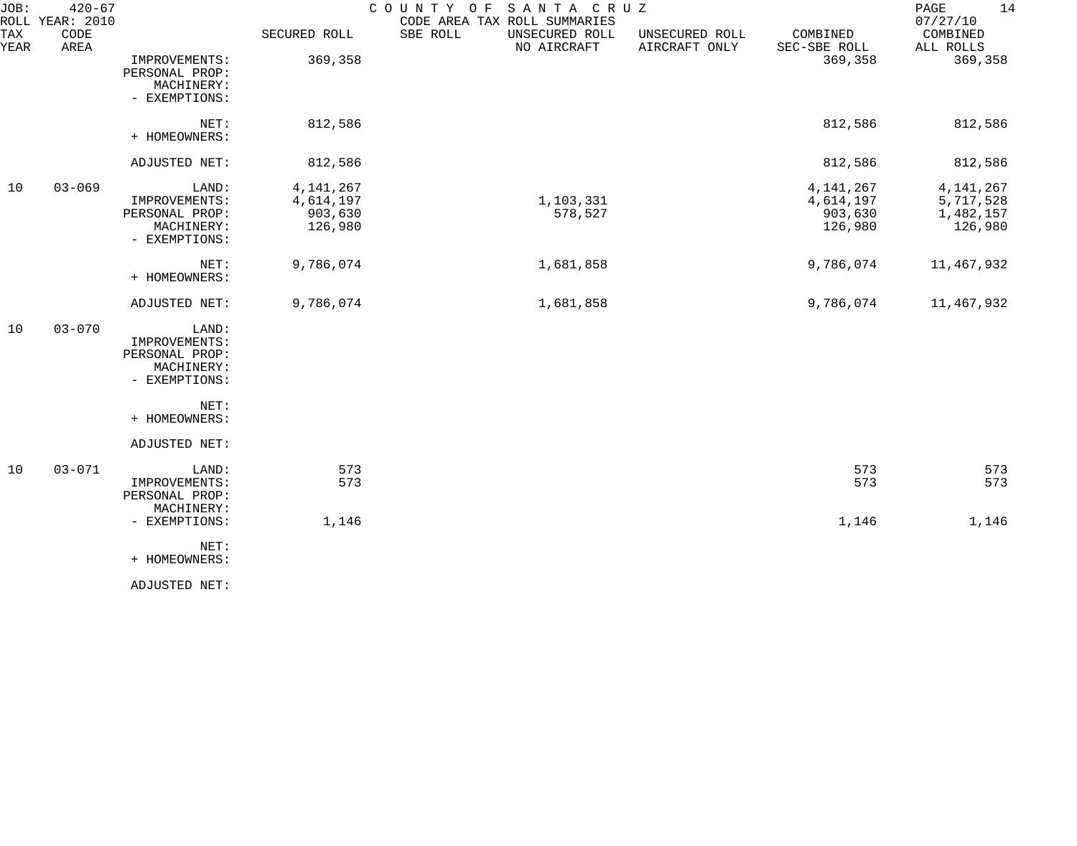| JOB:<br>ROLL | $420 - 67$<br>YEAR: 2010 |                                                                         |                                                | COUNTY OF<br>SANTA CRUZ<br>CODE AREA TAX ROLL SUMMARIES |                                 |                                                | 14<br>PAGE<br>07/27/10                           |
|--------------|--------------------------|-------------------------------------------------------------------------|------------------------------------------------|---------------------------------------------------------|---------------------------------|------------------------------------------------|--------------------------------------------------|
| TAX<br>YEAR  | CODE<br>AREA             |                                                                         | SECURED ROLL                                   | SBE ROLL<br>UNSECURED ROLL<br>NO AIRCRAFT               | UNSECURED ROLL<br>AIRCRAFT ONLY | COMBINED<br>SEC-SBE ROLL                       | COMBINED<br>ALL ROLLS                            |
|              |                          | IMPROVEMENTS:<br>PERSONAL PROP:<br>MACHINERY:<br>- EXEMPTIONS:          | 369,358                                        |                                                         |                                 | 369,358                                        | 369,358                                          |
|              |                          | NET:<br>+ HOMEOWNERS:                                                   | 812,586                                        |                                                         |                                 | 812,586                                        | 812,586                                          |
|              |                          | ADJUSTED NET:                                                           | 812,586                                        |                                                         |                                 | 812,586                                        | 812,586                                          |
| 10           | $03 - 069$               | LAND:<br>IMPROVEMENTS:<br>PERSONAL PROP:<br>MACHINERY:<br>- EXEMPTIONS: | 4, 141, 267<br>4,614,197<br>903,630<br>126,980 | 1,103,331<br>578,527                                    |                                 | 4, 141, 267<br>4,614,197<br>903,630<br>126,980 | 4, 141, 267<br>5,717,528<br>1,482,157<br>126,980 |
|              |                          | NET:<br>+ HOMEOWNERS:                                                   | 9,786,074                                      | 1,681,858                                               |                                 | 9,786,074                                      | 11,467,932                                       |
|              |                          | ADJUSTED NET:                                                           | 9,786,074                                      | 1,681,858                                               |                                 | 9,786,074                                      | 11,467,932                                       |
| 10           | $03 - 070$               | LAND:<br>IMPROVEMENTS:<br>PERSONAL PROP:<br>MACHINERY:<br>- EXEMPTIONS: |                                                |                                                         |                                 |                                                |                                                  |
|              |                          | NET:<br>+ HOMEOWNERS:                                                   |                                                |                                                         |                                 |                                                |                                                  |
|              |                          | ADJUSTED NET:                                                           |                                                |                                                         |                                 |                                                |                                                  |
| 10           | $03 - 071$               | LAND:<br>IMPROVEMENTS:<br>PERSONAL PROP:<br>MACHINERY:                  | 573<br>573                                     |                                                         |                                 | 573<br>573                                     | 573<br>573                                       |
|              |                          | - EXEMPTIONS:                                                           | 1,146                                          |                                                         |                                 | 1,146                                          | 1,146                                            |
|              |                          | NET:<br>+ HOMEOWNERS:                                                   |                                                |                                                         |                                 |                                                |                                                  |
|              |                          | ADJUSTED NET:                                                           |                                                |                                                         |                                 |                                                |                                                  |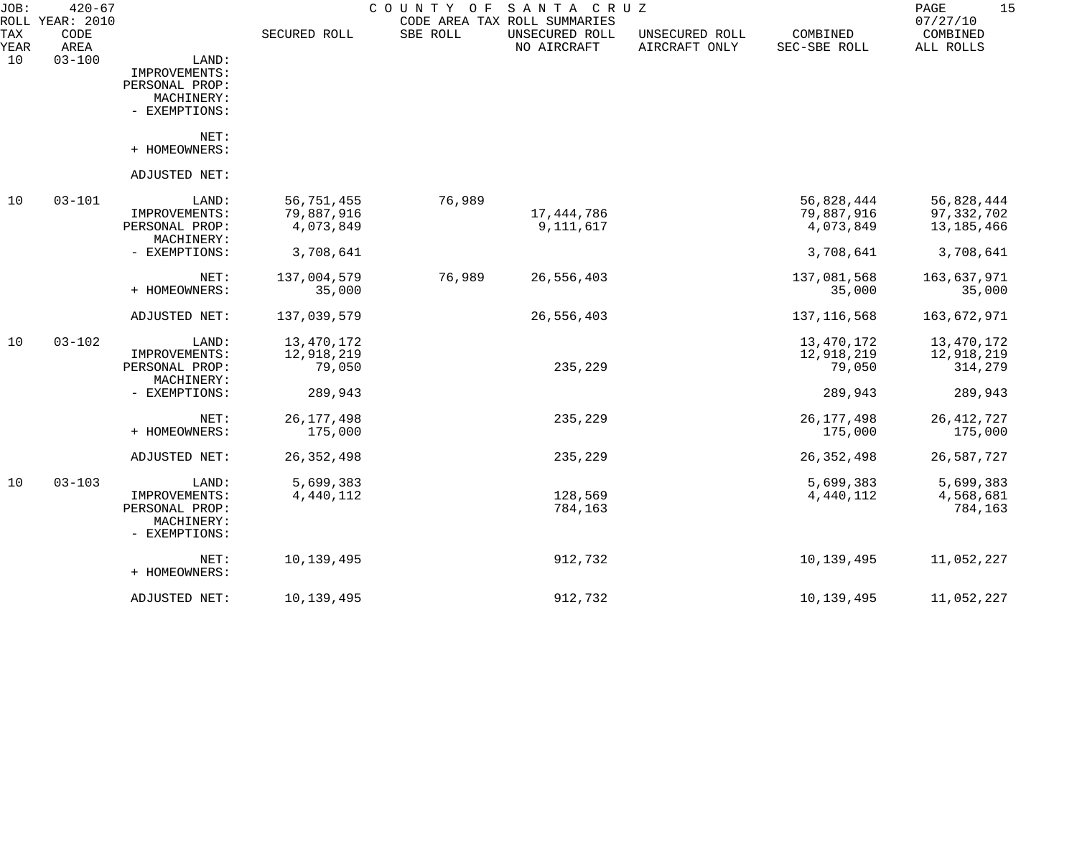| JOB:        | $420 - 67$<br>ROLL YEAR: 2010 |                                                                         |                                       | COUNTY OF | SANTA CRUZ<br>CODE AREA TAX ROLL SUMMARIES |                                 |                                       | 15<br>PAGE<br>07/27/10                 |
|-------------|-------------------------------|-------------------------------------------------------------------------|---------------------------------------|-----------|--------------------------------------------|---------------------------------|---------------------------------------|----------------------------------------|
| TAX<br>YEAR | CODE<br>AREA                  |                                                                         | SECURED ROLL                          | SBE ROLL  | UNSECURED ROLL<br>NO AIRCRAFT              | UNSECURED ROLL<br>AIRCRAFT ONLY | COMBINED<br>SEC-SBE ROLL              | COMBINED<br>ALL ROLLS                  |
| 10          | $03 - 100$                    | LAND:<br>IMPROVEMENTS:<br>PERSONAL PROP:<br>MACHINERY:<br>- EXEMPTIONS: |                                       |           |                                            |                                 |                                       |                                        |
|             |                               | NET:<br>+ HOMEOWNERS:                                                   |                                       |           |                                            |                                 |                                       |                                        |
|             |                               | ADJUSTED NET:                                                           |                                       |           |                                            |                                 |                                       |                                        |
| 10          | $03 - 101$                    | LAND:<br>IMPROVEMENTS:<br>PERSONAL PROP:<br>MACHINERY:                  | 56,751,455<br>79,887,916<br>4,073,849 | 76,989    | 17,444,786<br>9, 111, 617                  |                                 | 56,828,444<br>79,887,916<br>4,073,849 | 56,828,444<br>97,332,702<br>13,185,466 |
|             |                               | - EXEMPTIONS:                                                           | 3,708,641                             |           |                                            |                                 | 3,708,641                             | 3,708,641                              |
|             |                               | NET:<br>+ HOMEOWNERS:                                                   | 137,004,579<br>35,000                 | 76,989    | 26,556,403                                 |                                 | 137,081,568<br>35,000                 | 163,637,971<br>35,000                  |
|             |                               | ADJUSTED NET:                                                           | 137,039,579                           |           | 26,556,403                                 |                                 | 137, 116, 568                         | 163,672,971                            |
| 10          | $03 - 102$                    | LAND:<br>IMPROVEMENTS:<br>PERSONAL PROP:<br>MACHINERY:                  | 13,470,172<br>12,918,219<br>79,050    |           | 235,229                                    |                                 | 13,470,172<br>12,918,219<br>79,050    | 13,470,172<br>12,918,219<br>314,279    |
|             |                               | - EXEMPTIONS:                                                           | 289,943                               |           |                                            |                                 | 289,943                               | 289,943                                |
|             |                               | NET:<br>+ HOMEOWNERS:                                                   | 26, 177, 498<br>175,000               |           | 235,229                                    |                                 | 26, 177, 498<br>175,000               | 26, 412, 727<br>175,000                |
|             |                               | ADJUSTED NET:                                                           | 26, 352, 498                          |           | 235,229                                    |                                 | 26, 352, 498                          | 26,587,727                             |
| 10          | $03 - 103$                    | LAND:<br>IMPROVEMENTS:<br>PERSONAL PROP:<br>MACHINERY:<br>- EXEMPTIONS: | 5,699,383<br>4,440,112                |           | 128,569<br>784,163                         |                                 | 5,699,383<br>4,440,112                | 5,699,383<br>4,568,681<br>784,163      |
|             |                               | NET:<br>+ HOMEOWNERS:                                                   | 10,139,495                            |           | 912,732                                    |                                 | 10,139,495                            | 11,052,227                             |
|             |                               | ADJUSTED NET:                                                           | 10,139,495                            |           | 912,732                                    |                                 | 10,139,495                            | 11,052,227                             |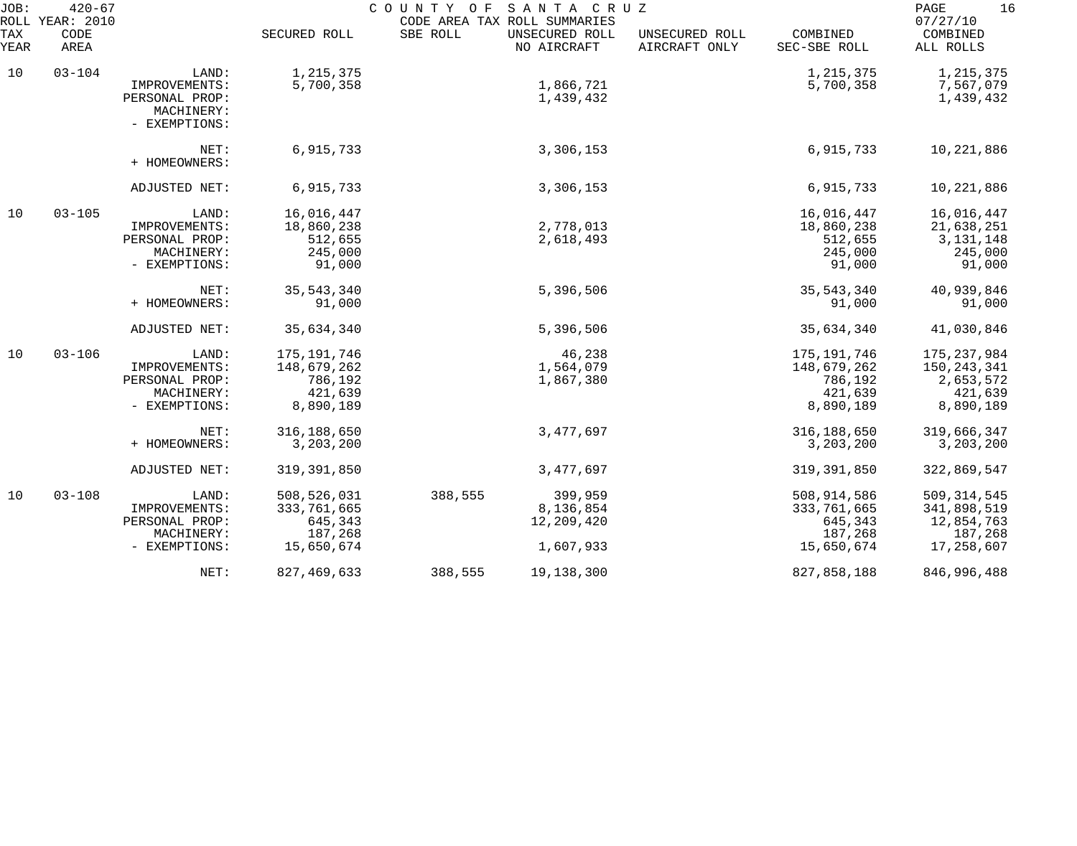| JOB:<br>ROLL | $420 - 67$<br><b>YEAR: 2010</b> |                                                                         |                                                                 | COUNTY OF | SANTA CRUZ<br>CODE AREA TAX ROLL SUMMARIES |                                 |                                                               | 16<br>PAGE<br>07/27/10                                              |
|--------------|---------------------------------|-------------------------------------------------------------------------|-----------------------------------------------------------------|-----------|--------------------------------------------|---------------------------------|---------------------------------------------------------------|---------------------------------------------------------------------|
| TAX<br>YEAR  | CODE<br>AREA                    |                                                                         | SECURED ROLL                                                    | SBE ROLL  | UNSECURED ROLL<br>NO AIRCRAFT              | UNSECURED ROLL<br>AIRCRAFT ONLY | COMBINED<br>SEC-SBE ROLL                                      | COMBINED<br>ALL ROLLS                                               |
| 10           | $03 - 104$                      | LAND:<br>IMPROVEMENTS:<br>PERSONAL PROP:<br>MACHINERY:                  | 1,215,375<br>5,700,358                                          |           | 1,866,721<br>1,439,432                     |                                 | 1,215,375<br>5,700,358                                        | 1,215,375<br>7,567,079<br>1,439,432                                 |
|              |                                 | - EXEMPTIONS:                                                           |                                                                 |           |                                            |                                 |                                                               |                                                                     |
|              |                                 | NET:<br>+ HOMEOWNERS:                                                   | 6,915,733                                                       |           | 3,306,153                                  |                                 | 6,915,733                                                     | 10,221,886                                                          |
|              |                                 | ADJUSTED NET:                                                           | 6,915,733                                                       |           | 3,306,153                                  |                                 | 6,915,733                                                     | 10,221,886                                                          |
| 10           | $03 - 105$                      | LAND:<br>IMPROVEMENTS:<br>PERSONAL PROP:<br>MACHINERY:                  | 16,016,447<br>18,860,238<br>512,655<br>245,000                  |           | 2,778,013<br>2,618,493                     |                                 | 16,016,447<br>18,860,238<br>512,655<br>245,000                | 16,016,447<br>21,638,251<br>3, 131, 148<br>245,000                  |
|              |                                 | - EXEMPTIONS:                                                           | 91,000                                                          |           |                                            |                                 | 91,000                                                        | 91,000                                                              |
|              |                                 | NET:<br>+ HOMEOWNERS:                                                   | 35, 543, 340<br>91,000                                          |           | 5,396,506                                  |                                 | 35, 543, 340<br>91,000                                        | 40,939,846<br>91,000                                                |
|              |                                 | ADJUSTED NET:                                                           | 35,634,340                                                      |           | 5,396,506                                  |                                 | 35,634,340                                                    | 41,030,846                                                          |
| 10           | $03 - 106$                      | LAND:<br>IMPROVEMENTS:<br>PERSONAL PROP:<br>MACHINERY:<br>- EXEMPTIONS: | 175, 191, 746<br>148,679,262<br>786,192<br>421,639<br>8,890,189 |           | 46,238<br>1,564,079<br>1,867,380           |                                 | 175,191,746<br>148,679,262<br>786,192<br>421,639<br>8,890,189 | 175, 237, 984<br>150, 243, 341<br>2,653,572<br>421,639<br>8,890,189 |
|              |                                 | NET:<br>+ HOMEOWNERS:                                                   | 316, 188, 650<br>3, 203, 200                                    |           | 3,477,697                                  |                                 | 316,188,650<br>3,203,200                                      | 319,666,347<br>3,203,200                                            |
|              |                                 | ADJUSTED NET:                                                           | 319, 391, 850                                                   |           | 3,477,697                                  |                                 | 319, 391, 850                                                 | 322,869,547                                                         |
| 10           | $03 - 108$                      | LAND:<br>IMPROVEMENTS:<br>PERSONAL PROP:<br>MACHINERY:                  | 508,526,031<br>333,761,665<br>645,343<br>187,268                | 388,555   | 399,959<br>8,136,854<br>12,209,420         |                                 | 508,914,586<br>333,761,665<br>645,343<br>187,268              | 509, 314, 545<br>341,898,519<br>12,854,763<br>187,268               |
|              |                                 | - EXEMPTIONS:<br>NET:                                                   | 15,650,674<br>827, 469, 633                                     | 388,555   | 1,607,933<br>19,138,300                    |                                 | 15,650,674<br>827,858,188                                     | 17,258,607<br>846,996,488                                           |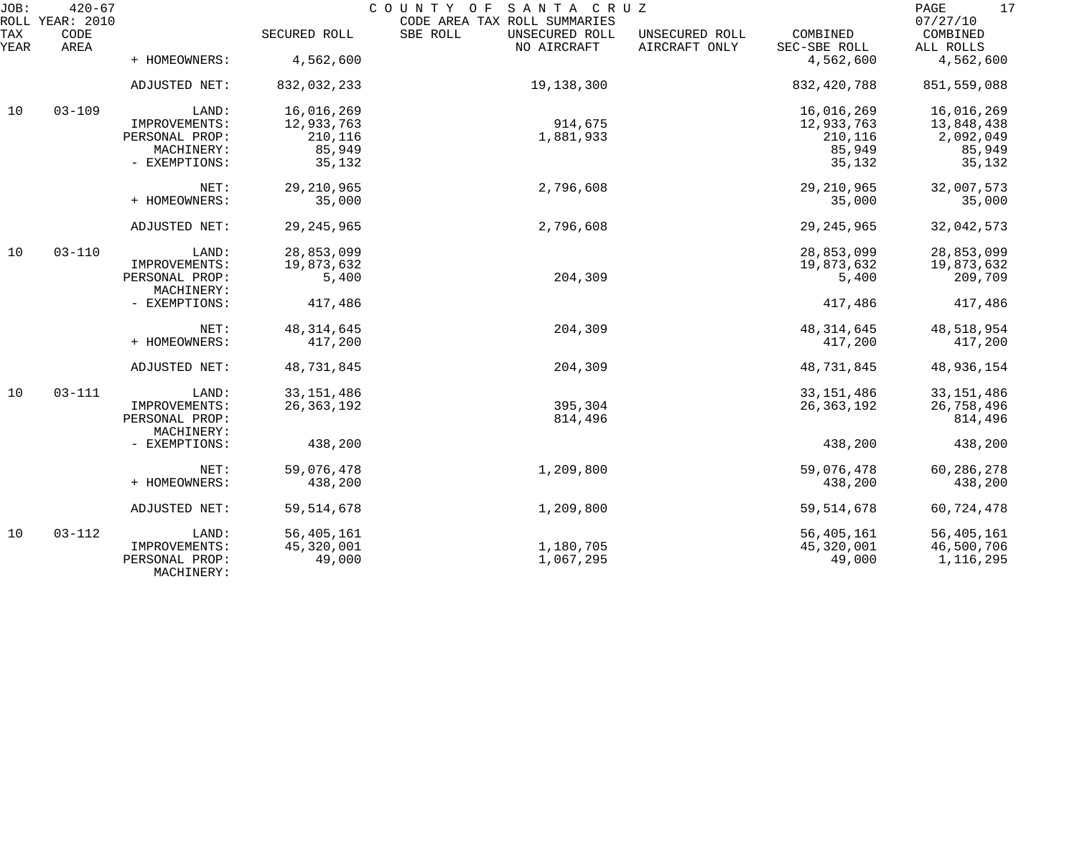| JOB:        | $420 - 67$<br>ROLL YEAR: 2010 |                              |              | COUNTY OF SANTA CRUZ<br>CODE AREA TAX ROLL SUMMARIES |                                 |                          | 17<br>PAGE<br>07/27/10 |
|-------------|-------------------------------|------------------------------|--------------|------------------------------------------------------|---------------------------------|--------------------------|------------------------|
| TAX<br>YEAR | CODE<br>AREA                  |                              | SECURED ROLL | SBE ROLL<br>UNSECURED ROLL<br>NO AIRCRAFT            | UNSECURED ROLL<br>AIRCRAFT ONLY | COMBINED<br>SEC-SBE ROLL | COMBINED<br>ALL ROLLS  |
|             |                               | + HOMEOWNERS:                | 4,562,600    |                                                      |                                 | 4,562,600                | 4,562,600              |
|             |                               | ADJUSTED NET:                | 832,032,233  | 19,138,300                                           |                                 | 832, 420, 788            | 851,559,088            |
| 10          | $03 - 109$                    | LAND:                        | 16,016,269   |                                                      |                                 | 16,016,269               | 16,016,269             |
|             |                               | IMPROVEMENTS:                | 12,933,763   | 914,675                                              |                                 | 12,933,763               | 13,848,438             |
|             |                               | PERSONAL PROP:               | 210,116      | 1,881,933                                            |                                 | 210,116                  | 2,092,049              |
|             |                               | MACHINERY:                   | 85,949       |                                                      |                                 | 85,949                   | 85,949                 |
|             |                               | - EXEMPTIONS:                | 35,132       |                                                      |                                 | 35,132                   | 35,132                 |
|             |                               | NET:                         | 29, 210, 965 | 2,796,608                                            |                                 | 29, 210, 965             | 32,007,573             |
|             |                               | + HOMEOWNERS:                | 35,000       |                                                      |                                 | 35,000                   | 35,000                 |
|             |                               | ADJUSTED NET:                | 29, 245, 965 | 2,796,608                                            |                                 | 29, 245, 965             | 32,042,573             |
| 10          | $03 - 110$                    | LAND:                        | 28,853,099   |                                                      |                                 | 28,853,099               | 28,853,099             |
|             |                               | IMPROVEMENTS:                | 19,873,632   |                                                      |                                 | 19,873,632               | 19,873,632             |
|             |                               | PERSONAL PROP:               | 5,400        | 204,309                                              |                                 | 5,400                    | 209,709                |
|             |                               | MACHINERY:                   |              |                                                      |                                 |                          |                        |
|             |                               | - EXEMPTIONS:                | 417,486      |                                                      |                                 | 417,486                  | 417,486                |
|             |                               | NET:                         | 48, 314, 645 | 204,309                                              |                                 | 48, 314, 645             | 48,518,954             |
|             |                               | + HOMEOWNERS:                | 417,200      |                                                      |                                 | 417,200                  | 417,200                |
|             |                               | ADJUSTED NET:                | 48,731,845   | 204,309                                              |                                 | 48,731,845               | 48,936,154             |
| 10          | $03 - 111$                    | LAND:                        | 33, 151, 486 |                                                      |                                 | 33, 151, 486             | 33, 151, 486           |
|             |                               | IMPROVEMENTS:                | 26, 363, 192 | 395,304                                              |                                 | 26, 363, 192             | 26,758,496             |
|             |                               | PERSONAL PROP:               |              | 814,496                                              |                                 |                          | 814,496                |
|             |                               | MACHINERY:                   |              |                                                      |                                 |                          |                        |
|             |                               | - EXEMPTIONS:                | 438,200      |                                                      |                                 | 438,200                  | 438,200                |
|             |                               | NET:                         | 59,076,478   | 1,209,800                                            |                                 | 59,076,478               | 60,286,278             |
|             |                               | + HOMEOWNERS:                | 438,200      |                                                      |                                 | 438,200                  | 438,200                |
|             |                               |                              |              |                                                      |                                 |                          |                        |
|             |                               | ADJUSTED NET:                | 59, 514, 678 | 1,209,800                                            |                                 | 59, 514, 678             | 60,724,478             |
| 10          | $03 - 112$                    | LAND:                        | 56,405,161   |                                                      |                                 | 56,405,161               | 56,405,161             |
|             |                               | IMPROVEMENTS:                | 45,320,001   | 1,180,705                                            |                                 | 45,320,001               | 46,500,706             |
|             |                               | PERSONAL PROP:<br>MACHINERY: | 49,000       | 1,067,295                                            |                                 | 49,000                   | 1,116,295              |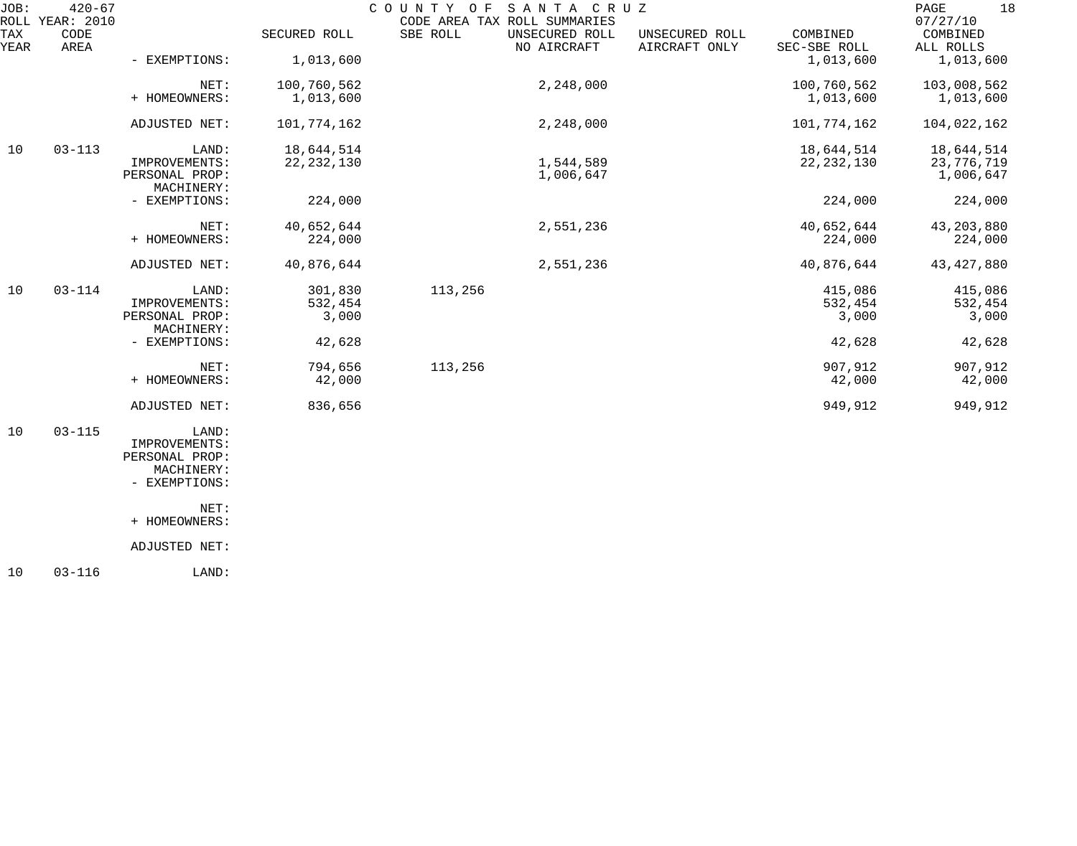| JOB:        | $420 - 67$<br>ROLL YEAR: 2010 |                                 |                  | COUNTY OF | SANTA CRUZ<br>CODE AREA TAX ROLL SUMMARIES |                                 |                          | 18<br>PAGE<br>07/27/10  |
|-------------|-------------------------------|---------------------------------|------------------|-----------|--------------------------------------------|---------------------------------|--------------------------|-------------------------|
| TAX<br>YEAR | CODE<br>AREA                  |                                 | SECURED ROLL     | SBE ROLL  | UNSECURED ROLL<br>NO AIRCRAFT              | UNSECURED ROLL<br>AIRCRAFT ONLY | COMBINED<br>SEC-SBE ROLL | COMBINED<br>ALL ROLLS   |
|             |                               | - EXEMPTIONS:                   | 1,013,600        |           |                                            |                                 | 1,013,600                | 1,013,600               |
|             |                               | NET:                            | 100,760,562      |           | 2,248,000                                  |                                 | 100,760,562              | 103,008,562             |
|             |                               | + HOMEOWNERS:                   | 1,013,600        |           |                                            |                                 | 1,013,600                | 1,013,600               |
|             |                               | ADJUSTED NET:                   | 101,774,162      |           | 2,248,000                                  |                                 | 101,774,162              | 104,022,162             |
| 10          | $03 - 113$                    | LAND:                           | 18,644,514       |           |                                            |                                 | 18,644,514               | 18,644,514              |
|             |                               | IMPROVEMENTS:<br>PERSONAL PROP: | 22, 232, 130     |           | 1,544,589<br>1,006,647                     |                                 | 22, 232, 130             | 23,776,719<br>1,006,647 |
|             |                               | MACHINERY:                      |                  |           |                                            |                                 |                          |                         |
|             |                               | - EXEMPTIONS:                   | 224,000          |           |                                            |                                 | 224,000                  | 224,000                 |
|             |                               | NET:                            | 40,652,644       |           | 2,551,236                                  |                                 | 40,652,644               | 43, 203, 880            |
|             |                               | + HOMEOWNERS:                   | 224,000          |           |                                            |                                 | 224,000                  | 224,000                 |
|             |                               | ADJUSTED NET:                   | 40,876,644       |           | 2,551,236                                  |                                 | 40,876,644               | 43, 427, 880            |
| 10          | $03 - 114$                    | LAND:                           | 301,830          | 113,256   |                                            |                                 | 415,086                  | 415,086                 |
|             |                               | IMPROVEMENTS:<br>PERSONAL PROP: | 532,454<br>3,000 |           |                                            |                                 | 532,454<br>3,000         | 532,454<br>3,000        |
|             |                               | MACHINERY:                      |                  |           |                                            |                                 |                          |                         |
|             |                               | - EXEMPTIONS:                   | 42,628           |           |                                            |                                 | 42,628                   | 42,628                  |
|             |                               | NET:                            | 794,656          | 113,256   |                                            |                                 | 907,912                  | 907,912                 |
|             |                               | + HOMEOWNERS:                   | 42,000           |           |                                            |                                 | 42,000                   | 42,000                  |
|             |                               | ADJUSTED NET:                   | 836,656          |           |                                            |                                 | 949,912                  | 949,912                 |
| 10          | $03 - 115$                    | LAND:                           |                  |           |                                            |                                 |                          |                         |
|             |                               | IMPROVEMENTS:                   |                  |           |                                            |                                 |                          |                         |
|             |                               | PERSONAL PROP:<br>MACHINERY:    |                  |           |                                            |                                 |                          |                         |
|             |                               | - EXEMPTIONS:                   |                  |           |                                            |                                 |                          |                         |
|             |                               | NET:                            |                  |           |                                            |                                 |                          |                         |
|             |                               | + HOMEOWNERS:                   |                  |           |                                            |                                 |                          |                         |
|             |                               | ADJUSTED NET:                   |                  |           |                                            |                                 |                          |                         |
|             |                               |                                 |                  |           |                                            |                                 |                          |                         |

10 03-116 LAND: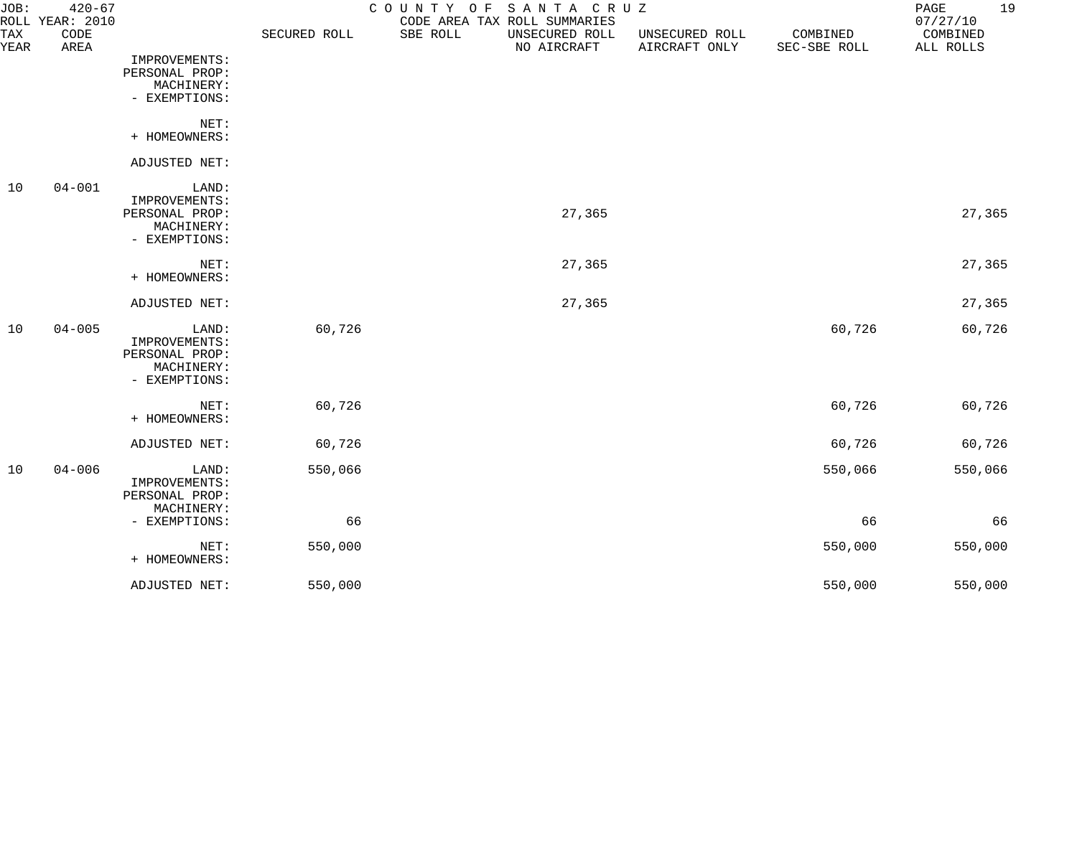| JOB:        | $420 - 67$<br>ROLL YEAR: 2010 |                                                                         |              | COUNTY OF<br>CODE AREA TAX ROLL SUMMARIES | SANTA CRUZ                    |                                 |                          | 19<br>PAGE<br>07/27/10 |
|-------------|-------------------------------|-------------------------------------------------------------------------|--------------|-------------------------------------------|-------------------------------|---------------------------------|--------------------------|------------------------|
| TAX<br>YEAR | CODE<br>AREA                  |                                                                         | SECURED ROLL | SBE ROLL                                  | UNSECURED ROLL<br>NO AIRCRAFT | UNSECURED ROLL<br>AIRCRAFT ONLY | COMBINED<br>SEC-SBE ROLL | COMBINED<br>ALL ROLLS  |
|             |                               | IMPROVEMENTS:<br>PERSONAL PROP:<br>MACHINERY:<br>- EXEMPTIONS:          |              |                                           |                               |                                 |                          |                        |
|             |                               | NET:<br>+ HOMEOWNERS:                                                   |              |                                           |                               |                                 |                          |                        |
|             |                               | ADJUSTED NET:                                                           |              |                                           |                               |                                 |                          |                        |
| 10          | $04 - 001$                    | LAND:<br>IMPROVEMENTS:<br>PERSONAL PROP:<br>MACHINERY:<br>- EXEMPTIONS: |              |                                           | 27,365                        |                                 |                          | 27,365                 |
|             |                               | NET:<br>+ HOMEOWNERS:                                                   |              |                                           | 27,365                        |                                 |                          | 27,365                 |
|             |                               | ADJUSTED NET:                                                           |              |                                           | 27,365                        |                                 |                          | 27,365                 |
| 10          | $04 - 005$                    | LAND:<br>IMPROVEMENTS:<br>PERSONAL PROP:<br>MACHINERY:<br>- EXEMPTIONS: | 60,726       |                                           |                               |                                 | 60,726                   | 60,726                 |
|             |                               | NET:<br>+ HOMEOWNERS:                                                   | 60,726       |                                           |                               |                                 | 60,726                   | 60,726                 |
|             |                               | ADJUSTED NET:                                                           | 60,726       |                                           |                               |                                 | 60,726                   | 60,726                 |
| 10          | $04 - 006$                    | LAND:<br>IMPROVEMENTS:<br>PERSONAL PROP:<br>MACHINERY:                  | 550,066      |                                           |                               |                                 | 550,066                  | 550,066                |
|             |                               | - EXEMPTIONS:                                                           | 66           |                                           |                               |                                 | 66                       | 66                     |
|             |                               | NET:<br>+ HOMEOWNERS:                                                   | 550,000      |                                           |                               |                                 | 550,000                  | 550,000                |
|             |                               | ADJUSTED NET:                                                           | 550,000      |                                           |                               |                                 | 550,000                  | 550,000                |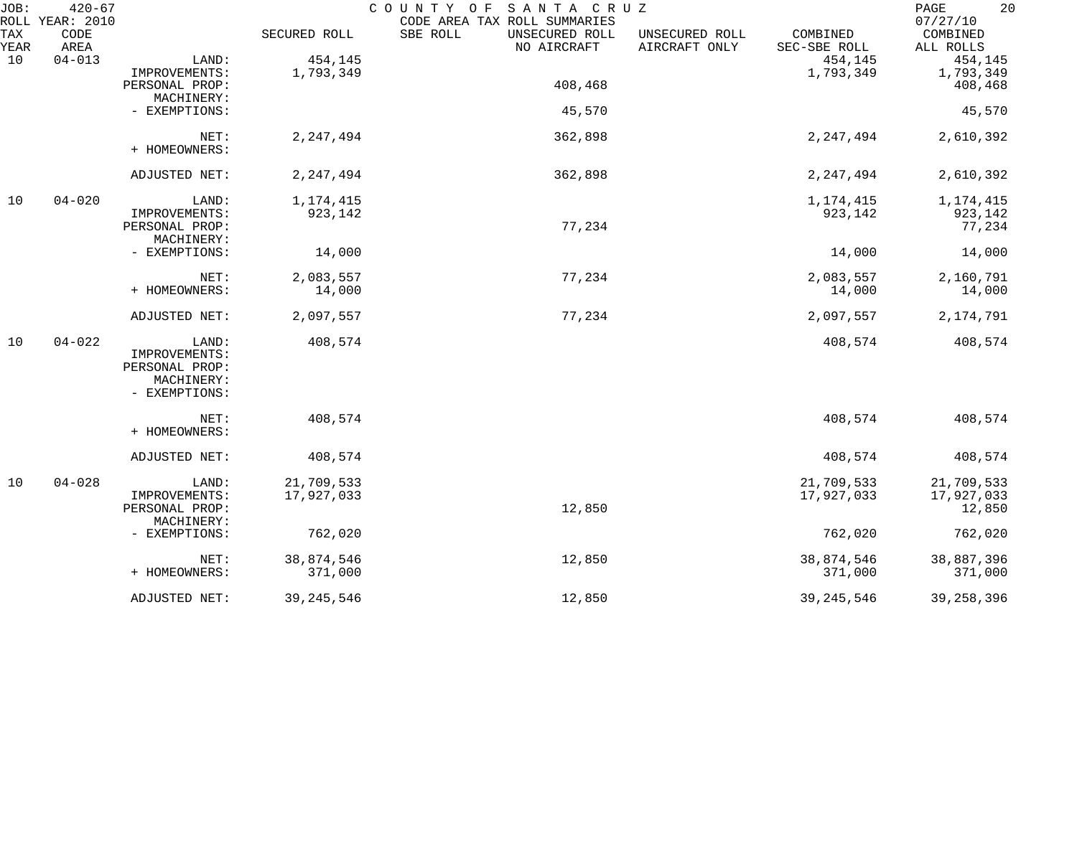| JOB:        | $420 - 67$<br>ROLL YEAR: 2010 |                |              | COUNTY OF SANTA CRUZ<br>CODE AREA TAX ROLL SUMMARIES |                                 |                          | 20<br>PAGE<br>07/27/10 |
|-------------|-------------------------------|----------------|--------------|------------------------------------------------------|---------------------------------|--------------------------|------------------------|
| TAX<br>YEAR | CODE<br>AREA                  |                | SECURED ROLL | SBE ROLL<br>UNSECURED ROLL<br>NO AIRCRAFT            | UNSECURED ROLL<br>AIRCRAFT ONLY | COMBINED<br>SEC-SBE ROLL | COMBINED<br>ALL ROLLS  |
| 10          | $04 - 013$                    | LAND:          | 454,145      |                                                      |                                 | 454,145                  | 454,145                |
|             |                               | IMPROVEMENTS:  | 1,793,349    |                                                      |                                 | 1,793,349                | 1,793,349              |
|             |                               | PERSONAL PROP: |              | 408,468                                              |                                 |                          | 408,468                |
|             |                               | MACHINERY:     |              |                                                      |                                 |                          |                        |
|             |                               | - EXEMPTIONS:  |              | 45,570                                               |                                 |                          | 45,570                 |
|             |                               | NET:           | 2, 247, 494  | 362,898                                              |                                 | 2, 247, 494              | 2,610,392              |
|             |                               | + HOMEOWNERS:  |              |                                                      |                                 |                          |                        |
|             |                               | ADJUSTED NET:  | 2, 247, 494  | 362,898                                              |                                 | 2, 247, 494              | 2,610,392              |
|             |                               |                |              |                                                      |                                 |                          |                        |
| 10          | $04 - 020$                    | LAND:          | 1, 174, 415  |                                                      |                                 | 1,174,415                | 1,174,415              |
|             |                               | IMPROVEMENTS:  | 923,142      |                                                      |                                 | 923,142                  | 923,142                |
|             |                               | PERSONAL PROP: |              | 77,234                                               |                                 |                          | 77,234                 |
|             |                               | MACHINERY:     |              |                                                      |                                 |                          |                        |
|             |                               | - EXEMPTIONS:  | 14,000       |                                                      |                                 | 14,000                   | 14,000                 |
|             |                               | NET:           | 2,083,557    | 77,234                                               |                                 | 2,083,557                | 2,160,791              |
|             |                               | + HOMEOWNERS:  | 14,000       |                                                      |                                 | 14,000                   | 14,000                 |
|             |                               | ADJUSTED NET:  | 2,097,557    | 77,234                                               |                                 | 2,097,557                | 2, 174, 791            |
| 10          | $04 - 022$                    | LAND:          | 408,574      |                                                      |                                 | 408,574                  | 408,574                |
|             |                               | IMPROVEMENTS:  |              |                                                      |                                 |                          |                        |
|             |                               | PERSONAL PROP: |              |                                                      |                                 |                          |                        |
|             |                               | MACHINERY:     |              |                                                      |                                 |                          |                        |
|             |                               | - EXEMPTIONS:  |              |                                                      |                                 |                          |                        |
|             |                               | NET:           | 408,574      |                                                      |                                 | 408,574                  | 408,574                |
|             |                               | + HOMEOWNERS:  |              |                                                      |                                 |                          |                        |
|             |                               | ADJUSTED NET:  | 408,574      |                                                      |                                 | 408,574                  | 408,574                |
| 10          | $04 - 028$                    | LAND:          | 21,709,533   |                                                      |                                 | 21,709,533               | 21,709,533             |
|             |                               | IMPROVEMENTS:  | 17,927,033   |                                                      |                                 | 17,927,033               | 17,927,033             |
|             |                               | PERSONAL PROP: |              | 12,850                                               |                                 |                          | 12,850                 |
|             |                               | MACHINERY:     |              |                                                      |                                 |                          |                        |
|             |                               | - EXEMPTIONS:  | 762,020      |                                                      |                                 | 762,020                  | 762,020                |
|             |                               | NET:           | 38,874,546   | 12,850                                               |                                 | 38,874,546               | 38,887,396             |
|             |                               | + HOMEOWNERS:  | 371,000      |                                                      |                                 | 371,000                  | 371,000                |
|             |                               | ADJUSTED NET:  | 39, 245, 546 | 12,850                                               |                                 | 39, 245, 546             | 39, 258, 396           |
|             |                               |                |              |                                                      |                                 |                          |                        |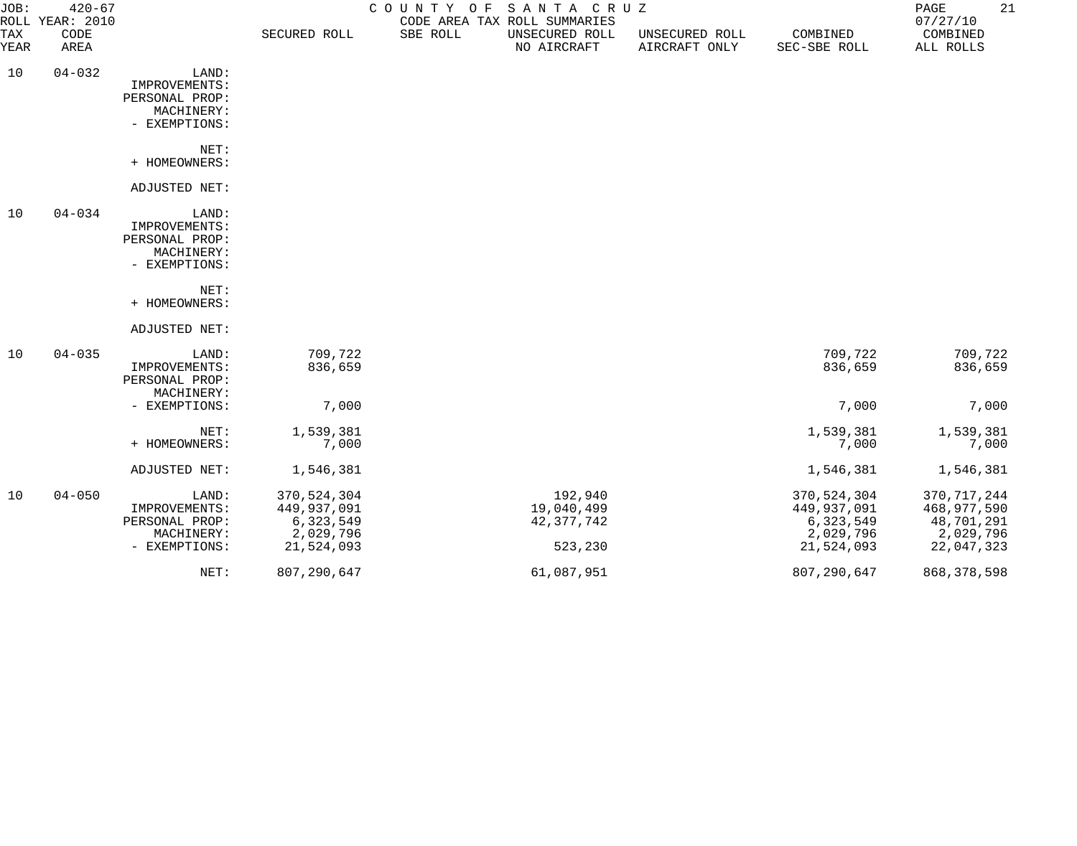| JOB:        | $420 - 67$<br>ROLL YEAR: 2010 |                                                                         |                                                                    |          | COUNTY OF SANTA CRUZ<br>CODE AREA TAX ROLL SUMMARIES |                                 |                                                                    | 21<br>PAGE<br>07/27/10                                                |
|-------------|-------------------------------|-------------------------------------------------------------------------|--------------------------------------------------------------------|----------|------------------------------------------------------|---------------------------------|--------------------------------------------------------------------|-----------------------------------------------------------------------|
| TAX<br>YEAR | CODE<br>AREA                  |                                                                         | SECURED ROLL                                                       | SBE ROLL | UNSECURED ROLL<br>NO AIRCRAFT                        | UNSECURED ROLL<br>AIRCRAFT ONLY | COMBINED<br>SEC-SBE ROLL                                           | COMBINED<br>ALL ROLLS                                                 |
| 10          | $04 - 032$                    | LAND:<br>IMPROVEMENTS:<br>PERSONAL PROP:<br>MACHINERY:<br>- EXEMPTIONS: |                                                                    |          |                                                      |                                 |                                                                    |                                                                       |
|             |                               | NET:<br>+ HOMEOWNERS:                                                   |                                                                    |          |                                                      |                                 |                                                                    |                                                                       |
|             |                               | ADJUSTED NET:                                                           |                                                                    |          |                                                      |                                 |                                                                    |                                                                       |
| 10          | $04 - 034$                    | LAND:<br>IMPROVEMENTS:<br>PERSONAL PROP:<br>MACHINERY:<br>- EXEMPTIONS: |                                                                    |          |                                                      |                                 |                                                                    |                                                                       |
|             |                               | NET:<br>+ HOMEOWNERS:                                                   |                                                                    |          |                                                      |                                 |                                                                    |                                                                       |
|             |                               | ADJUSTED NET:                                                           |                                                                    |          |                                                      |                                 |                                                                    |                                                                       |
| 10          | $04 - 035$                    | LAND:<br>IMPROVEMENTS:<br>PERSONAL PROP:<br>MACHINERY:                  | 709,722<br>836,659                                                 |          |                                                      |                                 | 709,722<br>836,659                                                 | 709,722<br>836,659                                                    |
|             |                               | - EXEMPTIONS:                                                           | 7,000                                                              |          |                                                      |                                 | 7,000                                                              | 7,000                                                                 |
|             |                               | NET:<br>+ HOMEOWNERS:                                                   | 1,539,381<br>7,000                                                 |          |                                                      |                                 | 1,539,381<br>7,000                                                 | 1,539,381<br>7,000                                                    |
|             |                               | ADJUSTED NET:                                                           | 1,546,381                                                          |          |                                                      |                                 | 1,546,381                                                          | 1,546,381                                                             |
| 10          | $04 - 050$                    | LAND:<br>IMPROVEMENTS:<br>PERSONAL PROP:<br>MACHINERY:<br>- EXEMPTIONS: | 370,524,304<br>449,937,091<br>6,323,549<br>2,029,796<br>21,524,093 |          | 192,940<br>19,040,499<br>42, 377, 742<br>523,230     |                                 | 370,524,304<br>449,937,091<br>6,323,549<br>2,029,796<br>21,524,093 | 370, 717, 244<br>468,977,590<br>48,701,291<br>2,029,796<br>22,047,323 |
|             |                               | NET:                                                                    | 807, 290, 647                                                      |          | 61,087,951                                           |                                 | 807, 290, 647                                                      | 868, 378, 598                                                         |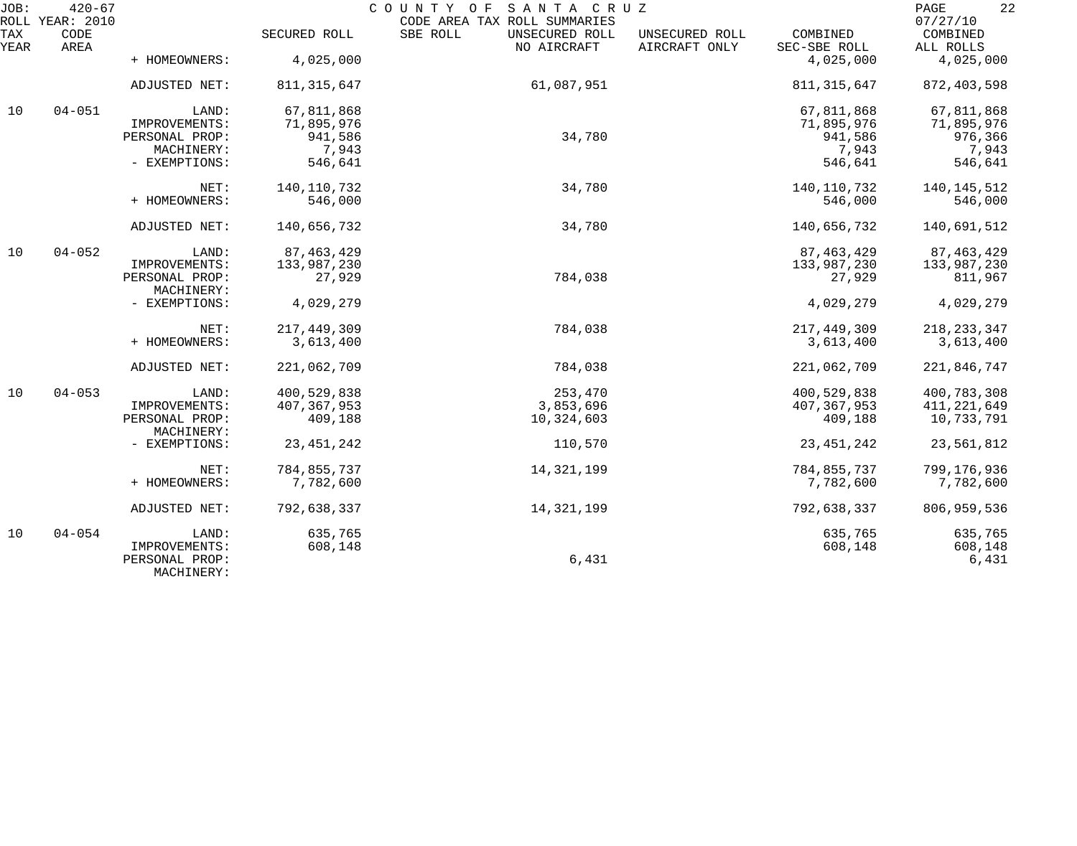| JOB:        | $420 - 67$<br>ROLL YEAR: 2010 |                              |               | COUNTY OF<br>SANTA CRUZ<br>CODE AREA TAX ROLL SUMMARIES |                                 |                          | 22<br>PAGE<br>07/27/10 |
|-------------|-------------------------------|------------------------------|---------------|---------------------------------------------------------|---------------------------------|--------------------------|------------------------|
| TAX<br>YEAR | CODE<br>AREA                  |                              | SECURED ROLL  | SBE ROLL<br>UNSECURED ROLL<br>NO AIRCRAFT               | UNSECURED ROLL<br>AIRCRAFT ONLY | COMBINED<br>SEC-SBE ROLL | COMBINED<br>ALL ROLLS  |
|             |                               | + HOMEOWNERS:                | 4,025,000     |                                                         |                                 | 4,025,000                | 4,025,000              |
|             |                               | ADJUSTED NET:                | 811, 315, 647 | 61,087,951                                              |                                 | 811, 315, 647            | 872,403,598            |
| 10          | $04 - 051$                    | LAND:                        | 67,811,868    |                                                         |                                 | 67,811,868               | 67,811,868             |
|             |                               | IMPROVEMENTS:                | 71,895,976    |                                                         |                                 | 71,895,976               | 71,895,976             |
|             |                               | PERSONAL PROP:               | 941,586       | 34,780                                                  |                                 | 941,586                  | 976,366                |
|             |                               | MACHINERY:                   | 7,943         |                                                         |                                 | 7,943                    | 7,943                  |
|             |                               | - EXEMPTIONS:                | 546,641       |                                                         |                                 | 546,641                  | 546,641                |
|             |                               | NET:                         | 140, 110, 732 | 34,780                                                  |                                 | 140,110,732              | 140, 145, 512          |
|             |                               | + HOMEOWNERS:                | 546,000       |                                                         |                                 | 546,000                  | 546,000                |
|             |                               | ADJUSTED NET:                | 140,656,732   | 34,780                                                  |                                 | 140,656,732              | 140,691,512            |
| 10          | $04 - 052$                    | LAND:                        | 87, 463, 429  |                                                         |                                 | 87, 463, 429             | 87, 463, 429           |
|             |                               | IMPROVEMENTS:                | 133,987,230   |                                                         |                                 | 133,987,230              | 133,987,230            |
|             |                               | PERSONAL PROP:               | 27,929        | 784,038                                                 |                                 | 27,929                   | 811,967                |
|             |                               | MACHINERY:                   |               |                                                         |                                 |                          |                        |
|             |                               | - EXEMPTIONS:                | 4,029,279     |                                                         |                                 | 4,029,279                | 4,029,279              |
|             |                               | NET:                         | 217, 449, 309 | 784,038                                                 |                                 | 217,449,309              | 218, 233, 347          |
|             |                               | + HOMEOWNERS:                | 3,613,400     |                                                         |                                 | 3,613,400                | 3,613,400              |
|             |                               | ADJUSTED NET:                | 221,062,709   | 784,038                                                 |                                 | 221,062,709              | 221,846,747            |
| 10          | $04 - 053$                    | LAND:                        | 400,529,838   | 253,470                                                 |                                 | 400,529,838              | 400,783,308            |
|             |                               | IMPROVEMENTS:                | 407, 367, 953 | 3,853,696                                               |                                 | 407, 367, 953            | 411,221,649            |
|             |                               | PERSONAL PROP:<br>MACHINERY: | 409,188       | 10,324,603                                              |                                 | 409,188                  | 10,733,791             |
|             |                               | - EXEMPTIONS:                | 23, 451, 242  | 110,570                                                 |                                 | 23, 451, 242             | 23,561,812             |
|             |                               | NET:                         | 784,855,737   | 14, 321, 199                                            |                                 | 784,855,737              | 799,176,936            |
|             |                               | + HOMEOWNERS:                | 7,782,600     |                                                         |                                 | 7,782,600                | 7,782,600              |
|             |                               | <b>ADJUSTED NET:</b>         | 792,638,337   | 14, 321, 199                                            |                                 | 792,638,337              | 806,959,536            |
| 10          | $04 - 054$                    | LAND:                        | 635,765       |                                                         |                                 | 635,765                  | 635,765                |
|             |                               | IMPROVEMENTS:                | 608,148       |                                                         |                                 | 608,148                  | 608,148                |
|             |                               | PERSONAL PROP:<br>MACHINERY: |               | 6,431                                                   |                                 |                          | 6,431                  |
|             |                               |                              |               |                                                         |                                 |                          |                        |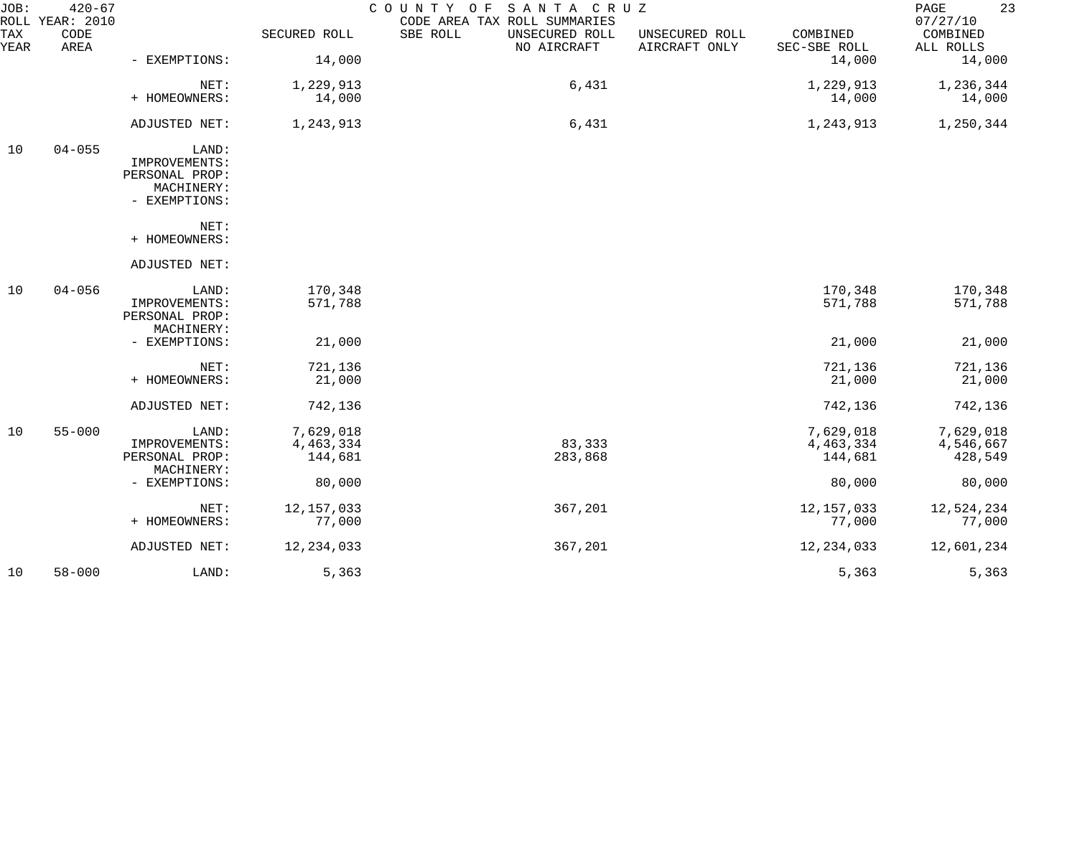| JOB:        | $420 - 67$<br>ROLL YEAR: 2010 |                                                                         |                                   | SANTA CRUZ<br>COUNTY OF<br>CODE AREA TAX ROLL SUMMARIES |                                 |                                   | 23<br>PAGE<br>07/27/10            |
|-------------|-------------------------------|-------------------------------------------------------------------------|-----------------------------------|---------------------------------------------------------|---------------------------------|-----------------------------------|-----------------------------------|
| TAX<br>YEAR | CODE<br>AREA                  |                                                                         | SECURED ROLL                      | SBE ROLL<br>UNSECURED ROLL<br>NO AIRCRAFT               | UNSECURED ROLL<br>AIRCRAFT ONLY | COMBINED<br>SEC-SBE ROLL          | COMBINED<br>ALL ROLLS             |
|             |                               | - EXEMPTIONS:                                                           | 14,000                            |                                                         |                                 | 14,000                            | 14,000                            |
|             |                               | NET:                                                                    | 1,229,913                         | 6,431                                                   |                                 | 1,229,913                         | 1,236,344                         |
|             |                               | + HOMEOWNERS:                                                           | 14,000                            |                                                         |                                 | 14,000                            | 14,000                            |
|             |                               | ADJUSTED NET:                                                           | 1,243,913                         | 6,431                                                   |                                 | 1,243,913                         | 1,250,344                         |
| 10          | $04 - 055$                    | LAND:<br>IMPROVEMENTS:<br>PERSONAL PROP:<br>MACHINERY:<br>- EXEMPTIONS: |                                   |                                                         |                                 |                                   |                                   |
|             |                               | NET:<br>+ HOMEOWNERS:                                                   |                                   |                                                         |                                 |                                   |                                   |
|             |                               | ADJUSTED NET:                                                           |                                   |                                                         |                                 |                                   |                                   |
| 10          | $04 - 056$                    | LAND:<br>IMPROVEMENTS:<br>PERSONAL PROP:<br>MACHINERY:                  | 170,348<br>571,788                |                                                         |                                 | 170,348<br>571,788                | 170,348<br>571,788                |
|             |                               | - EXEMPTIONS:                                                           | 21,000                            |                                                         |                                 | 21,000                            | 21,000                            |
|             |                               | NET:<br>+ HOMEOWNERS:                                                   | 721,136<br>21,000                 |                                                         |                                 | 721,136<br>21,000                 | 721,136<br>21,000                 |
|             |                               | ADJUSTED NET:                                                           | 742,136                           |                                                         |                                 | 742,136                           | 742,136                           |
| 10          | $55 - 000$                    | LAND:<br>IMPROVEMENTS:<br>PERSONAL PROP:                                | 7,629,018<br>4,463,334<br>144,681 | 83,333<br>283,868                                       |                                 | 7,629,018<br>4,463,334<br>144,681 | 7,629,018<br>4,546,667<br>428,549 |
|             |                               | MACHINERY:<br>- EXEMPTIONS:                                             | 80,000                            |                                                         |                                 | 80,000                            | 80,000                            |
|             |                               | NET:<br>+ HOMEOWNERS:                                                   | 12, 157, 033<br>77,000            | 367,201                                                 |                                 | 12, 157, 033<br>77,000            | 12,524,234<br>77,000              |
|             |                               | ADJUSTED NET:                                                           | 12, 234, 033                      | 367,201                                                 |                                 | 12, 234, 033                      | 12,601,234                        |
| 10          | $58 - 000$                    | LAND:                                                                   | 5,363                             |                                                         |                                 | 5,363                             | 5,363                             |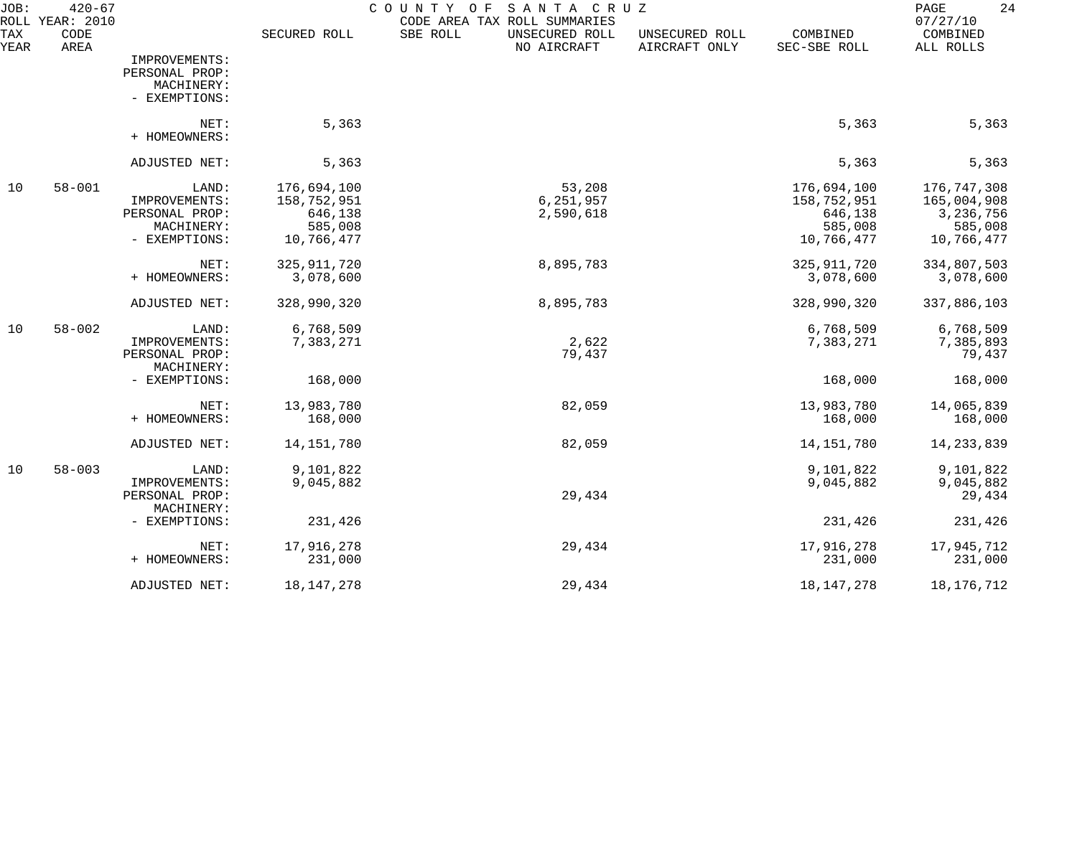| JOB:<br><b>ROLL</b> | $420 - 67$<br><b>YEAR: 2010</b> |                                                                         |                                                                | SANTA CRUZ<br>COUNTY<br>O F<br>CODE AREA TAX ROLL SUMMARIES |                                 |                                                                | 24<br>PAGE<br>07/27/10                                           |
|---------------------|---------------------------------|-------------------------------------------------------------------------|----------------------------------------------------------------|-------------------------------------------------------------|---------------------------------|----------------------------------------------------------------|------------------------------------------------------------------|
| TAX<br>YEAR         | CODE<br>AREA                    |                                                                         | SECURED ROLL                                                   | SBE ROLL<br>UNSECURED ROLL<br>NO AIRCRAFT                   | UNSECURED ROLL<br>AIRCRAFT ONLY | COMBINED<br>SEC-SBE ROLL                                       | COMBINED<br>ALL ROLLS                                            |
|                     |                                 | IMPROVEMENTS:<br>PERSONAL PROP:<br>MACHINERY:<br>- EXEMPTIONS:          |                                                                |                                                             |                                 |                                                                |                                                                  |
|                     |                                 | NET:<br>+ HOMEOWNERS:                                                   | 5,363                                                          |                                                             |                                 | 5,363                                                          | 5,363                                                            |
|                     |                                 | ADJUSTED NET:                                                           | 5,363                                                          |                                                             |                                 | 5,363                                                          | 5,363                                                            |
| 10                  | $58 - 001$                      | LAND:<br>IMPROVEMENTS:<br>PERSONAL PROP:<br>MACHINERY:<br>- EXEMPTIONS: | 176,694,100<br>158,752,951<br>646,138<br>585,008<br>10,766,477 | 53,208<br>6,251,957<br>2,590,618                            |                                 | 176,694,100<br>158,752,951<br>646,138<br>585,008<br>10,766,477 | 176,747,308<br>165,004,908<br>3,236,756<br>585,008<br>10,766,477 |
|                     |                                 | NET:<br>+ HOMEOWNERS:                                                   | 325, 911, 720<br>3,078,600                                     | 8,895,783                                                   |                                 | 325, 911, 720<br>3,078,600                                     | 334,807,503<br>3,078,600                                         |
|                     |                                 | ADJUSTED NET:                                                           | 328,990,320                                                    | 8,895,783                                                   |                                 | 328,990,320                                                    | 337,886,103                                                      |
| 10                  | $58 - 002$                      | LAND:<br>IMPROVEMENTS:<br>PERSONAL PROP:<br>MACHINERY:                  | 6,768,509<br>7,383,271                                         | 2,622<br>79,437                                             |                                 | 6,768,509<br>7,383,271                                         | 6,768,509<br>7,385,893<br>79,437                                 |
|                     |                                 | - EXEMPTIONS:                                                           | 168,000                                                        |                                                             |                                 | 168,000                                                        | 168,000                                                          |
|                     |                                 | NET:<br>+ HOMEOWNERS:                                                   | 13,983,780<br>168,000                                          | 82,059                                                      |                                 | 13,983,780<br>168,000                                          | 14,065,839<br>168,000                                            |
|                     |                                 | ADJUSTED NET:                                                           | 14,151,780                                                     | 82,059                                                      |                                 | 14, 151, 780                                                   | 14, 233, 839                                                     |
| 10                  | $58 - 003$                      | LAND:<br>IMPROVEMENTS:<br>PERSONAL PROP:                                | 9,101,822<br>9,045,882                                         | 29,434                                                      |                                 | 9,101,822<br>9,045,882                                         | 9,101,822<br>9,045,882<br>29,434                                 |
|                     |                                 | MACHINERY:<br>- EXEMPTIONS:                                             | 231,426                                                        |                                                             |                                 | 231,426                                                        | 231,426                                                          |
|                     |                                 | NET:<br>+ HOMEOWNERS:                                                   | 17,916,278<br>231,000                                          | 29,434                                                      |                                 | 17,916,278<br>231,000                                          | 17,945,712<br>231,000                                            |
|                     |                                 | ADJUSTED NET:                                                           | 18, 147, 278                                                   | 29,434                                                      |                                 | 18, 147, 278                                                   | 18, 176, 712                                                     |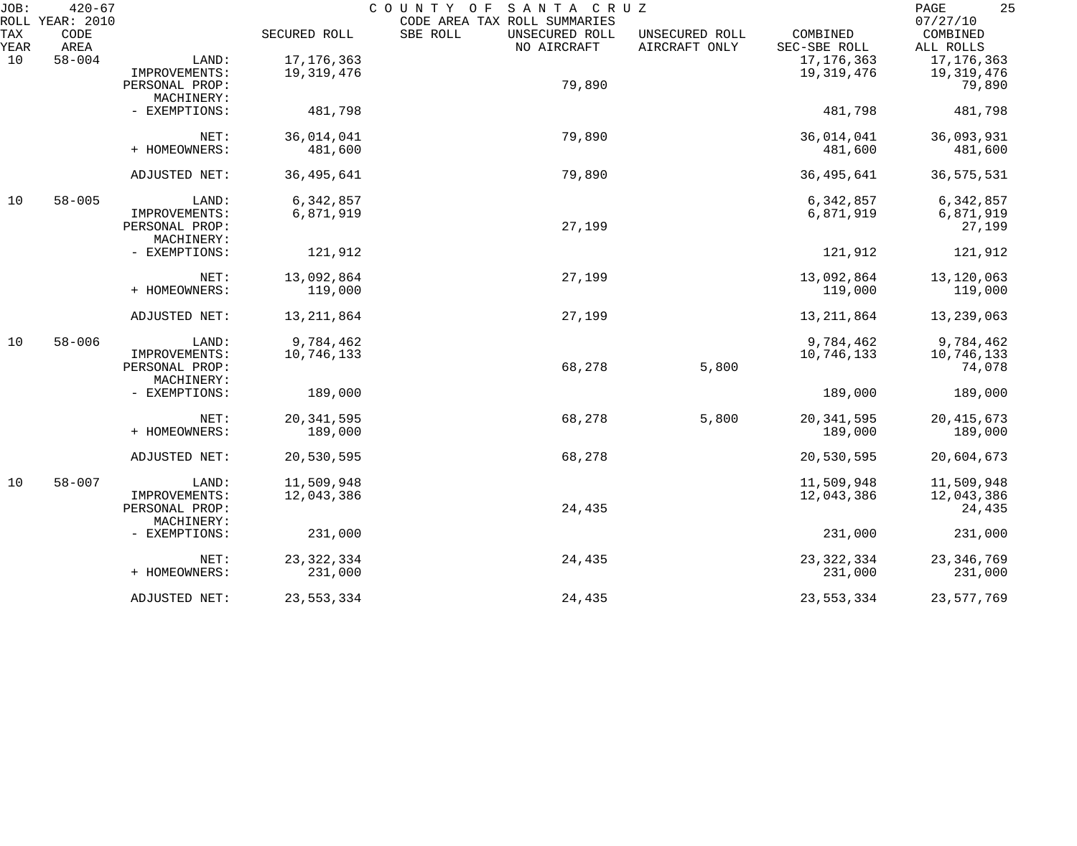| JOB:        | $420 - 67$<br>ROLL YEAR: 2010 |                |              | COUNTY OF<br>SANTA CRUZ<br>CODE AREA TAX ROLL SUMMARIES |                                 |                          | 25<br>PAGE<br>07/27/10 |
|-------------|-------------------------------|----------------|--------------|---------------------------------------------------------|---------------------------------|--------------------------|------------------------|
| TAX<br>YEAR | CODE<br>AREA                  |                | SECURED ROLL | SBE ROLL<br>UNSECURED ROLL<br>NO AIRCRAFT               | UNSECURED ROLL<br>AIRCRAFT ONLY | COMBINED<br>SEC-SBE ROLL | COMBINED<br>ALL ROLLS  |
| 10          | $58 - 004$                    | LAND:          | 17, 176, 363 |                                                         |                                 | 17, 176, 363             | 17, 176, 363           |
|             |                               | IMPROVEMENTS:  | 19,319,476   |                                                         |                                 | 19, 319, 476             | 19,319,476             |
|             |                               | PERSONAL PROP: |              | 79,890                                                  |                                 |                          | 79,890                 |
|             |                               | MACHINERY:     |              |                                                         |                                 |                          |                        |
|             |                               | - EXEMPTIONS:  | 481,798      |                                                         |                                 | 481,798                  | 481,798                |
|             |                               | NET:           | 36,014,041   | 79,890                                                  |                                 | 36,014,041               | 36,093,931             |
|             |                               | + HOMEOWNERS:  | 481,600      |                                                         |                                 | 481,600                  | 481,600                |
|             |                               |                |              |                                                         |                                 |                          |                        |
|             |                               | ADJUSTED NET:  | 36, 495, 641 | 79,890                                                  |                                 | 36, 495, 641             | 36, 575, 531           |
| 10          | $58 - 005$                    | LAND:          | 6,342,857    |                                                         |                                 | 6,342,857                | 6,342,857              |
|             |                               | IMPROVEMENTS:  | 6,871,919    |                                                         |                                 | 6,871,919                | 6,871,919              |
|             |                               | PERSONAL PROP: |              | 27,199                                                  |                                 |                          | 27,199                 |
|             |                               | MACHINERY:     |              |                                                         |                                 |                          |                        |
|             |                               | - EXEMPTIONS:  | 121,912      |                                                         |                                 | 121,912                  | 121,912                |
|             |                               | NET:           | 13,092,864   | 27,199                                                  |                                 | 13,092,864               | 13,120,063             |
|             |                               | + HOMEOWNERS:  | 119,000      |                                                         |                                 | 119,000                  | 119,000                |
|             |                               | ADJUSTED NET:  | 13, 211, 864 | 27,199                                                  |                                 | 13, 211, 864             | 13,239,063             |
|             |                               |                |              |                                                         |                                 |                          |                        |
| 10          | $58 - 006$                    | LAND:          | 9,784,462    |                                                         |                                 | 9,784,462                | 9,784,462              |
|             |                               | IMPROVEMENTS:  | 10,746,133   |                                                         |                                 | 10,746,133               | 10,746,133             |
|             |                               | PERSONAL PROP: |              | 68,278                                                  | 5,800                           |                          | 74,078                 |
|             |                               | MACHINERY:     |              |                                                         |                                 |                          |                        |
|             |                               | - EXEMPTIONS:  | 189,000      |                                                         |                                 | 189,000                  | 189,000                |
|             |                               | NET:           | 20, 341, 595 | 68,278                                                  | 5,800                           | 20, 341, 595             | 20, 415, 673           |
|             |                               | + HOMEOWNERS:  | 189,000      |                                                         |                                 | 189,000                  | 189,000                |
|             |                               | ADJUSTED NET:  | 20,530,595   | 68,278                                                  |                                 | 20,530,595               | 20,604,673             |
| 10          | $58 - 007$                    | LAND:          | 11,509,948   |                                                         |                                 | 11,509,948               | 11,509,948             |
|             |                               | IMPROVEMENTS:  | 12,043,386   |                                                         |                                 | 12,043,386               | 12,043,386             |
|             |                               | PERSONAL PROP: |              | 24,435                                                  |                                 |                          | 24,435                 |
|             |                               | MACHINERY:     |              |                                                         |                                 |                          |                        |
|             |                               | - EXEMPTIONS:  | 231,000      |                                                         |                                 | 231,000                  | 231,000                |
|             |                               | NET:           | 23, 322, 334 | 24,435                                                  |                                 | 23, 322, 334             | 23, 346, 769           |
|             |                               | + HOMEOWNERS:  | 231,000      |                                                         |                                 | 231,000                  | 231,000                |
|             |                               | ADJUSTED NET:  | 23,553,334   | 24,435                                                  |                                 | 23,553,334               | 23,577,769             |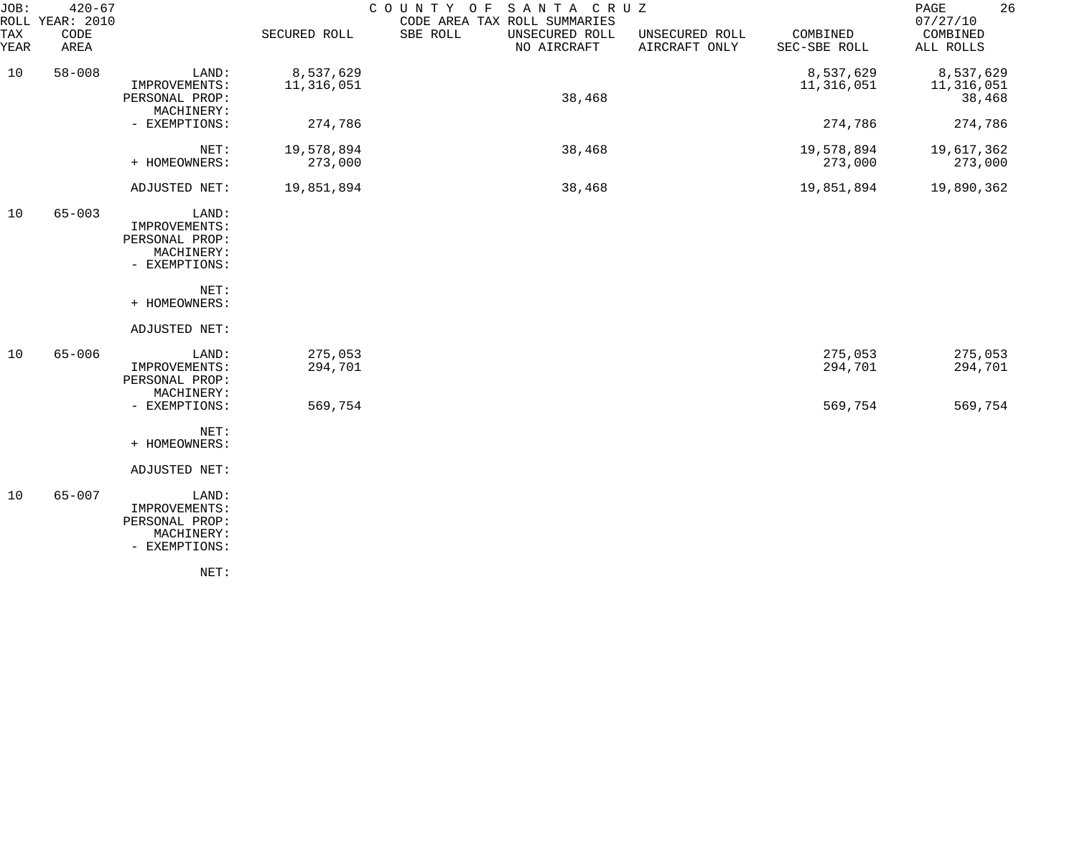| JOB:<br>TAX | $420 - 67$<br>ROLL YEAR: 2010<br>CODE |                                                                         | SECURED ROLL            | SANTA CRUZ<br>COUNTY OF<br>CODE AREA TAX ROLL SUMMARIES<br>SBE ROLL<br>UNSECURED ROLL | UNSECURED ROLL | COMBINED                | 26<br>PAGE<br>07/27/10<br>COMBINED |
|-------------|---------------------------------------|-------------------------------------------------------------------------|-------------------------|---------------------------------------------------------------------------------------|----------------|-------------------------|------------------------------------|
| YEAR        | AREA                                  |                                                                         |                         | NO AIRCRAFT                                                                           | AIRCRAFT ONLY  | SEC-SBE ROLL            | ALL ROLLS                          |
| 10          | $58 - 008$                            | LAND:<br>IMPROVEMENTS:<br>PERSONAL PROP:<br>MACHINERY:                  | 8,537,629<br>11,316,051 | 38,468                                                                                |                | 8,537,629<br>11,316,051 | 8,537,629<br>11,316,051<br>38,468  |
|             |                                       | - EXEMPTIONS:                                                           | 274,786                 |                                                                                       |                | 274,786                 | 274,786                            |
|             |                                       | NET:<br>+ HOMEOWNERS:                                                   | 19,578,894<br>273,000   | 38,468                                                                                |                | 19,578,894<br>273,000   | 19,617,362<br>273,000              |
|             |                                       | ADJUSTED NET:                                                           | 19,851,894              | 38,468                                                                                |                | 19,851,894              | 19,890,362                         |
| 10          | $65 - 003$                            | LAND:<br>IMPROVEMENTS:<br>PERSONAL PROP:<br>MACHINERY:<br>- EXEMPTIONS: |                         |                                                                                       |                |                         |                                    |
|             |                                       | NET:<br>+ HOMEOWNERS:                                                   |                         |                                                                                       |                |                         |                                    |
|             |                                       | ADJUSTED NET:                                                           |                         |                                                                                       |                |                         |                                    |
| 10          | $65 - 006$                            | LAND:<br>IMPROVEMENTS:<br>PERSONAL PROP:<br>MACHINERY:                  | 275,053<br>294,701      |                                                                                       |                | 275,053<br>294,701      | 275,053<br>294,701                 |
|             |                                       | - EXEMPTIONS:                                                           | 569,754                 |                                                                                       |                | 569,754                 | 569,754                            |
|             |                                       | NET:<br>+ HOMEOWNERS:                                                   |                         |                                                                                       |                |                         |                                    |
|             |                                       | ADJUSTED NET:                                                           |                         |                                                                                       |                |                         |                                    |
| 10          | $65 - 007$                            | LAND:<br>IMPROVEMENTS:<br>PERSONAL PROP:<br>MACHINERY:<br>- EXEMPTIONS: |                         |                                                                                       |                |                         |                                    |
|             |                                       | NET:                                                                    |                         |                                                                                       |                |                         |                                    |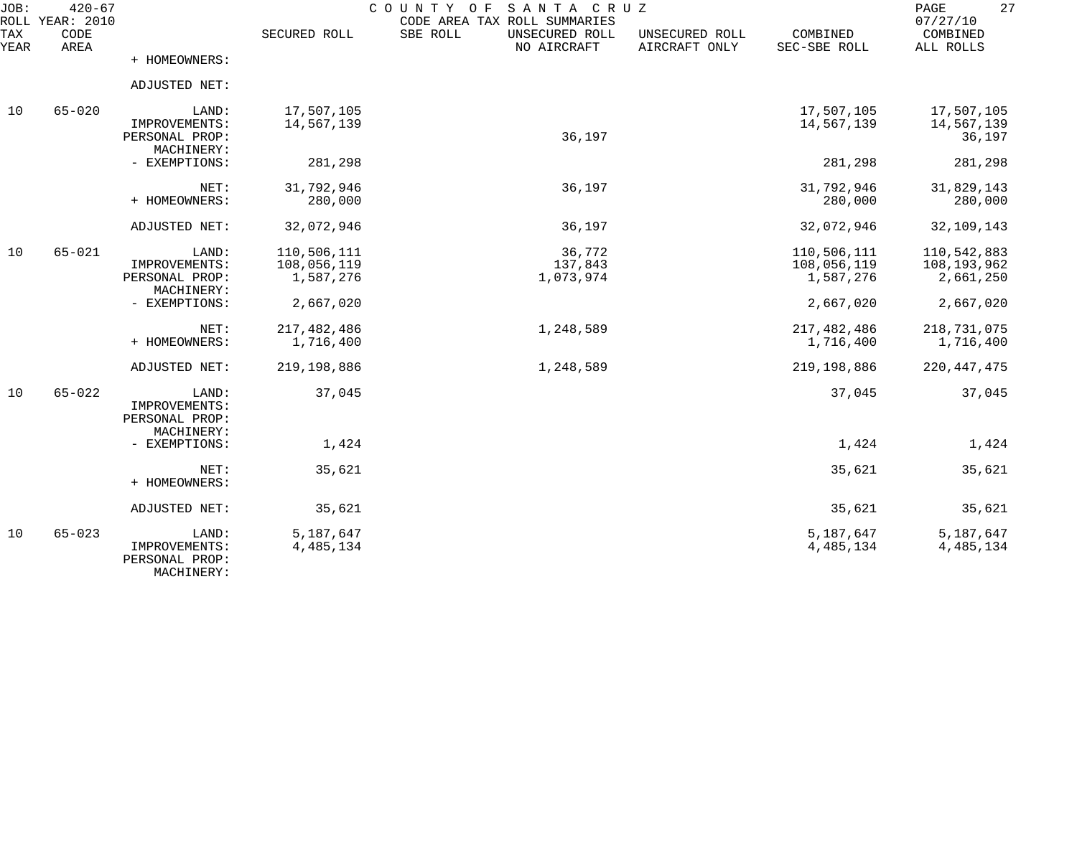| JOB:        | $420 - 67$<br>ROLL YEAR: 2010 |                                                        |                                         | COUNTY OF<br>SANTA CRUZ<br>CODE AREA TAX ROLL SUMMARIES |                                 |                                         | 27<br>PAGE<br>07/27/10                  |
|-------------|-------------------------------|--------------------------------------------------------|-----------------------------------------|---------------------------------------------------------|---------------------------------|-----------------------------------------|-----------------------------------------|
| TAX<br>YEAR | CODE<br>AREA                  |                                                        | SECURED ROLL                            | SBE ROLL<br>UNSECURED ROLL<br>NO AIRCRAFT               | UNSECURED ROLL<br>AIRCRAFT ONLY | COMBINED<br>SEC-SBE ROLL                | COMBINED<br>ALL ROLLS                   |
|             |                               | + HOMEOWNERS:                                          |                                         |                                                         |                                 |                                         |                                         |
|             |                               | ADJUSTED NET:                                          |                                         |                                                         |                                 |                                         |                                         |
| 10          | $65 - 020$                    | LAND:<br>IMPROVEMENTS:<br>PERSONAL PROP:<br>MACHINERY: | 17,507,105<br>14,567,139                | 36,197                                                  |                                 | 17,507,105<br>14,567,139                | 17,507,105<br>14,567,139<br>36,197      |
|             |                               | - EXEMPTIONS:                                          | 281,298                                 |                                                         |                                 | 281,298                                 | 281,298                                 |
|             |                               | NET:<br>+ HOMEOWNERS:                                  | 31,792,946<br>280,000                   | 36,197                                                  |                                 | 31,792,946<br>280,000                   | 31,829,143<br>280,000                   |
|             |                               | ADJUSTED NET:                                          | 32,072,946                              | 36,197                                                  |                                 | 32,072,946                              | 32,109,143                              |
| 10          | $65 - 021$                    | LAND:<br>IMPROVEMENTS:<br>PERSONAL PROP:<br>MACHINERY: | 110,506,111<br>108,056,119<br>1,587,276 | 36,772<br>137,843<br>1,073,974                          |                                 | 110,506,111<br>108,056,119<br>1,587,276 | 110,542,883<br>108,193,962<br>2,661,250 |
|             |                               | - EXEMPTIONS:                                          | 2,667,020                               |                                                         |                                 | 2,667,020                               | 2,667,020                               |
|             |                               | NET:<br>+ HOMEOWNERS:                                  | 217,482,486<br>1,716,400                | 1,248,589                                               |                                 | 217,482,486<br>1,716,400                | 218,731,075<br>1,716,400                |
|             |                               | ADJUSTED NET:                                          | 219,198,886                             | 1,248,589                                               |                                 | 219,198,886                             | 220, 447, 475                           |
| 10          | $65 - 022$                    | LAND:<br>IMPROVEMENTS:<br>PERSONAL PROP:<br>MACHINERY: | 37,045                                  |                                                         |                                 | 37,045                                  | 37,045                                  |
|             |                               | - EXEMPTIONS:                                          | 1,424                                   |                                                         |                                 | 1,424                                   | 1,424                                   |
|             |                               | NET:<br>+ HOMEOWNERS:                                  | 35,621                                  |                                                         |                                 | 35,621                                  | 35,621                                  |
|             |                               | ADJUSTED NET:                                          | 35,621                                  |                                                         |                                 | 35,621                                  | 35,621                                  |
| 10          | $65 - 023$                    | LAND:<br>IMPROVEMENTS:<br>PERSONAL PROP:<br>MACHINERY: | 5,187,647<br>4, 485, 134                |                                                         |                                 | 5,187,647<br>4, 485, 134                | 5,187,647<br>4,485,134                  |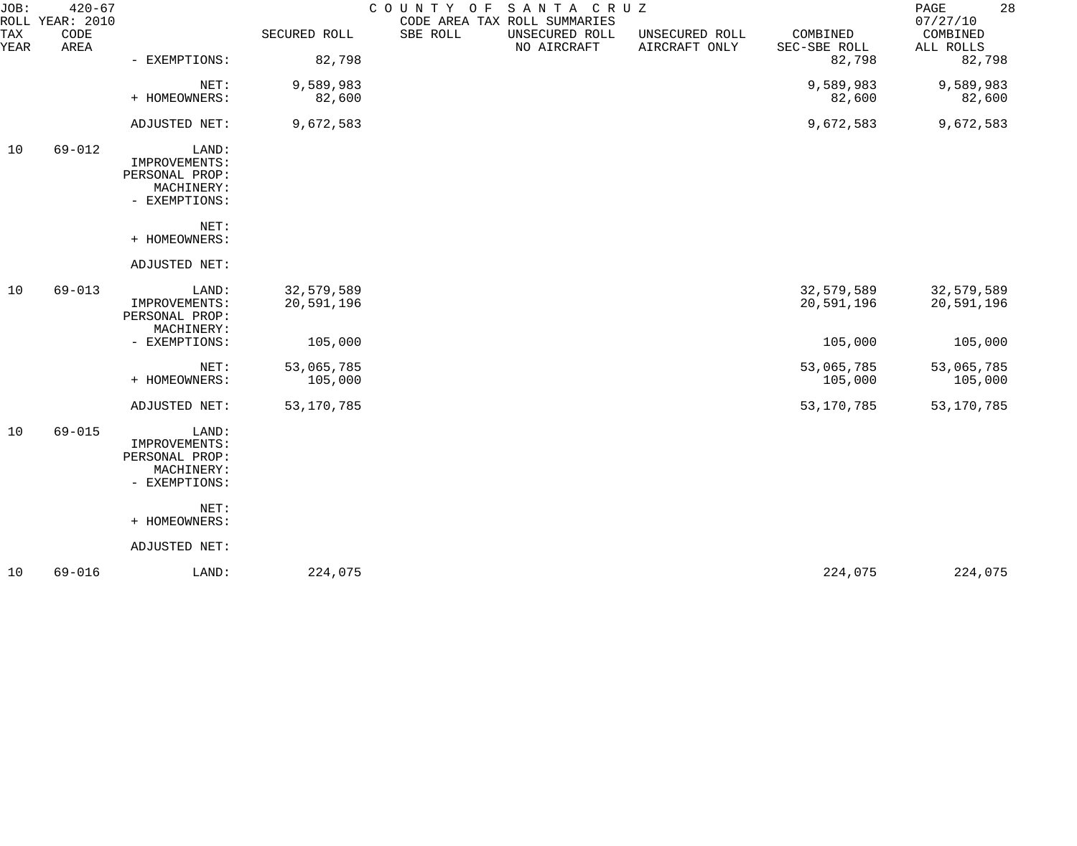| $420 - 67$   |                                                                         |                                              | COUNTY OF           |                               |                                 |                          | 28<br>PAGE<br>07/27/10   |
|--------------|-------------------------------------------------------------------------|----------------------------------------------|---------------------|-------------------------------|---------------------------------|--------------------------|--------------------------|
| CODE<br>AREA |                                                                         | SECURED ROLL                                 | SBE ROLL            | UNSECURED ROLL<br>NO AIRCRAFT | UNSECURED ROLL<br>AIRCRAFT ONLY | COMBINED<br>SEC-SBE ROLL | COMBINED<br>ALL ROLLS    |
|              | - EXEMPTIONS:                                                           | 82,798                                       |                     |                               |                                 | 82,798                   | 82,798                   |
|              | NET:                                                                    | 9,589,983                                    |                     |                               |                                 | 9,589,983                | 9,589,983                |
|              |                                                                         |                                              |                     |                               |                                 |                          | 82,600                   |
|              |                                                                         |                                              |                     |                               |                                 |                          | 9,672,583                |
| $69 - 012$   | LAND:<br>IMPROVEMENTS:<br>PERSONAL PROP:<br>MACHINERY:<br>- EXEMPTIONS: |                                              |                     |                               |                                 |                          |                          |
|              | NET:<br>+ HOMEOWNERS:                                                   |                                              |                     |                               |                                 |                          |                          |
|              | ADJUSTED NET:                                                           |                                              |                     |                               |                                 |                          |                          |
| $69 - 013$   | LAND:<br>IMPROVEMENTS:<br>PERSONAL PROP:                                | 32,579,589<br>20,591,196                     |                     |                               |                                 | 32,579,589<br>20,591,196 | 32,579,589<br>20,591,196 |
|              | - EXEMPTIONS:                                                           | 105,000                                      |                     |                               |                                 | 105,000                  | 105,000                  |
|              | NET:<br>+ HOMEOWNERS:                                                   | 53,065,785<br>105,000                        |                     |                               |                                 | 53,065,785<br>105,000    | 53,065,785<br>105,000    |
|              | ADJUSTED NET:                                                           | 53,170,785                                   |                     |                               |                                 | 53,170,785               | 53, 170, 785             |
| $69 - 015$   | LAND:<br>IMPROVEMENTS:<br>PERSONAL PROP:<br>MACHINERY:<br>- EXEMPTIONS: |                                              |                     |                               |                                 |                          |                          |
|              | NET:<br>+ HOMEOWNERS:                                                   |                                              |                     |                               |                                 |                          |                          |
|              | ADJUSTED NET:                                                           |                                              |                     |                               |                                 |                          |                          |
| $69 - 016$   | LAND:                                                                   | 224,075                                      |                     |                               |                                 | 224,075                  | 224,075                  |
|              | ROLL YEAR: 2010                                                         | + HOMEOWNERS:<br>ADJUSTED NET:<br>MACHINERY: | 82,600<br>9,672,583 |                               | CODE AREA TAX ROLL SUMMARIES    | SANTA CRUZ               | 82,600<br>9,672,583      |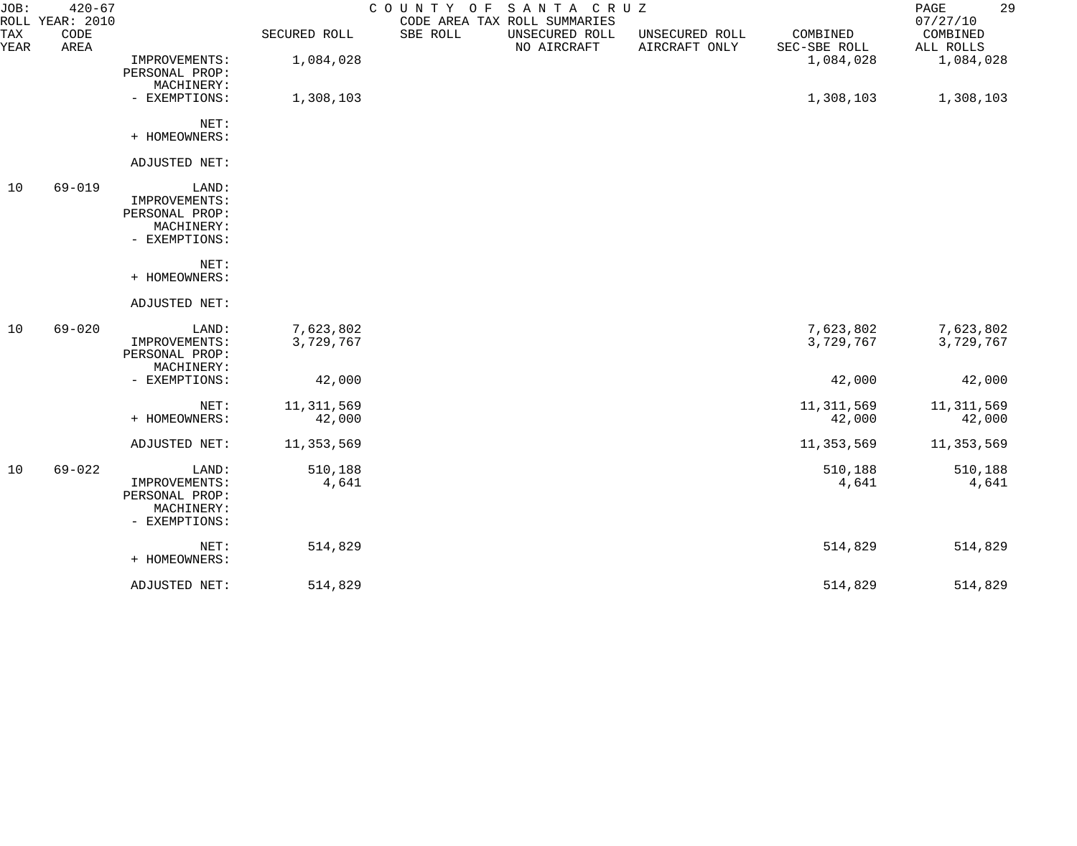| JOB:<br><b>TAX</b><br>YEAR | $420 - 67$<br>ROLL YEAR: 2010<br>CODE<br>AREA |                                                                         | SECURED ROLL           | COUNTY OF<br>SBE ROLL | SANTA CRUZ<br>CODE AREA TAX ROLL SUMMARIES<br>UNSECURED ROLL<br>NO AIRCRAFT | UNSECURED ROLL<br>AIRCRAFT ONLY | COMBINED<br>SEC-SBE ROLL | 29<br>PAGE<br>07/27/10<br>COMBINED<br>ALL ROLLS |
|----------------------------|-----------------------------------------------|-------------------------------------------------------------------------|------------------------|-----------------------|-----------------------------------------------------------------------------|---------------------------------|--------------------------|-------------------------------------------------|
|                            |                                               | IMPROVEMENTS:<br>PERSONAL PROP:<br>MACHINERY:                           | 1,084,028              |                       |                                                                             |                                 | 1,084,028                | 1,084,028                                       |
|                            |                                               | - EXEMPTIONS:                                                           | 1,308,103              |                       |                                                                             |                                 | 1,308,103                | 1,308,103                                       |
|                            |                                               | NET:<br>+ HOMEOWNERS:                                                   |                        |                       |                                                                             |                                 |                          |                                                 |
|                            |                                               | ADJUSTED NET:                                                           |                        |                       |                                                                             |                                 |                          |                                                 |
| 10                         | $69 - 019$                                    | LAND:<br>IMPROVEMENTS:<br>PERSONAL PROP:<br>MACHINERY:<br>- EXEMPTIONS: |                        |                       |                                                                             |                                 |                          |                                                 |
|                            |                                               | NET:<br>+ HOMEOWNERS:                                                   |                        |                       |                                                                             |                                 |                          |                                                 |
|                            |                                               | ADJUSTED NET:                                                           |                        |                       |                                                                             |                                 |                          |                                                 |
| 10                         | $69 - 020$                                    | LAND:<br>IMPROVEMENTS:<br>PERSONAL PROP:<br>MACHINERY:                  | 7,623,802<br>3,729,767 |                       |                                                                             |                                 | 7,623,802<br>3,729,767   | 7,623,802<br>3,729,767                          |
|                            |                                               | - EXEMPTIONS:                                                           | 42,000                 |                       |                                                                             |                                 | 42,000                   | 42,000                                          |
|                            |                                               | NET:<br>+ HOMEOWNERS:                                                   | 11, 311, 569<br>42,000 |                       |                                                                             |                                 | 11, 311, 569<br>42,000   | 11, 311, 569<br>42,000                          |
|                            |                                               | ADJUSTED NET:                                                           | 11,353,569             |                       |                                                                             |                                 | 11, 353, 569             | 11,353,569                                      |
| 10                         | $69 - 022$                                    | LAND:<br>IMPROVEMENTS:<br>PERSONAL PROP:<br>MACHINERY:<br>- EXEMPTIONS: | 510,188<br>4,641       |                       |                                                                             |                                 | 510,188<br>4,641         | 510,188<br>4,641                                |
|                            |                                               | NET:<br>+ HOMEOWNERS:                                                   | 514,829                |                       |                                                                             |                                 | 514,829                  | 514,829                                         |
|                            |                                               | ADJUSTED NET:                                                           | 514,829                |                       |                                                                             |                                 | 514,829                  | 514,829                                         |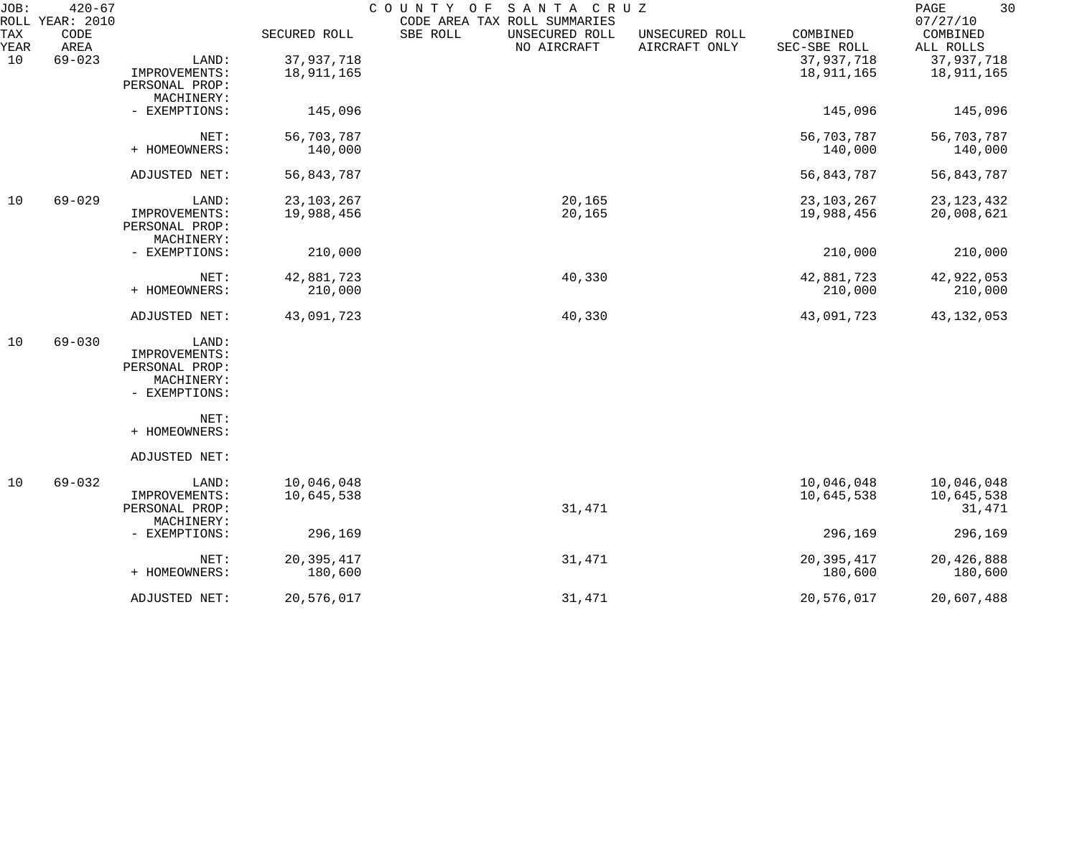| JOB:        | $420 - 67$<br>ROLL YEAR: 2010 |                |              | SANTA CRUZ<br>COUNTY OF<br>CODE AREA TAX ROLL SUMMARIES |                                 |                          | 30<br>PAGE<br>07/27/10 |
|-------------|-------------------------------|----------------|--------------|---------------------------------------------------------|---------------------------------|--------------------------|------------------------|
| TAX<br>YEAR | CODE<br>AREA                  |                | SECURED ROLL | SBE ROLL<br>UNSECURED ROLL<br>NO AIRCRAFT               | UNSECURED ROLL<br>AIRCRAFT ONLY | COMBINED<br>SEC-SBE ROLL | COMBINED<br>ALL ROLLS  |
| 10          | $69 - 023$                    | LAND:          | 37,937,718   |                                                         |                                 | 37,937,718               | 37,937,718             |
|             |                               | IMPROVEMENTS:  | 18,911,165   |                                                         |                                 | 18,911,165               | 18,911,165             |
|             |                               | PERSONAL PROP: |              |                                                         |                                 |                          |                        |
|             |                               | MACHINERY:     |              |                                                         |                                 |                          |                        |
|             |                               | - EXEMPTIONS:  | 145,096      |                                                         |                                 | 145,096                  | 145,096                |
|             |                               | NET:           | 56,703,787   |                                                         |                                 | 56,703,787               | 56,703,787             |
|             |                               | + HOMEOWNERS:  | 140,000      |                                                         |                                 | 140,000                  | 140,000                |
|             |                               | ADJUSTED NET:  | 56,843,787   |                                                         |                                 | 56,843,787               | 56,843,787             |
| 10          | $69 - 029$                    | LAND:          | 23, 103, 267 | 20,165                                                  |                                 | 23, 103, 267             | 23, 123, 432           |
|             |                               | IMPROVEMENTS:  | 19,988,456   | 20,165                                                  |                                 | 19,988,456               | 20,008,621             |
|             |                               | PERSONAL PROP: |              |                                                         |                                 |                          |                        |
|             |                               | MACHINERY:     |              |                                                         |                                 |                          |                        |
|             |                               | - EXEMPTIONS:  | 210,000      |                                                         |                                 | 210,000                  | 210,000                |
|             |                               | NET:           | 42,881,723   | 40,330                                                  |                                 | 42,881,723               | 42,922,053             |
|             |                               | + HOMEOWNERS:  | 210,000      |                                                         |                                 | 210,000                  | 210,000                |
|             |                               | ADJUSTED NET:  | 43,091,723   | 40,330                                                  |                                 | 43,091,723               | 43, 132, 053           |
| 10          | $69 - 030$                    | LAND:          |              |                                                         |                                 |                          |                        |
|             |                               | IMPROVEMENTS:  |              |                                                         |                                 |                          |                        |
|             |                               | PERSONAL PROP: |              |                                                         |                                 |                          |                        |
|             |                               | MACHINERY:     |              |                                                         |                                 |                          |                        |
|             |                               | - EXEMPTIONS:  |              |                                                         |                                 |                          |                        |
|             |                               | NET:           |              |                                                         |                                 |                          |                        |
|             |                               | + HOMEOWNERS:  |              |                                                         |                                 |                          |                        |
|             |                               | ADJUSTED NET:  |              |                                                         |                                 |                          |                        |
| 10          | $69 - 032$                    | LAND:          | 10,046,048   |                                                         |                                 | 10,046,048               | 10,046,048             |
|             |                               | IMPROVEMENTS:  | 10,645,538   |                                                         |                                 | 10,645,538               | 10,645,538             |
|             |                               | PERSONAL PROP: |              | 31,471                                                  |                                 |                          | 31,471                 |
|             |                               | MACHINERY:     |              |                                                         |                                 |                          |                        |
|             |                               | - EXEMPTIONS:  | 296,169      |                                                         |                                 | 296,169                  | 296,169                |
|             |                               | NET:           | 20, 395, 417 | 31,471                                                  |                                 | 20,395,417               | 20,426,888             |
|             |                               | + HOMEOWNERS:  | 180,600      |                                                         |                                 | 180,600                  | 180,600                |
|             |                               | ADJUSTED NET:  | 20,576,017   | 31,471                                                  |                                 | 20,576,017               | 20,607,488             |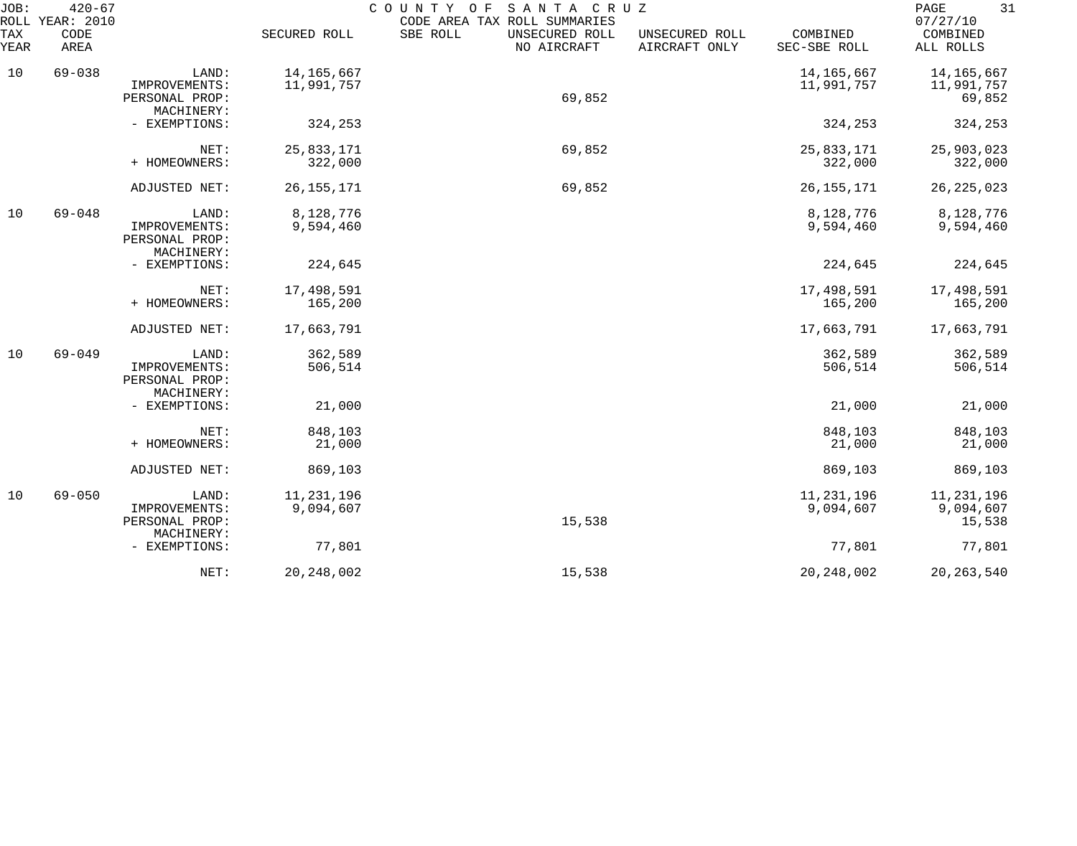| JOB:<br>ROLL | $420 - 67$<br>YEAR: 2010 |                                                        |                            | COUNTY<br>SANTA CRUZ<br>O F<br>CODE AREA TAX ROLL SUMMARIES |                                 |                            | 31<br>PAGE<br>07/27/10              |
|--------------|--------------------------|--------------------------------------------------------|----------------------------|-------------------------------------------------------------|---------------------------------|----------------------------|-------------------------------------|
| TAX<br>YEAR  | CODE<br>AREA             |                                                        | SECURED ROLL               | SBE ROLL<br>UNSECURED ROLL<br>NO AIRCRAFT                   | UNSECURED ROLL<br>AIRCRAFT ONLY | COMBINED<br>SEC-SBE ROLL   | COMBINED<br>ALL ROLLS               |
| 10           | $69 - 038$               | LAND:<br>IMPROVEMENTS:<br>PERSONAL PROP:<br>MACHINERY: | 14, 165, 667<br>11,991,757 | 69,852                                                      |                                 | 14, 165, 667<br>11,991,757 | 14,165,667<br>11,991,757<br>69,852  |
|              |                          | - EXEMPTIONS:                                          | 324,253                    |                                                             |                                 | 324,253                    | 324,253                             |
|              |                          | NET:<br>+ HOMEOWNERS:                                  | 25,833,171<br>322,000      | 69,852                                                      |                                 | 25,833,171<br>322,000      | 25,903,023<br>322,000               |
|              |                          | ADJUSTED NET:                                          | 26, 155, 171               | 69,852                                                      |                                 | 26, 155, 171               | 26, 225, 023                        |
| 10           | $69 - 048$               | LAND:<br>IMPROVEMENTS:<br>PERSONAL PROP:<br>MACHINERY: | 8,128,776<br>9,594,460     |                                                             |                                 | 8,128,776<br>9,594,460     | 8,128,776<br>9,594,460              |
|              |                          | - EXEMPTIONS:                                          | 224,645                    |                                                             |                                 | 224,645                    | 224,645                             |
|              |                          | NET:<br>+ HOMEOWNERS:                                  | 17,498,591<br>165,200      |                                                             |                                 | 17,498,591<br>165,200      | 17,498,591<br>165,200               |
|              |                          | ADJUSTED NET:                                          | 17,663,791                 |                                                             |                                 | 17,663,791                 | 17,663,791                          |
| 10           | $69 - 049$               | LAND:<br>IMPROVEMENTS:<br>PERSONAL PROP:<br>MACHINERY: | 362,589<br>506,514         |                                                             |                                 | 362,589<br>506,514         | 362,589<br>506,514                  |
|              |                          | - EXEMPTIONS:                                          | 21,000                     |                                                             |                                 | 21,000                     | 21,000                              |
|              |                          | NET:<br>+ HOMEOWNERS:                                  | 848,103<br>21,000          |                                                             |                                 | 848,103<br>21,000          | 848,103<br>21,000                   |
|              |                          | ADJUSTED NET:                                          | 869,103                    |                                                             |                                 | 869,103                    | 869,103                             |
| 10           | $69 - 050$               | LAND:<br>IMPROVEMENTS:<br>PERSONAL PROP:<br>MACHINERY: | 11, 231, 196<br>9,094,607  | 15,538                                                      |                                 | 11,231,196<br>9,094,607    | 11, 231, 196<br>9,094,607<br>15,538 |
|              |                          | - EXEMPTIONS:                                          | 77,801                     |                                                             |                                 | 77,801                     | 77,801                              |
|              |                          | NET:                                                   | 20, 248, 002               | 15,538                                                      |                                 | 20, 248, 002               | 20, 263, 540                        |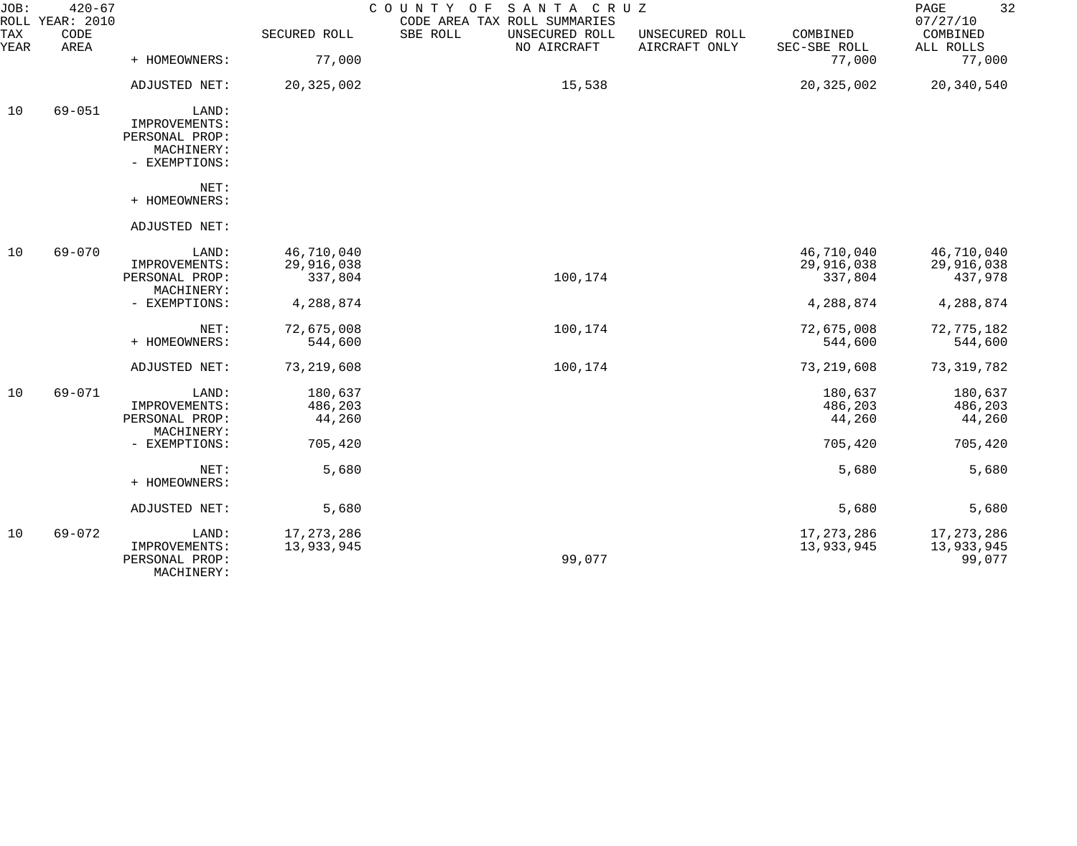| JOB:        | $420 - 67$<br>ROLL YEAR: 2010 |                                                                         |                                     | COUNTY OF<br>SANTA CRUZ<br>CODE AREA TAX ROLL SUMMARIES |                                 |                                     | 32<br>PAGE<br>07/27/10               |
|-------------|-------------------------------|-------------------------------------------------------------------------|-------------------------------------|---------------------------------------------------------|---------------------------------|-------------------------------------|--------------------------------------|
| TAX<br>YEAR | CODE<br>AREA                  |                                                                         | SECURED ROLL                        | SBE ROLL<br>UNSECURED ROLL<br>NO AIRCRAFT               | UNSECURED ROLL<br>AIRCRAFT ONLY | COMBINED<br>SEC-SBE ROLL            | COMBINED<br>ALL ROLLS                |
|             |                               | + HOMEOWNERS:                                                           | 77,000                              |                                                         |                                 | 77,000                              | 77,000                               |
|             |                               | ADJUSTED NET:                                                           | 20,325,002                          | 15,538                                                  |                                 | 20, 325, 002                        | 20,340,540                           |
| 10          | $69 - 051$                    | LAND:<br>IMPROVEMENTS:<br>PERSONAL PROP:<br>MACHINERY:<br>- EXEMPTIONS: |                                     |                                                         |                                 |                                     |                                      |
|             |                               | NET:<br>+ HOMEOWNERS:                                                   |                                     |                                                         |                                 |                                     |                                      |
|             |                               | ADJUSTED NET:                                                           |                                     |                                                         |                                 |                                     |                                      |
| 10          | 69-070                        | LAND:<br>IMPROVEMENTS:<br>PERSONAL PROP:<br>MACHINERY:                  | 46,710,040<br>29,916,038<br>337,804 | 100,174                                                 |                                 | 46,710,040<br>29,916,038<br>337,804 | 46,710,040<br>29,916,038<br>437,978  |
|             |                               | - EXEMPTIONS:                                                           | 4,288,874                           |                                                         |                                 | 4,288,874                           | 4,288,874                            |
|             |                               | NET:<br>+ HOMEOWNERS:                                                   | 72,675,008<br>544,600               | 100,174                                                 |                                 | 72,675,008<br>544,600               | 72,775,182<br>544,600                |
|             |                               | ADJUSTED NET:                                                           | 73,219,608                          | 100,174                                                 |                                 | 73, 219, 608                        | 73, 319, 782                         |
| 10          | 69-071                        | LAND:<br>IMPROVEMENTS:<br>PERSONAL PROP:<br>MACHINERY:                  | 180,637<br>486,203<br>44,260        |                                                         |                                 | 180,637<br>486,203<br>44,260        | 180,637<br>486,203<br>44,260         |
|             |                               | - EXEMPTIONS:                                                           | 705,420                             |                                                         |                                 | 705,420                             | 705,420                              |
|             |                               | NET:<br>+ HOMEOWNERS:                                                   | 5,680                               |                                                         |                                 | 5,680                               | 5,680                                |
|             |                               | ADJUSTED NET:                                                           | 5,680                               |                                                         |                                 | 5,680                               | 5,680                                |
| 10          | $69 - 072$                    | LAND:<br>IMPROVEMENTS:<br>PERSONAL PROP:<br>MACHINERY:                  | 17, 273, 286<br>13,933,945          | 99,077                                                  |                                 | 17, 273, 286<br>13,933,945          | 17, 273, 286<br>13,933,945<br>99,077 |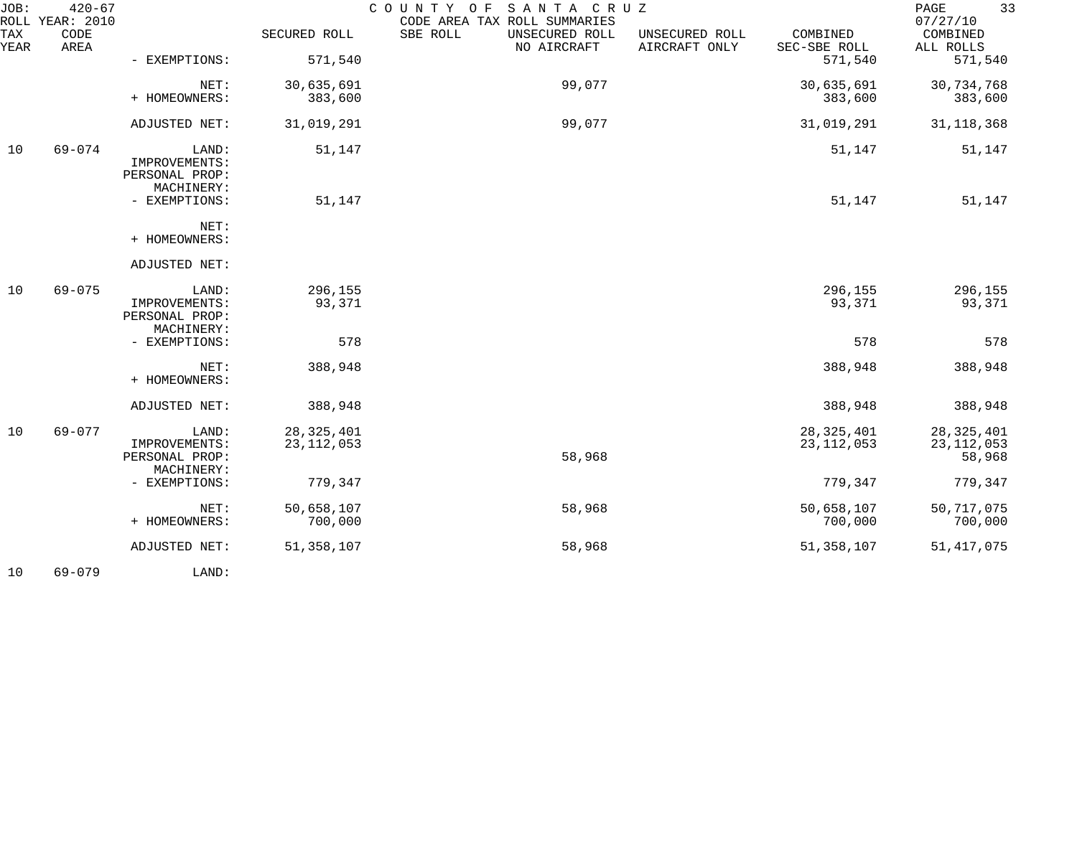| JOB:        | $420 - 67$<br>ROLL YEAR: 2010 |                                                        |                              | COUNTY OF<br>SANTA CRUZ<br>CODE AREA TAX ROLL SUMMARIES |                                 |                              | 33<br>PAGE<br>07/27/10                 |
|-------------|-------------------------------|--------------------------------------------------------|------------------------------|---------------------------------------------------------|---------------------------------|------------------------------|----------------------------------------|
| TAX<br>YEAR | CODE<br>AREA                  |                                                        | SECURED ROLL                 | SBE ROLL<br>UNSECURED ROLL<br>NO AIRCRAFT               | UNSECURED ROLL<br>AIRCRAFT ONLY | COMBINED<br>SEC-SBE ROLL     | COMBINED<br>ALL ROLLS                  |
|             |                               | - EXEMPTIONS:                                          | 571,540                      |                                                         |                                 | 571,540                      | 571,540                                |
|             |                               | NET:<br>+ HOMEOWNERS:                                  | 30,635,691<br>383,600        | 99,077                                                  |                                 | 30,635,691<br>383,600        | 30,734,768<br>383,600                  |
|             |                               |                                                        |                              |                                                         |                                 |                              |                                        |
|             |                               | ADJUSTED NET:                                          | 31,019,291                   | 99,077                                                  |                                 | 31,019,291                   | 31, 118, 368                           |
| 10          | $69 - 074$                    | LAND:<br>IMPROVEMENTS:<br>PERSONAL PROP:<br>MACHINERY: | 51,147                       |                                                         |                                 | 51,147                       | 51,147                                 |
|             |                               | - EXEMPTIONS:                                          | 51,147                       |                                                         |                                 | 51,147                       | 51,147                                 |
|             |                               | NET:<br>+ HOMEOWNERS:                                  |                              |                                                         |                                 |                              |                                        |
|             |                               | ADJUSTED NET:                                          |                              |                                                         |                                 |                              |                                        |
| 10          | $69 - 075$                    | LAND:<br>IMPROVEMENTS:<br>PERSONAL PROP:<br>MACHINERY: | 296,155<br>93,371            |                                                         |                                 | 296,155<br>93,371            | 296,155<br>93,371                      |
|             |                               | - EXEMPTIONS:                                          | 578                          |                                                         |                                 | 578                          | 578                                    |
|             |                               | NET:<br>+ HOMEOWNERS:                                  | 388,948                      |                                                         |                                 | 388,948                      | 388,948                                |
|             |                               | ADJUSTED NET:                                          | 388,948                      |                                                         |                                 | 388,948                      | 388,948                                |
| 10          | $69 - 077$                    | LAND:<br>IMPROVEMENTS:<br>PERSONAL PROP:<br>MACHINERY: | 28, 325, 401<br>23, 112, 053 | 58,968                                                  |                                 | 28, 325, 401<br>23, 112, 053 | 28, 325, 401<br>23, 112, 053<br>58,968 |
|             |                               | - EXEMPTIONS:                                          | 779,347                      |                                                         |                                 | 779,347                      | 779,347                                |
|             |                               | NET:<br>+ HOMEOWNERS:                                  | 50,658,107<br>700,000        | 58,968                                                  |                                 | 50,658,107<br>700,000        | 50, 717, 075<br>700,000                |
|             |                               | ADJUSTED NET:                                          | 51, 358, 107                 | 58,968                                                  |                                 | 51,358,107                   | 51, 417, 075                           |
|             |                               |                                                        |                              |                                                         |                                 |                              |                                        |

10 69-079 LAND: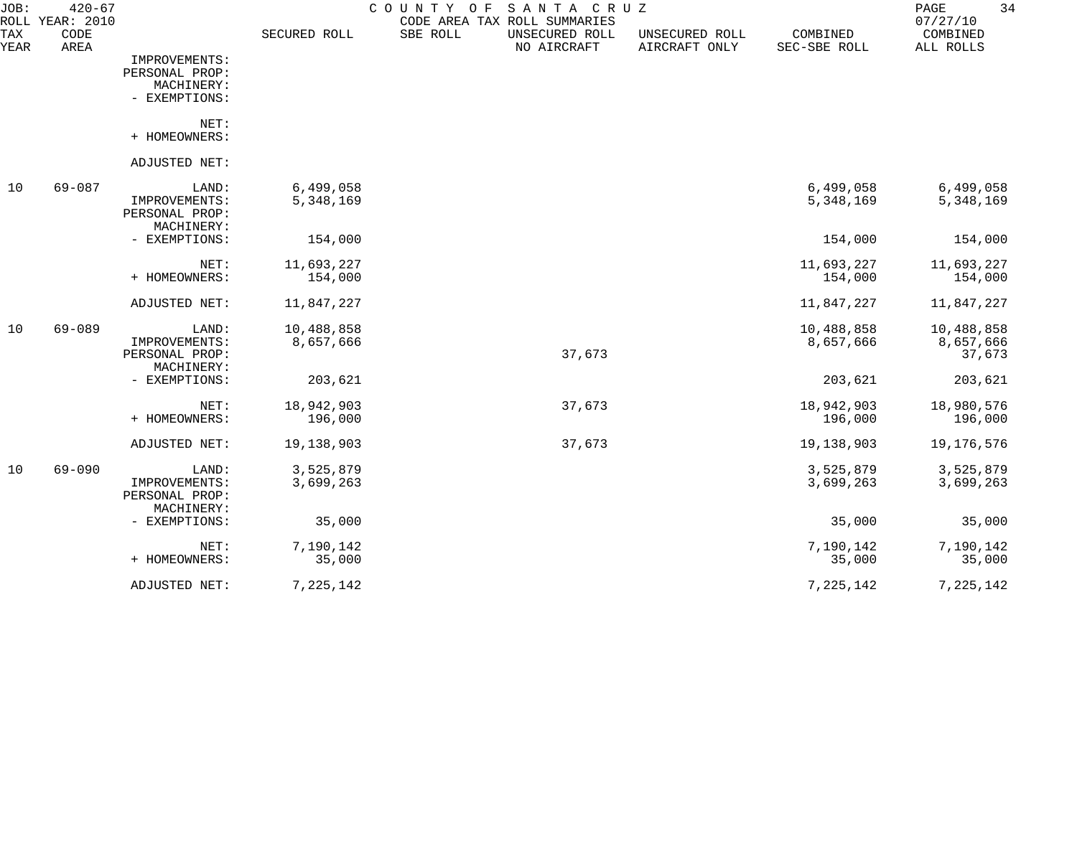| JOB:               | $420 - 67$<br>ROLL YEAR: 2010 |                                                                |                         | SANTA CRUZ<br>COUNTY<br>O F<br>CODE AREA TAX ROLL SUMMARIES |                                 |                          | 34<br>PAGE<br>07/27/10            |
|--------------------|-------------------------------|----------------------------------------------------------------|-------------------------|-------------------------------------------------------------|---------------------------------|--------------------------|-----------------------------------|
| <b>TAX</b><br>YEAR | CODE<br>AREA                  |                                                                | SECURED ROLL            | SBE ROLL<br>UNSECURED ROLL<br>NO AIRCRAFT                   | UNSECURED ROLL<br>AIRCRAFT ONLY | COMBINED<br>SEC-SBE ROLL | COMBINED<br>ALL ROLLS             |
|                    |                               | IMPROVEMENTS:<br>PERSONAL PROP:<br>MACHINERY:<br>- EXEMPTIONS: |                         |                                                             |                                 |                          |                                   |
|                    |                               | NET:<br>+ HOMEOWNERS:                                          |                         |                                                             |                                 |                          |                                   |
|                    |                               | ADJUSTED NET:                                                  |                         |                                                             |                                 |                          |                                   |
| 10                 | $69 - 087$                    | LAND:<br>IMPROVEMENTS:<br>PERSONAL PROP:<br>MACHINERY:         | 6,499,058<br>5,348,169  |                                                             |                                 | 6,499,058<br>5,348,169   | 6,499,058<br>5,348,169            |
|                    |                               | - EXEMPTIONS:                                                  | 154,000                 |                                                             |                                 | 154,000                  | 154,000                           |
|                    |                               | NET:<br>+ HOMEOWNERS:                                          | 11,693,227<br>154,000   |                                                             |                                 | 11,693,227<br>154,000    | 11,693,227<br>154,000             |
|                    |                               | ADJUSTED NET:                                                  | 11,847,227              |                                                             |                                 | 11,847,227               | 11,847,227                        |
| 10                 | $69 - 089$                    | LAND:<br>IMPROVEMENTS:<br>PERSONAL PROP:                       | 10,488,858<br>8,657,666 | 37,673                                                      |                                 | 10,488,858<br>8,657,666  | 10,488,858<br>8,657,666<br>37,673 |
|                    |                               | MACHINERY:<br>- EXEMPTIONS:                                    | 203,621                 |                                                             |                                 | 203,621                  | 203,621                           |
|                    |                               | NET:<br>+ HOMEOWNERS:                                          | 18,942,903<br>196,000   | 37,673                                                      |                                 | 18,942,903<br>196,000    | 18,980,576<br>196,000             |
|                    |                               | ADJUSTED NET:                                                  | 19,138,903              | 37,673                                                      |                                 | 19, 138, 903             | 19, 176, 576                      |
| 10                 | $69 - 090$                    | LAND:<br>IMPROVEMENTS:<br>PERSONAL PROP:<br>MACHINERY:         | 3,525,879<br>3,699,263  |                                                             |                                 | 3,525,879<br>3,699,263   | 3,525,879<br>3,699,263            |
|                    |                               | - EXEMPTIONS:                                                  | 35,000                  |                                                             |                                 | 35,000                   | 35,000                            |
|                    |                               | NET:<br>+ HOMEOWNERS:                                          | 7,190,142<br>35,000     |                                                             |                                 | 7,190,142<br>35,000      | 7,190,142<br>35,000               |
|                    |                               | ADJUSTED NET:                                                  | 7,225,142               |                                                             |                                 | 7,225,142                | 7, 225, 142                       |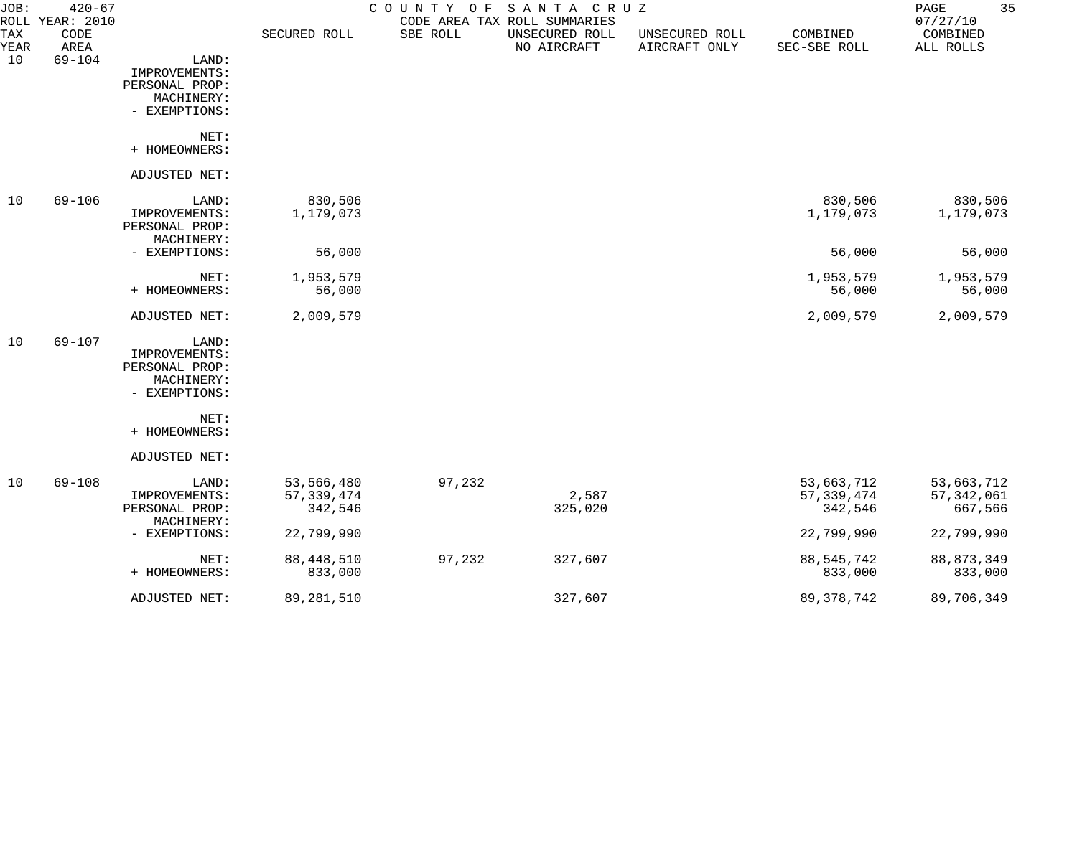| JOB:               | $420 - 67$<br>ROLL YEAR: 2010 |                                                                         |                                       | COUNTY<br>O F | SANTA CRUZ<br>CODE AREA TAX ROLL SUMMARIES |                                 |                                       | 35<br>$\mathop{\mathrm{PAGE}}$<br>07/27/10 |
|--------------------|-------------------------------|-------------------------------------------------------------------------|---------------------------------------|---------------|--------------------------------------------|---------------------------------|---------------------------------------|--------------------------------------------|
| <b>TAX</b><br>YEAR | CODE<br>AREA                  |                                                                         | SECURED ROLL                          | SBE ROLL      | UNSECURED ROLL<br>NO AIRCRAFT              | UNSECURED ROLL<br>AIRCRAFT ONLY | COMBINED<br>SEC-SBE ROLL              | COMBINED<br>ALL ROLLS                      |
| 10                 | $69 - 104$                    | LAND:<br>IMPROVEMENTS:<br>PERSONAL PROP:<br>MACHINERY:<br>- EXEMPTIONS: |                                       |               |                                            |                                 |                                       |                                            |
|                    |                               | NET:<br>+ HOMEOWNERS:                                                   |                                       |               |                                            |                                 |                                       |                                            |
|                    |                               | ADJUSTED NET:                                                           |                                       |               |                                            |                                 |                                       |                                            |
| 10                 | $69 - 106$                    | LAND:<br>IMPROVEMENTS:<br>PERSONAL PROP:<br>MACHINERY:                  | 830,506<br>1,179,073                  |               |                                            |                                 | 830,506<br>1,179,073                  | 830,506<br>1,179,073                       |
|                    |                               | - EXEMPTIONS:                                                           | 56,000                                |               |                                            |                                 | 56,000                                | 56,000                                     |
|                    |                               | NET:<br>+ HOMEOWNERS:                                                   | 1,953,579<br>56,000                   |               |                                            |                                 | 1,953,579<br>56,000                   | 1,953,579<br>56,000                        |
|                    |                               | ADJUSTED NET:                                                           | 2,009,579                             |               |                                            |                                 | 2,009,579                             | 2,009,579                                  |
| 10                 | $69 - 107$                    | LAND:<br>IMPROVEMENTS:<br>PERSONAL PROP:<br>MACHINERY:<br>- EXEMPTIONS: |                                       |               |                                            |                                 |                                       |                                            |
|                    |                               | NET:<br>+ HOMEOWNERS:                                                   |                                       |               |                                            |                                 |                                       |                                            |
|                    |                               | ADJUSTED NET:                                                           |                                       |               |                                            |                                 |                                       |                                            |
| 10                 | 69-108                        | LAND:<br>IMPROVEMENTS:<br>PERSONAL PROP:<br>MACHINERY:                  | 53,566,480<br>57, 339, 474<br>342,546 | 97,232        | 2,587<br>325,020                           |                                 | 53,663,712<br>57, 339, 474<br>342,546 | 53,663,712<br>57, 342, 061<br>667,566      |
|                    |                               | - EXEMPTIONS:                                                           | 22,799,990                            |               |                                            |                                 | 22,799,990                            | 22,799,990                                 |
|                    |                               | NET:<br>+ HOMEOWNERS:                                                   | 88, 448, 510<br>833,000               | 97,232        | 327,607                                    |                                 | 88, 545, 742<br>833,000               | 88, 873, 349<br>833,000                    |
|                    |                               | ADJUSTED NET:                                                           | 89, 281, 510                          |               | 327,607                                    |                                 | 89, 378, 742                          | 89,706,349                                 |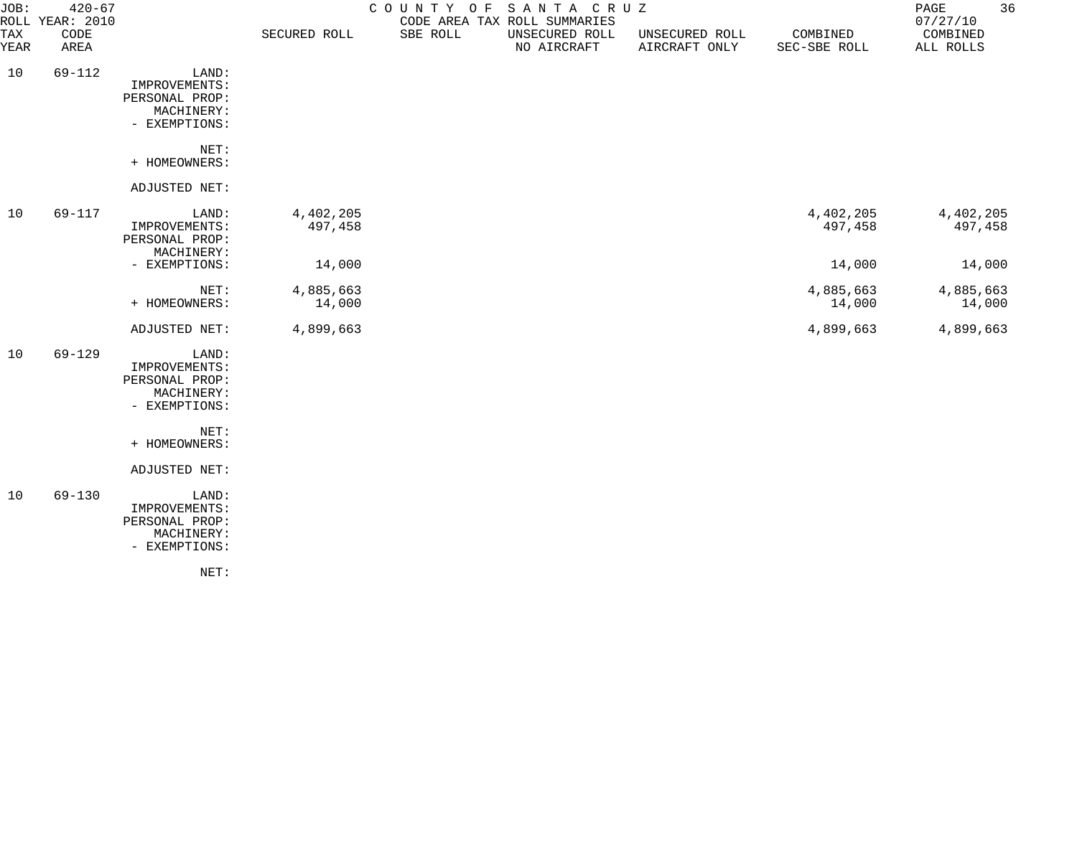| JOB:               | $420 - 67$<br>ROLL YEAR: 2010 |                                                                         |                      | COUNTY OF | SANTA CRUZ<br>CODE AREA TAX ROLL SUMMARIES |                                 |                          | 36<br>PAGE<br>07/27/10 |
|--------------------|-------------------------------|-------------------------------------------------------------------------|----------------------|-----------|--------------------------------------------|---------------------------------|--------------------------|------------------------|
| <b>TAX</b><br>YEAR | CODE<br>AREA                  |                                                                         | SECURED ROLL         | SBE ROLL  | UNSECURED ROLL<br>NO AIRCRAFT              | UNSECURED ROLL<br>AIRCRAFT ONLY | COMBINED<br>SEC-SBE ROLL | COMBINED<br>ALL ROLLS  |
| 10                 | 69-112                        | LAND:<br>IMPROVEMENTS:<br>PERSONAL PROP:<br>MACHINERY:<br>- EXEMPTIONS: |                      |           |                                            |                                 |                          |                        |
|                    |                               | NET:<br>+ HOMEOWNERS:                                                   |                      |           |                                            |                                 |                          |                        |
|                    |                               | ADJUSTED NET:                                                           |                      |           |                                            |                                 |                          |                        |
| 10                 | 69-117                        | LAND:<br>IMPROVEMENTS:<br>PERSONAL PROP:<br>MACHINERY:                  | 4,402,205<br>497,458 |           |                                            |                                 | 4,402,205<br>497,458     | 4,402,205<br>497,458   |
|                    |                               | - EXEMPTIONS:                                                           | 14,000               |           |                                            |                                 | 14,000                   | 14,000                 |
|                    |                               | NET:<br>+ HOMEOWNERS:                                                   | 4,885,663<br>14,000  |           |                                            |                                 | 4,885,663<br>14,000      | 4,885,663<br>14,000    |
|                    |                               | ADJUSTED NET:                                                           | 4,899,663            |           |                                            |                                 | 4,899,663                | 4,899,663              |
| 10                 | $69 - 129$                    | LAND:<br>IMPROVEMENTS:<br>PERSONAL PROP:<br>MACHINERY:<br>- EXEMPTIONS: |                      |           |                                            |                                 |                          |                        |
|                    |                               | NET:<br>+ HOMEOWNERS:                                                   |                      |           |                                            |                                 |                          |                        |
|                    |                               | ADJUSTED NET:                                                           |                      |           |                                            |                                 |                          |                        |
| 10                 | $69 - 130$                    | LAND:<br>IMPROVEMENTS:<br>PERSONAL PROP:<br>MACHINERY:<br>- EXEMPTIONS: |                      |           |                                            |                                 |                          |                        |
|                    |                               | NET:                                                                    |                      |           |                                            |                                 |                          |                        |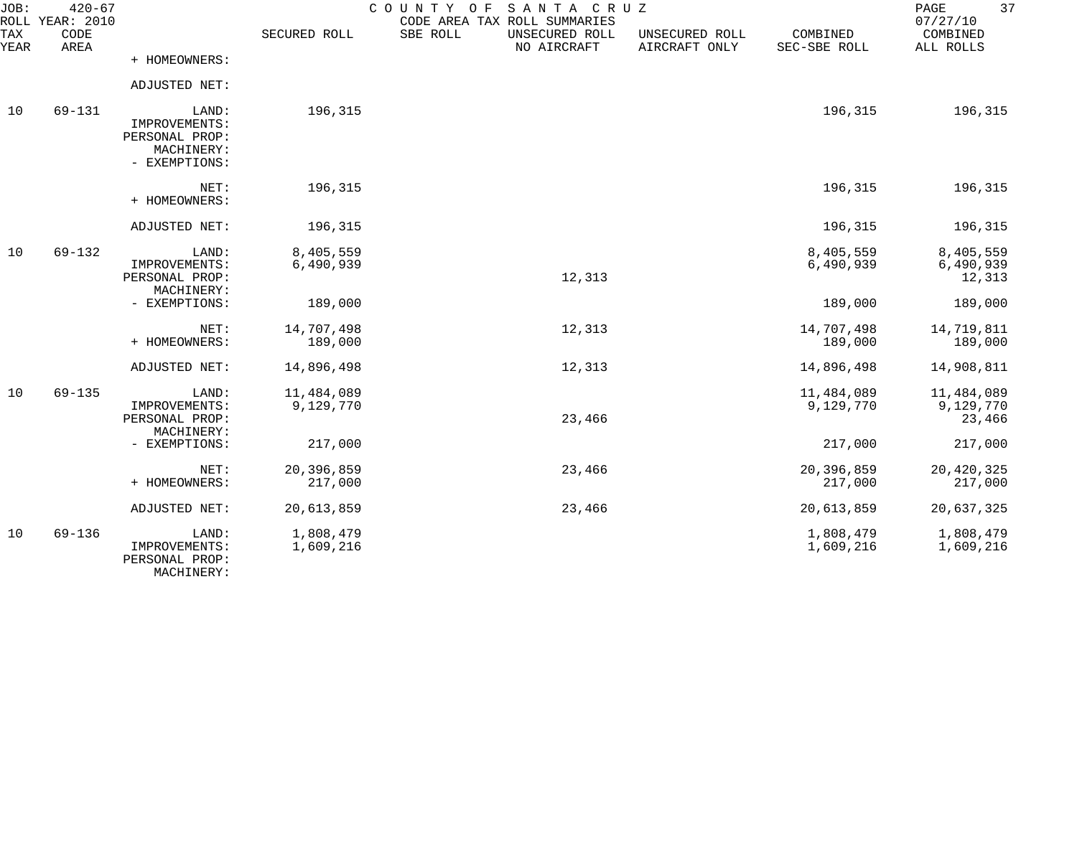| JOB:             | $420 - 67$<br>ROLL YEAR: 2010 |                                                                         |                         | COUNTY OF<br>SANTA CRUZ<br>CODE AREA TAX ROLL SUMMARIES |                                 |                          | 37<br>PAGE<br>07/27/10            |
|------------------|-------------------------------|-------------------------------------------------------------------------|-------------------------|---------------------------------------------------------|---------------------------------|--------------------------|-----------------------------------|
| TAX<br>YEAR      | CODE<br>AREA                  |                                                                         | SECURED ROLL            | SBE ROLL<br>UNSECURED ROLL<br>NO AIRCRAFT               | UNSECURED ROLL<br>AIRCRAFT ONLY | COMBINED<br>SEC-SBE ROLL | COMBINED<br>ALL ROLLS             |
|                  |                               | + HOMEOWNERS:                                                           |                         |                                                         |                                 |                          |                                   |
|                  |                               | ADJUSTED NET:                                                           |                         |                                                         |                                 |                          |                                   |
| 10<br>$69 - 131$ |                               | LAND:<br>IMPROVEMENTS:<br>PERSONAL PROP:<br>MACHINERY:<br>- EXEMPTIONS: | 196,315                 |                                                         |                                 | 196,315                  | 196,315                           |
|                  |                               | NET:<br>+ HOMEOWNERS:                                                   | 196,315                 |                                                         |                                 | 196,315                  | 196,315                           |
|                  |                               | ADJUSTED NET:                                                           | 196,315                 |                                                         |                                 | 196,315                  | 196,315                           |
| 10               | $69 - 132$                    | LAND:<br>IMPROVEMENTS:<br>PERSONAL PROP:<br>MACHINERY:                  | 8,405,559<br>6,490,939  | 12,313                                                  |                                 | 8,405,559<br>6,490,939   | 8,405,559<br>6,490,939<br>12,313  |
|                  |                               | - EXEMPTIONS:                                                           | 189,000                 |                                                         |                                 | 189,000                  | 189,000                           |
|                  |                               | NET:<br>+ HOMEOWNERS:                                                   | 14,707,498<br>189,000   | 12,313                                                  |                                 | 14,707,498<br>189,000    | 14,719,811<br>189,000             |
|                  |                               | ADJUSTED NET:                                                           | 14,896,498              | 12,313                                                  |                                 | 14,896,498               | 14,908,811                        |
| 10               | $69 - 135$                    | LAND:<br>IMPROVEMENTS:<br>PERSONAL PROP:<br>MACHINERY:                  | 11,484,089<br>9,129,770 | 23,466                                                  |                                 | 11,484,089<br>9,129,770  | 11,484,089<br>9,129,770<br>23,466 |
|                  |                               | - EXEMPTIONS:                                                           | 217,000                 |                                                         |                                 | 217,000                  | 217,000                           |
|                  |                               | NET:<br>+ HOMEOWNERS:                                                   | 20,396,859<br>217,000   | 23,466                                                  |                                 | 20,396,859<br>217,000    | 20,420,325<br>217,000             |
|                  |                               | ADJUSTED NET:                                                           | 20,613,859              | 23,466                                                  |                                 | 20,613,859               | 20,637,325                        |
| 10               | $69 - 136$                    | LAND:<br>IMPROVEMENTS:<br>PERSONAL PROP:                                | 1,808,479<br>1,609,216  |                                                         |                                 | 1,808,479<br>1,609,216   | 1,808,479<br>1,609,216            |

MACHINERY: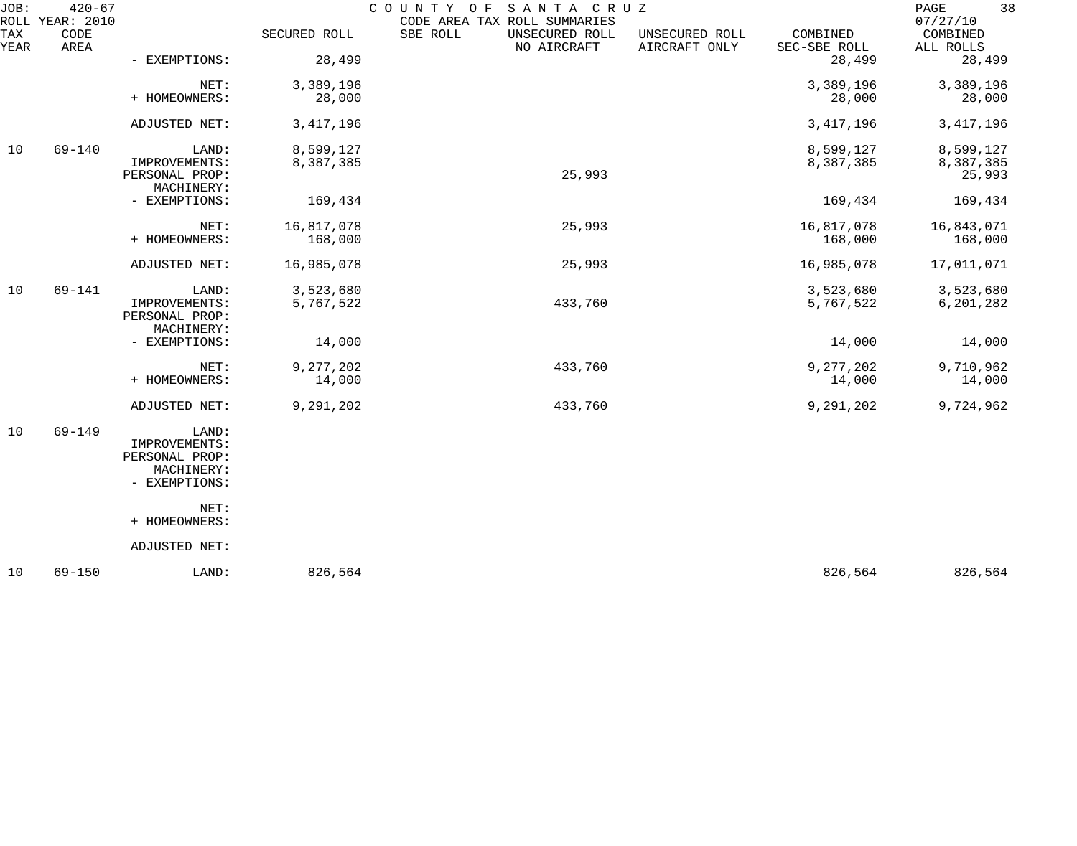| JOB:        | $420 - 67$<br>ROLL YEAR: 2010 |                                                                         |                        | COUNTY OF<br>SANTA CRUZ<br>CODE AREA TAX ROLL SUMMARIES |                                 |                          | 38<br>PAGE<br>07/27/10           |
|-------------|-------------------------------|-------------------------------------------------------------------------|------------------------|---------------------------------------------------------|---------------------------------|--------------------------|----------------------------------|
| TAX<br>YEAR | CODE<br>AREA                  |                                                                         | SECURED ROLL           | SBE ROLL<br>UNSECURED ROLL<br>NO AIRCRAFT               | UNSECURED ROLL<br>AIRCRAFT ONLY | COMBINED<br>SEC-SBE ROLL | COMBINED<br>ALL ROLLS            |
|             |                               | - EXEMPTIONS:                                                           | 28,499                 |                                                         |                                 | 28,499                   | 28,499                           |
|             |                               | NET:<br>+ HOMEOWNERS:                                                   | 3,389,196<br>28,000    |                                                         |                                 | 3,389,196<br>28,000      | 3,389,196<br>28,000              |
|             |                               | ADJUSTED NET:                                                           | 3, 417, 196            |                                                         |                                 | 3, 417, 196              | 3, 417, 196                      |
| 10          | $69 - 140$                    | LAND:<br>IMPROVEMENTS:<br>PERSONAL PROP:<br>MACHINERY:                  | 8,599,127<br>8,387,385 | 25,993                                                  |                                 | 8,599,127<br>8,387,385   | 8,599,127<br>8,387,385<br>25,993 |
|             |                               | - EXEMPTIONS:                                                           | 169,434                |                                                         |                                 | 169,434                  | 169,434                          |
|             |                               | NET:<br>+ HOMEOWNERS:                                                   | 16,817,078<br>168,000  | 25,993                                                  |                                 | 16,817,078<br>168,000    | 16,843,071<br>168,000            |
|             |                               | ADJUSTED NET:                                                           | 16,985,078             | 25,993                                                  |                                 | 16,985,078               | 17,011,071                       |
| 10          | $69 - 141$                    | LAND:<br>IMPROVEMENTS:<br>PERSONAL PROP:                                | 3,523,680<br>5,767,522 | 433,760                                                 |                                 | 3,523,680<br>5,767,522   | 3,523,680<br>6,201,282           |
|             |                               | MACHINERY:<br>- EXEMPTIONS:                                             | 14,000                 |                                                         |                                 | 14,000                   | 14,000                           |
|             |                               | NET:<br>+ HOMEOWNERS:                                                   | 9,277,202<br>14,000    | 433,760                                                 |                                 | 9,277,202<br>14,000      | 9,710,962<br>14,000              |
|             |                               | ADJUSTED NET:                                                           | 9,291,202              | 433,760                                                 |                                 | 9,291,202                | 9,724,962                        |
| 10          | 69-149                        | LAND:<br>IMPROVEMENTS:<br>PERSONAL PROP:<br>MACHINERY:<br>- EXEMPTIONS: |                        |                                                         |                                 |                          |                                  |
|             |                               | NET:<br>+ HOMEOWNERS:                                                   |                        |                                                         |                                 |                          |                                  |
|             |                               | ADJUSTED NET:                                                           |                        |                                                         |                                 |                          |                                  |
| 10          | $69 - 150$                    | LAND:                                                                   | 826,564                |                                                         |                                 | 826,564                  | 826,564                          |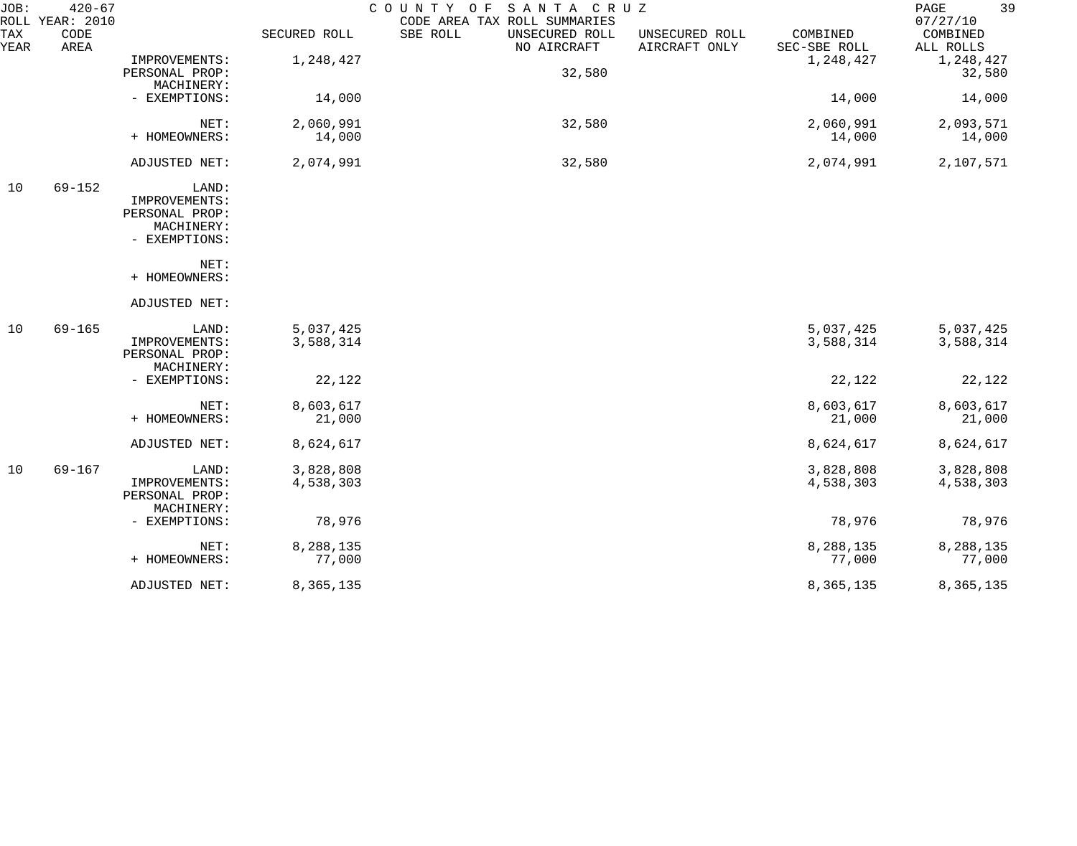| JOB:        | $420 - 67$<br>ROLL YEAR: 2010 |                |              | SANTA CRUZ<br>COUNTY OF<br>CODE AREA TAX ROLL SUMMARIES |                                 |                          | 39<br>PAGE<br>07/27/10 |
|-------------|-------------------------------|----------------|--------------|---------------------------------------------------------|---------------------------------|--------------------------|------------------------|
| TAX<br>YEAR | CODE<br>AREA                  |                | SECURED ROLL | SBE ROLL<br>UNSECURED ROLL<br>NO AIRCRAFT               | UNSECURED ROLL<br>AIRCRAFT ONLY | COMBINED<br>SEC-SBE ROLL | COMBINED<br>ALL ROLLS  |
|             |                               | IMPROVEMENTS:  | 1,248,427    |                                                         |                                 | 1,248,427                | 1,248,427              |
|             |                               | PERSONAL PROP: |              | 32,580                                                  |                                 |                          | 32,580                 |
|             |                               | MACHINERY:     |              |                                                         |                                 |                          |                        |
|             |                               | - EXEMPTIONS:  | 14,000       |                                                         |                                 | 14,000                   | 14,000                 |
|             |                               | NET:           | 2,060,991    | 32,580                                                  |                                 | 2,060,991                | 2,093,571              |
|             |                               | + HOMEOWNERS:  | 14,000       |                                                         |                                 | 14,000                   | 14,000                 |
|             |                               | ADJUSTED NET:  | 2,074,991    | 32,580                                                  |                                 | 2,074,991                | 2,107,571              |
| 10          | $69 - 152$                    | LAND:          |              |                                                         |                                 |                          |                        |
|             |                               | IMPROVEMENTS:  |              |                                                         |                                 |                          |                        |
|             |                               | PERSONAL PROP: |              |                                                         |                                 |                          |                        |
|             |                               | MACHINERY:     |              |                                                         |                                 |                          |                        |
|             |                               | - EXEMPTIONS:  |              |                                                         |                                 |                          |                        |
|             |                               | NET:           |              |                                                         |                                 |                          |                        |
|             |                               | + HOMEOWNERS:  |              |                                                         |                                 |                          |                        |
|             |                               | ADJUSTED NET:  |              |                                                         |                                 |                          |                        |
| 10          | $69 - 165$                    | LAND:          | 5,037,425    |                                                         |                                 | 5,037,425                | 5,037,425              |
|             |                               | IMPROVEMENTS:  | 3,588,314    |                                                         |                                 | 3,588,314                | 3,588,314              |
|             |                               | PERSONAL PROP: |              |                                                         |                                 |                          |                        |
|             |                               | MACHINERY:     |              |                                                         |                                 |                          |                        |
|             |                               | - EXEMPTIONS:  | 22,122       |                                                         |                                 | 22,122                   | 22,122                 |
|             |                               | NET:           | 8,603,617    |                                                         |                                 | 8,603,617                | 8,603,617              |
|             |                               | + HOMEOWNERS:  | 21,000       |                                                         |                                 | 21,000                   | 21,000                 |
|             |                               | ADJUSTED NET:  | 8,624,617    |                                                         |                                 | 8,624,617                | 8,624,617              |
| 10          | $69 - 167$                    | LAND:          | 3,828,808    |                                                         |                                 | 3,828,808                | 3,828,808              |
|             |                               | IMPROVEMENTS:  | 4,538,303    |                                                         |                                 | 4,538,303                | 4,538,303              |
|             |                               | PERSONAL PROP: |              |                                                         |                                 |                          |                        |
|             |                               | MACHINERY:     |              |                                                         |                                 |                          |                        |
|             |                               | - EXEMPTIONS:  | 78,976       |                                                         |                                 | 78,976                   | 78,976                 |
|             |                               | NET:           | 8,288,135    |                                                         |                                 | 8,288,135                | 8,288,135              |
|             |                               | + HOMEOWNERS:  | 77,000       |                                                         |                                 | 77,000                   | 77,000                 |
|             |                               | ADJUSTED NET:  | 8,365,135    |                                                         |                                 | 8,365,135                | 8,365,135              |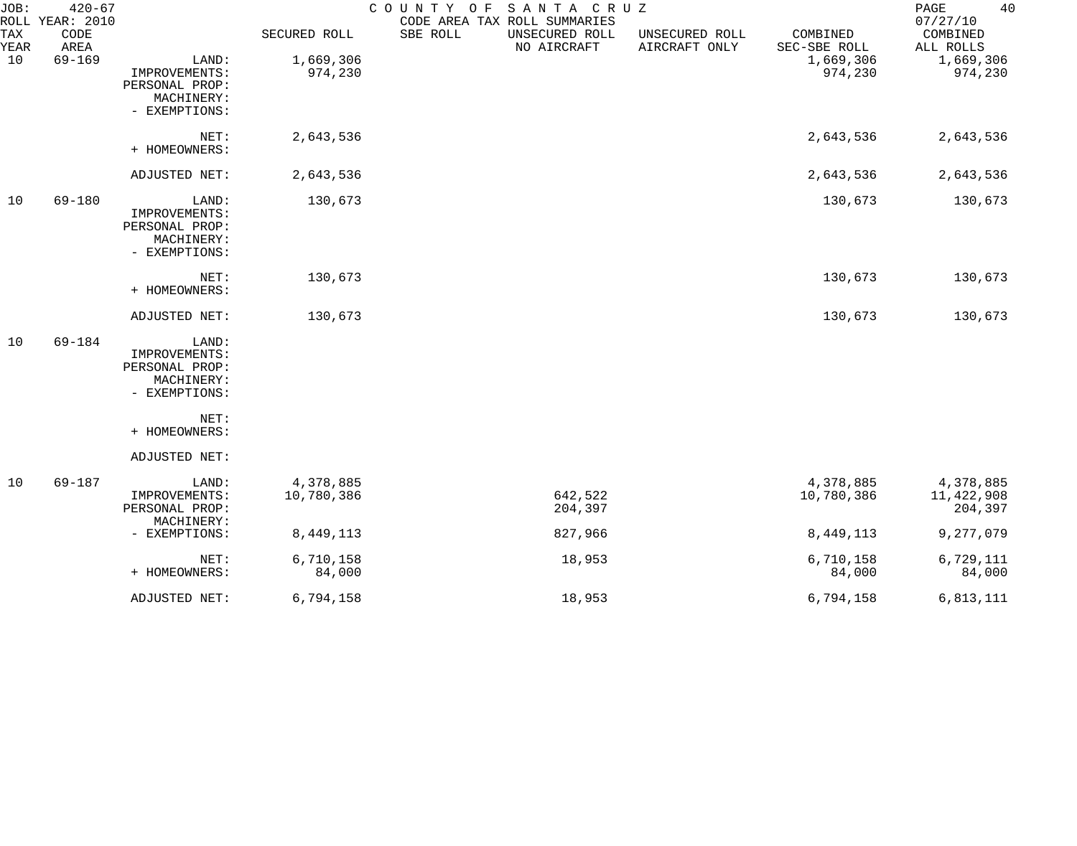| JOB:<br>ROLL | $420 - 67$<br>YEAR: 2010 |                                                                         |                         | COUNTY OF<br>CODE AREA TAX ROLL SUMMARIES | SANTA CRUZ                    |                                 |                          | $\mathop{\mathrm{PAGE}}$<br>40<br>07/27/10 |
|--------------|--------------------------|-------------------------------------------------------------------------|-------------------------|-------------------------------------------|-------------------------------|---------------------------------|--------------------------|--------------------------------------------|
| TAX<br>YEAR  | CODE<br>AREA             |                                                                         | SECURED ROLL            | SBE ROLL                                  | UNSECURED ROLL<br>NO AIRCRAFT | UNSECURED ROLL<br>AIRCRAFT ONLY | COMBINED<br>SEC-SBE ROLL | COMBINED<br>ALL ROLLS                      |
| 10           | $69 - 169$               | LAND:<br>IMPROVEMENTS:<br>PERSONAL PROP:<br>MACHINERY:<br>- EXEMPTIONS: | 1,669,306<br>974,230    |                                           |                               |                                 | 1,669,306<br>974,230     | 1,669,306<br>974,230                       |
|              |                          | NET:<br>+ HOMEOWNERS:                                                   | 2,643,536               |                                           |                               |                                 | 2,643,536                | 2,643,536                                  |
|              |                          | ADJUSTED NET:                                                           | 2,643,536               |                                           |                               |                                 | 2,643,536                | 2,643,536                                  |
| 10           | 69-180                   | LAND:<br>IMPROVEMENTS:<br>PERSONAL PROP:<br>MACHINERY:<br>- EXEMPTIONS: | 130,673                 |                                           |                               |                                 | 130,673                  | 130,673                                    |
|              |                          | NET:<br>+ HOMEOWNERS:                                                   | 130,673                 |                                           |                               |                                 | 130,673                  | 130,673                                    |
|              |                          | ADJUSTED NET:                                                           | 130,673                 |                                           |                               |                                 | 130,673                  | 130,673                                    |
| 10           | $69 - 184$               | LAND:<br>IMPROVEMENTS:<br>PERSONAL PROP:<br>MACHINERY:<br>- EXEMPTIONS: |                         |                                           |                               |                                 |                          |                                            |
|              |                          | NET:<br>+ HOMEOWNERS:                                                   |                         |                                           |                               |                                 |                          |                                            |
|              |                          | ADJUSTED NET:                                                           |                         |                                           |                               |                                 |                          |                                            |
| 10           | $69 - 187$               | LAND:<br>IMPROVEMENTS:<br>PERSONAL PROP:                                | 4,378,885<br>10,780,386 |                                           | 642,522<br>204,397            |                                 | 4,378,885<br>10,780,386  | 4,378,885<br>11,422,908<br>204,397         |
|              |                          | MACHINERY:<br>- EXEMPTIONS:                                             | 8, 449, 113             |                                           | 827,966                       |                                 | 8,449,113                | 9,277,079                                  |
|              |                          | NET:<br>+ HOMEOWNERS:                                                   | 6,710,158<br>84,000     |                                           | 18,953                        |                                 | 6,710,158<br>84,000      | 6,729,111<br>84,000                        |
|              |                          | ADJUSTED NET:                                                           | 6,794,158               |                                           | 18,953                        |                                 | 6,794,158                | 6,813,111                                  |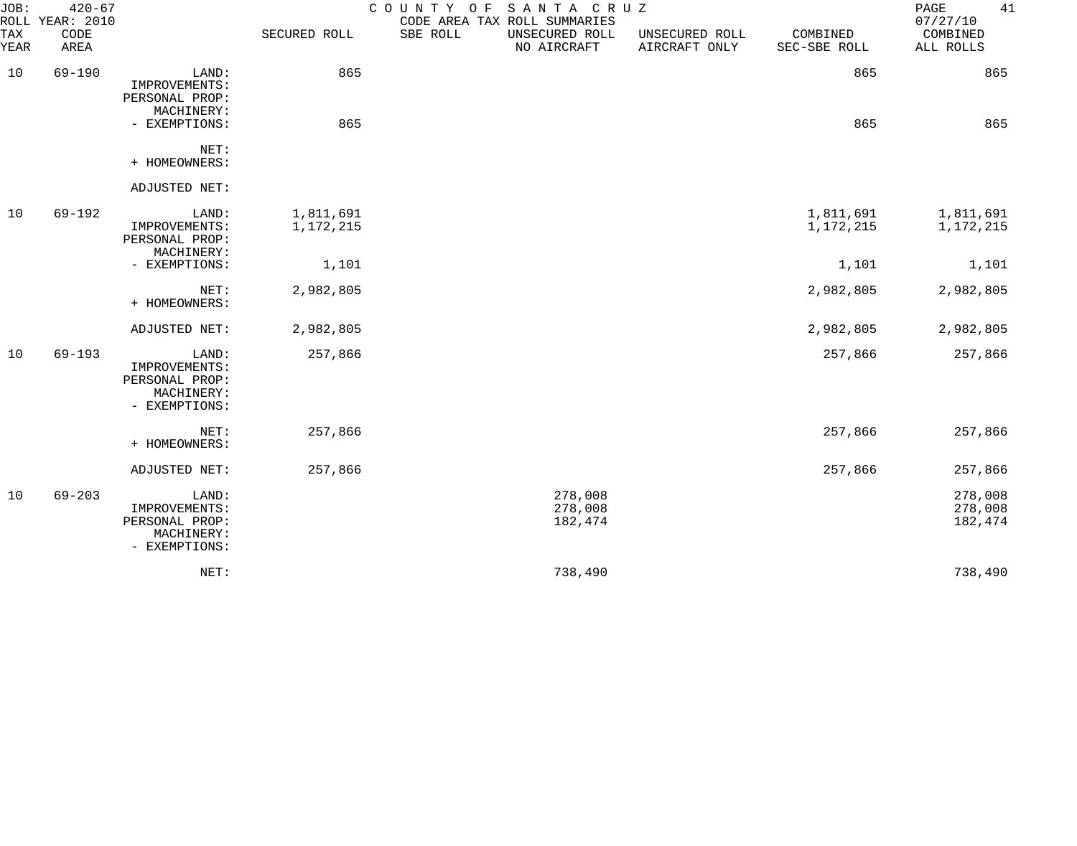| JOB:        | $420 - 67$<br>ROLL YEAR: 2010 |                                                                         |                        | COUNTY OF SANTA CRUZ | CODE AREA TAX ROLL SUMMARIES  |                                 |                          | 41<br>PAGE<br>07/27/10        |
|-------------|-------------------------------|-------------------------------------------------------------------------|------------------------|----------------------|-------------------------------|---------------------------------|--------------------------|-------------------------------|
| TAX<br>YEAR | CODE<br>AREA                  |                                                                         | SECURED ROLL           | SBE ROLL             | UNSECURED ROLL<br>NO AIRCRAFT | UNSECURED ROLL<br>AIRCRAFT ONLY | COMBINED<br>SEC-SBE ROLL | COMBINED<br>ALL ROLLS         |
| 10          | $69 - 190$                    | LAND:<br>IMPROVEMENTS:<br>PERSONAL PROP:                                | 865                    |                      |                               |                                 | 865                      | 865                           |
|             |                               | MACHINERY:<br>- EXEMPTIONS:                                             | 865                    |                      |                               |                                 | 865                      | 865                           |
|             |                               | NET:<br>+ HOMEOWNERS:                                                   |                        |                      |                               |                                 |                          |                               |
|             |                               | ADJUSTED NET:                                                           |                        |                      |                               |                                 |                          |                               |
| 10          | $69 - 192$                    | LAND:<br>IMPROVEMENTS:<br>PERSONAL PROP:<br>MACHINERY:                  | 1,811,691<br>1,172,215 |                      |                               |                                 | 1,811,691<br>1,172,215   | 1,811,691<br>1,172,215        |
|             |                               | - EXEMPTIONS:                                                           | 1,101                  |                      |                               |                                 | 1,101                    | 1,101                         |
|             |                               | NET:<br>+ HOMEOWNERS:                                                   | 2,982,805              |                      |                               |                                 | 2,982,805                | 2,982,805                     |
|             |                               | ADJUSTED NET:                                                           | 2,982,805              |                      |                               |                                 | 2,982,805                | 2,982,805                     |
| 10          | $69 - 193$                    | LAND:<br>IMPROVEMENTS:<br>PERSONAL PROP:<br>MACHINERY:<br>- EXEMPTIONS: | 257,866                |                      |                               |                                 | 257,866                  | 257,866                       |
|             |                               | NET:<br>+ HOMEOWNERS:                                                   | 257,866                |                      |                               |                                 | 257,866                  | 257,866                       |
|             |                               | ADJUSTED NET:                                                           | 257,866                |                      |                               |                                 | 257,866                  | 257,866                       |
| 10          | $69 - 203$                    | LAND:<br>IMPROVEMENTS:<br>PERSONAL PROP:<br>MACHINERY:<br>- EXEMPTIONS: |                        |                      | 278,008<br>278,008<br>182,474 |                                 |                          | 278,008<br>278,008<br>182,474 |
|             |                               | NET:                                                                    |                        |                      | 738,490                       |                                 |                          | 738,490                       |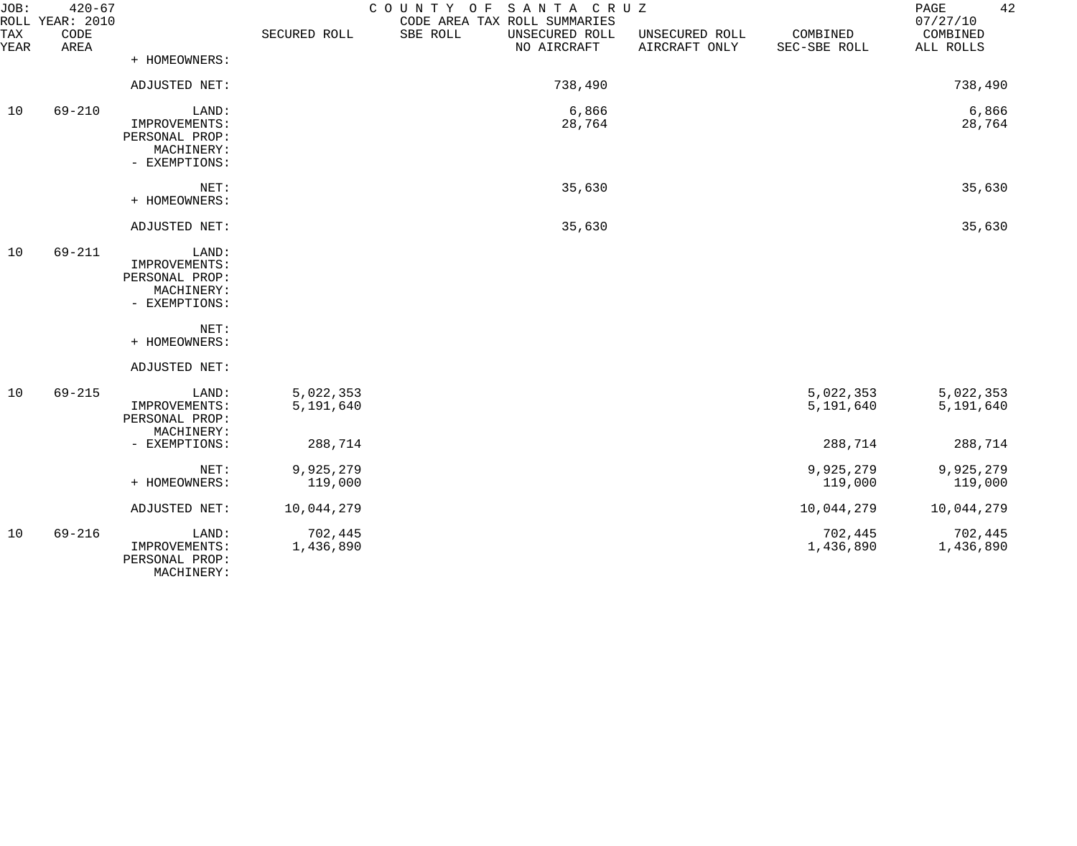| JOB:               | $420 - 67$<br>ROLL YEAR: 2010 |                                                                         |                        | COUNTY OF SANTA CRUZ<br>CODE AREA TAX ROLL SUMMARIES |                                 |                          | 42<br>PAGE<br>07/27/10 |
|--------------------|-------------------------------|-------------------------------------------------------------------------|------------------------|------------------------------------------------------|---------------------------------|--------------------------|------------------------|
| <b>TAX</b><br>YEAR | CODE<br>AREA                  |                                                                         | SECURED ROLL           | SBE ROLL<br>UNSECURED ROLL<br>NO AIRCRAFT            | UNSECURED ROLL<br>AIRCRAFT ONLY | COMBINED<br>SEC-SBE ROLL | COMBINED<br>ALL ROLLS  |
|                    |                               | + HOMEOWNERS:                                                           |                        |                                                      |                                 |                          |                        |
|                    |                               | ADJUSTED NET:                                                           |                        | 738,490                                              |                                 |                          | 738,490                |
| 10                 | $69 - 210$                    | LAND:<br>IMPROVEMENTS:<br>PERSONAL PROP:<br>MACHINERY:<br>- EXEMPTIONS: |                        | 6,866<br>28,764                                      |                                 |                          | 6,866<br>28,764        |
|                    |                               | NET:<br>+ HOMEOWNERS:                                                   |                        | 35,630                                               |                                 |                          | 35,630                 |
|                    |                               | ADJUSTED NET:                                                           |                        | 35,630                                               |                                 |                          | 35,630                 |
| 10                 | $69 - 211$                    | LAND:<br>IMPROVEMENTS:<br>PERSONAL PROP:<br>MACHINERY:<br>- EXEMPTIONS: |                        |                                                      |                                 |                          |                        |
|                    |                               | NET:<br>+ HOMEOWNERS:                                                   |                        |                                                      |                                 |                          |                        |
|                    |                               | ADJUSTED NET:                                                           |                        |                                                      |                                 |                          |                        |
| 10                 | $69 - 215$                    | LAND:<br>IMPROVEMENTS:<br>PERSONAL PROP:<br>MACHINERY:                  | 5,022,353<br>5,191,640 |                                                      |                                 | 5,022,353<br>5,191,640   | 5,022,353<br>5,191,640 |
|                    |                               | - EXEMPTIONS:                                                           | 288,714                |                                                      |                                 | 288,714                  | 288,714                |
|                    |                               | NET:<br>+ HOMEOWNERS:                                                   | 9,925,279<br>119,000   |                                                      |                                 | 9,925,279<br>119,000     | 9,925,279<br>119,000   |
|                    |                               | ADJUSTED NET:                                                           | 10,044,279             |                                                      |                                 | 10,044,279               | 10,044,279             |
| 10                 | $69 - 216$                    | LAND:<br>IMPROVEMENTS:<br>PERSONAL PROP:<br>MACHINERY:                  | 702,445<br>1,436,890   |                                                      |                                 | 702,445<br>1,436,890     | 702,445<br>1,436,890   |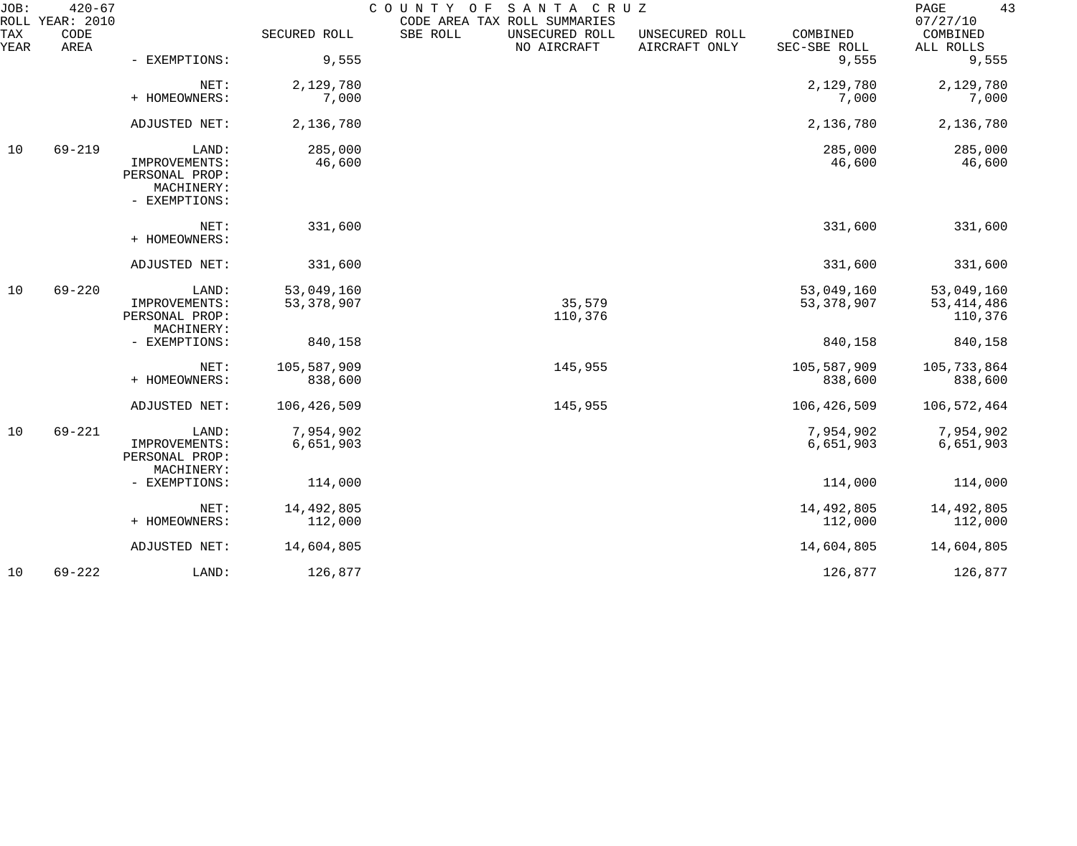| JOB:             | $420 - 67$<br>ROLL YEAR: 2010 |                                                                         |                            | COUNTY<br>O F<br>SANTA CRUZ<br>CODE AREA TAX ROLL SUMMARIES |                                 |                            | 43<br>PAGE<br>07/27/10                |
|------------------|-------------------------------|-------------------------------------------------------------------------|----------------------------|-------------------------------------------------------------|---------------------------------|----------------------------|---------------------------------------|
| TAX<br>YEAR      | CODE<br>AREA                  |                                                                         | SECURED ROLL               | SBE ROLL<br>UNSECURED ROLL<br>NO AIRCRAFT                   | UNSECURED ROLL<br>AIRCRAFT ONLY | COMBINED<br>SEC-SBE ROLL   | COMBINED<br>ALL ROLLS                 |
|                  |                               | - EXEMPTIONS:                                                           | 9,555                      |                                                             |                                 | 9,555                      | 9,555                                 |
|                  |                               | NET:<br>+ HOMEOWNERS:                                                   | 2,129,780<br>7,000         |                                                             |                                 | 2,129,780<br>7,000         | 2,129,780<br>7,000                    |
|                  |                               | ADJUSTED NET:                                                           | 2,136,780                  |                                                             |                                 | 2,136,780                  | 2,136,780                             |
| $69 - 219$<br>10 |                               | LAND:<br>IMPROVEMENTS:<br>PERSONAL PROP:<br>MACHINERY:<br>- EXEMPTIONS: | 285,000<br>46,600          |                                                             |                                 | 285,000<br>46,600          | 285,000<br>46,600                     |
|                  |                               | NET:<br>+ HOMEOWNERS:                                                   | 331,600                    |                                                             |                                 | 331,600                    | 331,600                               |
|                  |                               | ADJUSTED NET:                                                           | 331,600                    |                                                             |                                 | 331,600                    | 331,600                               |
| 10               | $69 - 220$                    | LAND:<br>IMPROVEMENTS:<br>PERSONAL PROP:<br>MACHINERY:                  | 53,049,160<br>53, 378, 907 | 35,579<br>110,376                                           |                                 | 53,049,160<br>53, 378, 907 | 53,049,160<br>53, 414, 486<br>110,376 |
|                  |                               | - EXEMPTIONS:                                                           | 840,158                    |                                                             |                                 | 840,158                    | 840,158                               |
|                  |                               | NET:<br>+ HOMEOWNERS:                                                   | 105,587,909<br>838,600     | 145,955                                                     |                                 | 105,587,909<br>838,600     | 105,733,864<br>838,600                |
|                  |                               | ADJUSTED NET:                                                           | 106,426,509                | 145,955                                                     |                                 | 106,426,509                | 106,572,464                           |
| 10               | $69 - 221$                    | LAND:<br>IMPROVEMENTS:<br>PERSONAL PROP:<br>MACHINERY:                  | 7,954,902<br>6,651,903     |                                                             |                                 | 7,954,902<br>6,651,903     | 7,954,902<br>6,651,903                |
|                  |                               | - EXEMPTIONS:                                                           | 114,000                    |                                                             |                                 | 114,000                    | 114,000                               |
|                  |                               | NET:<br>+ HOMEOWNERS:                                                   | 14,492,805<br>112,000      |                                                             |                                 | 14,492,805<br>112,000      | 14,492,805<br>112,000                 |
|                  |                               | ADJUSTED NET:                                                           | 14,604,805                 |                                                             |                                 | 14,604,805                 | 14,604,805                            |
| 10               | $69 - 222$                    | LAND:                                                                   | 126,877                    |                                                             |                                 | 126,877                    | 126,877                               |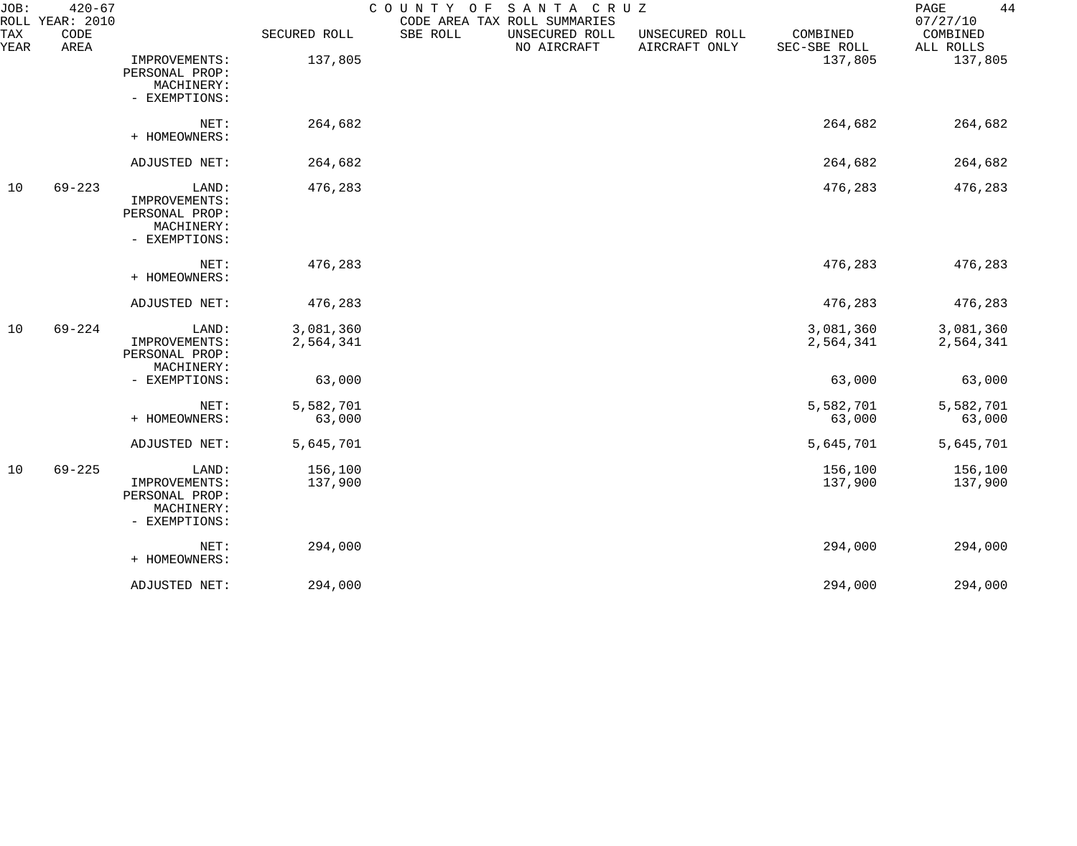| JOB:               | $420 - 67$<br>ROLL YEAR: 2010 |                                                                         |                        | COUNTY OF<br>CODE AREA TAX ROLL SUMMARIES | SANTA CRUZ                    |                                 |                          | 44<br>PAGE<br>07/27/10 |
|--------------------|-------------------------------|-------------------------------------------------------------------------|------------------------|-------------------------------------------|-------------------------------|---------------------------------|--------------------------|------------------------|
| <b>TAX</b><br>YEAR | CODE<br>AREA                  |                                                                         | SECURED ROLL           | SBE ROLL                                  | UNSECURED ROLL<br>NO AIRCRAFT | UNSECURED ROLL<br>AIRCRAFT ONLY | COMBINED<br>SEC-SBE ROLL | COMBINED<br>ALL ROLLS  |
|                    |                               | IMPROVEMENTS:<br>PERSONAL PROP:<br>MACHINERY:<br>- EXEMPTIONS:          | 137,805                |                                           |                               |                                 | 137,805                  | 137,805                |
|                    |                               | NET:<br>+ HOMEOWNERS:                                                   | 264,682                |                                           |                               |                                 | 264,682                  | 264,682                |
|                    |                               | ADJUSTED NET:                                                           | 264,682                |                                           |                               |                                 | 264,682                  | 264,682                |
| 10                 | $69 - 223$                    | LAND:<br>IMPROVEMENTS:<br>PERSONAL PROP:<br>MACHINERY:<br>- EXEMPTIONS: | 476,283                |                                           |                               |                                 | 476,283                  | 476,283                |
|                    |                               | NET:<br>+ HOMEOWNERS:                                                   | 476,283                |                                           |                               |                                 | 476,283                  | 476,283                |
|                    |                               | ADJUSTED NET:                                                           | 476,283                |                                           |                               |                                 | 476,283                  | 476,283                |
| 10                 | $69 - 224$                    | LAND:<br>IMPROVEMENTS:<br>PERSONAL PROP:<br>MACHINERY:                  | 3,081,360<br>2,564,341 |                                           |                               |                                 | 3,081,360<br>2,564,341   | 3,081,360<br>2,564,341 |
|                    |                               | - EXEMPTIONS:                                                           | 63,000                 |                                           |                               |                                 | 63,000                   | 63,000                 |
|                    |                               | NET:<br>+ HOMEOWNERS:                                                   | 5,582,701<br>63,000    |                                           |                               |                                 | 5,582,701<br>63,000      | 5,582,701<br>63,000    |
|                    |                               | ADJUSTED NET:                                                           | 5,645,701              |                                           |                               |                                 | 5,645,701                | 5,645,701              |
| 10                 | $69 - 225$                    | LAND:<br>IMPROVEMENTS:<br>PERSONAL PROP:<br>MACHINERY:<br>- EXEMPTIONS: | 156,100<br>137,900     |                                           |                               |                                 | 156,100<br>137,900       | 156,100<br>137,900     |
|                    |                               | NET:<br>+ HOMEOWNERS:                                                   | 294,000                |                                           |                               |                                 | 294,000                  | 294,000                |
|                    |                               | ADJUSTED NET:                                                           | 294,000                |                                           |                               |                                 | 294,000                  | 294,000                |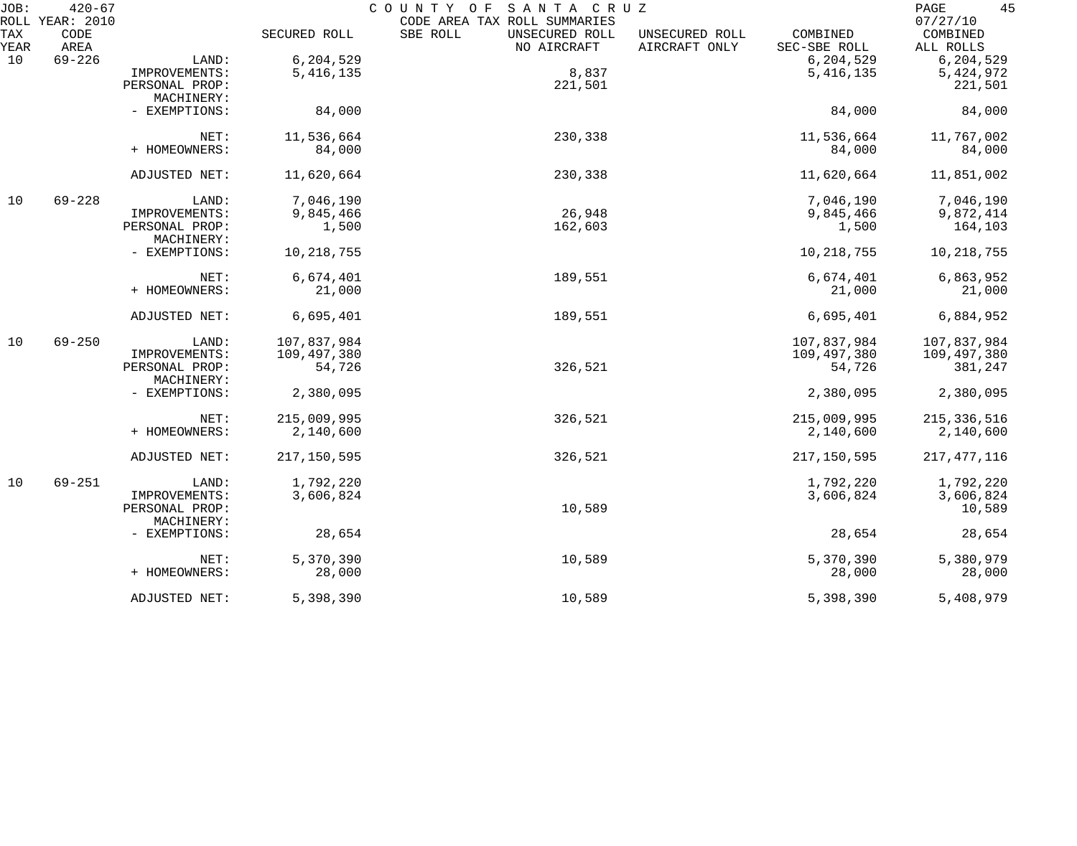| JOB:        | $420 - 67$<br>ROLL YEAR: 2010 |                              |              | COUNTY OF<br>SANTA CRUZ<br>CODE AREA TAX ROLL SUMMARIES                      |                          | 45<br>PAGE<br>07/27/10 |
|-------------|-------------------------------|------------------------------|--------------|------------------------------------------------------------------------------|--------------------------|------------------------|
| TAX<br>YEAR | CODE<br>AREA                  |                              | SECURED ROLL | SBE ROLL<br>UNSECURED ROLL<br>UNSECURED ROLL<br>NO AIRCRAFT<br>AIRCRAFT ONLY | COMBINED<br>SEC-SBE ROLL | COMBINED<br>ALL ROLLS  |
| 10          | $69 - 226$                    | LAND:                        | 6,204,529    |                                                                              | 6,204,529                | 6, 204, 529            |
|             |                               | IMPROVEMENTS:                | 5, 416, 135  | 8,837                                                                        | 5, 416, 135              | 5,424,972              |
|             |                               | PERSONAL PROP:               |              | 221,501                                                                      |                          | 221,501                |
|             |                               | MACHINERY:                   |              |                                                                              |                          |                        |
|             |                               | - EXEMPTIONS:                | 84,000       |                                                                              | 84,000                   | 84,000                 |
|             |                               | NET:                         | 11,536,664   | 230,338                                                                      | 11,536,664               | 11,767,002             |
|             |                               | + HOMEOWNERS:                | 84,000       |                                                                              | 84,000                   | 84,000                 |
|             |                               | ADJUSTED NET:                | 11,620,664   | 230,338                                                                      | 11,620,664               | 11,851,002             |
| 10          | $69 - 228$                    | LAND:                        | 7,046,190    |                                                                              | 7,046,190                | 7,046,190              |
|             |                               | IMPROVEMENTS:                | 9,845,466    | 26,948                                                                       | 9,845,466                | 9,872,414              |
|             |                               | PERSONAL PROP:<br>MACHINERY: | 1,500        | 162,603                                                                      | 1,500                    | 164,103                |
|             |                               | - EXEMPTIONS:                | 10,218,755   |                                                                              | 10, 218, 755             | 10, 218, 755           |
|             |                               | NET:                         | 6,674,401    | 189,551                                                                      | 6,674,401                | 6,863,952              |
|             |                               | + HOMEOWNERS:                | 21,000       |                                                                              | 21,000                   | 21,000                 |
|             |                               | ADJUSTED NET:                | 6,695,401    | 189,551                                                                      | 6,695,401                | 6,884,952              |
| 10          | $69 - 250$                    | LAND:                        | 107,837,984  |                                                                              | 107,837,984              | 107,837,984            |
|             |                               | IMPROVEMENTS:                | 109,497,380  |                                                                              | 109,497,380              | 109,497,380            |
|             |                               | PERSONAL PROP:<br>MACHINERY: | 54,726       | 326,521                                                                      | 54,726                   | 381,247                |
|             |                               | - EXEMPTIONS:                | 2,380,095    |                                                                              | 2,380,095                | 2,380,095              |
|             |                               | NET:                         | 215,009,995  | 326,521                                                                      | 215,009,995              | 215, 336, 516          |
|             |                               | + HOMEOWNERS:                | 2,140,600    |                                                                              | 2,140,600                | 2,140,600              |
|             |                               | ADJUSTED NET:                | 217,150,595  | 326,521                                                                      | 217,150,595              | 217, 477, 116          |
| 10          | $69 - 251$                    | LAND:                        | 1,792,220    |                                                                              | 1,792,220                | 1,792,220              |
|             |                               | IMPROVEMENTS:                | 3,606,824    |                                                                              | 3,606,824                | 3,606,824              |
|             |                               | PERSONAL PROP:<br>MACHINERY: |              | 10,589                                                                       |                          | 10,589                 |
|             |                               | - EXEMPTIONS:                | 28,654       |                                                                              | 28,654                   | 28,654                 |
|             |                               | NET:                         | 5,370,390    | 10,589                                                                       | 5,370,390                | 5,380,979              |
|             |                               | + HOMEOWNERS:                | 28,000       |                                                                              | 28,000                   | 28,000                 |
|             |                               | ADJUSTED NET:                | 5,398,390    | 10,589                                                                       | 5,398,390                | 5,408,979              |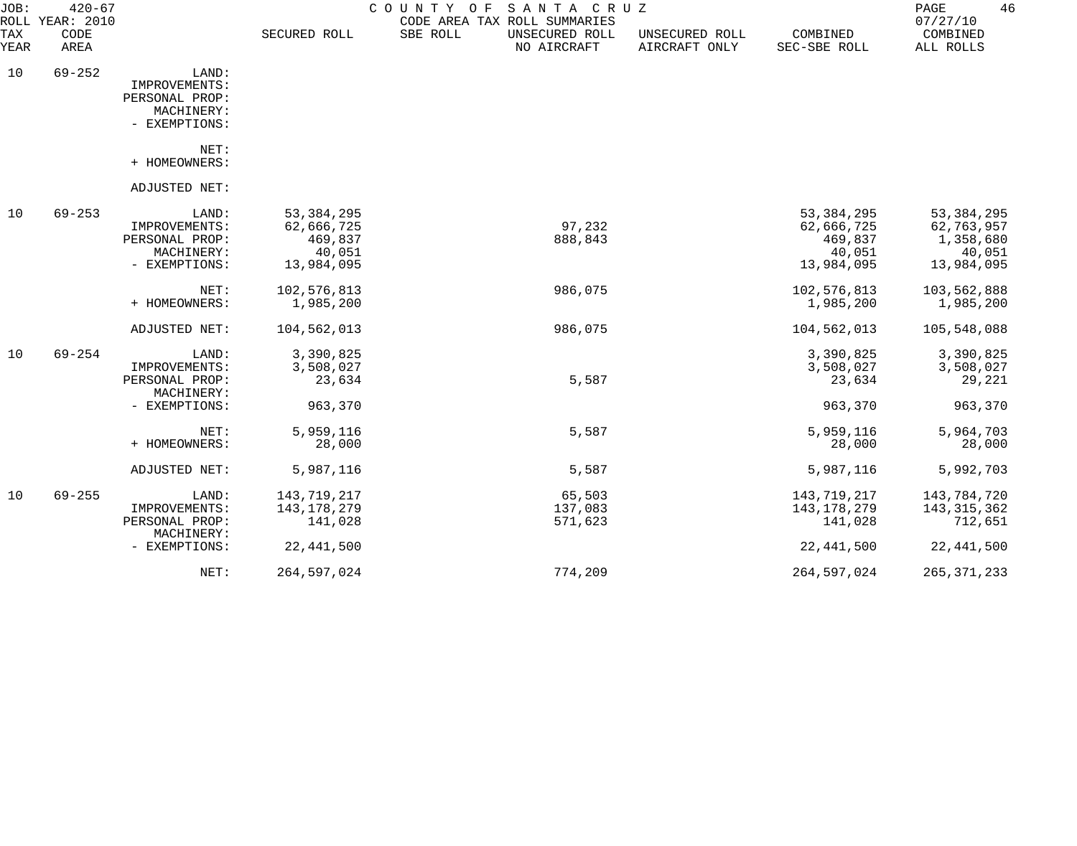| JOB:               | $420 - 67$<br>ROLL YEAR: 2010 |                                                                         |                                                               | COUNTY OF SANTA CRUZ<br>CODE AREA TAX ROLL SUMMARIES |                                 |                                                               | 46<br>PAGE<br>07/27/10                                          |
|--------------------|-------------------------------|-------------------------------------------------------------------------|---------------------------------------------------------------|------------------------------------------------------|---------------------------------|---------------------------------------------------------------|-----------------------------------------------------------------|
| <b>TAX</b><br>YEAR | CODE<br>AREA                  |                                                                         | SECURED ROLL                                                  | SBE ROLL<br>UNSECURED ROLL<br>NO AIRCRAFT            | UNSECURED ROLL<br>AIRCRAFT ONLY | COMBINED<br>SEC-SBE ROLL                                      | COMBINED<br>ALL ROLLS                                           |
| 10                 | $69 - 252$                    | LAND:<br>IMPROVEMENTS:<br>PERSONAL PROP:<br>MACHINERY:<br>- EXEMPTIONS: |                                                               |                                                      |                                 |                                                               |                                                                 |
|                    |                               | NET:<br>+ HOMEOWNERS:                                                   |                                                               |                                                      |                                 |                                                               |                                                                 |
|                    |                               | ADJUSTED NET:                                                           |                                                               |                                                      |                                 |                                                               |                                                                 |
| 10                 | $69 - 253$                    | LAND:<br>IMPROVEMENTS:<br>PERSONAL PROP:<br>MACHINERY:<br>- EXEMPTIONS: | 53, 384, 295<br>62,666,725<br>469,837<br>40,051<br>13,984,095 | 97,232<br>888,843                                    |                                 | 53, 384, 295<br>62,666,725<br>469,837<br>40,051<br>13,984,095 | 53, 384, 295<br>62,763,957<br>1,358,680<br>40,051<br>13,984,095 |
|                    |                               | NET:<br>+ HOMEOWNERS:                                                   | 102,576,813<br>1,985,200                                      | 986,075                                              |                                 | 102,576,813<br>1,985,200                                      | 103,562,888<br>1,985,200                                        |
|                    |                               | ADJUSTED NET:                                                           | 104,562,013                                                   | 986,075                                              |                                 | 104,562,013                                                   | 105,548,088                                                     |
| 10                 | $69 - 254$                    | LAND:<br>IMPROVEMENTS:<br>PERSONAL PROP:<br>MACHINERY:                  | 3,390,825<br>3,508,027<br>23,634                              | 5,587                                                |                                 | 3,390,825<br>3,508,027<br>23,634                              | 3,390,825<br>3,508,027<br>29,221                                |
|                    |                               | - EXEMPTIONS:                                                           | 963,370                                                       |                                                      |                                 | 963,370                                                       | 963,370                                                         |
|                    |                               | NET:<br>+ HOMEOWNERS:                                                   | 5,959,116<br>28,000                                           | 5,587                                                |                                 | 5,959,116<br>28,000                                           | 5,964,703<br>28,000                                             |
|                    |                               | ADJUSTED NET:                                                           | 5,987,116                                                     | 5,587                                                |                                 | 5,987,116                                                     | 5,992,703                                                       |
| 10                 | $69 - 255$                    | LAND:<br>IMPROVEMENTS:<br>PERSONAL PROP:                                | 143,719,217<br>143, 178, 279<br>141,028                       | 65,503<br>137,083<br>571,623                         |                                 | 143,719,217<br>143,178,279<br>141,028                         | 143,784,720<br>143, 315, 362<br>712,651                         |
|                    |                               | MACHINERY:<br>- EXEMPTIONS:                                             | 22, 441, 500                                                  |                                                      |                                 | 22, 441, 500                                                  | 22, 441, 500                                                    |
|                    |                               | NET:                                                                    | 264,597,024                                                   | 774,209                                              |                                 | 264,597,024                                                   | 265, 371, 233                                                   |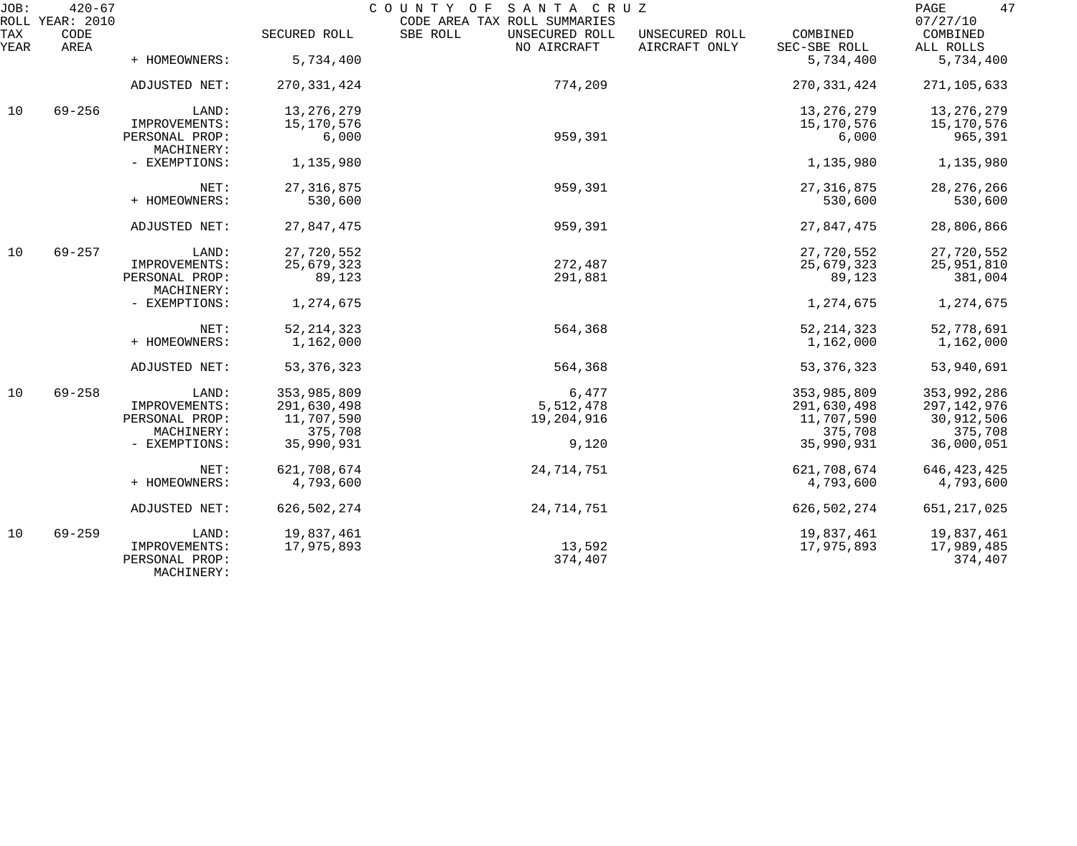| JOB:        | $420 - 67$<br>ROLL YEAR: 2010 |                                               |               | COUNTY OF SANTA CRUZ<br>CODE AREA TAX ROLL SUMMARIES |                                 |                          | 47<br>PAGE<br>07/27/10 |
|-------------|-------------------------------|-----------------------------------------------|---------------|------------------------------------------------------|---------------------------------|--------------------------|------------------------|
| TAX<br>YEAR | CODE<br>AREA                  |                                               | SECURED ROLL  | SBE ROLL<br>UNSECURED ROLL<br>NO AIRCRAFT            | UNSECURED ROLL<br>AIRCRAFT ONLY | COMBINED<br>SEC-SBE ROLL | COMBINED<br>ALL ROLLS  |
|             |                               | + HOMEOWNERS:                                 | 5,734,400     |                                                      |                                 | 5,734,400                | 5,734,400              |
|             |                               | ADJUSTED NET:                                 | 270, 331, 424 | 774,209                                              |                                 | 270, 331, 424            | 271,105,633            |
| 10          | $69 - 256$                    | LAND:                                         | 13, 276, 279  |                                                      |                                 | 13, 276, 279             | 13,276,279             |
|             |                               | IMPROVEMENTS:                                 | 15,170,576    |                                                      |                                 | 15,170,576               | 15,170,576             |
|             | PERSONAL PROP:<br>MACHINERY:  | 6,000                                         | 959,391       |                                                      | 6,000                           | 965,391                  |                        |
|             |                               | - EXEMPTIONS:                                 | 1,135,980     |                                                      |                                 | 1,135,980                | 1,135,980              |
|             |                               | NET:                                          | 27, 316, 875  | 959,391                                              |                                 | 27, 316, 875             | 28, 276, 266           |
|             |                               | + HOMEOWNERS:                                 | 530,600       |                                                      |                                 | 530,600                  | 530,600                |
|             |                               | ADJUSTED NET:                                 | 27,847,475    | 959,391                                              |                                 | 27,847,475               | 28,806,866             |
| 10          | $69 - 257$                    | LAND:                                         | 27,720,552    |                                                      |                                 | 27,720,552               | 27,720,552             |
|             |                               | IMPROVEMENTS:                                 | 25,679,323    | 272,487                                              |                                 | 25,679,323               | 25,951,810             |
|             |                               | PERSONAL PROP:<br>MACHINERY:                  | 89,123        | 291,881                                              |                                 | 89,123                   | 381,004                |
|             |                               | - EXEMPTIONS:                                 | 1,274,675     |                                                      |                                 | 1,274,675                | 1,274,675              |
|             |                               | NET:                                          | 52, 214, 323  | 564,368                                              |                                 | 52, 214, 323             | 52,778,691             |
|             |                               | + HOMEOWNERS:                                 | 1,162,000     |                                                      |                                 | 1,162,000                | 1,162,000              |
|             |                               | ADJUSTED NET:                                 | 53, 376, 323  | 564,368                                              |                                 | 53, 376, 323             | 53,940,691             |
| 10          | $69 - 258$                    | LAND:                                         | 353,985,809   | 6,477                                                |                                 | 353,985,809              | 353,992,286            |
|             |                               | IMPROVEMENTS:                                 | 291,630,498   | 5,512,478                                            |                                 | 291,630,498              | 297,142,976            |
|             |                               | PERSONAL PROP:                                | 11,707,590    | 19,204,916                                           |                                 | 11,707,590               | 30,912,506             |
|             |                               | MACHINERY:                                    | 375,708       |                                                      |                                 | 375,708                  | 375,708                |
|             |                               | - EXEMPTIONS:                                 | 35,990,931    | 9,120                                                |                                 | 35,990,931               | 36,000,051             |
|             |                               | NET:                                          | 621,708,674   | 24,714,751                                           |                                 | 621,708,674              | 646, 423, 425          |
|             |                               | + HOMEOWNERS:                                 | 4,793,600     |                                                      |                                 | 4,793,600                | 4,793,600              |
|             |                               | ADJUSTED NET:                                 | 626, 502, 274 | 24,714,751                                           |                                 | 626, 502, 274            | 651, 217, 025          |
| 10          | $69 - 259$                    | LAND:                                         | 19,837,461    |                                                      |                                 | 19,837,461               | 19,837,461             |
|             |                               | IMPROVEMENTS:<br>PERSONAL PROP:<br>MACHINERY: | 17,975,893    | 13,592<br>374,407                                    |                                 | 17,975,893               | 17,989,485<br>374,407  |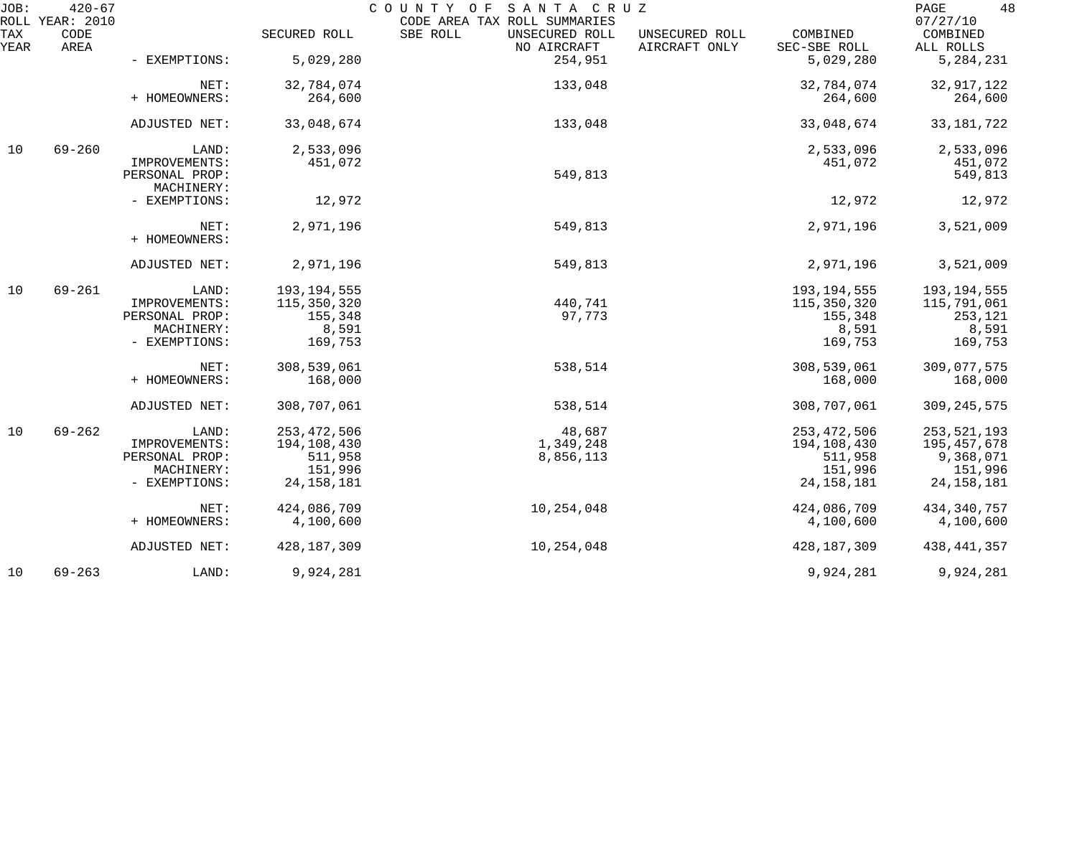| JOB:        | $420 - 67$<br>ROLL YEAR: 2010 |                                 |               | COUNTY OF SANTA CRUZ<br>CODE AREA TAX ROLL SUMMARIES |                                                             | 48<br>PAGE<br>07/27/10 |
|-------------|-------------------------------|---------------------------------|---------------|------------------------------------------------------|-------------------------------------------------------------|------------------------|
| TAX<br>YEAR | CODE<br>AREA                  |                                 | SECURED ROLL  | SBE ROLL<br>UNSECURED ROLL<br>NO AIRCRAFT            | COMBINED<br>UNSECURED ROLL<br>AIRCRAFT ONLY<br>SEC-SBE ROLL | COMBINED<br>ALL ROLLS  |
|             |                               | - EXEMPTIONS:                   | 5,029,280     | 254,951                                              | 5,029,280                                                   | 5, 284, 231            |
|             |                               | NET:                            | 32,784,074    | 133,048                                              | 32,784,074                                                  | 32, 917, 122           |
|             |                               | + HOMEOWNERS:                   | 264,600       |                                                      | 264,600                                                     | 264,600                |
|             |                               | ADJUSTED NET:                   | 33,048,674    | 133,048                                              | 33,048,674                                                  | 33, 181, 722           |
| 10          | $69 - 260$                    | LAND:                           | 2,533,096     |                                                      | 2,533,096                                                   | 2,533,096              |
|             |                               | IMPROVEMENTS:<br>PERSONAL PROP: | 451,072       | 549,813                                              | 451,072                                                     | 451,072<br>549,813     |
|             |                               | MACHINERY:                      |               |                                                      |                                                             |                        |
|             |                               | - EXEMPTIONS:                   | 12,972        |                                                      | 12,972                                                      | 12,972                 |
|             |                               | NET:<br>+ HOMEOWNERS:           | 2,971,196     | 549,813                                              | 2,971,196                                                   | 3,521,009              |
|             |                               | ADJUSTED NET:                   | 2,971,196     | 549,813                                              | 2,971,196                                                   | 3,521,009              |
| 10          | $69 - 261$                    | LAND:                           | 193, 194, 555 |                                                      | 193, 194, 555                                               | 193, 194, 555          |
|             |                               | IMPROVEMENTS:                   | 115,350,320   | 440,741                                              | 115,350,320                                                 | 115,791,061            |
|             |                               | PERSONAL PROP:                  | 155,348       | 97,773                                               | 155,348                                                     | 253,121                |
|             |                               | MACHINERY:                      | 8,591         |                                                      | 8,591                                                       | 8,591                  |
|             |                               | - EXEMPTIONS:                   | 169,753       |                                                      | 169,753                                                     | 169,753                |
|             |                               | NET:                            | 308,539,061   | 538,514                                              | 308,539,061                                                 | 309,077,575            |
|             |                               | + HOMEOWNERS:                   | 168,000       |                                                      | 168,000                                                     | 168,000                |
|             |                               | ADJUSTED NET:                   | 308,707,061   | 538,514                                              | 308,707,061                                                 | 309, 245, 575          |
| 10          | $69 - 262$                    | LAND:                           | 253, 472, 506 | 48,687                                               | 253, 472, 506                                               | 253,521,193            |
|             |                               | IMPROVEMENTS:                   | 194,108,430   | 1,349,248                                            | 194,108,430                                                 | 195,457,678            |
|             |                               | PERSONAL PROP:                  | 511,958       | 8,856,113                                            | 511,958                                                     | 9,368,071              |
|             |                               | MACHINERY:                      | 151,996       |                                                      | 151,996                                                     | 151,996                |
|             |                               | - EXEMPTIONS:                   | 24, 158, 181  |                                                      | 24, 158, 181                                                | 24, 158, 181           |
|             |                               | NET:                            | 424,086,709   | 10,254,048                                           | 424,086,709                                                 | 434, 340, 757          |
|             |                               | + HOMEOWNERS:                   | 4,100,600     |                                                      | 4,100,600                                                   | 4,100,600              |
|             |                               | ADJUSTED NET:                   | 428, 187, 309 | 10,254,048                                           | 428, 187, 309                                               | 438, 441, 357          |
| 10          | $69 - 263$                    | LAND:                           | 9,924,281     |                                                      | 9,924,281                                                   | 9,924,281              |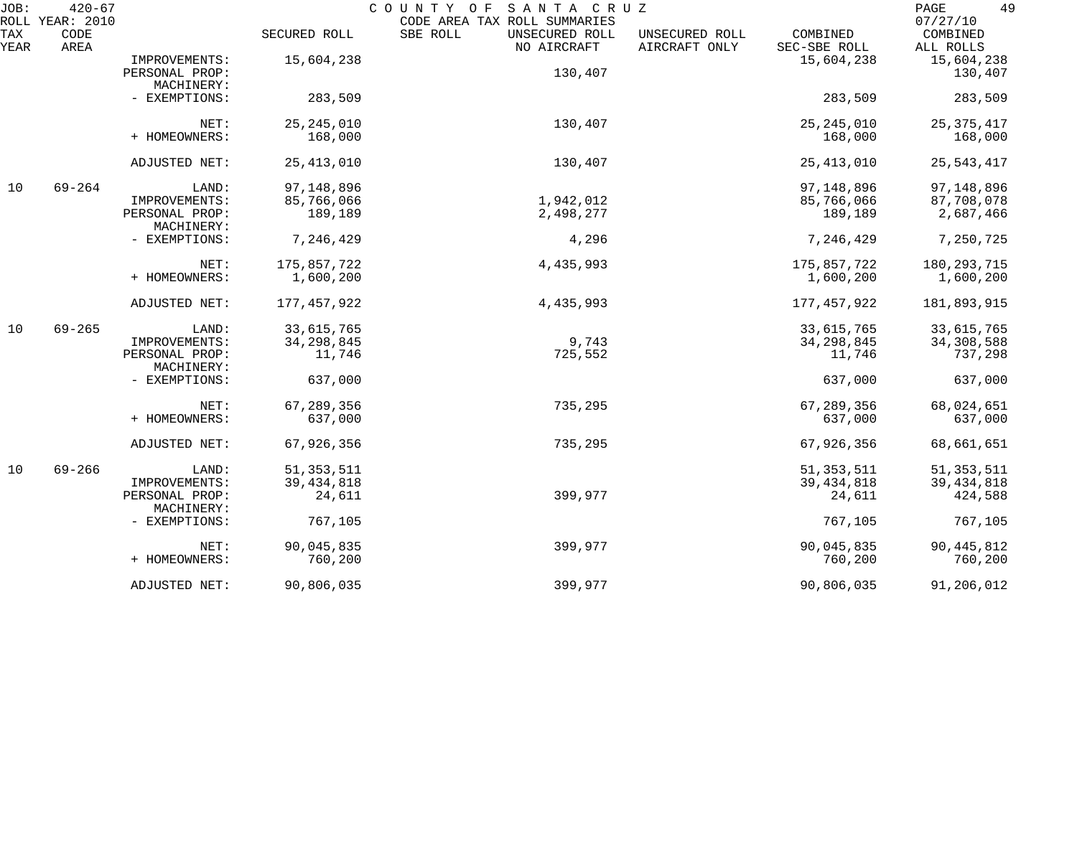| JOB:<br>ROLL | $420 - 67$<br>YEAR: 2010 |                              |               | COUNTY<br>O F<br>SANTA CRUZ<br>CODE AREA TAX ROLL SUMMARIES |                                 |                          | 49<br>PAGE<br>07/27/10 |
|--------------|--------------------------|------------------------------|---------------|-------------------------------------------------------------|---------------------------------|--------------------------|------------------------|
| TAX<br>YEAR  | CODE<br>AREA             |                              | SECURED ROLL  | SBE ROLL<br>UNSECURED ROLL<br>NO AIRCRAFT                   | UNSECURED ROLL<br>AIRCRAFT ONLY | COMBINED<br>SEC-SBE ROLL | COMBINED<br>ALL ROLLS  |
|              |                          | IMPROVEMENTS:                | 15,604,238    |                                                             |                                 | 15,604,238               | 15,604,238             |
|              |                          | PERSONAL PROP:               |               | 130,407                                                     |                                 |                          | 130,407                |
|              |                          | MACHINERY:                   |               |                                                             |                                 |                          |                        |
|              |                          | - EXEMPTIONS:                | 283,509       |                                                             |                                 | 283,509                  | 283,509                |
|              |                          | NET:                         | 25, 245, 010  | 130,407                                                     |                                 | 25, 245, 010             | 25, 375, 417           |
|              |                          | + HOMEOWNERS:                | 168,000       |                                                             |                                 | 168,000                  | 168,000                |
|              |                          | ADJUSTED NET:                | 25, 413, 010  | 130,407                                                     |                                 | 25, 413, 010             | 25, 543, 417           |
| 10           | $69 - 264$               | LAND:                        | 97, 148, 896  |                                                             |                                 | 97, 148, 896             | 97, 148, 896           |
|              |                          | IMPROVEMENTS:                | 85,766,066    | 1,942,012                                                   |                                 | 85,766,066               | 87,708,078             |
|              |                          | PERSONAL PROP:<br>MACHINERY: | 189,189       | 2,498,277                                                   |                                 | 189,189                  | 2,687,466              |
|              |                          | - EXEMPTIONS:                | 7,246,429     | 4,296                                                       |                                 | 7,246,429                | 7,250,725              |
|              |                          | NET:                         | 175,857,722   | 4,435,993                                                   |                                 | 175,857,722              | 180, 293, 715          |
|              |                          | + HOMEOWNERS:                | 1,600,200     |                                                             |                                 | 1,600,200                | 1,600,200              |
|              |                          | ADJUSTED NET:                | 177, 457, 922 | 4,435,993                                                   |                                 | 177, 457, 922            | 181,893,915            |
| 10           | $69 - 265$               | LAND:                        | 33,615,765    |                                                             |                                 | 33,615,765               | 33,615,765             |
|              |                          | IMPROVEMENTS:                | 34, 298, 845  | 9,743                                                       |                                 | 34, 298, 845             | 34,308,588             |
|              |                          | PERSONAL PROP:<br>MACHINERY: | 11,746        | 725,552                                                     |                                 | 11,746                   | 737,298                |
|              |                          | - EXEMPTIONS:                | 637,000       |                                                             |                                 | 637,000                  | 637,000                |
|              |                          | NET:                         | 67,289,356    | 735,295                                                     |                                 | 67,289,356               | 68,024,651             |
|              |                          | + HOMEOWNERS:                | 637,000       |                                                             |                                 | 637,000                  | 637,000                |
|              |                          | ADJUSTED NET:                | 67,926,356    | 735,295                                                     |                                 | 67,926,356               | 68,661,651             |
| 10           | $69 - 266$               | LAND:                        | 51, 353, 511  |                                                             |                                 | 51, 353, 511             | 51, 353, 511           |
|              |                          | IMPROVEMENTS:                | 39, 434, 818  |                                                             |                                 | 39, 434, 818             | 39, 434, 818           |
|              |                          | PERSONAL PROP:<br>MACHINERY: | 24,611        | 399,977                                                     |                                 | 24,611                   | 424,588                |
|              |                          | - EXEMPTIONS:                | 767,105       |                                                             |                                 | 767,105                  | 767,105                |
|              |                          | NET:                         | 90,045,835    | 399,977                                                     |                                 | 90,045,835               | 90, 445, 812           |
|              |                          | + HOMEOWNERS:                | 760,200       |                                                             |                                 | 760,200                  | 760,200                |
|              |                          | ADJUSTED NET:                | 90,806,035    | 399,977                                                     |                                 | 90,806,035               | 91,206,012             |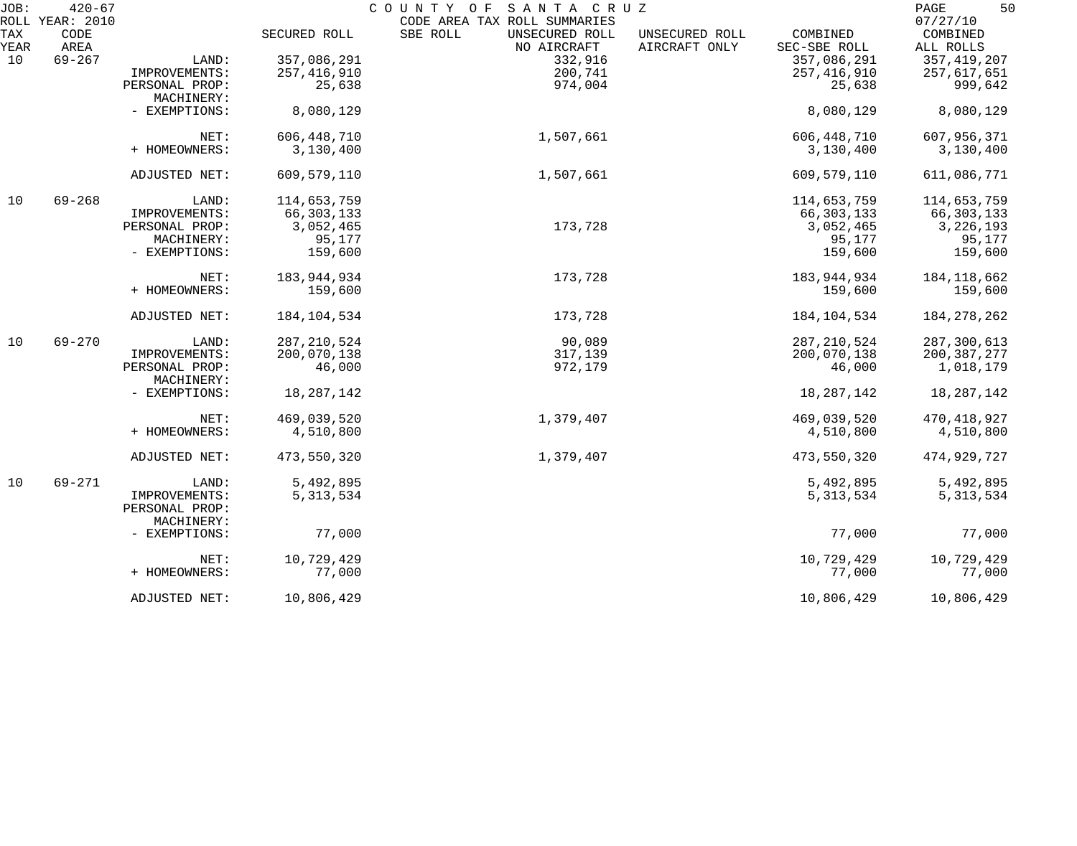| JOB: | $420 - 67$              |                |               | COUNTY OF<br>SANTA CRUZ                                    |                |               | 50<br>PAGE           |
|------|-------------------------|----------------|---------------|------------------------------------------------------------|----------------|---------------|----------------------|
| TAX  | ROLL YEAR: 2010<br>CODE |                | SECURED ROLL  | CODE AREA TAX ROLL SUMMARIES<br>SBE ROLL<br>UNSECURED ROLL | UNSECURED ROLL | COMBINED      | 07/27/10<br>COMBINED |
| YEAR | AREA                    |                |               | NO AIRCRAFT                                                | AIRCRAFT ONLY  | SEC-SBE ROLL  | ALL ROLLS            |
| 10   | $69 - 267$              | LAND:          | 357,086,291   | 332,916                                                    |                | 357,086,291   | 357, 419, 207        |
|      |                         | IMPROVEMENTS:  | 257, 416, 910 | 200,741                                                    |                | 257,416,910   | 257,617,651          |
|      |                         | PERSONAL PROP: | 25,638        | 974,004                                                    |                | 25,638        | 999,642              |
|      |                         | MACHINERY:     |               |                                                            |                |               |                      |
|      |                         |                |               |                                                            |                |               |                      |
|      |                         | - EXEMPTIONS:  | 8,080,129     |                                                            |                | 8,080,129     | 8,080,129            |
|      |                         | NET:           | 606, 448, 710 | 1,507,661                                                  |                | 606,448,710   | 607,956,371          |
|      |                         | + HOMEOWNERS:  | 3,130,400     |                                                            |                | 3,130,400     | 3,130,400            |
|      |                         |                |               |                                                            |                |               |                      |
|      |                         | ADJUSTED NET:  | 609,579,110   | 1,507,661                                                  |                | 609,579,110   | 611,086,771          |
| 10   | $69 - 268$              | LAND:          | 114,653,759   |                                                            |                | 114,653,759   | 114,653,759          |
|      |                         | IMPROVEMENTS:  | 66, 303, 133  |                                                            |                | 66,303,133    | 66, 303, 133         |
|      |                         | PERSONAL PROP: | 3,052,465     | 173,728                                                    |                | 3,052,465     | 3, 226, 193          |
|      |                         | MACHINERY:     | 95,177        |                                                            |                | 95,177        | 95,177               |
|      |                         | - EXEMPTIONS:  | 159,600       |                                                            |                | 159,600       | 159,600              |
|      |                         |                |               |                                                            |                |               |                      |
|      |                         | NET:           | 183,944,934   | 173,728                                                    |                | 183,944,934   | 184, 118, 662        |
|      |                         | + HOMEOWNERS:  | 159,600       |                                                            |                | 159,600       | 159,600              |
|      |                         |                |               |                                                            |                |               |                      |
|      |                         | ADJUSTED NET:  | 184,104,534   | 173,728                                                    |                | 184,104,534   | 184, 278, 262        |
| 10   | $69 - 270$              | LAND:          | 287, 210, 524 | 90,089                                                     |                | 287, 210, 524 | 287,300,613          |
|      |                         | IMPROVEMENTS:  | 200,070,138   | 317,139                                                    |                | 200,070,138   | 200, 387, 277        |
|      |                         | PERSONAL PROP: | 46,000        | 972,179                                                    |                | 46,000        | 1,018,179            |
|      |                         | MACHINERY:     |               |                                                            |                |               |                      |
|      |                         | - EXEMPTIONS:  | 18,287,142    |                                                            |                | 18, 287, 142  | 18, 287, 142         |
|      |                         |                |               |                                                            |                |               |                      |
|      |                         | NET:           | 469,039,520   | 1,379,407                                                  |                | 469,039,520   | 470, 418, 927        |
|      |                         | + HOMEOWNERS:  | 4,510,800     |                                                            |                | 4,510,800     | 4,510,800            |
|      |                         | ADJUSTED NET:  | 473,550,320   | 1,379,407                                                  |                | 473,550,320   | 474,929,727          |
| 10   | $69 - 271$              | LAND:          | 5,492,895     |                                                            |                | 5,492,895     | 5,492,895            |
|      |                         | IMPROVEMENTS:  | 5, 313, 534   |                                                            |                | 5, 313, 534   | 5, 313, 534          |
|      |                         | PERSONAL PROP: |               |                                                            |                |               |                      |
|      |                         | MACHINERY:     |               |                                                            |                |               |                      |
|      |                         |                |               |                                                            |                |               |                      |
|      |                         | - EXEMPTIONS:  | 77,000        |                                                            |                | 77,000        | 77,000               |
|      |                         | NET:           | 10,729,429    |                                                            |                | 10,729,429    | 10,729,429           |
|      |                         | + HOMEOWNERS:  | 77,000        |                                                            |                | 77,000        | 77,000               |
|      |                         | ADJUSTED NET:  | 10,806,429    |                                                            |                | 10,806,429    | 10,806,429           |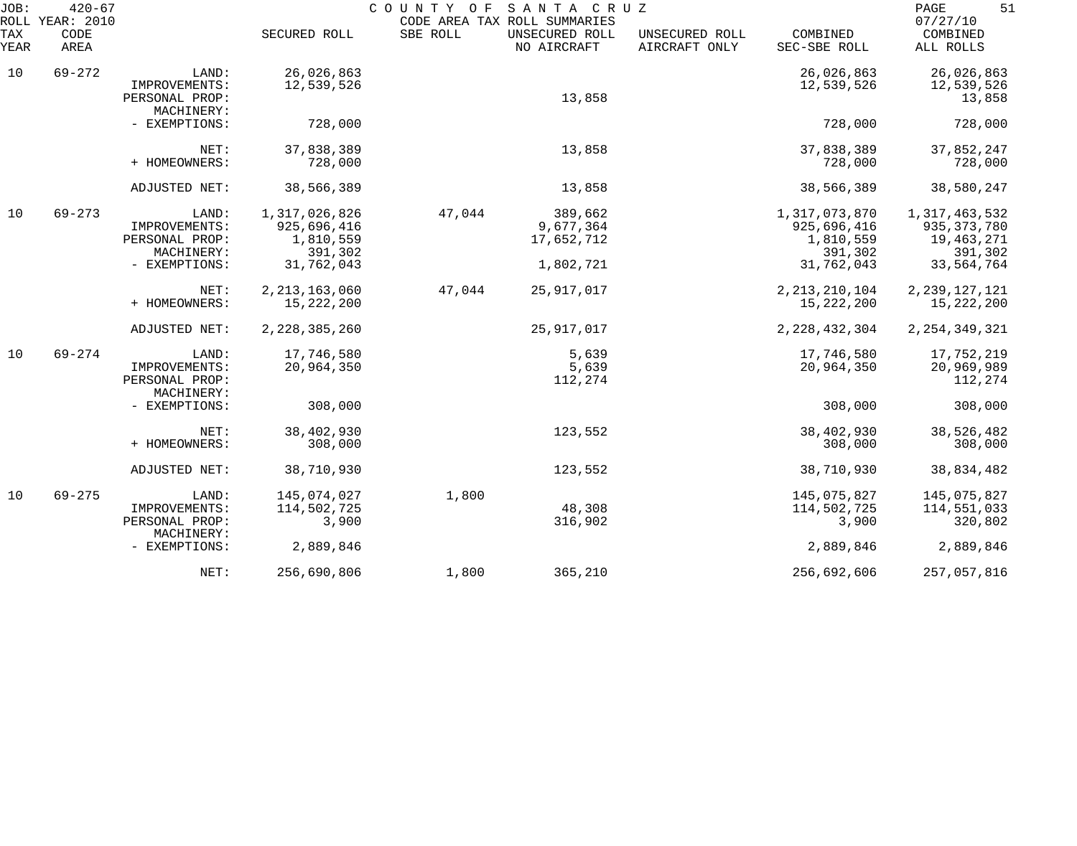| JOB:<br>ROLL       | $420 - 67$<br>YEAR: 2010 |                                                        |                                           | COUNTY OF | SANTA CRUZ<br>CODE AREA TAX ROLL SUMMARIES |                                 |                                           | 51<br>PAGE<br>07/27/10                       |
|--------------------|--------------------------|--------------------------------------------------------|-------------------------------------------|-----------|--------------------------------------------|---------------------------------|-------------------------------------------|----------------------------------------------|
| <b>TAX</b><br>YEAR | CODE<br>AREA             |                                                        | SECURED ROLL                              | SBE ROLL  | UNSECURED ROLL<br>NO AIRCRAFT              | UNSECURED ROLL<br>AIRCRAFT ONLY | COMBINED<br>SEC-SBE ROLL                  | COMBINED<br>ALL ROLLS                        |
| 10                 | $69 - 272$               | LAND:                                                  | 26,026,863                                |           |                                            |                                 | 26,026,863                                | 26,026,863                                   |
|                    |                          | IMPROVEMENTS:<br>PERSONAL PROP:<br>MACHINERY:          | 12,539,526                                |           | 13,858                                     |                                 | 12,539,526                                | 12,539,526<br>13,858                         |
|                    |                          | - EXEMPTIONS:                                          | 728,000                                   |           |                                            |                                 | 728,000                                   | 728,000                                      |
|                    |                          | NET:<br>+ HOMEOWNERS:                                  | 37,838,389<br>728,000                     |           | 13,858                                     |                                 | 37,838,389<br>728,000                     | 37,852,247<br>728,000                        |
|                    |                          | ADJUSTED NET:                                          | 38,566,389                                |           | 13,858                                     |                                 | 38,566,389                                | 38,580,247                                   |
| 10                 | $69 - 273$               | LAND:<br>IMPROVEMENTS:<br>PERSONAL PROP:               | 1,317,026,826<br>925,696,416<br>1,810,559 | 47,044    | 389,662<br>9,677,364<br>17,652,712         |                                 | 1,317,073,870<br>925,696,416<br>1,810,559 | 1,317,463,532<br>935, 373, 780<br>19,463,271 |
|                    |                          | MACHINERY:<br>- EXEMPTIONS:                            | 391,302<br>31,762,043                     |           | 1,802,721                                  |                                 | 391,302<br>31,762,043                     | 391,302<br>33,564,764                        |
|                    |                          | NET:<br>+ HOMEOWNERS:                                  | 2, 213, 163, 060<br>15, 222, 200          | 47,044    | 25, 917, 017                               |                                 | 2, 213, 210, 104<br>15, 222, 200          | 2, 239, 127, 121<br>15, 222, 200             |
|                    |                          | ADJUSTED NET:                                          | 2, 228, 385, 260                          |           | 25,917,017                                 |                                 | 2, 228, 432, 304                          | 2, 254, 349, 321                             |
| 10                 | $69 - 274$               | LAND:<br>IMPROVEMENTS:<br>PERSONAL PROP:<br>MACHINERY: | 17,746,580<br>20,964,350                  |           | 5,639<br>5,639<br>112,274                  |                                 | 17,746,580<br>20,964,350                  | 17,752,219<br>20,969,989<br>112,274          |
|                    |                          | - EXEMPTIONS:                                          | 308,000                                   |           |                                            |                                 | 308,000                                   | 308,000                                      |
|                    |                          | NET:<br>+ HOMEOWNERS:                                  | 38,402,930<br>308,000                     |           | 123,552                                    |                                 | 38,402,930<br>308,000                     | 38,526,482<br>308,000                        |
|                    |                          | ADJUSTED NET:                                          | 38,710,930                                |           | 123,552                                    |                                 | 38,710,930                                | 38,834,482                                   |
| 10                 | $69 - 275$               | LAND:<br>IMPROVEMENTS:<br>PERSONAL PROP:<br>MACHINERY: | 145,074,027<br>114,502,725<br>3,900       | 1,800     | 48,308<br>316,902                          |                                 | 145,075,827<br>114,502,725<br>3,900       | 145,075,827<br>114,551,033<br>320,802        |
|                    |                          | - EXEMPTIONS:                                          | 2,889,846                                 |           |                                            |                                 | 2,889,846                                 | 2,889,846                                    |
|                    |                          | NET:                                                   | 256,690,806                               | 1,800     | 365,210                                    |                                 | 256,692,606                               | 257,057,816                                  |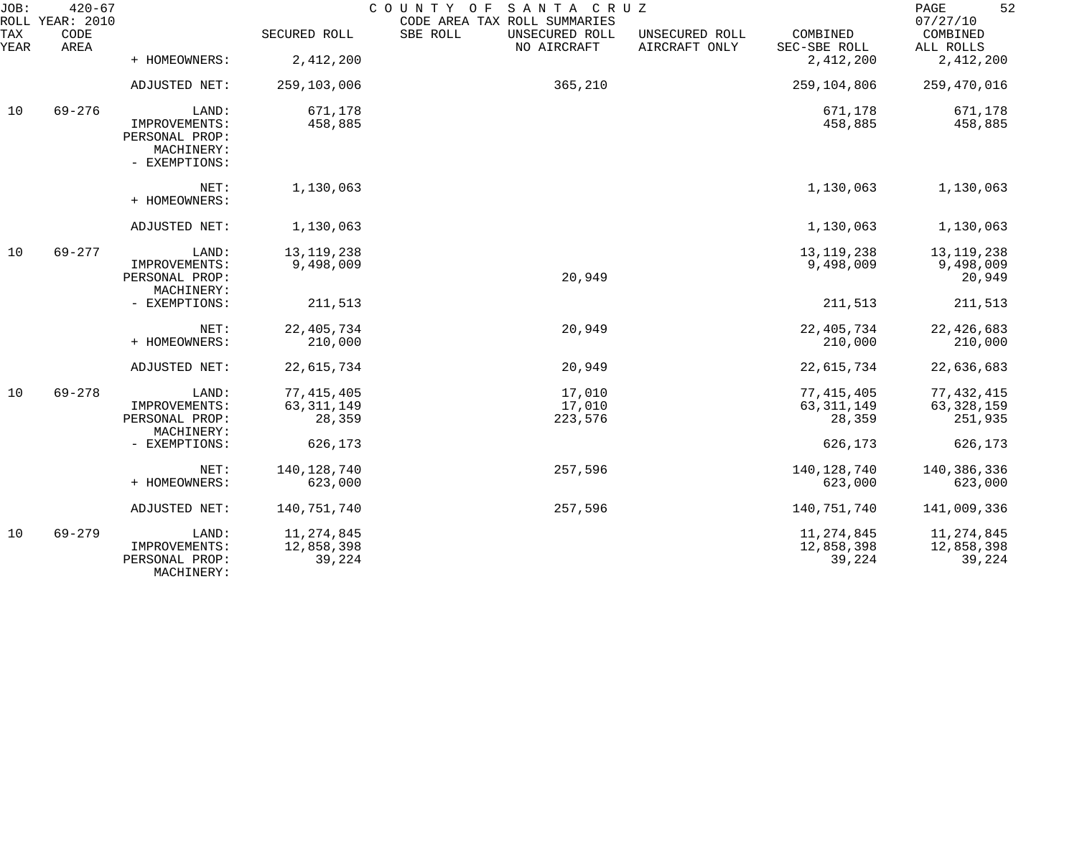| JOB:             | $420 - 67$<br>ROLL YEAR: 2010 |                                                                         | COUNTY OF<br>SANTA CRUZ<br>CODE AREA TAX ROLL SUMMARIES |                                           |                                 |                                      |                                      |  |  |  |
|------------------|-------------------------------|-------------------------------------------------------------------------|---------------------------------------------------------|-------------------------------------------|---------------------------------|--------------------------------------|--------------------------------------|--|--|--|
| TAX<br>YEAR      | CODE<br>AREA                  |                                                                         | SECURED ROLL                                            | SBE ROLL<br>UNSECURED ROLL<br>NO AIRCRAFT | UNSECURED ROLL<br>AIRCRAFT ONLY | COMBINED<br>SEC-SBE ROLL             | COMBINED<br>ALL ROLLS                |  |  |  |
|                  |                               | + HOMEOWNERS:                                                           | 2,412,200                                               |                                           |                                 | 2,412,200                            | 2,412,200                            |  |  |  |
|                  |                               | ADJUSTED NET:                                                           | 259,103,006                                             | 365,210                                   |                                 | 259,104,806                          | 259,470,016                          |  |  |  |
| $69 - 276$<br>10 |                               | LAND:<br>IMPROVEMENTS:<br>PERSONAL PROP:<br>MACHINERY:<br>- EXEMPTIONS: | 671,178<br>458,885                                      |                                           |                                 | 671,178<br>458,885                   | 671,178<br>458,885                   |  |  |  |
|                  |                               | NET:<br>+ HOMEOWNERS:                                                   | 1,130,063                                               |                                           |                                 | 1,130,063                            | 1,130,063                            |  |  |  |
|                  |                               | ADJUSTED NET:                                                           | 1,130,063                                               |                                           |                                 | 1,130,063                            | 1,130,063                            |  |  |  |
| 10               | $69 - 277$                    | LAND:                                                                   | 13, 119, 238                                            |                                           |                                 | 13, 119, 238                         | 13, 119, 238                         |  |  |  |
|                  |                               | IMPROVEMENTS:<br>PERSONAL PROP:<br>MACHINERY:                           | 9,498,009                                               | 20,949                                    |                                 | 9,498,009                            | 9,498,009<br>20,949                  |  |  |  |
|                  |                               | - EXEMPTIONS:                                                           | 211,513                                                 |                                           |                                 | 211,513                              | 211,513                              |  |  |  |
|                  |                               | NET:<br>+ HOMEOWNERS:                                                   | 22, 405, 734<br>210,000                                 | 20,949                                    |                                 | 22, 405, 734<br>210,000              | 22, 426, 683<br>210,000              |  |  |  |
|                  |                               | ADJUSTED NET:                                                           | 22,615,734                                              | 20,949                                    |                                 | 22,615,734                           | 22,636,683                           |  |  |  |
| 10               | $69 - 278$                    | LAND:                                                                   | 77, 415, 405                                            | 17,010                                    |                                 | 77, 415, 405                         | 77, 432, 415                         |  |  |  |
|                  |                               | IMPROVEMENTS:                                                           | 63, 311, 149                                            | 17,010                                    |                                 | 63, 311, 149                         | 63, 328, 159                         |  |  |  |
|                  |                               | PERSONAL PROP:<br>MACHINERY:                                            | 28,359                                                  | 223,576                                   |                                 | 28,359                               | 251,935                              |  |  |  |
|                  |                               | - EXEMPTIONS:                                                           | 626,173                                                 |                                           |                                 | 626,173                              | 626,173                              |  |  |  |
|                  |                               | NET:                                                                    | 140, 128, 740                                           | 257,596                                   |                                 | 140, 128, 740                        | 140,386,336                          |  |  |  |
|                  |                               | + HOMEOWNERS:                                                           | 623,000                                                 |                                           |                                 | 623,000                              | 623,000                              |  |  |  |
|                  |                               | ADJUSTED NET:                                                           | 140,751,740                                             | 257,596                                   |                                 | 140,751,740                          | 141,009,336                          |  |  |  |
| 10               | $69 - 279$                    | LAND:<br>IMPROVEMENTS:<br>PERSONAL PROP:<br>MACHINERY:                  | 11, 274, 845<br>12,858,398<br>39,224                    |                                           |                                 | 11, 274, 845<br>12,858,398<br>39,224 | 11, 274, 845<br>12,858,398<br>39,224 |  |  |  |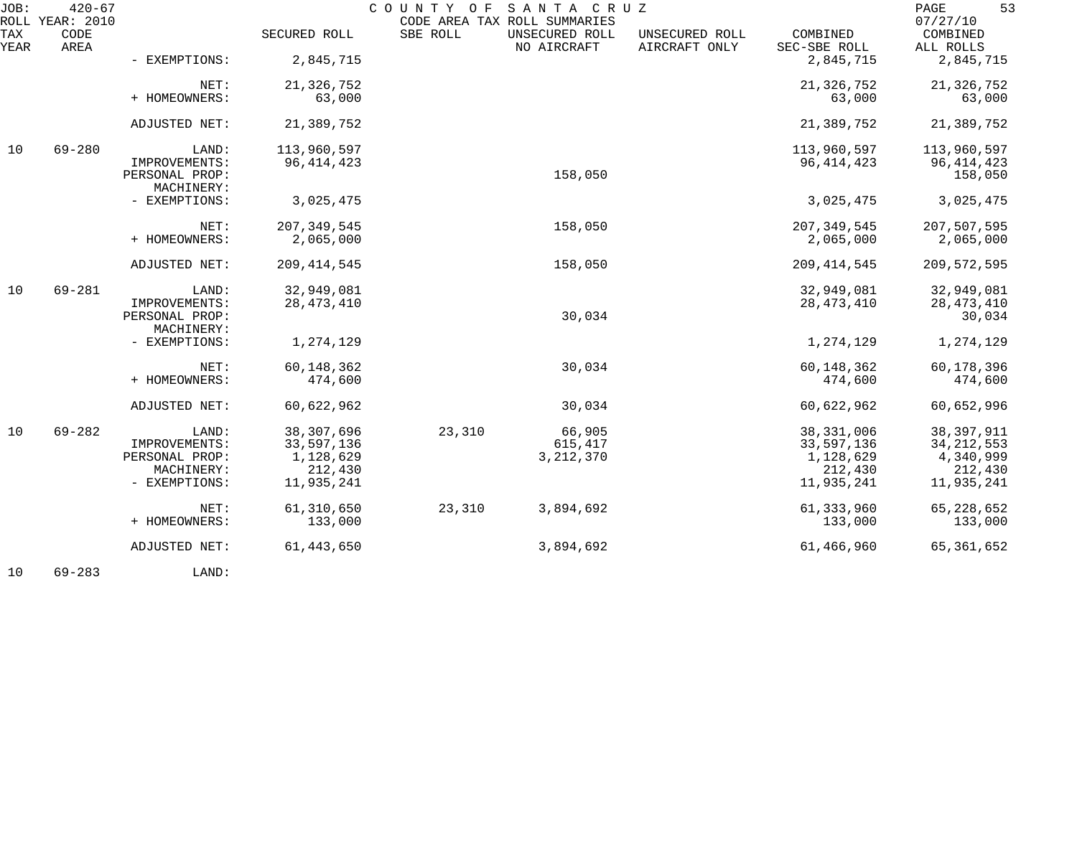| JOB:        | $420 - 67$<br>ROLL YEAR: 2010 |                                 |               | COUNTY OF SANTA CRUZ<br>CODE AREA TAX ROLL SUMMARIES |                               |                                 |                          | 53<br>PAGE<br>07/27/10  |
|-------------|-------------------------------|---------------------------------|---------------|------------------------------------------------------|-------------------------------|---------------------------------|--------------------------|-------------------------|
| TAX<br>YEAR | CODE<br>AREA                  |                                 | SECURED ROLL  | SBE ROLL                                             | UNSECURED ROLL<br>NO AIRCRAFT | UNSECURED ROLL<br>AIRCRAFT ONLY | COMBINED<br>SEC-SBE ROLL | COMBINED<br>ALL ROLLS   |
|             |                               | - EXEMPTIONS:                   | 2,845,715     |                                                      |                               |                                 | 2,845,715                | 2,845,715               |
|             |                               | NET:                            | 21, 326, 752  |                                                      |                               |                                 | 21,326,752               | 21, 326, 752            |
|             |                               | + HOMEOWNERS:                   | 63,000        |                                                      |                               |                                 | 63,000                   | 63,000                  |
|             |                               | ADJUSTED NET:                   | 21,389,752    |                                                      |                               |                                 | 21,389,752               | 21,389,752              |
| 10          | $69 - 280$                    | LAND:                           | 113,960,597   |                                                      |                               |                                 | 113,960,597              | 113,960,597             |
|             |                               | IMPROVEMENTS:<br>PERSONAL PROP: | 96, 414, 423  |                                                      | 158,050                       |                                 | 96, 414, 423             | 96, 414, 423<br>158,050 |
|             |                               | MACHINERY:                      |               |                                                      |                               |                                 |                          |                         |
|             |                               | - EXEMPTIONS:                   | 3,025,475     |                                                      |                               |                                 | 3,025,475                | 3,025,475               |
|             |                               | NET:                            | 207, 349, 545 |                                                      | 158,050                       |                                 | 207, 349, 545            | 207,507,595             |
|             |                               | + HOMEOWNERS:                   | 2,065,000     |                                                      |                               |                                 | 2,065,000                | 2,065,000               |
|             |                               | ADJUSTED NET:                   | 209, 414, 545 |                                                      | 158,050                       |                                 | 209, 414, 545            | 209, 572, 595           |
| 10          | $69 - 281$                    | LAND:                           | 32,949,081    |                                                      |                               |                                 | 32,949,081               | 32,949,081              |
|             |                               | IMPROVEMENTS:                   | 28, 473, 410  |                                                      |                               |                                 | 28, 473, 410             | 28, 473, 410            |
|             |                               | PERSONAL PROP:<br>MACHINERY:    |               |                                                      | 30,034                        |                                 |                          | 30,034                  |
|             |                               | - EXEMPTIONS:                   | 1,274,129     |                                                      |                               |                                 | 1,274,129                | 1,274,129               |
|             |                               | NET:                            | 60, 148, 362  |                                                      | 30,034                        |                                 | 60, 148, 362             | 60,178,396              |
|             |                               | + HOMEOWNERS:                   | 474,600       |                                                      |                               |                                 | 474,600                  | 474,600                 |
|             |                               | ADJUSTED NET:                   | 60,622,962    |                                                      | 30,034                        |                                 | 60,622,962               | 60,652,996              |
| 10          | $69 - 282$                    | LAND:                           | 38, 307, 696  | 23,310                                               | 66,905                        |                                 | 38, 331, 006             | 38, 397, 911            |
|             |                               | IMPROVEMENTS:                   | 33,597,136    |                                                      | 615,417                       |                                 | 33,597,136               | 34, 212, 553            |
|             |                               | PERSONAL PROP:                  | 1,128,629     |                                                      | 3, 212, 370                   |                                 | 1,128,629                | 4,340,999               |
|             |                               | MACHINERY:                      | 212,430       |                                                      |                               |                                 | 212,430                  | 212,430                 |
|             |                               | - EXEMPTIONS:                   | 11,935,241    |                                                      |                               |                                 | 11,935,241               | 11,935,241              |
|             |                               | NET:                            | 61,310,650    | 23,310                                               | 3,894,692                     |                                 | 61, 333, 960             | 65, 228, 652            |
|             |                               | + HOMEOWNERS:                   | 133,000       |                                                      |                               |                                 | 133,000                  | 133,000                 |
|             |                               | ADJUSTED NET:                   | 61, 443, 650  |                                                      | 3,894,692                     |                                 | 61,466,960               | 65, 361, 652            |
|             |                               |                                 |               |                                                      |                               |                                 |                          |                         |

10 69-283 LAND: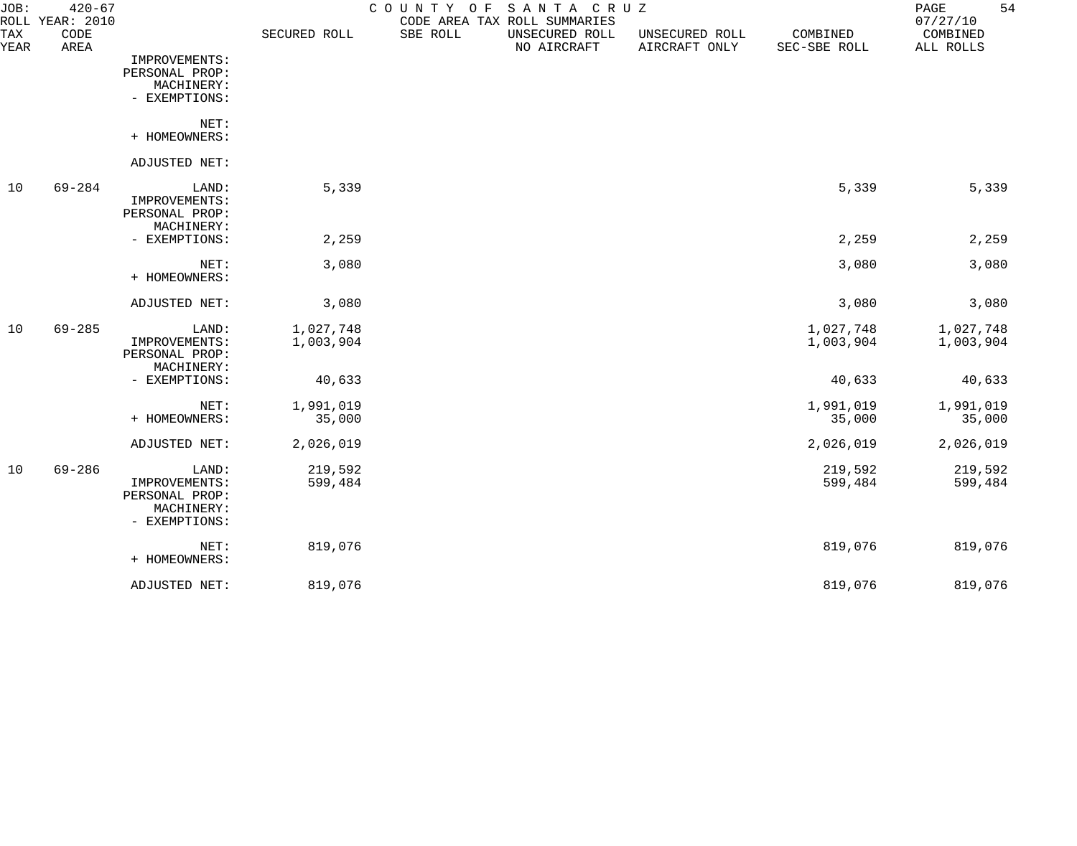| JOB:<br>TAX | $420 - 67$<br>ROLL YEAR: 2010<br>CODE |                                                                         | SECURED ROLL           | COUNTY<br>O F<br>SBE ROLL | SANTA CRUZ<br>CODE AREA TAX ROLL SUMMARIES |                                 | COMBINED               | 54<br>$\mathop{\mathrm{PAGE}}$<br>07/27/10<br>COMBINED |
|-------------|---------------------------------------|-------------------------------------------------------------------------|------------------------|---------------------------|--------------------------------------------|---------------------------------|------------------------|--------------------------------------------------------|
| YEAR        | AREA                                  |                                                                         |                        |                           | UNSECURED ROLL<br>NO AIRCRAFT              | UNSECURED ROLL<br>AIRCRAFT ONLY | SEC-SBE ROLL           | ALL ROLLS                                              |
|             |                                       | IMPROVEMENTS:<br>PERSONAL PROP:<br>MACHINERY:                           |                        |                           |                                            |                                 |                        |                                                        |
|             |                                       | - EXEMPTIONS:                                                           |                        |                           |                                            |                                 |                        |                                                        |
|             |                                       | NET:<br>+ HOMEOWNERS:                                                   |                        |                           |                                            |                                 |                        |                                                        |
|             |                                       | ADJUSTED NET:                                                           |                        |                           |                                            |                                 |                        |                                                        |
| 10          | $69 - 284$                            | LAND:<br>IMPROVEMENTS:<br>PERSONAL PROP:                                | 5,339                  |                           |                                            |                                 | 5,339                  | 5,339                                                  |
|             |                                       | MACHINERY:<br>- EXEMPTIONS:                                             | 2,259                  |                           |                                            |                                 | 2,259                  | 2,259                                                  |
|             |                                       |                                                                         |                        |                           |                                            |                                 |                        |                                                        |
|             |                                       | NET:<br>+ HOMEOWNERS:                                                   | 3,080                  |                           |                                            |                                 | 3,080                  | 3,080                                                  |
|             |                                       | ADJUSTED NET:                                                           | 3,080                  |                           |                                            |                                 | 3,080                  | 3,080                                                  |
| 10          | $69 - 285$                            | LAND:<br>IMPROVEMENTS:<br>PERSONAL PROP:                                | 1,027,748<br>1,003,904 |                           |                                            |                                 | 1,027,748<br>1,003,904 | 1,027,748<br>1,003,904                                 |
|             |                                       | MACHINERY:<br>- EXEMPTIONS:                                             | 40,633                 |                           |                                            |                                 | 40,633                 | 40,633                                                 |
|             |                                       | NET:<br>+ HOMEOWNERS:                                                   | 1,991,019<br>35,000    |                           |                                            |                                 | 1,991,019<br>35,000    | 1,991,019<br>35,000                                    |
|             |                                       | ADJUSTED NET:                                                           | 2,026,019              |                           |                                            |                                 | 2,026,019              | 2,026,019                                              |
| 10          | $69 - 286$                            | LAND:<br>IMPROVEMENTS:<br>PERSONAL PROP:<br>MACHINERY:<br>- EXEMPTIONS: | 219,592<br>599,484     |                           |                                            |                                 | 219,592<br>599,484     | 219,592<br>599,484                                     |
|             |                                       | NET:<br>+ HOMEOWNERS:                                                   | 819,076                |                           |                                            |                                 | 819,076                | 819,076                                                |
|             |                                       | ADJUSTED NET:                                                           | 819,076                |                           |                                            |                                 | 819,076                | 819,076                                                |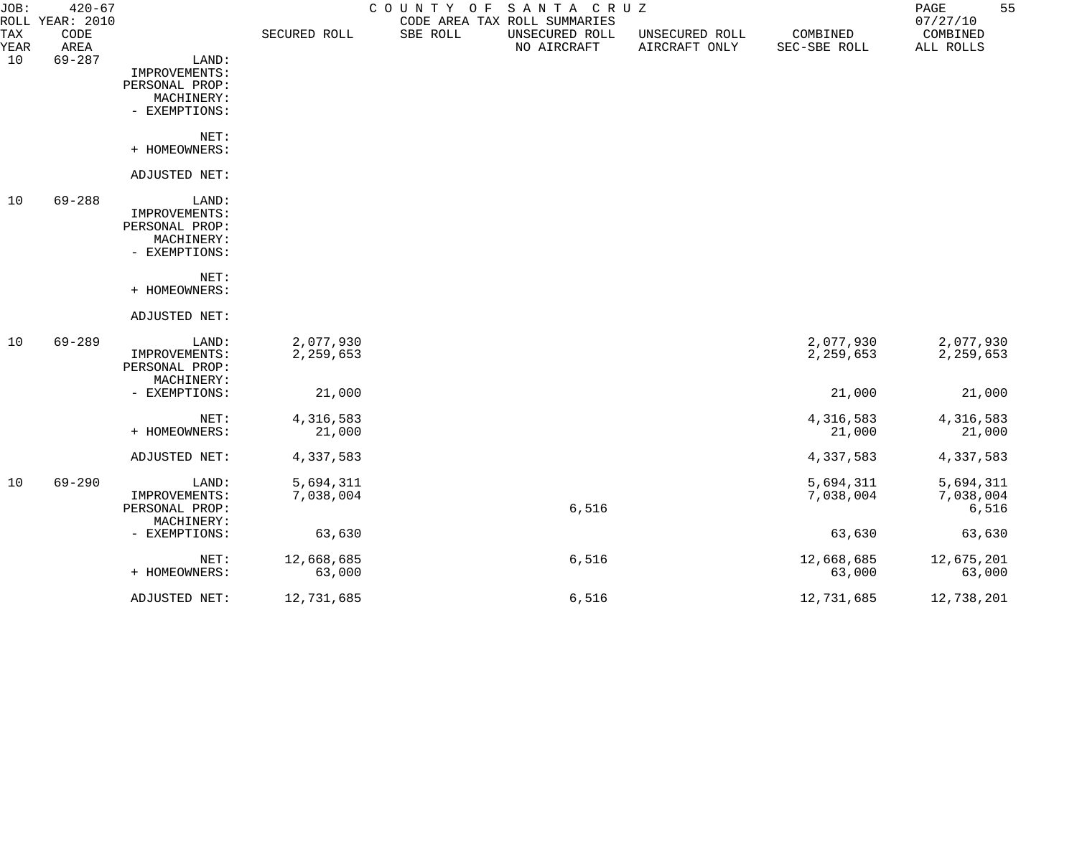| JOB:               | $420 - 67$<br>ROLL YEAR: 2010 |                                               |              |          | COUNTY OF SANTA CRUZ<br>CODE AREA TAX ROLL SUMMARIES |                                 |                          | 55<br>$\mathop{\mathrm{PAGE}}$<br>07/27/10 |
|--------------------|-------------------------------|-----------------------------------------------|--------------|----------|------------------------------------------------------|---------------------------------|--------------------------|--------------------------------------------|
| <b>TAX</b><br>YEAR | CODE<br>AREA                  |                                               | SECURED ROLL | SBE ROLL | UNSECURED ROLL<br>NO AIRCRAFT                        | UNSECURED ROLL<br>AIRCRAFT ONLY | COMBINED<br>SEC-SBE ROLL | COMBINED<br>ALL ROLLS                      |
| 10                 | $69 - 287$                    | LAND:<br>IMPROVEMENTS:                        |              |          |                                                      |                                 |                          |                                            |
|                    |                               | PERSONAL PROP:<br>MACHINERY:<br>- EXEMPTIONS: |              |          |                                                      |                                 |                          |                                            |
|                    |                               | NET:<br>+ HOMEOWNERS:                         |              |          |                                                      |                                 |                          |                                            |
|                    |                               | ADJUSTED NET:                                 |              |          |                                                      |                                 |                          |                                            |
| 10                 | $69 - 288$                    | LAND:                                         |              |          |                                                      |                                 |                          |                                            |
|                    |                               | IMPROVEMENTS:<br>PERSONAL PROP:               |              |          |                                                      |                                 |                          |                                            |
|                    |                               | MACHINERY:<br>- EXEMPTIONS:                   |              |          |                                                      |                                 |                          |                                            |
|                    |                               | NET:<br>+ HOMEOWNERS:                         |              |          |                                                      |                                 |                          |                                            |
|                    |                               | ADJUSTED NET:                                 |              |          |                                                      |                                 |                          |                                            |
| 10                 | $69 - 289$                    | LAND:                                         | 2,077,930    |          |                                                      |                                 | 2,077,930                | 2,077,930                                  |
|                    |                               | IMPROVEMENTS:<br>PERSONAL PROP:<br>MACHINERY: | 2,259,653    |          |                                                      |                                 | 2,259,653                | 2,259,653                                  |
|                    |                               | - EXEMPTIONS:                                 | 21,000       |          |                                                      |                                 | 21,000                   | 21,000                                     |
|                    |                               | NET:                                          | 4,316,583    |          |                                                      |                                 | 4,316,583                | 4,316,583                                  |
|                    |                               | + HOMEOWNERS:                                 | 21,000       |          |                                                      |                                 | 21,000                   | 21,000                                     |
|                    |                               | ADJUSTED NET:                                 | 4,337,583    |          |                                                      |                                 | 4,337,583                | 4,337,583                                  |
| 10                 | 69-290                        | LAND:                                         | 5,694,311    |          |                                                      |                                 | 5,694,311                | 5,694,311                                  |
|                    |                               | IMPROVEMENTS:<br>PERSONAL PROP:<br>MACHINERY: | 7,038,004    |          | $6,516$                                              |                                 | 7,038,004                | 7,038,004<br>6,516                         |
|                    |                               | - EXEMPTIONS:                                 | 63,630       |          |                                                      |                                 | 63,630                   | 63,630                                     |
|                    |                               | NET:                                          | 12,668,685   |          | 6,516                                                |                                 | 12,668,685               | 12,675,201                                 |
|                    |                               | + HOMEOWNERS:                                 | 63,000       |          |                                                      |                                 | 63,000                   | 63,000                                     |
|                    |                               | ADJUSTED NET:                                 | 12,731,685   |          | 6,516                                                |                                 | 12,731,685               | 12,738,201                                 |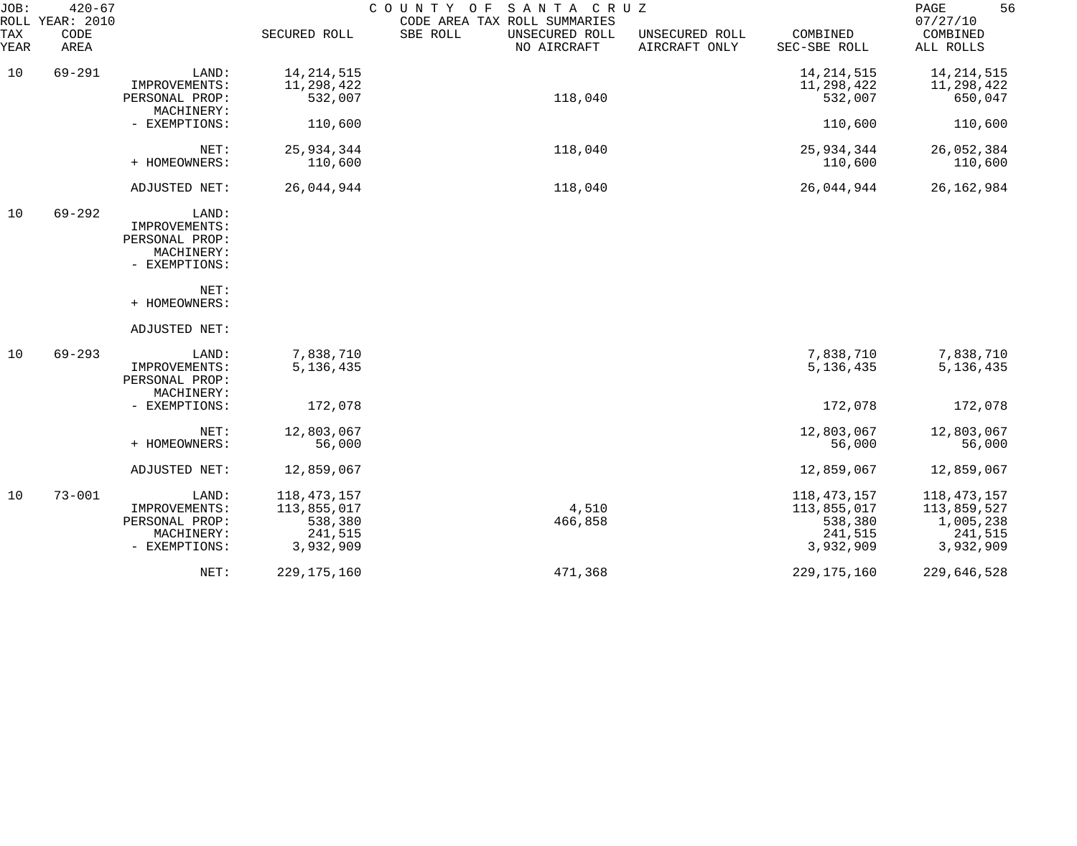| JOB:        | $420 - 67$<br>ROLL YEAR: 2010 |                                                                         |                                                                 | COUNTY OF SANTA CRUZ<br>CODE AREA TAX ROLL SUMMARIES |                                 |                                                               | 56<br>PAGE<br>07/27/10                                          |
|-------------|-------------------------------|-------------------------------------------------------------------------|-----------------------------------------------------------------|------------------------------------------------------|---------------------------------|---------------------------------------------------------------|-----------------------------------------------------------------|
| TAX<br>YEAR | CODE<br>AREA                  |                                                                         | SECURED ROLL                                                    | SBE ROLL<br>UNSECURED ROLL<br>NO AIRCRAFT            | UNSECURED ROLL<br>AIRCRAFT ONLY | COMBINED<br>SEC-SBE ROLL                                      | COMBINED<br>ALL ROLLS                                           |
| 10          | $69 - 291$                    | LAND:<br>IMPROVEMENTS:<br>PERSONAL PROP:<br>MACHINERY:                  | 14, 214, 515<br>11,298,422<br>532,007                           | 118,040                                              |                                 | 14, 214, 515<br>11,298,422<br>532,007                         | 14, 214, 515<br>11,298,422<br>650,047                           |
|             |                               | - EXEMPTIONS:                                                           | 110,600                                                         |                                                      |                                 | 110,600                                                       | 110,600                                                         |
|             |                               | NET:<br>+ HOMEOWNERS:                                                   | 25,934,344<br>110,600                                           | 118,040                                              |                                 | 25,934,344<br>110,600                                         | 26,052,384<br>110,600                                           |
|             |                               | ADJUSTED NET:                                                           | 26,044,944                                                      | 118,040                                              |                                 | 26,044,944                                                    | 26, 162, 984                                                    |
| 10          | $69 - 292$                    | LAND:<br>IMPROVEMENTS:<br>PERSONAL PROP:<br>MACHINERY:<br>- EXEMPTIONS: |                                                                 |                                                      |                                 |                                                               |                                                                 |
|             |                               | NET:<br>+ HOMEOWNERS:                                                   |                                                                 |                                                      |                                 |                                                               |                                                                 |
|             |                               | ADJUSTED NET:                                                           |                                                                 |                                                      |                                 |                                                               |                                                                 |
| 10          | $69 - 293$                    | LAND:<br>IMPROVEMENTS:<br>PERSONAL PROP:<br>MACHINERY:                  | 7,838,710<br>5, 136, 435                                        |                                                      |                                 | 7,838,710<br>5, 136, 435                                      | 7,838,710<br>5, 136, 435                                        |
|             |                               | - EXEMPTIONS:                                                           | 172,078                                                         |                                                      |                                 | 172,078                                                       | 172,078                                                         |
|             |                               | NET:<br>+ HOMEOWNERS:                                                   | 12,803,067<br>56,000                                            |                                                      |                                 | 12,803,067<br>56,000                                          | 12,803,067<br>56,000                                            |
|             |                               | ADJUSTED NET:                                                           | 12,859,067                                                      |                                                      |                                 | 12,859,067                                                    | 12,859,067                                                      |
| 10          | $73 - 001$                    | LAND:<br>IMPROVEMENTS:<br>PERSONAL PROP:<br>MACHINERY:<br>- EXEMPTIONS: | 118, 473, 157<br>113,855,017<br>538,380<br>241,515<br>3,932,909 | 4,510<br>466,858                                     |                                 | 118,473,157<br>113,855,017<br>538,380<br>241,515<br>3,932,909 | 118,473,157<br>113,859,527<br>1,005,238<br>241,515<br>3,932,909 |
|             |                               | NET:                                                                    | 229, 175, 160                                                   | 471,368                                              |                                 | 229, 175, 160                                                 | 229,646,528                                                     |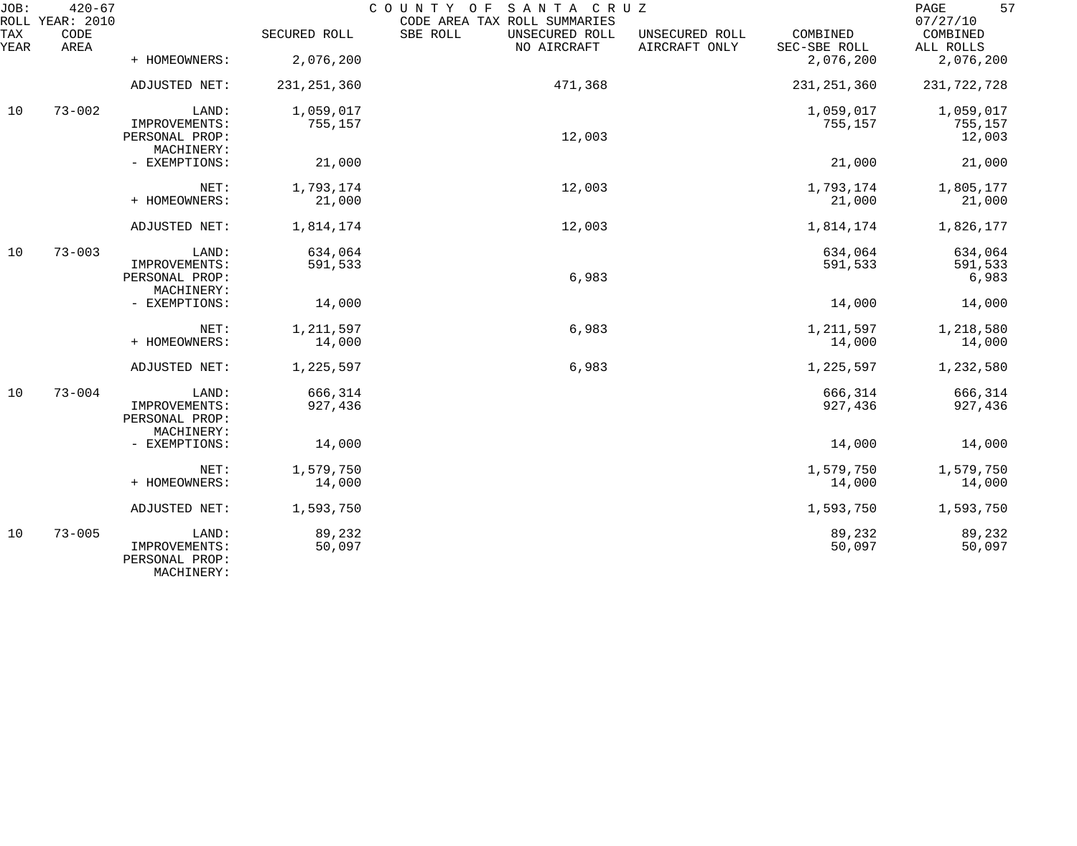| JOB:        | $420 - 67$<br>ROLL YEAR: 2010 |                                                        |                  | COUNTY OF<br>SANTA CRUZ<br>CODE AREA TAX ROLL SUMMARIES |                                 |                          | 57<br>$\mathop{\mathrm{PAGE}}$<br>07/27/10 |
|-------------|-------------------------------|--------------------------------------------------------|------------------|---------------------------------------------------------|---------------------------------|--------------------------|--------------------------------------------|
| TAX<br>YEAR | CODE<br>AREA                  |                                                        | SECURED ROLL     | SBE ROLL<br>UNSECURED ROLL<br>NO AIRCRAFT               | UNSECURED ROLL<br>AIRCRAFT ONLY | COMBINED<br>SEC-SBE ROLL | COMBINED<br>ALL ROLLS                      |
|             |                               | + HOMEOWNERS:                                          | 2,076,200        |                                                         |                                 | 2,076,200                | 2,076,200                                  |
|             |                               | ADJUSTED NET:                                          | 231, 251, 360    | 471,368                                                 |                                 | 231, 251, 360            | 231,722,728                                |
| 10          | $73 - 002$                    | LAND:                                                  | 1,059,017        |                                                         |                                 | 1,059,017                | 1,059,017                                  |
|             |                               | IMPROVEMENTS:<br>PERSONAL PROP:<br>MACHINERY:          | 755,157          | 12,003                                                  |                                 | 755,157                  | 755,157<br>12,003                          |
|             |                               | - EXEMPTIONS:                                          | 21,000           |                                                         |                                 | 21,000                   | 21,000                                     |
|             |                               | NET:                                                   | 1,793,174        | 12,003                                                  |                                 | 1,793,174                | 1,805,177                                  |
|             |                               | + HOMEOWNERS:                                          | 21,000           |                                                         |                                 | 21,000                   | 21,000                                     |
|             |                               | ADJUSTED NET:                                          | 1,814,174        | 12,003                                                  |                                 | 1,814,174                | 1,826,177                                  |
| 10          | $73 - 003$                    | LAND:                                                  | 634,064          |                                                         |                                 | 634,064                  | 634,064                                    |
|             |                               | IMPROVEMENTS:<br>PERSONAL PROP:<br>MACHINERY:          | 591,533          | 6,983                                                   |                                 | 591,533                  | 591,533<br>6,983                           |
|             |                               | - EXEMPTIONS:                                          | 14,000           |                                                         |                                 | 14,000                   | 14,000                                     |
|             |                               | NET:                                                   | 1,211,597        | 6,983                                                   |                                 | 1,211,597                | 1,218,580                                  |
|             |                               | + HOMEOWNERS:                                          | 14,000           |                                                         |                                 | 14,000                   | 14,000                                     |
|             |                               | ADJUSTED NET:                                          | 1,225,597        | 6,983                                                   |                                 | 1,225,597                | 1,232,580                                  |
| 10          | $73 - 004$                    | LAND:                                                  | 666,314          |                                                         |                                 | 666,314                  | 666,314                                    |
|             |                               | IMPROVEMENTS:<br>PERSONAL PROP:<br>MACHINERY:          | 927,436          |                                                         |                                 | 927,436                  | 927,436                                    |
|             |                               | - EXEMPTIONS:                                          | 14,000           |                                                         |                                 | 14,000                   | 14,000                                     |
|             |                               | NET:                                                   | 1,579,750        |                                                         |                                 | 1,579,750                | 1,579,750                                  |
|             |                               | + HOMEOWNERS:                                          | 14,000           |                                                         |                                 | 14,000                   | 14,000                                     |
|             |                               | ADJUSTED NET:                                          | 1,593,750        |                                                         |                                 | 1,593,750                | 1,593,750                                  |
| 10          | $73 - 005$                    | LAND:<br>IMPROVEMENTS:<br>PERSONAL PROP:<br>MACHINERY: | 89,232<br>50,097 |                                                         |                                 | 89,232<br>50,097         | 89,232<br>50,097                           |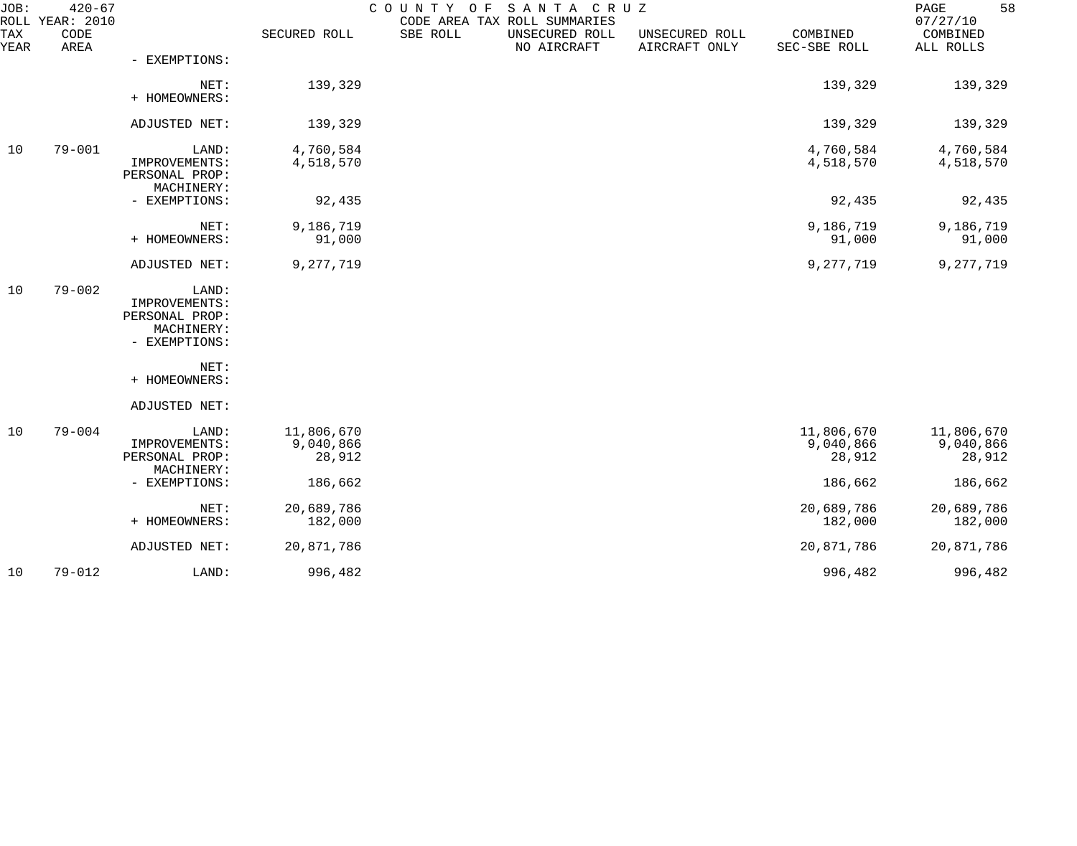| JOB:<br>ROLL       | $420 - 67$<br><b>YEAR: 2010</b> |                                                                         |                                   | SANTA CRUZ<br>COUNTY OF<br>CODE AREA TAX ROLL SUMMARIES |                                 |                                   | 58<br>PAGE<br>07/27/10            |
|--------------------|---------------------------------|-------------------------------------------------------------------------|-----------------------------------|---------------------------------------------------------|---------------------------------|-----------------------------------|-----------------------------------|
| <b>TAX</b><br>YEAR | CODE<br>AREA                    |                                                                         | SECURED ROLL                      | SBE ROLL<br>UNSECURED ROLL<br>NO AIRCRAFT               | UNSECURED ROLL<br>AIRCRAFT ONLY | COMBINED<br>SEC-SBE ROLL          | COMBINED<br>ALL ROLLS             |
|                    |                                 | - EXEMPTIONS:                                                           |                                   |                                                         |                                 |                                   |                                   |
|                    |                                 | NET:<br>+ HOMEOWNERS:                                                   | 139,329                           |                                                         |                                 | 139,329                           | 139,329                           |
|                    |                                 | ADJUSTED NET:                                                           | 139,329                           |                                                         |                                 | 139,329                           | 139,329                           |
| 10                 | $79 - 001$                      | LAND:<br>IMPROVEMENTS:<br>PERSONAL PROP:<br>MACHINERY:                  | 4,760,584<br>4,518,570            |                                                         |                                 | 4,760,584<br>4,518,570            | 4,760,584<br>4,518,570            |
|                    |                                 | - EXEMPTIONS:                                                           | 92,435                            |                                                         |                                 | 92,435                            | 92,435                            |
|                    |                                 | NET:<br>+ HOMEOWNERS:                                                   | 9,186,719<br>91,000               |                                                         |                                 | 9,186,719<br>91,000               | 9,186,719<br>91,000               |
|                    |                                 | ADJUSTED NET:                                                           | 9,277,719                         |                                                         |                                 | 9,277,719                         | 9,277,719                         |
| 10                 | $79 - 002$                      | LAND:<br>IMPROVEMENTS:<br>PERSONAL PROP:<br>MACHINERY:<br>- EXEMPTIONS: |                                   |                                                         |                                 |                                   |                                   |
|                    |                                 | NET:<br>+ HOMEOWNERS:                                                   |                                   |                                                         |                                 |                                   |                                   |
|                    |                                 | ADJUSTED NET:                                                           |                                   |                                                         |                                 |                                   |                                   |
| 10                 | $79 - 004$                      | LAND:<br>IMPROVEMENTS:<br>PERSONAL PROP:<br>MACHINERY:                  | 11,806,670<br>9,040,866<br>28,912 |                                                         |                                 | 11,806,670<br>9,040,866<br>28,912 | 11,806,670<br>9,040,866<br>28,912 |
|                    |                                 | - EXEMPTIONS:                                                           | 186,662                           |                                                         |                                 | 186,662                           | 186,662                           |
|                    |                                 | NET:<br>+ HOMEOWNERS:                                                   | 20,689,786<br>182,000             |                                                         |                                 | 20,689,786<br>182,000             | 20,689,786<br>182,000             |
|                    |                                 | ADJUSTED NET:                                                           | 20,871,786                        |                                                         |                                 | 20,871,786                        | 20,871,786                        |
| 10                 | $79 - 012$                      | LAND:                                                                   | 996,482                           |                                                         |                                 | 996,482                           | 996,482                           |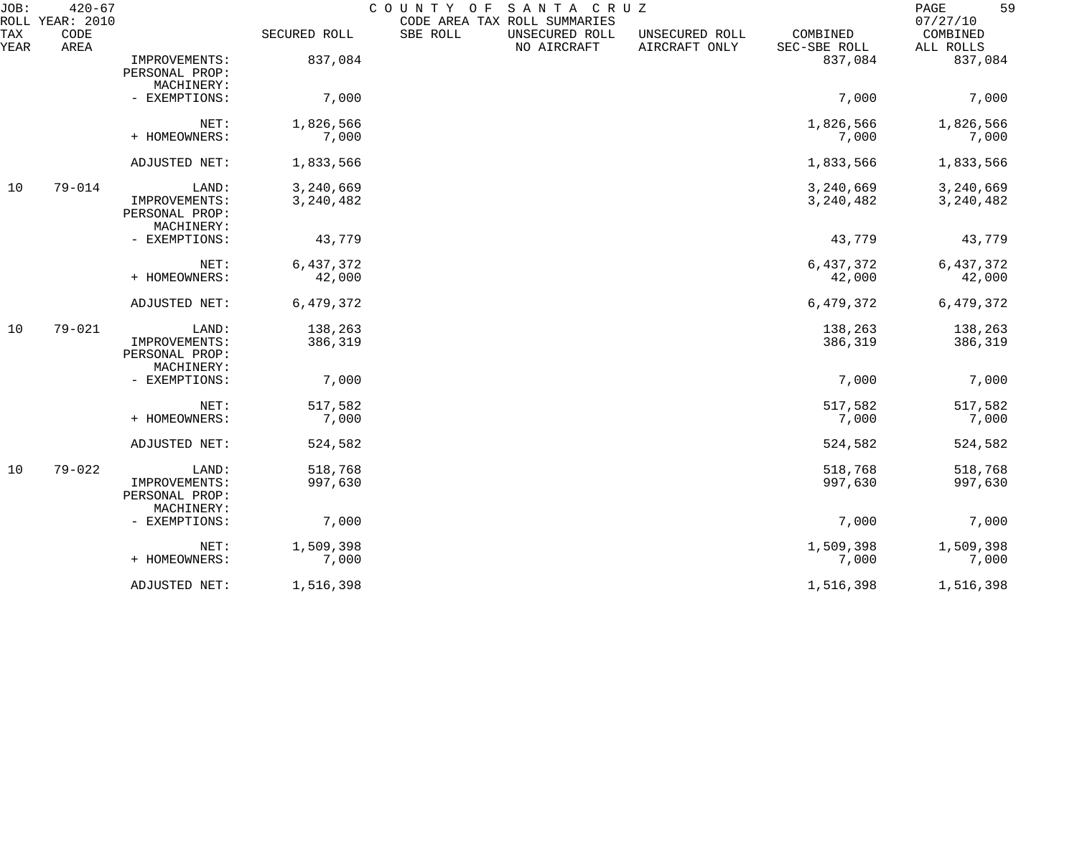| JOB:<br>ROLL       | $420 - 67$<br>YEAR: 2010 |                                                        |                        | COUNTY OF | SANTA CRUZ<br>CODE AREA TAX ROLL SUMMARIES |                                 |                          | 59<br>PAGE<br>07/27/10   |
|--------------------|--------------------------|--------------------------------------------------------|------------------------|-----------|--------------------------------------------|---------------------------------|--------------------------|--------------------------|
| <b>TAX</b><br>YEAR | CODE<br>AREA             |                                                        | SECURED ROLL           | SBE ROLL  | UNSECURED ROLL<br>NO AIRCRAFT              | UNSECURED ROLL<br>AIRCRAFT ONLY | COMBINED<br>SEC-SBE ROLL | COMBINED<br>ALL ROLLS    |
|                    |                          | IMPROVEMENTS:<br>PERSONAL PROP:<br>MACHINERY:          | 837,084                |           |                                            |                                 | 837,084                  | 837,084                  |
|                    |                          | - EXEMPTIONS:                                          | 7,000                  |           |                                            |                                 | 7,000                    | 7,000                    |
|                    |                          | NET:<br>+ HOMEOWNERS:                                  | 1,826,566<br>7,000     |           |                                            |                                 | 1,826,566<br>7,000       | 1,826,566<br>7,000       |
|                    |                          | ADJUSTED NET:                                          | 1,833,566              |           |                                            |                                 | 1,833,566                | 1,833,566                |
| 10                 | $79 - 014$               | LAND:<br>IMPROVEMENTS:<br>PERSONAL PROP:<br>MACHINERY: | 3,240,669<br>3,240,482 |           |                                            |                                 | 3,240,669<br>3,240,482   | 3,240,669<br>3, 240, 482 |
|                    |                          | - EXEMPTIONS:                                          | 43,779                 |           |                                            |                                 | 43,779                   | 43,779                   |
|                    |                          | NET:<br>+ HOMEOWNERS:                                  | 6,437,372<br>42,000    |           |                                            |                                 | 6,437,372<br>42,000      | 6,437,372<br>42,000      |
|                    |                          | ADJUSTED NET:                                          | 6,479,372              |           |                                            |                                 | 6,479,372                | 6,479,372                |
| 10                 | $79 - 021$               | LAND:<br>IMPROVEMENTS:<br>PERSONAL PROP:<br>MACHINERY: | 138,263<br>386,319     |           |                                            |                                 | 138,263<br>386,319       | 138,263<br>386,319       |
|                    |                          | - EXEMPTIONS:                                          | 7,000                  |           |                                            |                                 | 7,000                    | 7,000                    |
|                    |                          | NET:<br>+ HOMEOWNERS:                                  | 517,582<br>7,000       |           |                                            |                                 | 517,582<br>7,000         | 517,582<br>7,000         |
|                    |                          | ADJUSTED NET:                                          | 524,582                |           |                                            |                                 | 524,582                  | 524,582                  |
| 10                 | $79 - 022$               | LAND:<br>IMPROVEMENTS:<br>PERSONAL PROP:<br>MACHINERY: | 518,768<br>997,630     |           |                                            |                                 | 518,768<br>997,630       | 518,768<br>997,630       |
|                    |                          | - EXEMPTIONS:                                          | 7,000                  |           |                                            |                                 | 7,000                    | 7,000                    |
|                    |                          | NET:<br>+ HOMEOWNERS:                                  | 1,509,398<br>7,000     |           |                                            |                                 | 1,509,398<br>7,000       | 1,509,398<br>7,000       |
|                    |                          | ADJUSTED NET:                                          | 1,516,398              |           |                                            |                                 | 1,516,398                | 1,516,398                |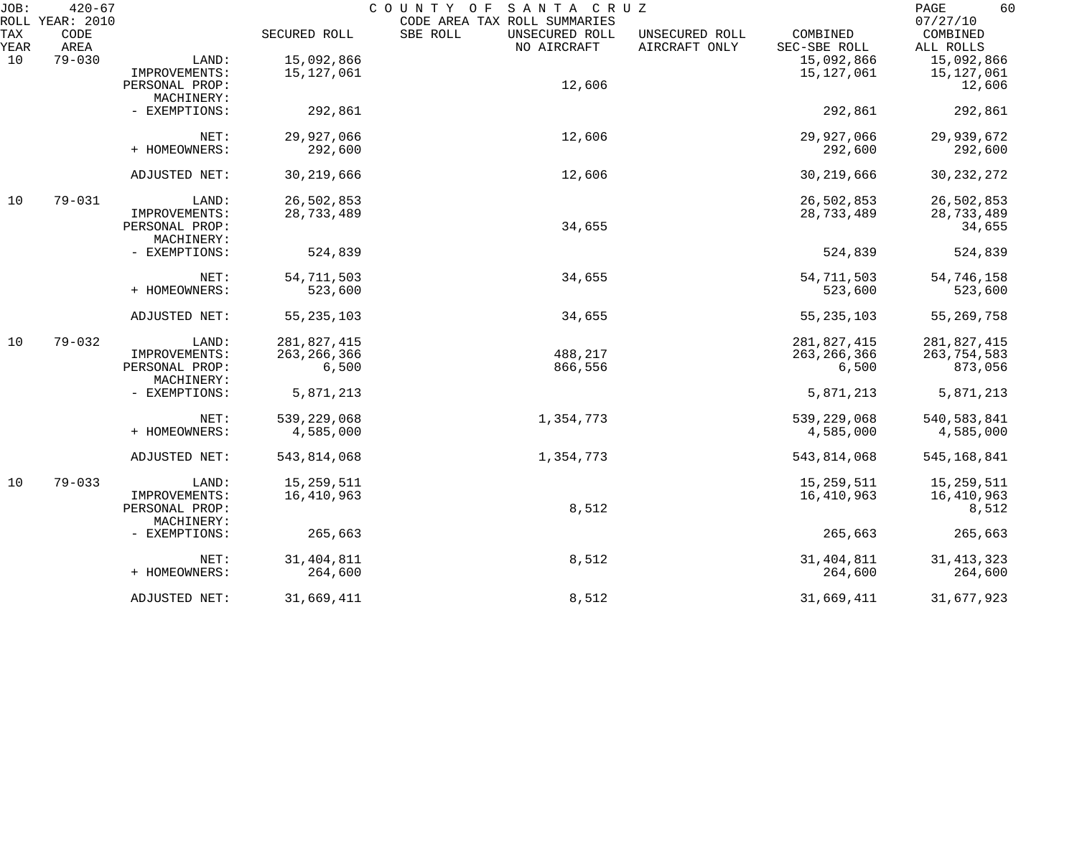| JOB:        | $420 - 67$<br>ROLL YEAR: 2010 |                |               | COUNTY OF<br>SANTA CRUZ<br>CODE AREA TAX ROLL SUMMARIES |                                 |                          | 60<br>PAGE<br>07/27/10 |
|-------------|-------------------------------|----------------|---------------|---------------------------------------------------------|---------------------------------|--------------------------|------------------------|
| TAX<br>YEAR | CODE<br>AREA                  |                | SECURED ROLL  | SBE ROLL<br>UNSECURED ROLL<br>NO AIRCRAFT               | UNSECURED ROLL<br>AIRCRAFT ONLY | COMBINED<br>SEC-SBE ROLL | COMBINED<br>ALL ROLLS  |
| 10          | $79 - 030$                    | LAND:          | 15,092,866    |                                                         |                                 | 15,092,866               | 15,092,866             |
|             |                               | IMPROVEMENTS:  | 15,127,061    |                                                         |                                 | 15,127,061               | 15, 127, 061           |
|             |                               | PERSONAL PROP: |               | 12,606                                                  |                                 |                          | 12,606                 |
|             |                               | MACHINERY:     |               |                                                         |                                 |                          |                        |
|             |                               |                |               |                                                         |                                 |                          |                        |
|             |                               | - EXEMPTIONS:  | 292,861       |                                                         |                                 | 292,861                  | 292,861                |
|             |                               | NET:           | 29,927,066    | 12,606                                                  |                                 | 29,927,066               | 29,939,672             |
|             |                               | + HOMEOWNERS:  | 292,600       |                                                         |                                 | 292,600                  | 292,600                |
|             |                               |                |               |                                                         |                                 |                          |                        |
|             |                               | ADJUSTED NET:  | 30, 219, 666  | 12,606                                                  |                                 | 30, 219, 666             | 30, 232, 272           |
| 10          | $79 - 031$                    | LAND:          | 26,502,853    |                                                         |                                 | 26,502,853               | 26,502,853             |
|             |                               | IMPROVEMENTS:  | 28,733,489    |                                                         |                                 | 28,733,489               | 28,733,489             |
|             |                               | PERSONAL PROP: |               | 34,655                                                  |                                 |                          | 34,655                 |
|             |                               | MACHINERY:     |               |                                                         |                                 |                          |                        |
|             |                               | - EXEMPTIONS:  | 524,839       |                                                         |                                 | 524,839                  | 524,839                |
|             |                               | NET:           | 54,711,503    | 34,655                                                  |                                 | 54,711,503               | 54,746,158             |
|             |                               | + HOMEOWNERS:  | 523,600       |                                                         |                                 | 523,600                  | 523,600                |
|             |                               |                |               |                                                         |                                 |                          |                        |
|             |                               | ADJUSTED NET:  | 55, 235, 103  | 34,655                                                  |                                 | 55, 235, 103             | 55, 269, 758           |
| 10          | $79 - 032$                    | LAND:          | 281,827,415   |                                                         |                                 | 281,827,415              | 281,827,415            |
|             |                               | IMPROVEMENTS:  | 263, 266, 366 | 488,217                                                 |                                 | 263, 266, 366            | 263,754,583            |
|             |                               | PERSONAL PROP: | 6,500         | 866,556                                                 |                                 | 6,500                    | 873,056                |
|             |                               | MACHINERY:     |               |                                                         |                                 |                          |                        |
|             |                               | - EXEMPTIONS:  | 5,871,213     |                                                         |                                 | 5,871,213                | 5,871,213              |
|             |                               | NET:           | 539, 229, 068 | 1,354,773                                               |                                 | 539,229,068              | 540, 583, 841          |
|             |                               | + HOMEOWNERS:  | 4,585,000     |                                                         |                                 | 4,585,000                | 4,585,000              |
|             |                               |                |               |                                                         |                                 |                          |                        |
|             |                               | ADJUSTED NET:  | 543,814,068   | 1,354,773                                               |                                 | 543,814,068              | 545, 168, 841          |
| 10          | $79 - 033$                    | LAND:          | 15, 259, 511  |                                                         |                                 | 15, 259, 511             | 15, 259, 511           |
|             |                               | IMPROVEMENTS:  | 16,410,963    |                                                         |                                 | 16,410,963               | 16,410,963             |
|             |                               | PERSONAL PROP: |               | 8,512                                                   |                                 |                          | 8,512                  |
|             |                               | MACHINERY:     |               |                                                         |                                 |                          |                        |
|             |                               | - EXEMPTIONS:  | 265,663       |                                                         |                                 | 265,663                  | 265,663                |
|             |                               | NET:           | 31, 404, 811  | 8,512                                                   |                                 | 31, 404, 811             | 31, 413, 323           |
|             |                               | + HOMEOWNERS:  | 264,600       |                                                         |                                 | 264,600                  | 264,600                |
|             |                               |                |               |                                                         |                                 |                          |                        |
|             |                               | ADJUSTED NET:  | 31,669,411    | 8,512                                                   |                                 | 31,669,411               | 31,677,923             |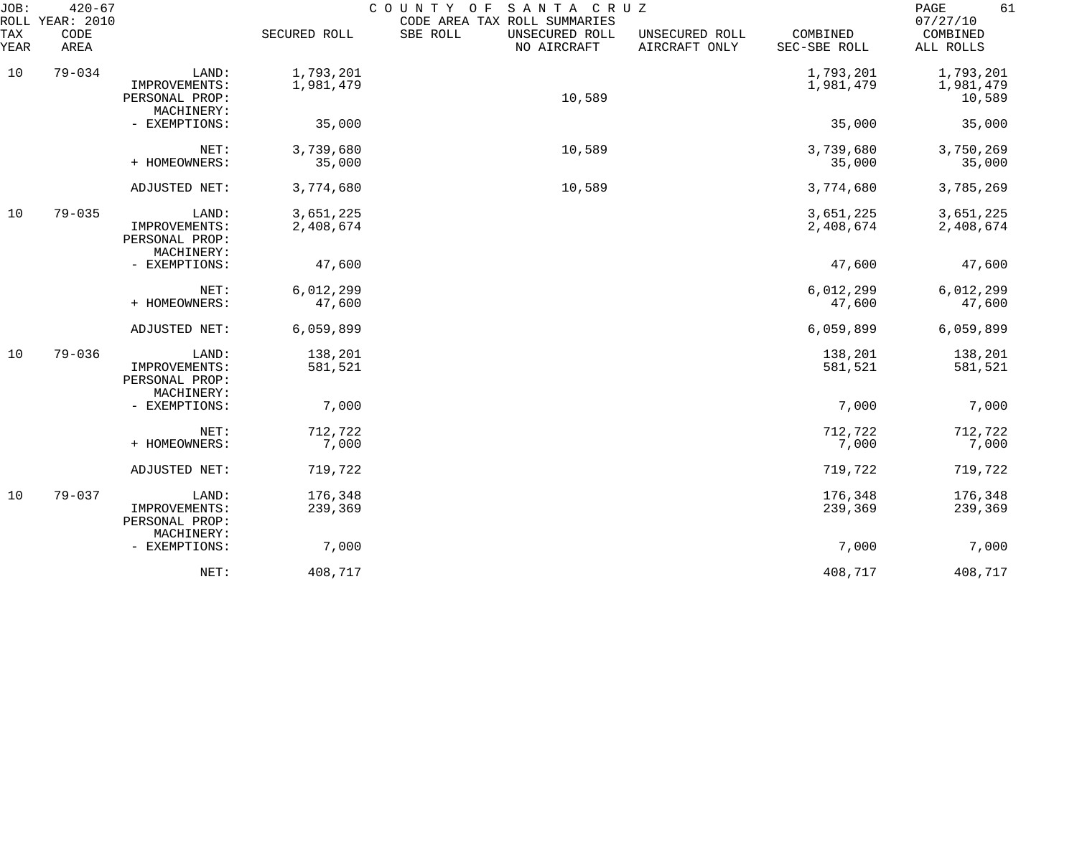| JOB:<br>ROLL | $420 - 67$<br><b>YEAR: 2010</b> |                                                        |                        | COUNTY<br>SANTA CRUZ<br>O F<br>CODE AREA TAX ROLL SUMMARIES |                                 |                          | 61<br>PAGE<br>07/27/10           |
|--------------|---------------------------------|--------------------------------------------------------|------------------------|-------------------------------------------------------------|---------------------------------|--------------------------|----------------------------------|
| TAX<br>YEAR  | CODE<br>AREA                    |                                                        | SECURED ROLL           | SBE ROLL<br>UNSECURED ROLL<br>NO AIRCRAFT                   | UNSECURED ROLL<br>AIRCRAFT ONLY | COMBINED<br>SEC-SBE ROLL | COMBINED<br>ALL ROLLS            |
| 10           | $79 - 034$                      | LAND:<br>IMPROVEMENTS:<br>PERSONAL PROP:               | 1,793,201<br>1,981,479 | 10,589                                                      |                                 | 1,793,201<br>1,981,479   | 1,793,201<br>1,981,479<br>10,589 |
|              |                                 | MACHINERY:<br>- EXEMPTIONS:                            | 35,000                 |                                                             |                                 | 35,000                   | 35,000                           |
|              |                                 | NET:<br>+ HOMEOWNERS:                                  | 3,739,680<br>35,000    | 10,589                                                      |                                 | 3,739,680<br>35,000      | 3,750,269<br>35,000              |
|              |                                 | ADJUSTED NET:                                          | 3,774,680              | 10,589                                                      |                                 | 3,774,680                | 3,785,269                        |
| 10           | $79 - 035$                      | LAND:<br>IMPROVEMENTS:<br>PERSONAL PROP:<br>MACHINERY: | 3,651,225<br>2,408,674 |                                                             |                                 | 3,651,225<br>2,408,674   | 3,651,225<br>2,408,674           |
|              |                                 | - EXEMPTIONS:                                          | 47,600                 |                                                             |                                 | 47,600                   | 47,600                           |
|              |                                 | NET:<br>+ HOMEOWNERS:                                  | 6,012,299<br>47,600    |                                                             |                                 | 6,012,299<br>47,600      | 6,012,299<br>47,600              |
|              |                                 | ADJUSTED NET:                                          | 6,059,899              |                                                             |                                 | 6,059,899                | 6,059,899                        |
| 10           | $79 - 036$                      | LAND:<br>IMPROVEMENTS:<br>PERSONAL PROP:<br>MACHINERY: | 138,201<br>581,521     |                                                             |                                 | 138,201<br>581,521       | 138,201<br>581,521               |
|              |                                 | - EXEMPTIONS:                                          | 7,000                  |                                                             |                                 | 7,000                    | 7,000                            |
|              |                                 | NET:<br>+ HOMEOWNERS:                                  | 712,722<br>7,000       |                                                             |                                 | 712,722<br>7,000         | 712,722<br>7,000                 |
|              |                                 | ADJUSTED NET:                                          | 719,722                |                                                             |                                 | 719,722                  | 719,722                          |
| 10           | $79 - 037$                      | LAND:<br>IMPROVEMENTS:<br>PERSONAL PROP:               | 176,348<br>239,369     |                                                             |                                 | 176,348<br>239,369       | 176,348<br>239,369               |
|              |                                 | MACHINERY:<br>- EXEMPTIONS:                            | 7,000                  |                                                             |                                 | 7,000                    | 7,000                            |
|              |                                 | NET:                                                   | 408,717                |                                                             |                                 | 408,717                  | 408,717                          |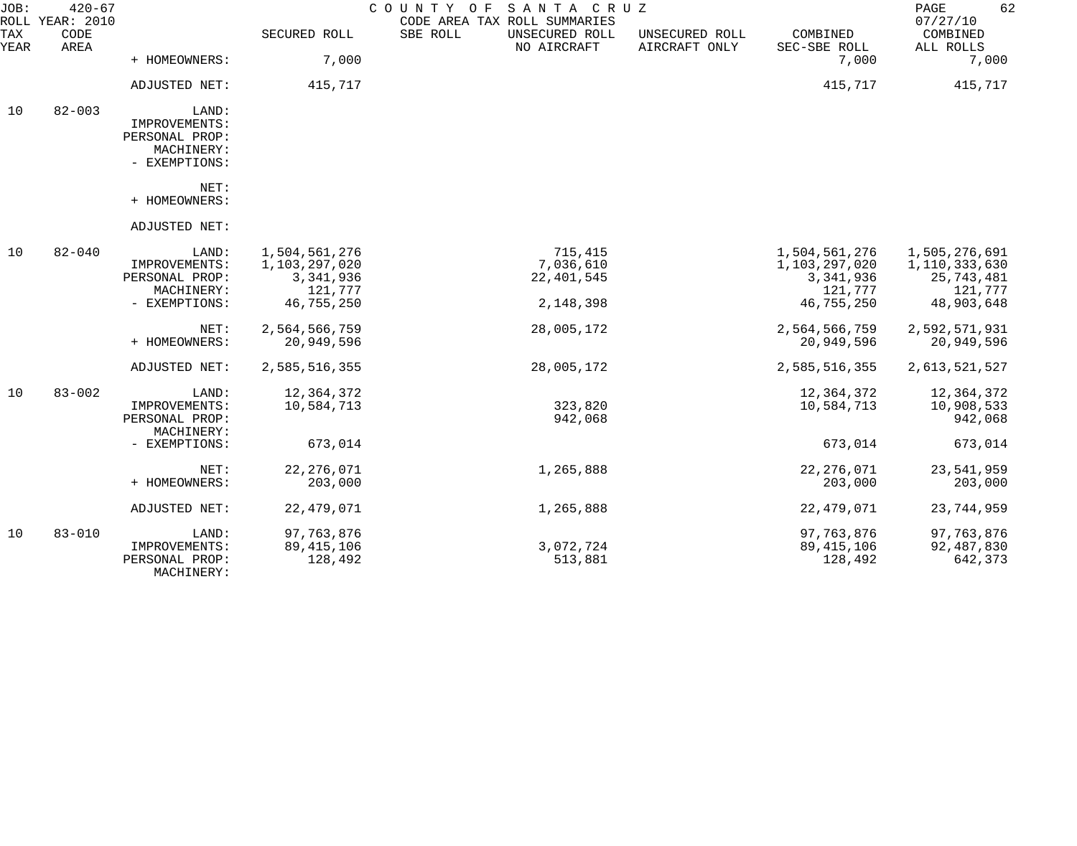| JOB:        | $420 - 67$<br>ROLL YEAR: 2010 |                                                                         |                                                        | COUNTY OF<br>SANTA CRUZ<br>CODE AREA TAX ROLL SUMMARIES |                                 |                                                          | 62<br>PAGE<br>07/27/10                                  |
|-------------|-------------------------------|-------------------------------------------------------------------------|--------------------------------------------------------|---------------------------------------------------------|---------------------------------|----------------------------------------------------------|---------------------------------------------------------|
| TAX<br>YEAR | CODE<br>AREA                  |                                                                         | SECURED ROLL                                           | SBE ROLL<br>UNSECURED ROLL<br>NO AIRCRAFT               | UNSECURED ROLL<br>AIRCRAFT ONLY | COMBINED<br>SEC-SBE ROLL                                 | COMBINED<br>ALL ROLLS                                   |
|             |                               | + HOMEOWNERS:                                                           | 7,000                                                  |                                                         |                                 | 7,000                                                    | 7,000                                                   |
|             |                               | ADJUSTED NET:                                                           | 415,717                                                |                                                         |                                 | 415,717                                                  | 415,717                                                 |
| 10          | $82 - 003$                    | LAND:<br>IMPROVEMENTS:<br>PERSONAL PROP:<br>MACHINERY:<br>- EXEMPTIONS: |                                                        |                                                         |                                 |                                                          |                                                         |
|             |                               | NET:<br>+ HOMEOWNERS:                                                   |                                                        |                                                         |                                 |                                                          |                                                         |
|             |                               | ADJUSTED NET:                                                           |                                                        |                                                         |                                 |                                                          |                                                         |
| 10          | $82 - 040$                    | LAND:<br>IMPROVEMENTS:<br>PERSONAL PROP:<br>MACHINERY:                  | 1,504,561,276<br>1,103,297,020<br>3,341,936<br>121,777 | 715,415<br>7,036,610<br>22, 401, 545                    |                                 | 1,504,561,276<br>1,103,297,020<br>3, 341, 936<br>121,777 | 1,505,276,691<br>1,110,333,630<br>25,743,481<br>121,777 |
|             |                               | - EXEMPTIONS:                                                           | 46,755,250                                             | 2,148,398                                               |                                 | 46,755,250                                               | 48,903,648                                              |
|             |                               | NET:<br>+ HOMEOWNERS:                                                   | 2,564,566,759<br>20,949,596                            | 28,005,172                                              |                                 | 2,564,566,759<br>20,949,596                              | 2,592,571,931<br>20,949,596                             |
|             |                               | ADJUSTED NET:                                                           | 2,585,516,355                                          | 28,005,172                                              |                                 | 2,585,516,355                                            | 2,613,521,527                                           |
| 10          | $83 - 002$                    | LAND:<br>IMPROVEMENTS:<br>PERSONAL PROP:<br>MACHINERY:                  | 12,364,372<br>10,584,713                               | 323,820<br>942,068                                      |                                 | 12,364,372<br>10,584,713                                 | 12,364,372<br>10,908,533<br>942,068                     |
|             |                               | - EXEMPTIONS:                                                           | 673,014                                                |                                                         |                                 | 673,014                                                  | 673,014                                                 |
|             |                               | NET:<br>+ HOMEOWNERS:                                                   | 22, 276, 071<br>203,000                                | 1,265,888                                               |                                 | 22, 276, 071<br>203,000                                  | 23,541,959<br>203,000                                   |
|             |                               | ADJUSTED NET:                                                           | 22, 479, 071                                           | 1,265,888                                               |                                 | 22, 479, 071                                             | 23,744,959                                              |
| 10          | $83 - 010$                    | LAND:<br>IMPROVEMENTS:<br>PERSONAL PROP:<br>MACHINERY:                  | 97, 763, 876<br>89, 415, 106<br>128,492                | 3,072,724<br>513,881                                    |                                 | 97,763,876<br>89, 415, 106<br>128,492                    | 97,763,876<br>92,487,830<br>642,373                     |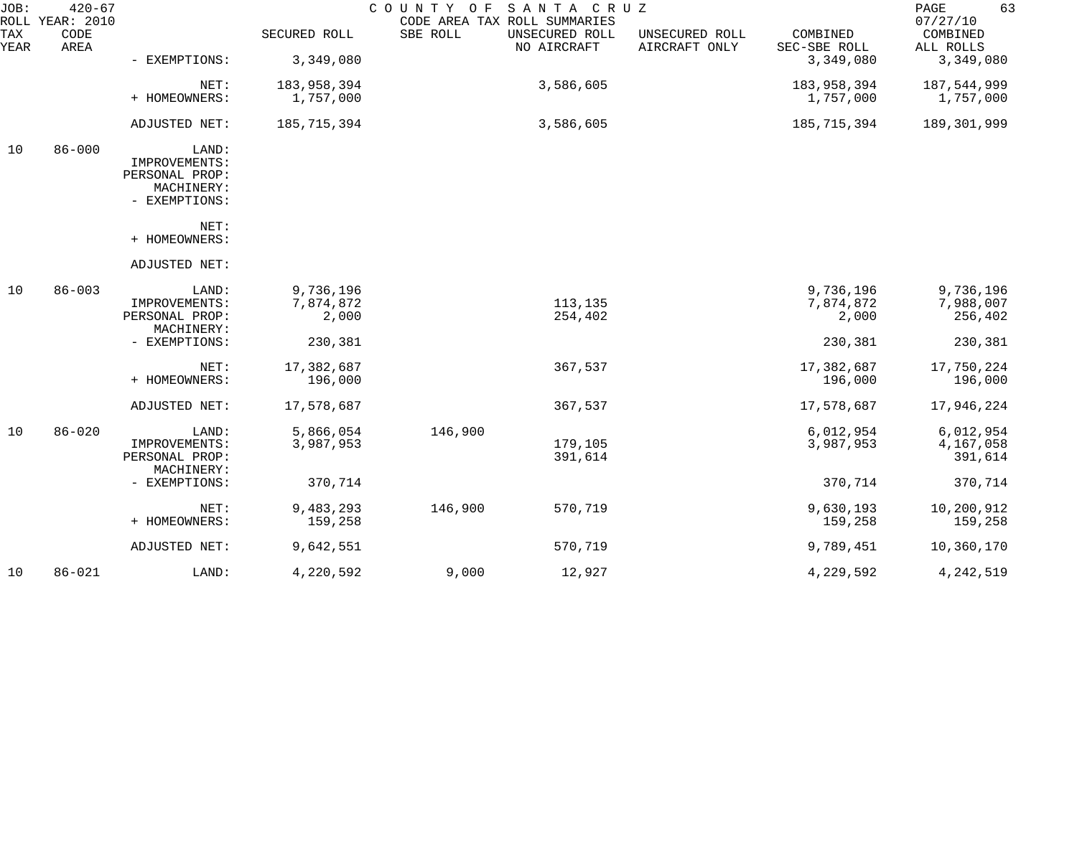| JOB:        | $420 - 67$<br>ROLL YEAR: 2010 |                                                                         |                                 | COUNTY OF | SANTA CRUZ<br>CODE AREA TAX ROLL SUMMARIES |                                 |                                 | 63<br>PAGE<br>07/27/10            |
|-------------|-------------------------------|-------------------------------------------------------------------------|---------------------------------|-----------|--------------------------------------------|---------------------------------|---------------------------------|-----------------------------------|
| TAX<br>YEAR | CODE<br>AREA                  |                                                                         | SECURED ROLL                    | SBE ROLL  | UNSECURED ROLL<br>NO AIRCRAFT              | UNSECURED ROLL<br>AIRCRAFT ONLY | COMBINED<br>SEC-SBE ROLL        | COMBINED<br>ALL ROLLS             |
|             |                               | - EXEMPTIONS:                                                           | 3,349,080                       |           |                                            |                                 | 3,349,080                       | 3,349,080                         |
|             |                               | NET:<br>+ HOMEOWNERS:                                                   | 183, 958, 394<br>1,757,000      |           | 3,586,605                                  |                                 | 183,958,394<br>1,757,000        | 187,544,999<br>1,757,000          |
|             |                               | ADJUSTED NET:                                                           | 185,715,394                     |           | 3,586,605                                  |                                 | 185,715,394                     | 189,301,999                       |
| 10          | $86 - 000$                    | LAND:<br>IMPROVEMENTS:<br>PERSONAL PROP:<br>MACHINERY:<br>- EXEMPTIONS: |                                 |           |                                            |                                 |                                 |                                   |
|             |                               | NET:<br>+ HOMEOWNERS:                                                   |                                 |           |                                            |                                 |                                 |                                   |
|             |                               | ADJUSTED NET:                                                           |                                 |           |                                            |                                 |                                 |                                   |
| 10          | $86 - 003$                    | LAND:<br>IMPROVEMENTS:<br>PERSONAL PROP:                                | 9,736,196<br>7,874,872<br>2,000 |           | 113,135<br>254,402                         |                                 | 9,736,196<br>7,874,872<br>2,000 | 9,736,196<br>7,988,007<br>256,402 |
|             |                               | MACHINERY:<br>- EXEMPTIONS:                                             | 230,381                         |           |                                            |                                 | 230,381                         | 230,381                           |
|             |                               | NET:<br>+ HOMEOWNERS:                                                   | 17,382,687<br>196,000           |           | 367,537                                    |                                 | 17,382,687<br>196,000           | 17,750,224<br>196,000             |
|             |                               | ADJUSTED NET:                                                           | 17,578,687                      |           | 367,537                                    |                                 | 17,578,687                      | 17,946,224                        |
| 10          | $86 - 020$                    | LAND:<br>IMPROVEMENTS:<br>PERSONAL PROP:<br>MACHINERY:                  | 5,866,054<br>3,987,953          | 146,900   | 179,105<br>391,614                         |                                 | 6,012,954<br>3,987,953          | 6,012,954<br>4,167,058<br>391,614 |
|             |                               | - EXEMPTIONS:                                                           | 370,714                         |           |                                            |                                 | 370,714                         | 370,714                           |
|             |                               | NET:<br>+ HOMEOWNERS:                                                   | 9,483,293<br>159,258            | 146,900   | 570,719                                    |                                 | 9,630,193<br>159,258            | 10,200,912<br>159,258             |
|             |                               | ADJUSTED NET:                                                           | 9,642,551                       |           | 570,719                                    |                                 | 9,789,451                       | 10,360,170                        |
| 10          | $86 - 021$                    | LAND:                                                                   | 4,220,592                       | 9,000     | 12,927                                     |                                 | 4,229,592                       | 4, 242, 519                       |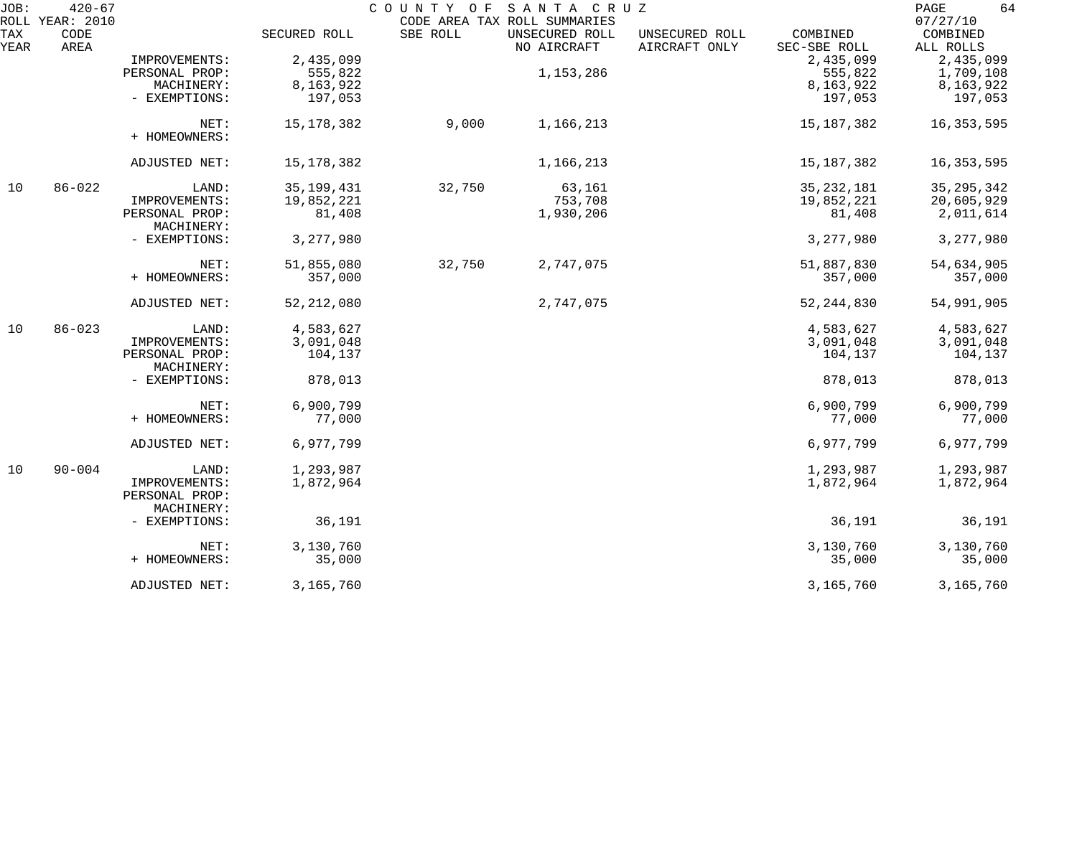| JOB:        | $420 - 67$<br>ROLL YEAR: 2010 |                                               |              | COUNTY OF | SANTA CRUZ<br>CODE AREA TAX ROLL SUMMARIES |                                 |                          | 64<br>PAGE<br>07/27/10 |
|-------------|-------------------------------|-----------------------------------------------|--------------|-----------|--------------------------------------------|---------------------------------|--------------------------|------------------------|
| TAX<br>YEAR | CODE<br>AREA                  |                                               | SECURED ROLL | SBE ROLL  | UNSECURED ROLL<br>NO AIRCRAFT              | UNSECURED ROLL<br>AIRCRAFT ONLY | COMBINED<br>SEC-SBE ROLL | COMBINED<br>ALL ROLLS  |
|             |                               | IMPROVEMENTS:                                 | 2,435,099    |           |                                            |                                 | 2,435,099                | 2,435,099              |
|             |                               | PERSONAL PROP:                                | 555,822      |           | 1, 153, 286                                |                                 | 555,822                  | 1,709,108              |
|             |                               | MACHINERY:                                    | 8,163,922    |           |                                            |                                 | 8,163,922                | 8,163,922              |
|             |                               | - EXEMPTIONS:                                 | 197,053      |           |                                            |                                 | 197,053                  | 197,053                |
|             |                               | NET:<br>+ HOMEOWNERS:                         | 15, 178, 382 | 9,000     | 1,166,213                                  |                                 | 15, 187, 382             | 16, 353, 595           |
|             |                               | ADJUSTED NET:                                 | 15, 178, 382 |           | 1,166,213                                  |                                 | 15, 187, 382             | 16, 353, 595           |
| 10          | $86 - 022$                    | LAND:                                         | 35, 199, 431 | 32,750    | 63,161                                     |                                 | 35, 232, 181             | 35, 295, 342           |
|             |                               | IMPROVEMENTS:                                 | 19,852,221   |           | 753,708                                    |                                 | 19,852,221               | 20,605,929             |
|             |                               | PERSONAL PROP:<br>MACHINERY:                  | 81,408       |           | 1,930,206                                  |                                 | 81,408                   | 2,011,614              |
|             |                               | - EXEMPTIONS:                                 | 3,277,980    |           |                                            |                                 | 3,277,980                | 3,277,980              |
|             |                               | NET:                                          | 51,855,080   | 32,750    | 2,747,075                                  |                                 | 51,887,830               | 54,634,905             |
|             |                               | + HOMEOWNERS:                                 | 357,000      |           |                                            |                                 | 357,000                  | 357,000                |
|             |                               | ADJUSTED NET:                                 | 52, 212, 080 |           | 2,747,075                                  |                                 | 52, 244, 830             | 54,991,905             |
| 10          | $86 - 023$                    | LAND:                                         | 4,583,627    |           |                                            |                                 | 4,583,627                | 4,583,627              |
|             |                               | IMPROVEMENTS:                                 | 3,091,048    |           |                                            |                                 | 3,091,048                | 3,091,048              |
|             |                               | PERSONAL PROP:<br>MACHINERY:                  | 104,137      |           |                                            |                                 | 104,137                  | 104,137                |
|             |                               | - EXEMPTIONS:                                 | 878,013      |           |                                            |                                 | 878,013                  | 878,013                |
|             |                               | NET:                                          | 6,900,799    |           |                                            |                                 | 6,900,799                | 6,900,799              |
|             |                               | + HOMEOWNERS:                                 | 77,000       |           |                                            |                                 | 77,000                   | 77,000                 |
|             |                               | ADJUSTED NET:                                 | 6,977,799    |           |                                            |                                 | 6,977,799                | 6,977,799              |
| 10          | $90 - 004$                    | LAND:                                         | 1,293,987    |           |                                            |                                 | 1,293,987                | 1,293,987              |
|             |                               | IMPROVEMENTS:<br>PERSONAL PROP:<br>MACHINERY: | 1,872,964    |           |                                            |                                 | 1,872,964                | 1,872,964              |
|             |                               | - EXEMPTIONS:                                 | 36,191       |           |                                            |                                 | 36,191                   | 36,191                 |
|             |                               | NET:                                          | 3,130,760    |           |                                            |                                 | 3,130,760                | 3,130,760              |
|             |                               | + HOMEOWNERS:                                 | 35,000       |           |                                            |                                 | 35,000                   | 35,000                 |
|             |                               | ADJUSTED NET:                                 | 3,165,760    |           |                                            |                                 | 3,165,760                | 3,165,760              |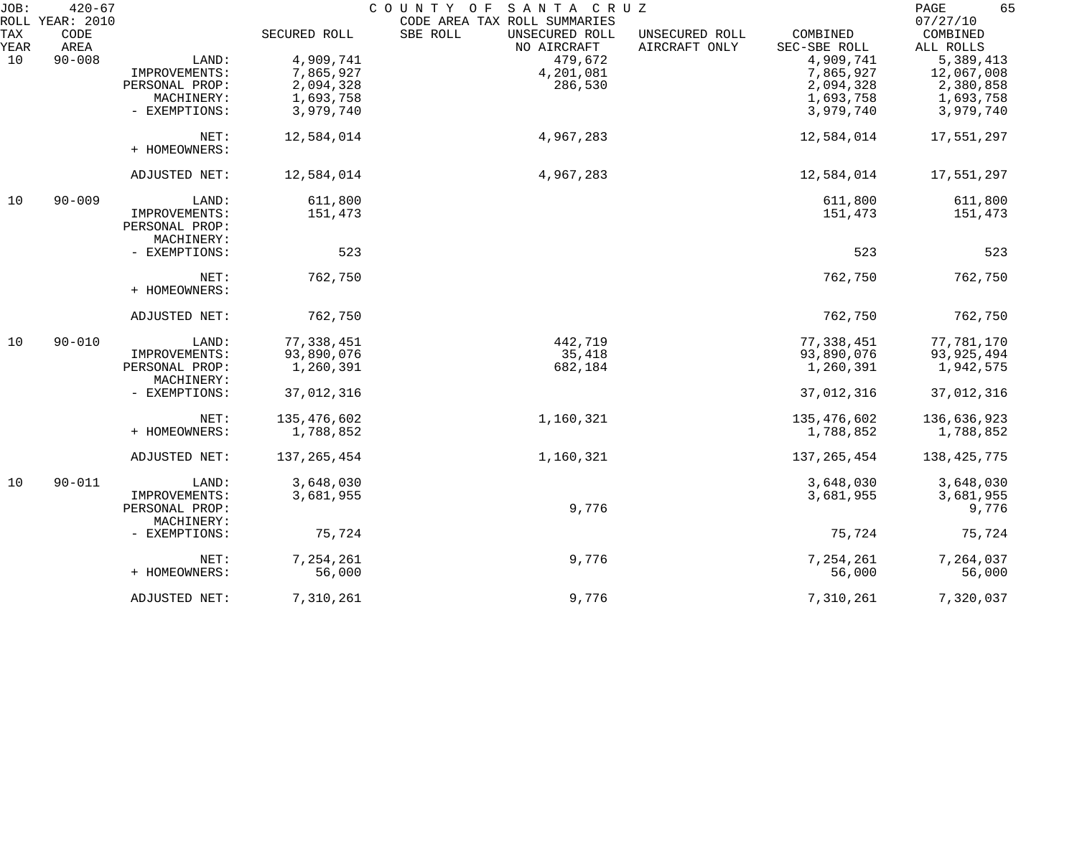| JOB: | $420 - 67$<br>ROLL YEAR: 2010 |                |               | COUNTY OF SANTA CRUZ<br>CODE AREA TAX ROLL SUMMARIES |                |               | 65<br>PAGE<br>07/27/10 |
|------|-------------------------------|----------------|---------------|------------------------------------------------------|----------------|---------------|------------------------|
| TAX  | CODE                          |                | SECURED ROLL  | SBE ROLL<br>UNSECURED ROLL                           | UNSECURED ROLL | COMBINED      | COMBINED               |
| YEAR | AREA                          |                |               | NO AIRCRAFT                                          | AIRCRAFT ONLY  | SEC-SBE ROLL  | ALL ROLLS              |
| 10   | $90 - 008$                    | LAND:          | 4,909,741     | 479,672                                              |                | 4,909,741     | 5,389,413              |
|      |                               | IMPROVEMENTS:  | 7,865,927     | 4,201,081                                            |                | 7,865,927     | 12,067,008             |
|      |                               |                |               |                                                      |                |               |                        |
|      |                               | PERSONAL PROP: | 2,094,328     | 286,530                                              |                | 2,094,328     | 2,380,858              |
|      |                               | MACHINERY:     | 1,693,758     |                                                      |                | 1,693,758     | 1,693,758              |
|      |                               | - EXEMPTIONS:  | 3,979,740     |                                                      |                | 3,979,740     | 3,979,740              |
|      |                               | NET:           | 12,584,014    | 4,967,283                                            |                | 12,584,014    | 17,551,297             |
|      |                               | + HOMEOWNERS:  |               |                                                      |                |               |                        |
|      |                               | ADJUSTED NET:  | 12,584,014    | 4,967,283                                            |                | 12,584,014    | 17,551,297             |
| 10   | $90 - 009$                    | LAND:          | 611,800       |                                                      |                | 611,800       | 611,800                |
|      |                               | IMPROVEMENTS:  | 151,473       |                                                      |                | 151,473       | 151,473                |
|      |                               | PERSONAL PROP: |               |                                                      |                |               |                        |
|      |                               | MACHINERY:     |               |                                                      |                |               |                        |
|      |                               | - EXEMPTIONS:  | 523           |                                                      |                | 523           | 523                    |
|      |                               |                |               |                                                      |                |               |                        |
|      |                               | NET:           | 762,750       |                                                      |                | 762,750       | 762,750                |
|      |                               | + HOMEOWNERS:  |               |                                                      |                |               |                        |
|      |                               | ADJUSTED NET:  | 762,750       |                                                      |                | 762,750       | 762,750                |
| 10   | $90 - 010$                    | LAND:          | 77,338,451    | 442,719                                              |                | 77,338,451    | 77,781,170             |
|      |                               | IMPROVEMENTS:  | 93,890,076    | 35,418                                               |                | 93,890,076    | 93,925,494             |
|      |                               | PERSONAL PROP: | 1,260,391     | 682,184                                              |                | 1,260,391     | 1,942,575              |
|      |                               | MACHINERY:     |               |                                                      |                |               |                        |
|      |                               | - EXEMPTIONS:  | 37,012,316    |                                                      |                | 37,012,316    | 37,012,316             |
|      |                               | NET:           | 135,476,602   | 1,160,321                                            |                | 135,476,602   | 136,636,923            |
|      |                               | + HOMEOWNERS:  | 1,788,852     |                                                      |                | 1,788,852     | 1,788,852              |
|      |                               |                |               |                                                      |                |               |                        |
|      |                               | ADJUSTED NET:  | 137, 265, 454 | 1,160,321                                            |                | 137, 265, 454 | 138,425,775            |
| 10   | $90 - 011$                    | LAND:          | 3,648,030     |                                                      |                | 3,648,030     | 3,648,030              |
|      |                               | IMPROVEMENTS:  | 3,681,955     |                                                      |                | 3,681,955     | 3,681,955              |
|      |                               | PERSONAL PROP: |               | 9,776                                                |                |               | 9,776                  |
|      |                               | MACHINERY:     |               |                                                      |                |               |                        |
|      |                               | - EXEMPTIONS:  | 75,724        |                                                      |                | 75,724        | 75,724                 |
|      |                               | NET:           | 7,254,261     | 9,776                                                |                | 7,254,261     | 7,264,037              |
|      |                               | + HOMEOWNERS:  | 56,000        |                                                      |                | 56,000        | 56,000                 |
|      |                               | ADJUSTED NET:  | 7,310,261     | 9,776                                                |                | 7,310,261     | 7,320,037              |
|      |                               |                |               |                                                      |                |               |                        |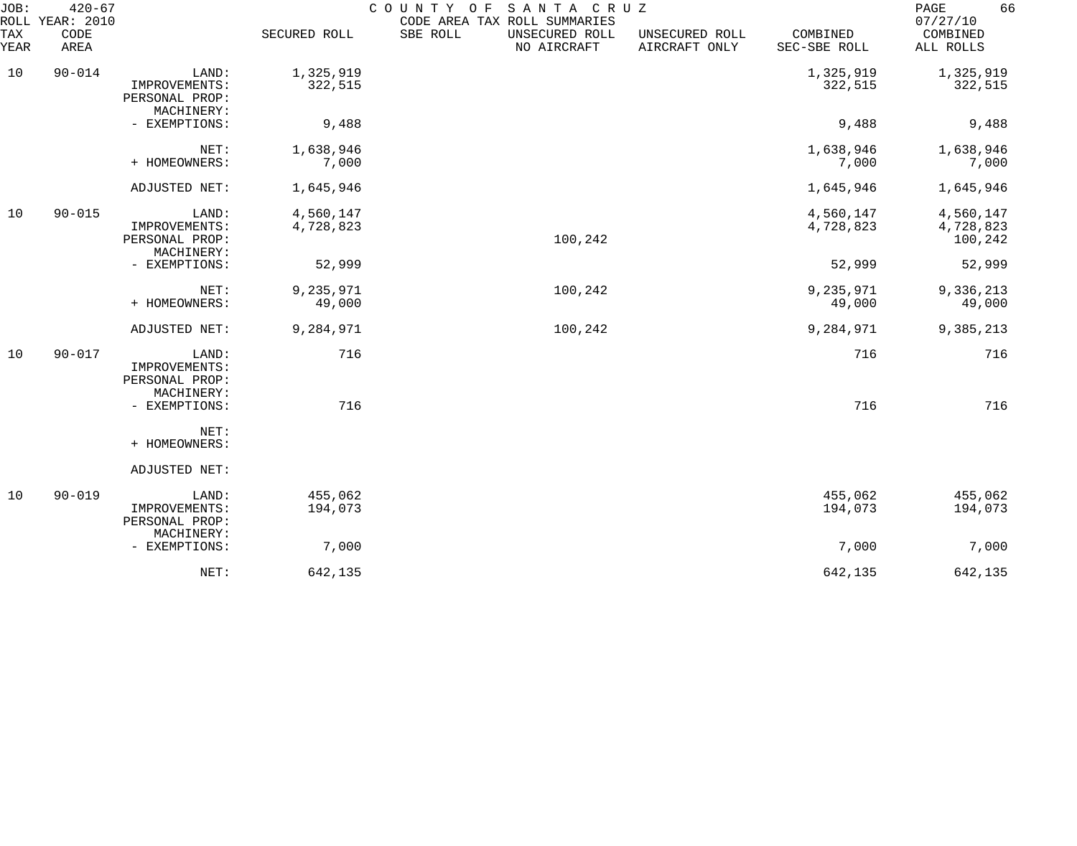| JOB:<br>ROLL | $420 - 67$<br>YEAR: 2010 |                                                        |                        | COUNTY OF<br>CODE AREA TAX ROLL SUMMARIES | SANTA CRUZ                    |                                 |                          | 66<br>PAGE<br>07/27/10            |
|--------------|--------------------------|--------------------------------------------------------|------------------------|-------------------------------------------|-------------------------------|---------------------------------|--------------------------|-----------------------------------|
| TAX<br>YEAR  | CODE<br>AREA             |                                                        | SECURED ROLL           | SBE ROLL                                  | UNSECURED ROLL<br>NO AIRCRAFT | UNSECURED ROLL<br>AIRCRAFT ONLY | COMBINED<br>SEC-SBE ROLL | COMBINED<br>ALL ROLLS             |
| 10           | $90 - 014$               | LAND:<br>IMPROVEMENTS:<br>PERSONAL PROP:<br>MACHINERY: | 1,325,919<br>322,515   |                                           |                               |                                 | 1,325,919<br>322,515     | 1,325,919<br>322,515              |
|              |                          | - EXEMPTIONS:                                          | 9,488                  |                                           |                               |                                 | 9,488                    | 9,488                             |
|              |                          | NET:<br>+ HOMEOWNERS:                                  | 1,638,946<br>7,000     |                                           |                               |                                 | 1,638,946<br>7,000       | 1,638,946<br>7,000                |
|              |                          | ADJUSTED NET:                                          | 1,645,946              |                                           |                               |                                 | 1,645,946                | 1,645,946                         |
| 10           | $90 - 015$               | LAND:<br>IMPROVEMENTS:<br>PERSONAL PROP:<br>MACHINERY: | 4,560,147<br>4,728,823 |                                           | 100,242                       |                                 | 4,560,147<br>4,728,823   | 4,560,147<br>4,728,823<br>100,242 |
|              |                          | - EXEMPTIONS:                                          | 52,999                 |                                           |                               |                                 | 52,999                   | 52,999                            |
|              |                          | NET:<br>+ HOMEOWNERS:                                  | 9,235,971<br>49,000    |                                           | 100,242                       |                                 | 9,235,971<br>49,000      | 9,336,213<br>49,000               |
|              |                          | ADJUSTED NET:                                          | 9,284,971              |                                           | 100,242                       |                                 | 9,284,971                | 9,385,213                         |
| 10           | $90 - 017$               | LAND:<br>IMPROVEMENTS:<br>PERSONAL PROP:<br>MACHINERY: | 716                    |                                           |                               |                                 | 716                      | 716                               |
|              |                          | - EXEMPTIONS:                                          | 716                    |                                           |                               |                                 | 716                      | 716                               |
|              |                          | NET:<br>+ HOMEOWNERS:                                  |                        |                                           |                               |                                 |                          |                                   |
|              |                          | ADJUSTED NET:                                          |                        |                                           |                               |                                 |                          |                                   |
| 10           | $90 - 019$               | LAND:<br>IMPROVEMENTS:<br>PERSONAL PROP:<br>MACHINERY: | 455,062<br>194,073     |                                           |                               |                                 | 455,062<br>194,073       | 455,062<br>194,073                |
|              |                          | - EXEMPTIONS:                                          | 7,000                  |                                           |                               |                                 | 7,000                    | 7,000                             |
|              |                          | NET:                                                   | 642,135                |                                           |                               |                                 | 642,135                  | 642,135                           |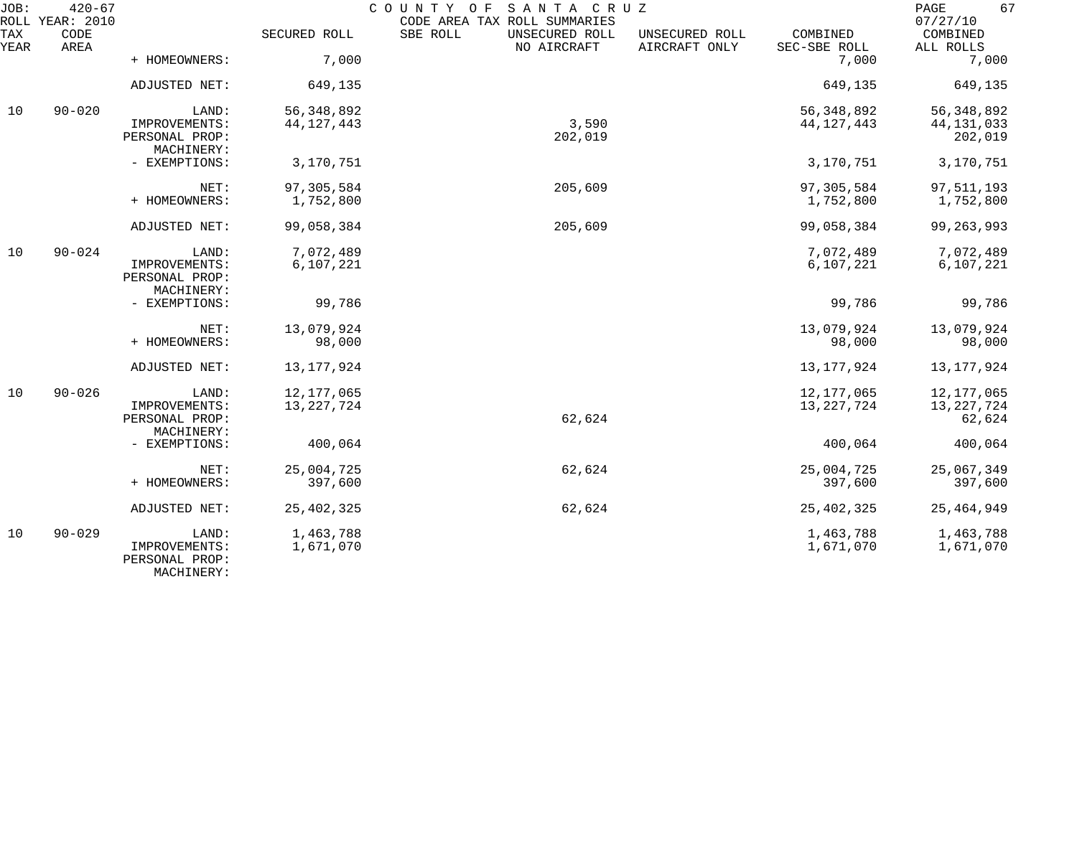| JOB:        | $420 - 67$<br>ROLL YEAR: 2010 |                                               |                        | SANTA CRUZ<br>COUNTY OF<br>CODE AREA TAX ROLL SUMMARIES |                                 |                          | 67<br>PAGE<br>07/27/10  |
|-------------|-------------------------------|-----------------------------------------------|------------------------|---------------------------------------------------------|---------------------------------|--------------------------|-------------------------|
| TAX<br>YEAR | CODE<br>AREA                  |                                               | SECURED ROLL           | SBE ROLL<br>UNSECURED ROLL<br>NO AIRCRAFT               | UNSECURED ROLL<br>AIRCRAFT ONLY | COMBINED<br>SEC-SBE ROLL | COMBINED<br>ALL ROLLS   |
|             |                               | + HOMEOWNERS:                                 | 7,000                  |                                                         |                                 | 7,000                    | 7,000                   |
|             |                               | ADJUSTED NET:                                 | 649,135                |                                                         |                                 | 649,135                  | 649,135                 |
| 10          | $90 - 020$                    | LAND:                                         | 56, 348, 892           |                                                         |                                 | 56, 348, 892             | 56, 348, 892            |
|             |                               | IMPROVEMENTS:<br>PERSONAL PROP:<br>MACHINERY: | 44, 127, 443           | 3,590<br>202,019                                        |                                 | 44, 127, 443             | 44, 131, 033<br>202,019 |
|             |                               | - EXEMPTIONS:                                 | 3,170,751              |                                                         |                                 | 3,170,751                | 3,170,751               |
|             |                               | NET:                                          | 97,305,584             | 205,609                                                 |                                 | 97,305,584               | 97,511,193              |
|             |                               | + HOMEOWNERS:                                 | 1,752,800              |                                                         |                                 | 1,752,800                | 1,752,800               |
|             |                               | ADJUSTED NET:                                 | 99,058,384             | 205,609                                                 |                                 | 99,058,384               | 99, 263, 993            |
| 10          | $90 - 024$                    | LAND:                                         | 7,072,489              |                                                         |                                 | 7,072,489                | 7,072,489               |
|             |                               | IMPROVEMENTS:<br>PERSONAL PROP:<br>MACHINERY: | 6,107,221              |                                                         |                                 | 6,107,221                | 6,107,221               |
|             |                               | - EXEMPTIONS:                                 | 99,786                 |                                                         |                                 | 99,786                   | 99,786                  |
|             |                               | NET:                                          | 13,079,924             |                                                         |                                 | 13,079,924               | 13,079,924              |
|             |                               | + HOMEOWNERS:                                 | 98,000                 |                                                         |                                 | 98,000                   | 98,000                  |
|             |                               | ADJUSTED NET:                                 | 13, 177, 924           |                                                         |                                 | 13, 177, 924             | 13,177,924              |
| 10          | $90 - 026$                    | LAND:                                         | 12, 177, 065           |                                                         |                                 | 12, 177, 065             | 12,177,065              |
|             |                               | IMPROVEMENTS:<br>PERSONAL PROP:               | 13, 227, 724           | 62,624                                                  |                                 | 13, 227, 724             | 13,227,724<br>62,624    |
|             |                               | MACHINERY:<br>- EXEMPTIONS:                   | 400,064                |                                                         |                                 | 400,064                  | 400,064                 |
|             |                               | NET:                                          | 25,004,725             | 62,624                                                  |                                 | 25,004,725               | 25,067,349              |
|             |                               | + HOMEOWNERS:                                 | 397,600                |                                                         |                                 | 397,600                  | 397,600                 |
|             |                               | ADJUSTED NET:                                 | 25, 402, 325           | 62,624                                                  |                                 | 25, 402, 325             | 25, 464, 949            |
| 10          | $90 - 029$                    | LAND:<br>IMPROVEMENTS:<br>PERSONAL PROP:      | 1,463,788<br>1,671,070 |                                                         |                                 | 1,463,788<br>1,671,070   | 1,463,788<br>1,671,070  |

MACHINERY: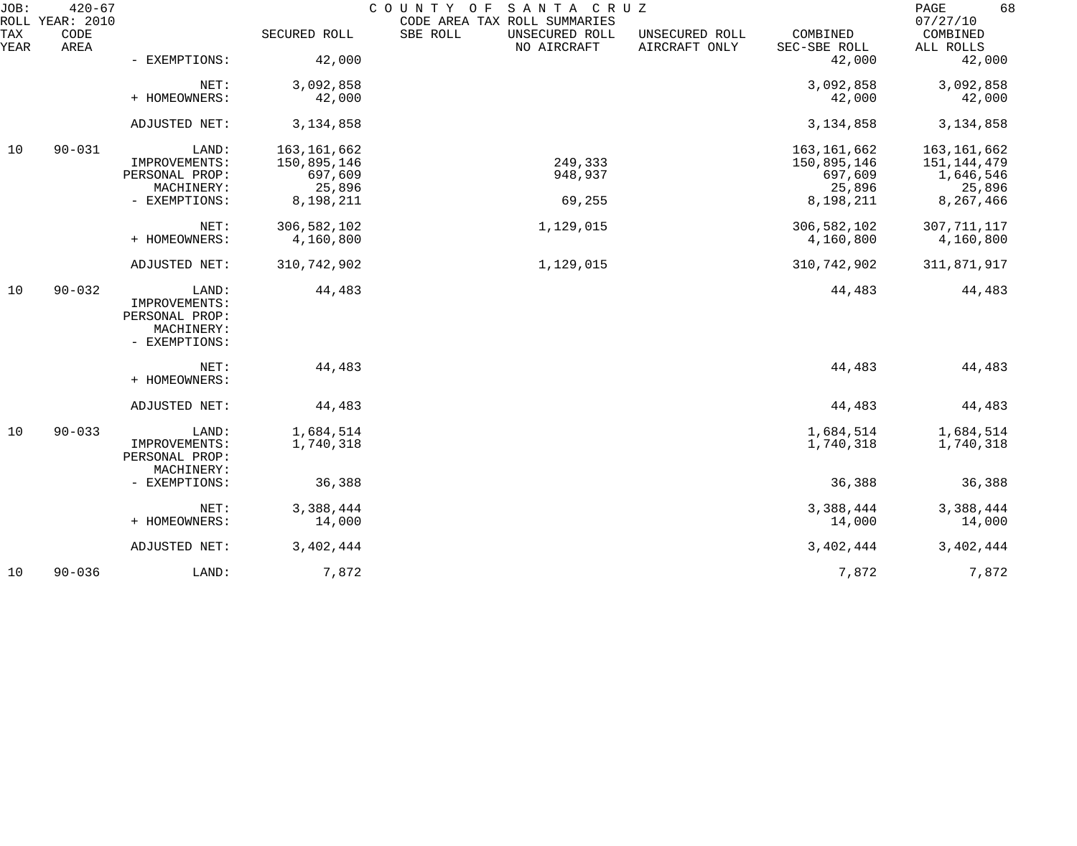| JOB:        | $420 - 67$<br>ROLL YEAR: 2010 |                                                                         |                                                                | COUNTY OF<br>SANTA CRUZ<br>CODE AREA TAX ROLL SUMMARIES |                                 |                                                                | 68<br>PAGE<br>07/27/10                                         |
|-------------|-------------------------------|-------------------------------------------------------------------------|----------------------------------------------------------------|---------------------------------------------------------|---------------------------------|----------------------------------------------------------------|----------------------------------------------------------------|
| TAX<br>YEAR | CODE<br>AREA                  |                                                                         | SECURED ROLL                                                   | SBE ROLL<br>UNSECURED ROLL<br>NO AIRCRAFT               | UNSECURED ROLL<br>AIRCRAFT ONLY | COMBINED<br>SEC-SBE ROLL                                       | COMBINED<br>ALL ROLLS                                          |
|             |                               | - EXEMPTIONS:                                                           | 42,000                                                         |                                                         |                                 | 42,000                                                         | 42,000                                                         |
|             |                               | NET:<br>+ HOMEOWNERS:                                                   | 3,092,858<br>42,000                                            |                                                         |                                 | 3,092,858<br>42,000                                            | 3,092,858<br>42,000                                            |
|             |                               | ADJUSTED NET:                                                           | 3, 134, 858                                                    |                                                         |                                 | 3, 134, 858                                                    | 3, 134, 858                                                    |
| 10          | $90 - 031$                    | LAND:<br>IMPROVEMENTS:<br>PERSONAL PROP:<br>MACHINERY:<br>- EXEMPTIONS: | 163, 161, 662<br>150,895,146<br>697,609<br>25,896<br>8,198,211 | 249,333<br>948,937<br>69,255                            |                                 | 163, 161, 662<br>150,895,146<br>697,609<br>25,896<br>8,198,211 | 163,161,662<br>151,144,479<br>1,646,546<br>25,896<br>8,267,466 |
|             |                               | NET:<br>+ HOMEOWNERS:                                                   | 306,582,102<br>4,160,800                                       | 1,129,015                                               |                                 | 306, 582, 102<br>4,160,800                                     | 307, 711, 117<br>4,160,800                                     |
|             |                               | ADJUSTED NET:                                                           | 310,742,902                                                    | 1,129,015                                               |                                 | 310,742,902                                                    | 311,871,917                                                    |
| 10          | $90 - 032$                    | LAND:<br>IMPROVEMENTS:<br>PERSONAL PROP:<br>MACHINERY:<br>- EXEMPTIONS: | 44,483                                                         |                                                         |                                 | 44,483                                                         | 44,483                                                         |
|             |                               | NET:<br>+ HOMEOWNERS:                                                   | 44,483                                                         |                                                         |                                 | 44,483                                                         | 44,483                                                         |
|             |                               | ADJUSTED NET:                                                           | 44,483                                                         |                                                         |                                 | 44,483                                                         | 44,483                                                         |
| 10          | $90 - 033$                    | LAND:<br>IMPROVEMENTS:<br>PERSONAL PROP:                                | 1,684,514<br>1,740,318                                         |                                                         |                                 | 1,684,514<br>1,740,318                                         | 1,684,514<br>1,740,318                                         |
|             |                               | MACHINERY:<br>- EXEMPTIONS:                                             | 36,388                                                         |                                                         |                                 | 36,388                                                         | 36,388                                                         |
|             |                               | NET:<br>+ HOMEOWNERS:                                                   | 3,388,444<br>14,000                                            |                                                         |                                 | 3,388,444<br>14,000                                            | 3,388,444<br>14,000                                            |
|             |                               | ADJUSTED NET:                                                           | 3, 402, 444                                                    |                                                         |                                 | 3, 402, 444                                                    | 3, 402, 444                                                    |
| 10          | $90 - 036$                    | LAND:                                                                   | 7,872                                                          |                                                         |                                 | 7,872                                                          | 7,872                                                          |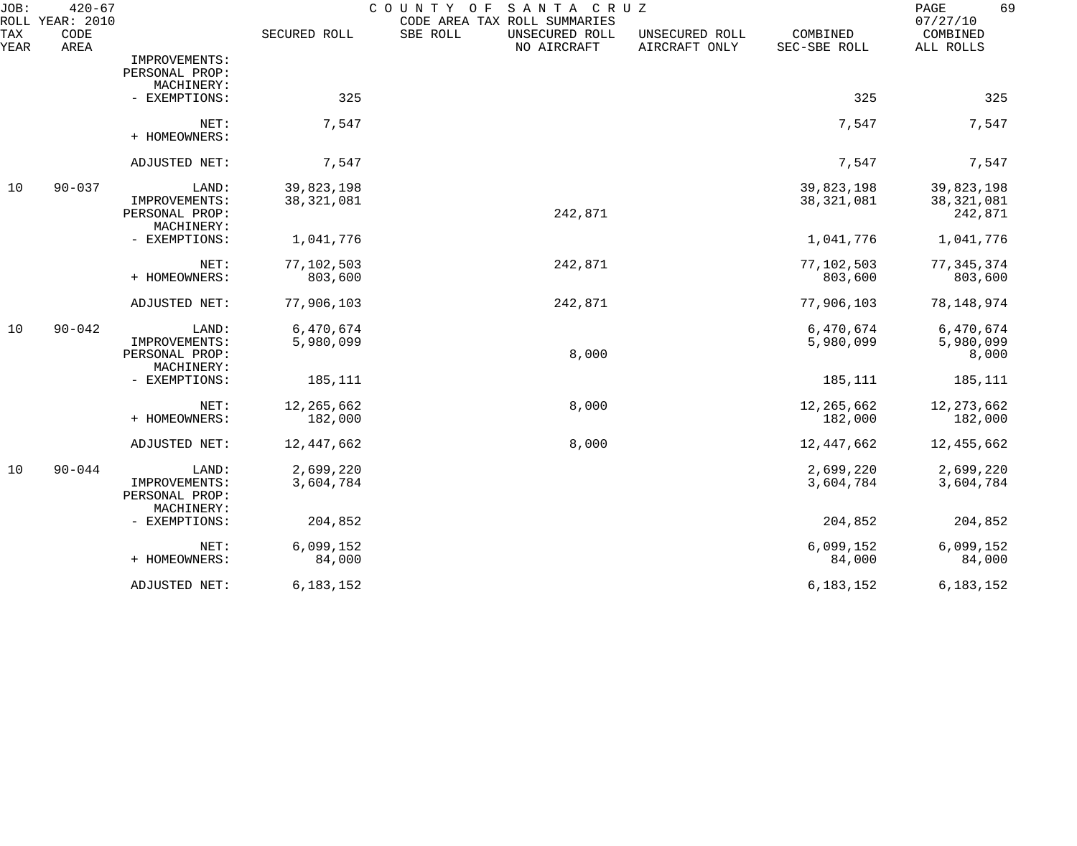| JOB:               | $420 - 67$<br>ROLL YEAR: 2010 |                             |              | COUNTY OF<br>SANTA CRUZ<br>CODE AREA TAX ROLL SUMMARIES |                                 |                          | 69<br>PAGE<br>07/27/10 |
|--------------------|-------------------------------|-----------------------------|--------------|---------------------------------------------------------|---------------------------------|--------------------------|------------------------|
| <b>TAX</b><br>YEAR | CODE<br>AREA                  |                             | SECURED ROLL | SBE ROLL<br>UNSECURED ROLL<br>NO AIRCRAFT               | UNSECURED ROLL<br>AIRCRAFT ONLY | COMBINED<br>SEC-SBE ROLL | COMBINED<br>ALL ROLLS  |
|                    |                               | IMPROVEMENTS:               |              |                                                         |                                 |                          |                        |
|                    |                               | PERSONAL PROP:              |              |                                                         |                                 |                          |                        |
|                    |                               | MACHINERY:                  |              |                                                         |                                 |                          |                        |
|                    |                               | - EXEMPTIONS:               | 325          |                                                         |                                 | 325                      | 325                    |
|                    |                               | NET:<br>+ HOMEOWNERS:       | 7,547        |                                                         |                                 | 7,547                    | 7,547                  |
|                    |                               | ADJUSTED NET:               | 7,547        |                                                         |                                 | 7,547                    | 7,547                  |
| 10                 | $90 - 037$                    | LAND:                       | 39,823,198   |                                                         |                                 | 39,823,198               | 39,823,198             |
|                    |                               | IMPROVEMENTS:               | 38, 321, 081 |                                                         |                                 | 38, 321, 081             | 38, 321, 081           |
|                    |                               | PERSONAL PROP:              |              | 242,871                                                 |                                 |                          | 242,871                |
|                    |                               | MACHINERY:<br>- EXEMPTIONS: | 1,041,776    |                                                         |                                 | 1,041,776                | 1,041,776              |
|                    |                               |                             |              |                                                         |                                 |                          |                        |
|                    |                               | NET:                        | 77,102,503   | 242,871                                                 |                                 | 77,102,503               | 77, 345, 374           |
|                    |                               | + HOMEOWNERS:               | 803,600      |                                                         |                                 | 803,600                  | 803,600                |
|                    |                               | ADJUSTED NET:               | 77,906,103   | 242,871                                                 |                                 | 77,906,103               | 78, 148, 974           |
| 10                 | $90 - 042$                    | LAND:                       | 6,470,674    |                                                         |                                 | 6,470,674                | 6,470,674              |
|                    |                               | IMPROVEMENTS:               | 5,980,099    |                                                         |                                 | 5,980,099                | 5,980,099              |
|                    |                               | PERSONAL PROP:              |              | 8,000                                                   |                                 |                          | 8,000                  |
|                    |                               | MACHINERY:                  |              |                                                         |                                 |                          |                        |
|                    |                               | - EXEMPTIONS:               | 185,111      |                                                         |                                 | 185,111                  | 185,111                |
|                    |                               | NET:                        | 12,265,662   | 8,000                                                   |                                 | 12,265,662               | 12, 273, 662           |
|                    |                               | + HOMEOWNERS:               | 182,000      |                                                         |                                 | 182,000                  | 182,000                |
|                    |                               | ADJUSTED NET:               | 12,447,662   | 8,000                                                   |                                 | 12,447,662               | 12,455,662             |
| 10                 | $90 - 044$                    | LAND:                       | 2,699,220    |                                                         |                                 | 2,699,220                | 2,699,220              |
|                    |                               | IMPROVEMENTS:               | 3,604,784    |                                                         |                                 | 3,604,784                | 3,604,784              |
|                    |                               | PERSONAL PROP:              |              |                                                         |                                 |                          |                        |
|                    |                               | MACHINERY:                  |              |                                                         |                                 |                          |                        |
|                    |                               | - EXEMPTIONS:               | 204,852      |                                                         |                                 | 204,852                  | 204,852                |
|                    |                               | NET:                        | 6,099,152    |                                                         |                                 | 6,099,152                | 6,099,152              |
|                    |                               | + HOMEOWNERS:               | 84,000       |                                                         |                                 | 84,000                   | 84,000                 |
|                    |                               | ADJUSTED NET:               | 6,183,152    |                                                         |                                 | 6,183,152                | 6, 183, 152            |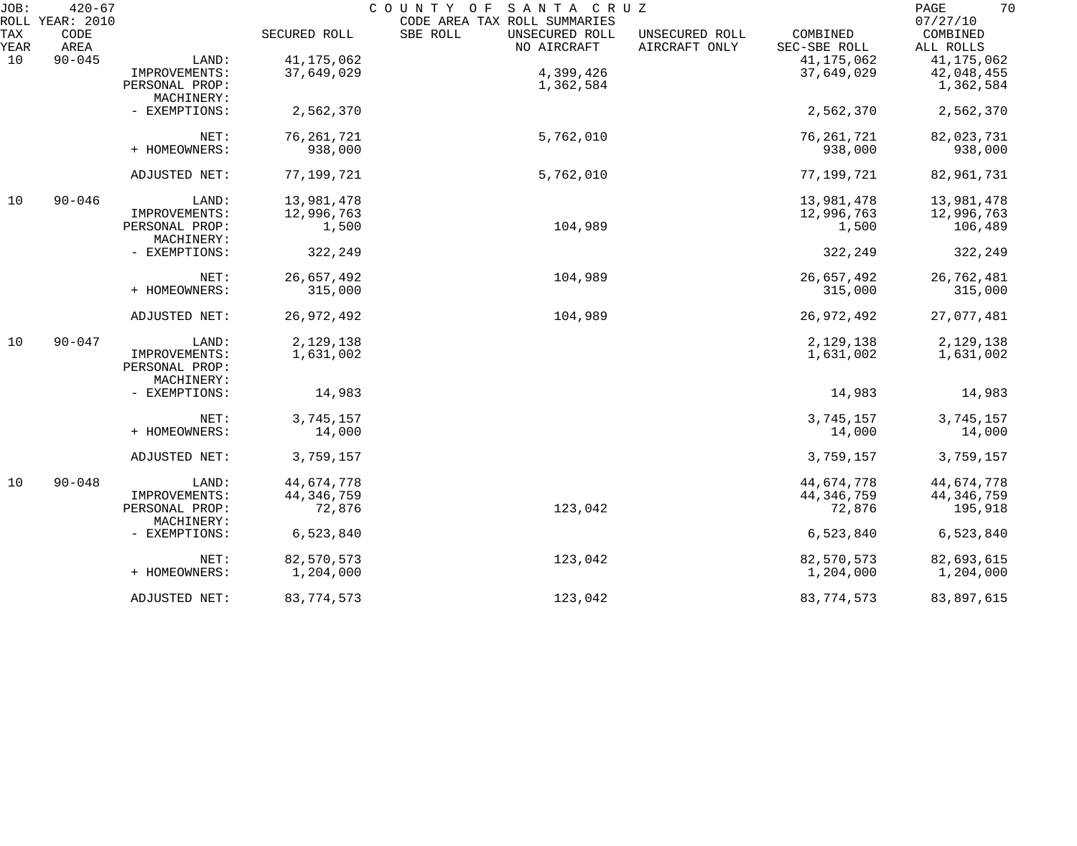| JOB:        | $420 - 67$<br>ROLL YEAR: 2010 |                             |              | COUNTY OF<br>SANTA CRUZ<br>CODE AREA TAX ROLL SUMMARIES |                                 |                          | 70<br>PAGE<br>07/27/10 |
|-------------|-------------------------------|-----------------------------|--------------|---------------------------------------------------------|---------------------------------|--------------------------|------------------------|
| TAX<br>YEAR | CODE<br>AREA                  |                             | SECURED ROLL | SBE ROLL<br>UNSECURED ROLL<br>NO AIRCRAFT               | UNSECURED ROLL<br>AIRCRAFT ONLY | COMBINED<br>SEC-SBE ROLL | COMBINED<br>ALL ROLLS  |
|             |                               |                             | 41, 175, 062 |                                                         |                                 |                          |                        |
| 10          | $90 - 045$                    | LAND:                       |              |                                                         |                                 | 41, 175, 062             | 41, 175, 062           |
|             |                               | IMPROVEMENTS:               | 37,649,029   | 4,399,426                                               |                                 | 37,649,029               | 42,048,455             |
|             |                               | PERSONAL PROP:              |              | 1,362,584                                               |                                 |                          | 1,362,584              |
|             |                               | MACHINERY:                  |              |                                                         |                                 |                          |                        |
|             |                               | - EXEMPTIONS:               | 2,562,370    |                                                         |                                 | 2,562,370                | 2,562,370              |
|             |                               | NET:                        | 76, 261, 721 | 5,762,010                                               |                                 | 76, 261, 721             | 82,023,731             |
|             |                               | + HOMEOWNERS:               | 938,000      |                                                         |                                 | 938,000                  | 938,000                |
|             |                               | ADJUSTED NET:               | 77,199,721   | 5,762,010                                               |                                 | 77,199,721               | 82,961,731             |
| 10          | $90 - 046$                    | LAND:                       | 13,981,478   |                                                         |                                 | 13,981,478               | 13,981,478             |
|             |                               | IMPROVEMENTS:               | 12,996,763   |                                                         |                                 | 12,996,763               | 12,996,763             |
|             |                               | PERSONAL PROP:              | 1,500        | 104,989                                                 |                                 | 1,500                    | 106,489                |
|             |                               | MACHINERY:                  |              |                                                         |                                 |                          |                        |
|             |                               | - EXEMPTIONS:               | 322,249      |                                                         |                                 | 322,249                  | 322,249                |
|             |                               | NET:                        | 26,657,492   | 104,989                                                 |                                 | 26,657,492               | 26,762,481             |
|             |                               | + HOMEOWNERS:               | 315,000      |                                                         |                                 | 315,000                  | 315,000                |
|             |                               | ADJUSTED NET:               | 26,972,492   | 104,989                                                 |                                 | 26,972,492               | 27,077,481             |
| 10          | $90 - 047$                    | LAND:                       | 2,129,138    |                                                         |                                 | 2,129,138                | 2,129,138              |
|             |                               | IMPROVEMENTS:               | 1,631,002    |                                                         |                                 | 1,631,002                | 1,631,002              |
|             |                               | PERSONAL PROP:              |              |                                                         |                                 |                          |                        |
|             |                               | MACHINERY:                  |              |                                                         |                                 |                          |                        |
|             |                               | - EXEMPTIONS:               | 14,983       |                                                         |                                 | 14,983                   | 14,983                 |
|             |                               | NET:                        | 3,745,157    |                                                         |                                 | 3,745,157                | 3,745,157              |
|             |                               | + HOMEOWNERS:               | 14,000       |                                                         |                                 | 14,000                   | 14,000                 |
|             |                               | ADJUSTED NET:               | 3,759,157    |                                                         |                                 | 3,759,157                | 3,759,157              |
| 10          | $90 - 048$                    | LAND:                       | 44,674,778   |                                                         |                                 | 44,674,778               | 44,674,778             |
|             |                               | IMPROVEMENTS:               | 44, 346, 759 |                                                         |                                 | 44, 346, 759             | 44, 346, 759           |
|             |                               | PERSONAL PROP:              | 72,876       | 123,042                                                 |                                 | 72,876                   | 195,918                |
|             |                               | MACHINERY:<br>- EXEMPTIONS: | 6,523,840    |                                                         |                                 | 6,523,840                | 6,523,840              |
|             |                               | NET:                        | 82,570,573   | 123,042                                                 |                                 | 82,570,573               | 82,693,615             |
|             |                               | + HOMEOWNERS:               | 1,204,000    |                                                         |                                 | 1,204,000                | 1,204,000              |
|             |                               | ADJUSTED NET:               | 83, 774, 573 | 123,042                                                 |                                 | 83, 774, 573             | 83,897,615             |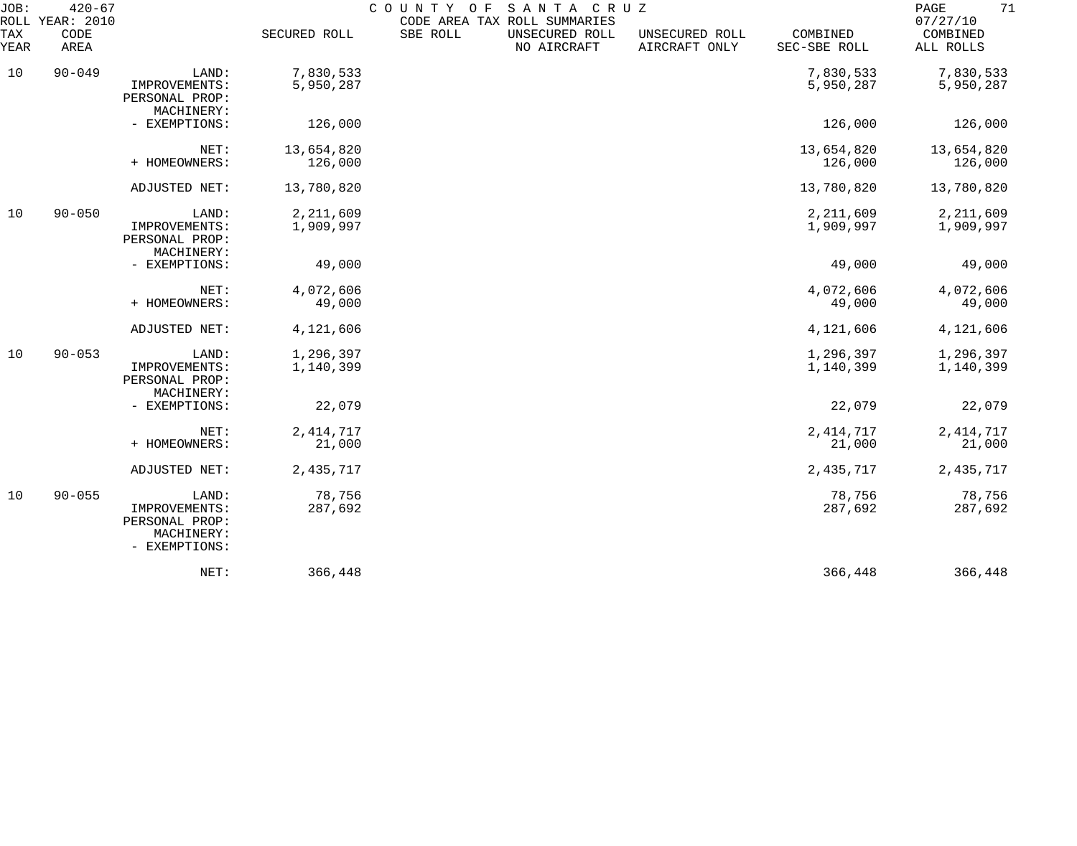| JOB:<br>TAX<br>YEAR | $420 - 67$<br>ROLL YEAR: 2010<br>CODE<br>AREA |                                                                         | SECURED ROLL             | COUNTY OF<br>SBE ROLL | SANTA CRUZ<br>CODE AREA TAX ROLL SUMMARIES<br>UNSECURED ROLL<br>NO AIRCRAFT | UNSECURED ROLL<br>AIRCRAFT ONLY | COMBINED<br>SEC-SBE ROLL | 71<br>PAGE<br>07/27/10<br>COMBINED<br>ALL ROLLS |
|---------------------|-----------------------------------------------|-------------------------------------------------------------------------|--------------------------|-----------------------|-----------------------------------------------------------------------------|---------------------------------|--------------------------|-------------------------------------------------|
| 10                  | $90 - 049$                                    | LAND:<br>IMPROVEMENTS:<br>PERSONAL PROP:<br>MACHINERY:                  | 7,830,533<br>5,950,287   |                       |                                                                             |                                 | 7,830,533<br>5,950,287   | 7,830,533<br>5,950,287                          |
|                     |                                               | - EXEMPTIONS:                                                           | 126,000                  |                       |                                                                             |                                 | 126,000                  | 126,000                                         |
|                     |                                               | NET:<br>+ HOMEOWNERS:                                                   | 13,654,820<br>126,000    |                       |                                                                             |                                 | 13,654,820<br>126,000    | 13,654,820<br>126,000                           |
|                     |                                               | ADJUSTED NET:                                                           | 13,780,820               |                       |                                                                             |                                 | 13,780,820               | 13,780,820                                      |
| 10                  | $90 - 050$                                    | LAND:<br>IMPROVEMENTS:<br>PERSONAL PROP:<br>MACHINERY:                  | 2, 211, 609<br>1,909,997 |                       |                                                                             |                                 | 2,211,609<br>1,909,997   | 2,211,609<br>1,909,997                          |
|                     |                                               | - EXEMPTIONS:                                                           | 49,000                   |                       |                                                                             |                                 | 49,000                   | 49,000                                          |
|                     |                                               | NET:<br>+ HOMEOWNERS:                                                   | 4,072,606<br>49,000      |                       |                                                                             |                                 | 4,072,606<br>49,000      | 4,072,606<br>49,000                             |
|                     |                                               | ADJUSTED NET:                                                           | 4,121,606                |                       |                                                                             |                                 | 4,121,606                | 4,121,606                                       |
| 10                  | $90 - 053$                                    | LAND:<br>IMPROVEMENTS:<br>PERSONAL PROP:<br>MACHINERY:                  | 1,296,397<br>1,140,399   |                       |                                                                             |                                 | 1,296,397<br>1,140,399   | 1,296,397<br>1,140,399                          |
|                     |                                               | - EXEMPTIONS:                                                           | 22,079                   |                       |                                                                             |                                 | 22,079                   | 22,079                                          |
|                     |                                               | NET:<br>+ HOMEOWNERS:                                                   | 2, 414, 717<br>21,000    |                       |                                                                             |                                 | 2, 414, 717<br>21,000    | 2, 414, 717<br>21,000                           |
|                     |                                               | ADJUSTED NET:                                                           | 2,435,717                |                       |                                                                             |                                 | 2, 435, 717              | 2,435,717                                       |
| 10                  | $90 - 055$                                    | LAND:<br>IMPROVEMENTS:<br>PERSONAL PROP:<br>MACHINERY:<br>- EXEMPTIONS: | 78,756<br>287,692        |                       |                                                                             |                                 | 78,756<br>287,692        | 78,756<br>287,692                               |
|                     |                                               | NET:                                                                    | 366,448                  |                       |                                                                             |                                 | 366,448                  | 366,448                                         |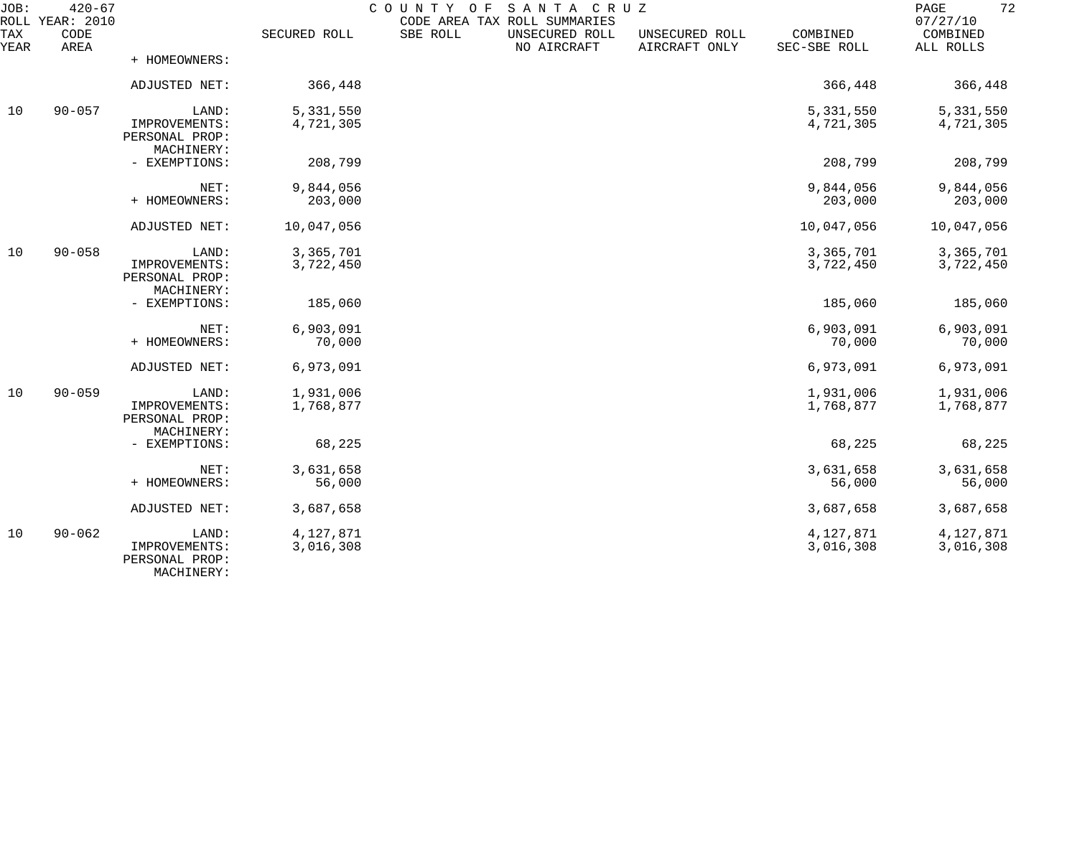| JOB:        | $420 - 67$<br>ROLL YEAR: 2010 |                                                        |                        | COUNTY OF<br>SANTA CRUZ<br>CODE AREA TAX ROLL SUMMARIES |                                 |                          | 72<br>PAGE<br>07/27/10 |
|-------------|-------------------------------|--------------------------------------------------------|------------------------|---------------------------------------------------------|---------------------------------|--------------------------|------------------------|
| TAX<br>YEAR | CODE<br>AREA                  |                                                        | SECURED ROLL           | SBE ROLL<br>UNSECURED ROLL<br>NO AIRCRAFT               | UNSECURED ROLL<br>AIRCRAFT ONLY | COMBINED<br>SEC-SBE ROLL | COMBINED<br>ALL ROLLS  |
|             |                               | + HOMEOWNERS:                                          |                        |                                                         |                                 |                          |                        |
|             |                               | ADJUSTED NET:                                          | 366,448                |                                                         |                                 | 366,448                  | 366,448                |
| 10          | $90 - 057$                    | LAND:<br>IMPROVEMENTS:<br>PERSONAL PROP:<br>MACHINERY: | 5,331,550<br>4,721,305 |                                                         |                                 | 5,331,550<br>4,721,305   | 5,331,550<br>4,721,305 |
|             |                               | - EXEMPTIONS:                                          | 208,799                |                                                         |                                 | 208,799                  | 208,799                |
|             |                               | NET:<br>+ HOMEOWNERS:                                  | 9,844,056<br>203,000   |                                                         |                                 | 9,844,056<br>203,000     | 9,844,056<br>203,000   |
|             |                               | ADJUSTED NET:                                          | 10,047,056             |                                                         |                                 | 10,047,056               | 10,047,056             |
| 10          | $90 - 058$                    | LAND:<br>IMPROVEMENTS:<br>PERSONAL PROP:<br>MACHINERY: | 3,365,701<br>3,722,450 |                                                         |                                 | 3,365,701<br>3,722,450   | 3,365,701<br>3,722,450 |
|             |                               | - EXEMPTIONS:                                          | 185,060                |                                                         |                                 | 185,060                  | 185,060                |
|             |                               | NET:<br>+ HOMEOWNERS:                                  | 6,903,091<br>70,000    |                                                         |                                 | 6,903,091<br>70,000      | 6,903,091<br>70,000    |
|             |                               | ADJUSTED NET:                                          | 6,973,091              |                                                         |                                 | 6,973,091                | 6,973,091              |
| 10          | $90 - 059$                    | LAND:<br>IMPROVEMENTS:<br>PERSONAL PROP:<br>MACHINERY: | 1,931,006<br>1,768,877 |                                                         |                                 | 1,931,006<br>1,768,877   | 1,931,006<br>1,768,877 |
|             |                               | - EXEMPTIONS:                                          | 68,225                 |                                                         |                                 | 68,225                   | 68,225                 |
|             |                               | NET:<br>+ HOMEOWNERS:                                  | 3,631,658<br>56,000    |                                                         |                                 | 3,631,658<br>56,000      | 3,631,658<br>56,000    |
|             |                               | ADJUSTED NET:                                          | 3,687,658              |                                                         |                                 | 3,687,658                | 3,687,658              |
| 10          | $90 - 062$                    | LAND:<br>IMPROVEMENTS:<br>PERSONAL PROP:<br>MACHINERY: | 4,127,871<br>3,016,308 |                                                         |                                 | 4,127,871<br>3,016,308   | 4,127,871<br>3,016,308 |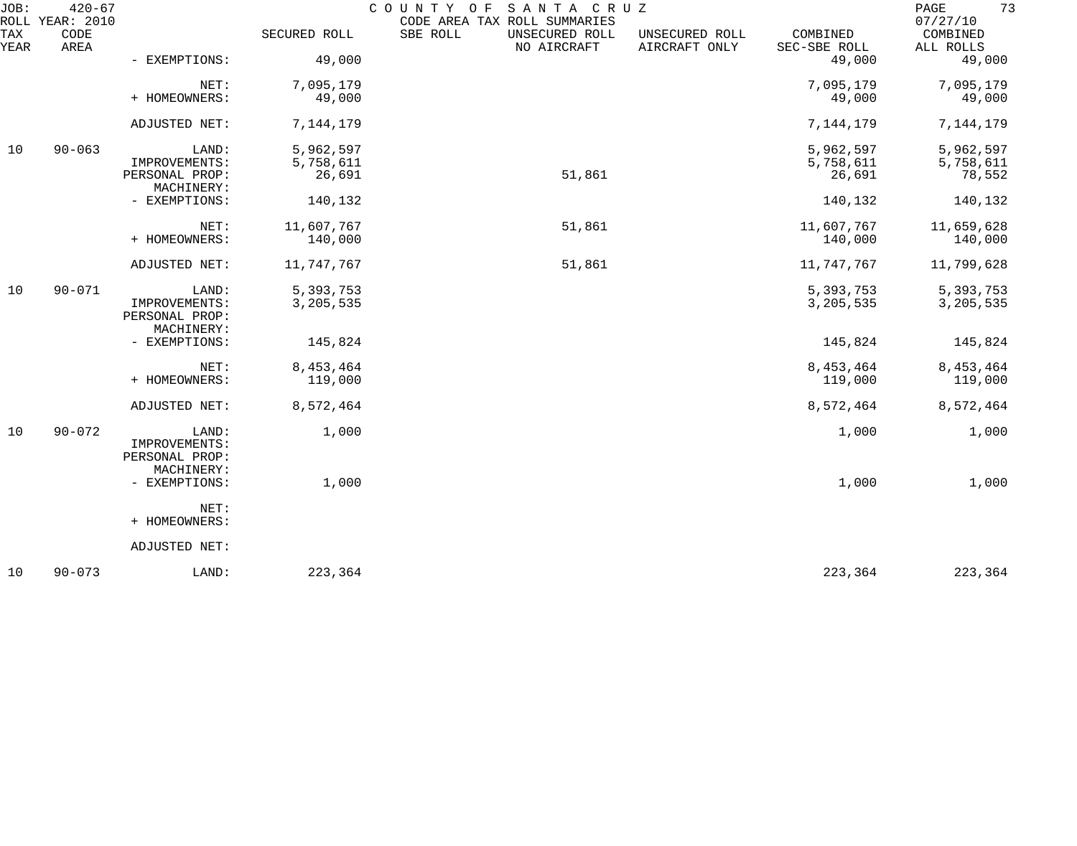| JOB:        | $420 - 67$<br>ROLL YEAR: 2010 |                                               |              | SANTA CRUZ<br>COUNTY<br>O F<br>CODE AREA TAX ROLL SUMMARIES |                                 |                          | 73<br>PAGE<br>07/27/10 |
|-------------|-------------------------------|-----------------------------------------------|--------------|-------------------------------------------------------------|---------------------------------|--------------------------|------------------------|
| TAX<br>YEAR | CODE<br>AREA                  |                                               | SECURED ROLL | SBE ROLL<br>UNSECURED ROLL<br>NO AIRCRAFT                   | UNSECURED ROLL<br>AIRCRAFT ONLY | COMBINED<br>SEC-SBE ROLL | COMBINED<br>ALL ROLLS  |
|             |                               | - EXEMPTIONS:                                 | 49,000       |                                                             |                                 | 49,000                   | 49,000                 |
|             |                               | NET:                                          | 7,095,179    |                                                             |                                 | 7,095,179                | 7,095,179              |
|             |                               | + HOMEOWNERS:                                 | 49,000       |                                                             |                                 | 49,000                   | 49,000                 |
|             |                               | ADJUSTED NET:                                 | 7,144,179    |                                                             |                                 | 7,144,179                | 7,144,179              |
| 10          | $90 - 063$                    | LAND:                                         | 5,962,597    |                                                             |                                 | 5,962,597                | 5,962,597              |
|             |                               | IMPROVEMENTS:                                 | 5,758,611    |                                                             |                                 | 5,758,611                | 5,758,611              |
|             |                               | PERSONAL PROP:<br>MACHINERY:                  | 26,691       | 51,861                                                      |                                 | 26,691                   | 78,552                 |
|             |                               | - EXEMPTIONS:                                 | 140,132      |                                                             |                                 | 140,132                  | 140,132                |
|             |                               | NET:                                          | 11,607,767   | 51,861                                                      |                                 | 11,607,767               | 11,659,628             |
|             |                               | + HOMEOWNERS:                                 | 140,000      |                                                             |                                 | 140,000                  | 140,000                |
|             |                               | ADJUSTED NET:                                 | 11,747,767   | 51,861                                                      |                                 | 11,747,767               | 11,799,628             |
| 10          | $90 - 071$                    | LAND:                                         | 5,393,753    |                                                             |                                 | 5, 393, 753              | 5,393,753              |
|             |                               | IMPROVEMENTS:<br>PERSONAL PROP:<br>MACHINERY: | 3,205,535    |                                                             |                                 | 3,205,535                | 3, 205, 535            |
|             |                               | - EXEMPTIONS:                                 | 145,824      |                                                             |                                 | 145,824                  | 145,824                |
|             |                               | NET:                                          | 8,453,464    |                                                             |                                 | 8,453,464                | 8,453,464              |
|             |                               | + HOMEOWNERS:                                 | 119,000      |                                                             |                                 | 119,000                  | 119,000                |
|             |                               | ADJUSTED NET:                                 | 8,572,464    |                                                             |                                 | 8,572,464                | 8,572,464              |
| 10          | $90 - 072$                    | LAND:                                         | 1,000        |                                                             |                                 | 1,000                    | 1,000                  |
|             |                               | IMPROVEMENTS:<br>PERSONAL PROP:               |              |                                                             |                                 |                          |                        |
|             |                               | MACHINERY:                                    |              |                                                             |                                 |                          |                        |
|             |                               | - EXEMPTIONS:                                 | 1,000        |                                                             |                                 | 1,000                    | 1,000                  |
|             |                               | NET:                                          |              |                                                             |                                 |                          |                        |
|             |                               | + HOMEOWNERS:                                 |              |                                                             |                                 |                          |                        |
|             |                               | ADJUSTED NET:                                 |              |                                                             |                                 |                          |                        |
| 10          | $90 - 073$                    | LAND:                                         | 223,364      |                                                             |                                 | 223,364                  | 223,364                |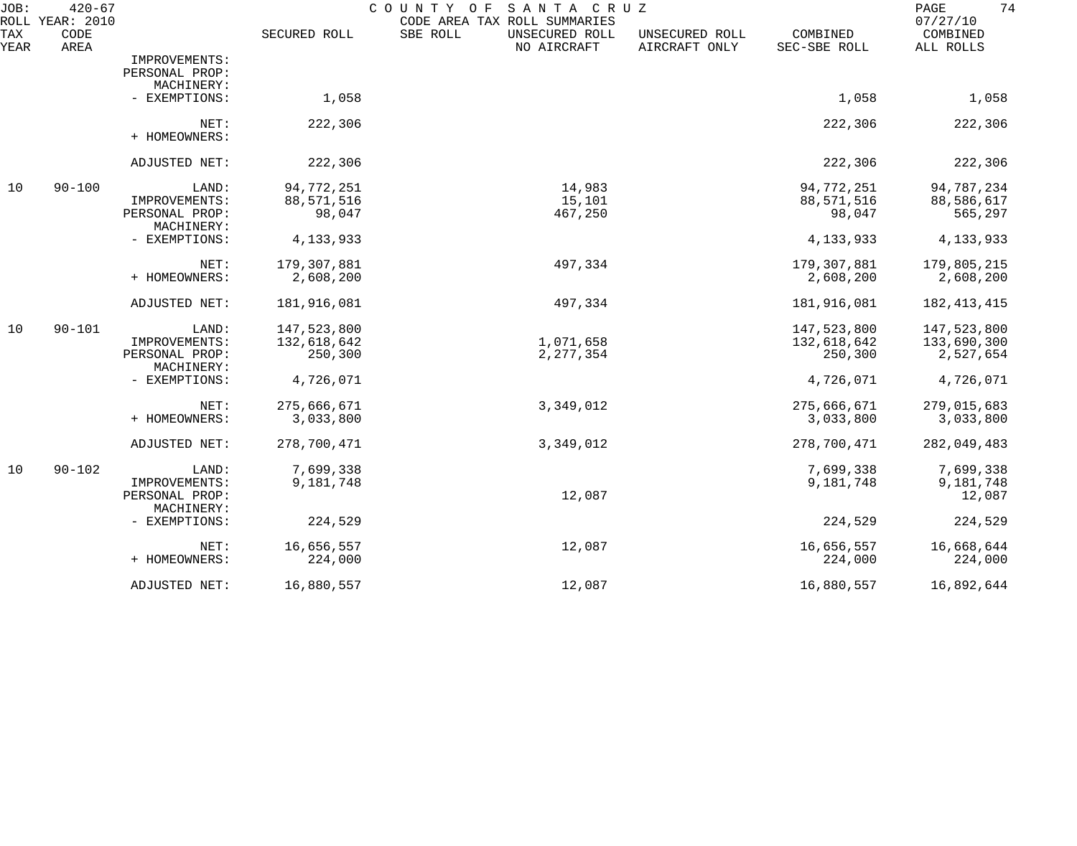| JOB:        | $420 - 67$<br>ROLL YEAR: 2010 |                              |              | COUNTY OF<br>SANTA CRUZ<br>CODE AREA TAX ROLL SUMMARIES |                                 |                          | 74<br>PAGE<br>07/27/10 |
|-------------|-------------------------------|------------------------------|--------------|---------------------------------------------------------|---------------------------------|--------------------------|------------------------|
| TAX<br>YEAR | CODE<br>AREA                  |                              | SECURED ROLL | SBE ROLL<br>UNSECURED ROLL<br>NO AIRCRAFT               | UNSECURED ROLL<br>AIRCRAFT ONLY | COMBINED<br>SEC-SBE ROLL | COMBINED<br>ALL ROLLS  |
|             |                               | IMPROVEMENTS:                |              |                                                         |                                 |                          |                        |
|             |                               | PERSONAL PROP:               |              |                                                         |                                 |                          |                        |
|             |                               | MACHINERY:                   |              |                                                         |                                 |                          |                        |
|             |                               | - EXEMPTIONS:                | 1,058        |                                                         |                                 | 1,058                    | 1,058                  |
|             |                               | NET:                         | 222,306      |                                                         |                                 | 222,306                  | 222,306                |
|             |                               | + HOMEOWNERS:                |              |                                                         |                                 |                          |                        |
|             |                               | ADJUSTED NET:                | 222,306      |                                                         |                                 | 222,306                  | 222,306                |
| 10          | $90 - 100$                    | LAND:                        | 94,772,251   | 14,983                                                  |                                 | 94,772,251               | 94,787,234             |
|             |                               | IMPROVEMENTS:                | 88,571,516   | 15,101                                                  |                                 | 88,571,516               | 88,586,617             |
|             |                               | PERSONAL PROP:<br>MACHINERY: | 98,047       | 467,250                                                 |                                 | 98,047                   | 565,297                |
|             |                               | - EXEMPTIONS:                | 4,133,933    |                                                         |                                 | 4, 133, 933              | 4, 133, 933            |
|             |                               | NET:                         | 179,307,881  | 497,334                                                 |                                 | 179,307,881              | 179,805,215            |
|             |                               | + HOMEOWNERS:                | 2,608,200    |                                                         |                                 | 2,608,200                | 2,608,200              |
|             |                               | ADJUSTED NET:                | 181,916,081  | 497,334                                                 |                                 | 181,916,081              | 182, 413, 415          |
| 10          | $90 - 101$                    | LAND:                        | 147,523,800  |                                                         |                                 | 147,523,800              | 147,523,800            |
|             |                               | IMPROVEMENTS:                | 132,618,642  | 1,071,658                                               |                                 | 132,618,642              | 133,690,300            |
|             |                               | PERSONAL PROP:<br>MACHINERY: | 250,300      | 2, 277, 354                                             |                                 | 250,300                  | 2,527,654              |
|             |                               | - EXEMPTIONS:                | 4,726,071    |                                                         |                                 | 4,726,071                | 4,726,071              |
|             |                               | NET:                         | 275,666,671  | 3,349,012                                               |                                 | 275,666,671              | 279,015,683            |
|             |                               | + HOMEOWNERS:                | 3,033,800    |                                                         |                                 | 3,033,800                | 3,033,800              |
|             |                               | ADJUSTED NET:                | 278,700,471  | 3,349,012                                               |                                 | 278,700,471              | 282,049,483            |
| 10          | $90 - 102$                    | LAND:                        | 7,699,338    |                                                         |                                 | 7,699,338                | 7,699,338              |
|             |                               | IMPROVEMENTS:                | 9,181,748    |                                                         |                                 | 9,181,748                | 9,181,748              |
|             |                               | PERSONAL PROP:               |              | 12,087                                                  |                                 |                          | 12,087                 |
|             |                               | MACHINERY:                   |              |                                                         |                                 |                          |                        |
|             |                               | - EXEMPTIONS:                | 224,529      |                                                         |                                 | 224,529                  | 224,529                |
|             |                               | NET:                         | 16,656,557   | 12,087                                                  |                                 | 16,656,557               | 16,668,644             |
|             |                               | + HOMEOWNERS:                | 224,000      |                                                         |                                 | 224,000                  | 224,000                |
|             |                               | ADJUSTED NET:                | 16,880,557   | 12,087                                                  |                                 | 16,880,557               | 16,892,644             |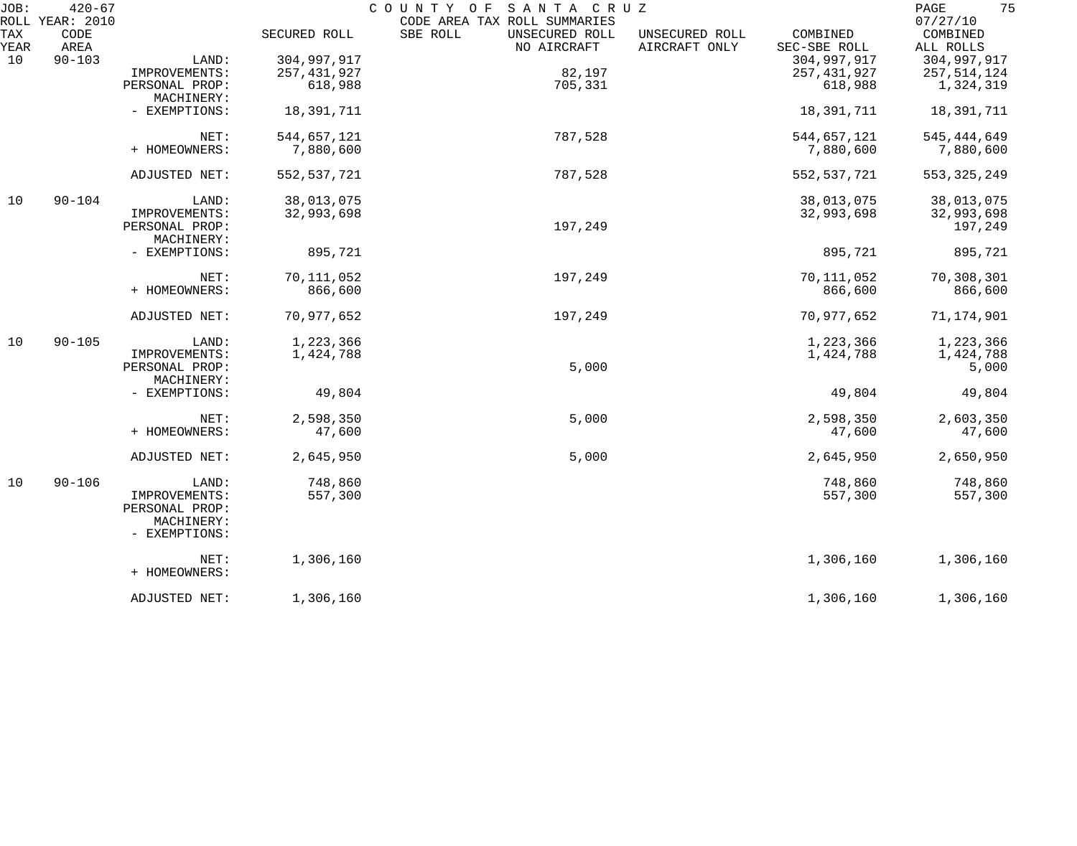| JOB:        | $420 - 67$<br>ROLL YEAR: 2010 |                             |               | COUNTY OF<br>SANTA CRUZ<br>CODE AREA TAX ROLL SUMMARIES |                                 |                          | 75<br>PAGE<br>07/27/10 |
|-------------|-------------------------------|-----------------------------|---------------|---------------------------------------------------------|---------------------------------|--------------------------|------------------------|
| TAX<br>YEAR | CODE<br>AREA                  |                             | SECURED ROLL  | SBE ROLL<br>UNSECURED ROLL<br>NO AIRCRAFT               | UNSECURED ROLL<br>AIRCRAFT ONLY | COMBINED<br>SEC-SBE ROLL | COMBINED<br>ALL ROLLS  |
| 10          | $90 - 103$                    | LAND:                       | 304,997,917   |                                                         |                                 | 304,997,917              | 304,997,917            |
|             |                               | IMPROVEMENTS:               | 257, 431, 927 | 82,197                                                  |                                 | 257, 431, 927            | 257,514,124            |
|             |                               | PERSONAL PROP:              | 618,988       | 705,331                                                 |                                 | 618,988                  | 1,324,319              |
|             |                               | MACHINERY:                  |               |                                                         |                                 |                          |                        |
|             |                               | - EXEMPTIONS:               | 18,391,711    |                                                         |                                 | 18,391,711               | 18,391,711             |
|             |                               | NET:                        | 544,657,121   | 787,528                                                 |                                 | 544,657,121              | 545, 444, 649          |
|             |                               | + HOMEOWNERS:               | 7,880,600     |                                                         |                                 | 7,880,600                | 7,880,600              |
|             |                               | ADJUSTED NET:               | 552, 537, 721 | 787,528                                                 |                                 | 552, 537, 721            | 553, 325, 249          |
| 10          | $90 - 104$                    | LAND:                       | 38,013,075    |                                                         |                                 | 38,013,075               | 38,013,075             |
|             |                               | IMPROVEMENTS:               | 32,993,698    |                                                         |                                 | 32,993,698               | 32,993,698             |
|             |                               | PERSONAL PROP:              |               | 197,249                                                 |                                 |                          | 197,249                |
|             |                               | MACHINERY:                  |               |                                                         |                                 |                          |                        |
|             |                               | - EXEMPTIONS:               | 895,721       |                                                         |                                 | 895,721                  | 895,721                |
|             |                               | NET:                        | 70,111,052    | 197,249                                                 |                                 | 70,111,052               | 70,308,301             |
|             |                               | + HOMEOWNERS:               | 866,600       |                                                         |                                 | 866,600                  | 866,600                |
|             |                               | ADJUSTED NET:               | 70,977,652    | 197,249                                                 |                                 | 70,977,652               | 71,174,901             |
|             |                               |                             |               |                                                         |                                 |                          |                        |
| 10          | $90 - 105$                    | LAND:                       | 1,223,366     |                                                         |                                 | 1,223,366                | 1,223,366              |
|             |                               | IMPROVEMENTS:               | 1,424,788     |                                                         |                                 | 1,424,788                | 1,424,788              |
|             |                               | PERSONAL PROP:              |               | 5,000                                                   |                                 |                          | 5,000                  |
|             |                               | MACHINERY:                  |               |                                                         |                                 |                          |                        |
|             |                               | - EXEMPTIONS:               | 49,804        |                                                         |                                 | 49,804                   | 49,804                 |
|             |                               | NET:                        | 2,598,350     | 5,000                                                   |                                 | 2,598,350                | 2,603,350              |
|             |                               | + HOMEOWNERS:               | 47,600        |                                                         |                                 | 47,600                   | 47,600                 |
|             |                               | ADJUSTED NET:               | 2,645,950     | 5,000                                                   |                                 | 2,645,950                | 2,650,950              |
| 10          | $90 - 106$                    | LAND:                       | 748,860       |                                                         |                                 | 748,860                  | 748,860                |
|             |                               | IMPROVEMENTS:               | 557,300       |                                                         |                                 | 557,300                  | 557,300                |
|             |                               | PERSONAL PROP:              |               |                                                         |                                 |                          |                        |
|             |                               | MACHINERY:<br>- EXEMPTIONS: |               |                                                         |                                 |                          |                        |
|             |                               | NET:                        | 1,306,160     |                                                         |                                 | 1,306,160                | 1,306,160              |
|             |                               | + HOMEOWNERS:               |               |                                                         |                                 |                          |                        |
|             |                               | ADJUSTED NET:               | 1,306,160     |                                                         |                                 | 1,306,160                | 1,306,160              |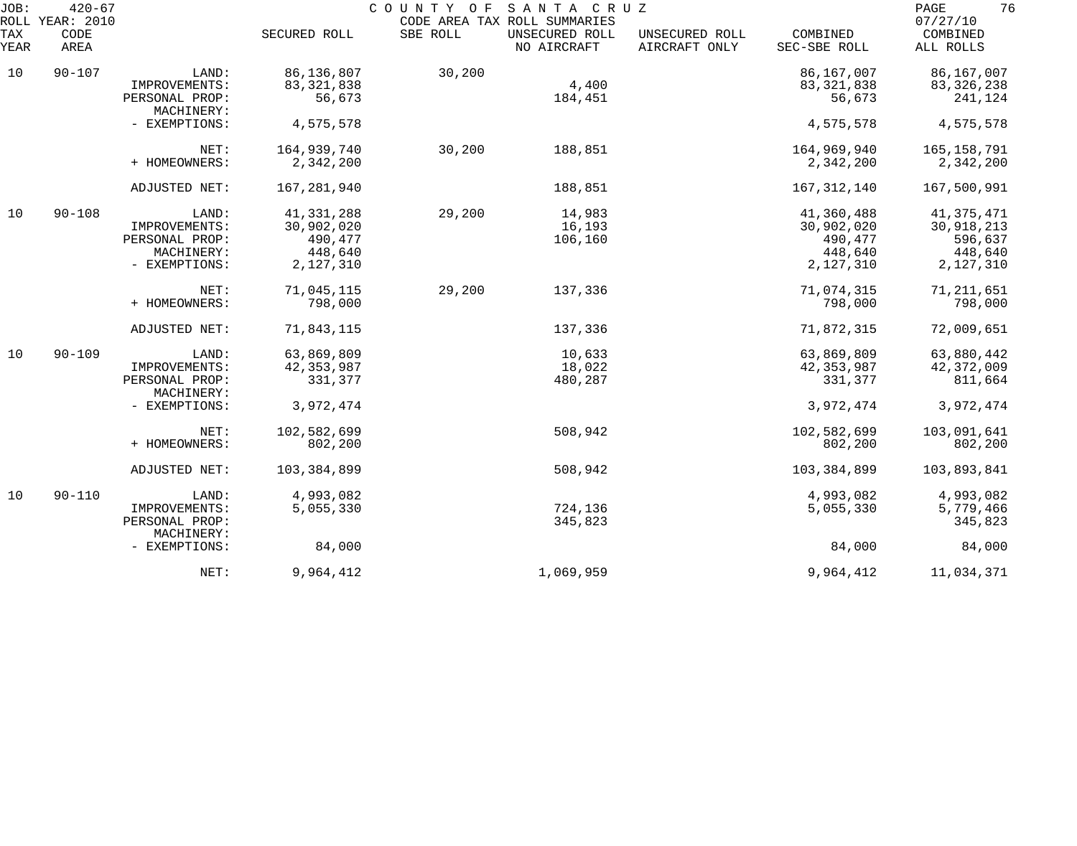| JOB:<br>ROLL       | $420 - 67$<br>YEAR: 2010 |                              |               | COUNTY OF | SANTA CRUZ<br>CODE AREA TAX ROLL SUMMARIES |                                 |                          | 76<br>PAGE<br>07/27/10 |
|--------------------|--------------------------|------------------------------|---------------|-----------|--------------------------------------------|---------------------------------|--------------------------|------------------------|
| <b>TAX</b><br>YEAR | CODE<br>AREA             |                              | SECURED ROLL  | SBE ROLL  | UNSECURED ROLL<br>NO AIRCRAFT              | UNSECURED ROLL<br>AIRCRAFT ONLY | COMBINED<br>SEC-SBE ROLL | COMBINED<br>ALL ROLLS  |
| 10                 | $90 - 107$               | LAND:                        | 86,136,807    | 30,200    |                                            |                                 | 86,167,007               | 86,167,007             |
|                    |                          | IMPROVEMENTS:                | 83, 321, 838  |           | 4,400                                      |                                 | 83, 321, 838             | 83, 326, 238           |
|                    |                          | PERSONAL PROP:<br>MACHINERY: | 56,673        |           | 184,451                                    |                                 | 56,673                   | 241,124                |
|                    |                          | - EXEMPTIONS:                | 4,575,578     |           |                                            |                                 | 4,575,578                | 4,575,578              |
|                    |                          | NET:                         | 164,939,740   | 30,200    | 188,851                                    |                                 | 164,969,940              | 165, 158, 791          |
|                    |                          | + HOMEOWNERS:                | 2,342,200     |           |                                            |                                 | 2,342,200                | 2,342,200              |
|                    |                          | ADJUSTED NET:                | 167,281,940   |           | 188,851                                    |                                 | 167, 312, 140            | 167,500,991            |
| 10                 | $90 - 108$               | LAND:                        | 41,331,288    | 29,200    | 14,983                                     |                                 | 41,360,488               | 41, 375, 471           |
|                    |                          | IMPROVEMENTS:                | 30,902,020    |           | 16,193                                     |                                 | 30,902,020               | 30,918,213             |
|                    |                          | PERSONAL PROP:               | 490,477       |           | 106,160                                    |                                 | 490,477                  | 596,637                |
|                    |                          | MACHINERY:                   | 448,640       |           |                                            |                                 | 448,640                  | 448,640                |
|                    |                          | - EXEMPTIONS:                | 2,127,310     |           |                                            |                                 | 2,127,310                | 2,127,310              |
|                    |                          | NET:                         | 71,045,115    | 29,200    | 137,336                                    |                                 | 71,074,315               | 71, 211, 651           |
|                    |                          | + HOMEOWNERS:                | 798,000       |           |                                            |                                 | 798,000                  | 798,000                |
|                    |                          | ADJUSTED NET:                | 71,843,115    |           | 137,336                                    |                                 | 71,872,315               | 72,009,651             |
| 10                 | $90 - 109$               | LAND:                        | 63,869,809    |           | 10,633                                     |                                 | 63,869,809               | 63,880,442             |
|                    |                          | IMPROVEMENTS:                | 42, 353, 987  |           | 18,022                                     |                                 | 42, 353, 987             | 42, 372, 009           |
|                    |                          | PERSONAL PROP:<br>MACHINERY: | 331,377       |           | 480,287                                    |                                 | 331,377                  | 811,664                |
|                    |                          | - EXEMPTIONS:                | 3,972,474     |           |                                            |                                 | 3,972,474                | 3,972,474              |
|                    |                          | NET:                         | 102,582,699   |           | 508,942                                    |                                 | 102,582,699              | 103,091,641            |
|                    |                          | + HOMEOWNERS:                | 802,200       |           |                                            |                                 | 802,200                  | 802,200                |
|                    |                          | ADJUSTED NET:                | 103, 384, 899 |           | 508,942                                    |                                 | 103, 384, 899            | 103,893,841            |
| 10                 | $90 - 110$               | LAND:                        | 4,993,082     |           |                                            |                                 | 4,993,082                | 4,993,082              |
|                    |                          | IMPROVEMENTS:                | 5,055,330     |           | 724,136                                    |                                 | 5,055,330                | 5,779,466              |
|                    |                          | PERSONAL PROP:<br>MACHINERY: |               |           | 345,823                                    |                                 |                          | 345,823                |
|                    |                          | - EXEMPTIONS:                | 84,000        |           |                                            |                                 | 84,000                   | 84,000                 |
|                    |                          | NET:                         | 9,964,412     |           | 1,069,959                                  |                                 | 9,964,412                | 11,034,371             |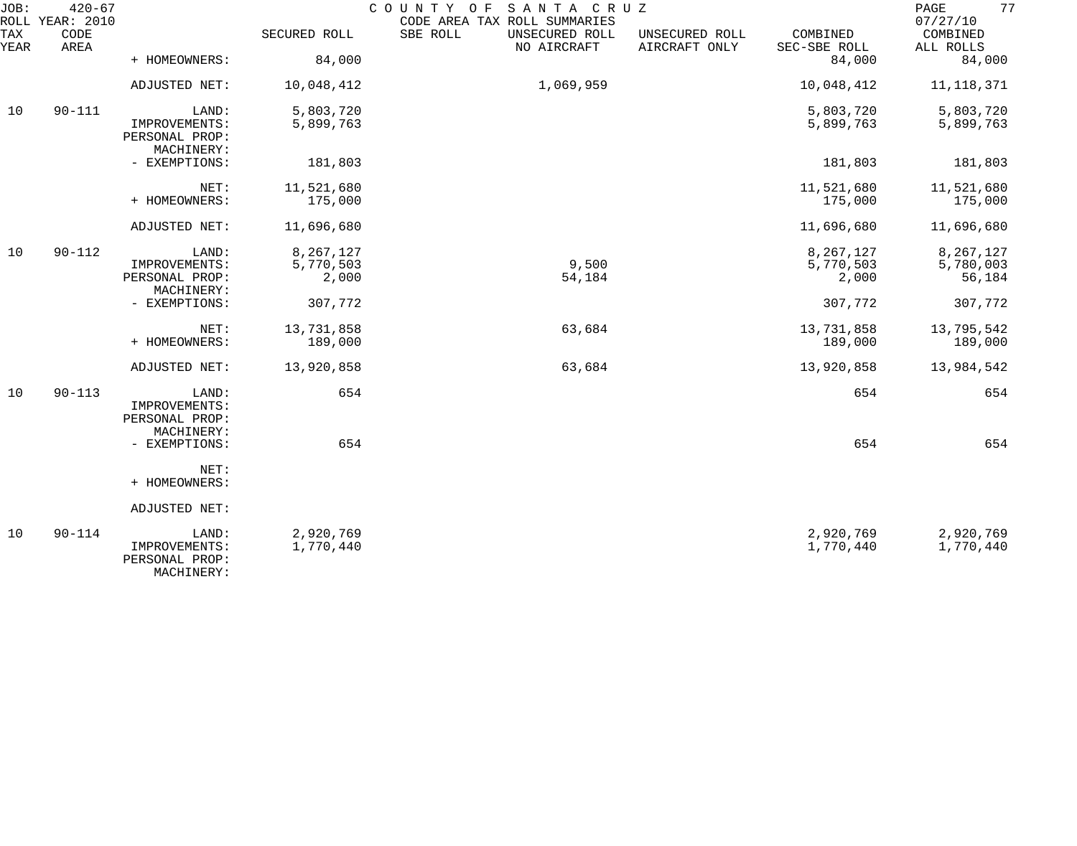| JOB:        | $420 - 67$<br>ROLL YEAR: 2010 |                                               |              | COUNTY OF<br>SANTA CRUZ<br>CODE AREA TAX ROLL SUMMARIES |                                 |                          | 77<br>PAGE<br>07/27/10 |
|-------------|-------------------------------|-----------------------------------------------|--------------|---------------------------------------------------------|---------------------------------|--------------------------|------------------------|
| TAX<br>YEAR | CODE<br>AREA                  |                                               | SECURED ROLL | SBE ROLL<br>UNSECURED ROLL<br>NO AIRCRAFT               | UNSECURED ROLL<br>AIRCRAFT ONLY | COMBINED<br>SEC-SBE ROLL | COMBINED<br>ALL ROLLS  |
|             |                               | + HOMEOWNERS:                                 | 84,000       |                                                         |                                 | 84,000                   | 84,000                 |
|             |                               | ADJUSTED NET:                                 | 10,048,412   | 1,069,959                                               |                                 | 10,048,412               | 11, 118, 371           |
| 10          | $90 - 111$                    | LAND:                                         | 5,803,720    |                                                         |                                 | 5,803,720                | 5,803,720              |
|             |                               | IMPROVEMENTS:<br>PERSONAL PROP:<br>MACHINERY: | 5,899,763    |                                                         |                                 | 5,899,763                | 5,899,763              |
|             |                               | - EXEMPTIONS:                                 | 181,803      |                                                         |                                 | 181,803                  | 181,803                |
|             |                               | NET:                                          | 11,521,680   |                                                         |                                 | 11,521,680               | 11,521,680             |
|             |                               | + HOMEOWNERS:                                 | 175,000      |                                                         |                                 | 175,000                  | 175,000                |
|             |                               | ADJUSTED NET:                                 | 11,696,680   |                                                         |                                 | 11,696,680               | 11,696,680             |
| 10          | $90 - 112$                    | LAND:                                         | 8,267,127    |                                                         |                                 | 8,267,127                | 8,267,127              |
|             |                               | IMPROVEMENTS:                                 | 5,770,503    | 9,500                                                   |                                 | 5,770,503                | 5,780,003              |
|             |                               | PERSONAL PROP:<br>MACHINERY:                  | 2,000        | 54,184                                                  |                                 | 2,000                    | 56,184                 |
|             |                               | - EXEMPTIONS:                                 | 307,772      |                                                         |                                 | 307,772                  | 307,772                |
|             |                               | NET:                                          | 13,731,858   | 63,684                                                  |                                 | 13,731,858               | 13,795,542             |
|             |                               | + HOMEOWNERS:                                 | 189,000      |                                                         |                                 | 189,000                  | 189,000                |
|             |                               | ADJUSTED NET:                                 | 13,920,858   | 63,684                                                  |                                 | 13,920,858               | 13,984,542             |
| 10          | $90 - 113$                    | LAND:                                         | 654          |                                                         |                                 | 654                      | 654                    |
|             |                               | IMPROVEMENTS:                                 |              |                                                         |                                 |                          |                        |
|             |                               | PERSONAL PROP:<br>MACHINERY:                  |              |                                                         |                                 |                          |                        |
|             |                               | - EXEMPTIONS:                                 | 654          |                                                         |                                 | 654                      | 654                    |
|             |                               | NET:                                          |              |                                                         |                                 |                          |                        |
|             |                               | + HOMEOWNERS:                                 |              |                                                         |                                 |                          |                        |
|             |                               | ADJUSTED NET:                                 |              |                                                         |                                 |                          |                        |
| 10          | $90 - 114$                    | LAND:                                         | 2,920,769    |                                                         |                                 | 2,920,769                | 2,920,769              |
|             |                               | IMPROVEMENTS:<br>PERSONAL PROP:               | 1,770,440    |                                                         |                                 | 1,770,440                | 1,770,440              |

MACHINERY: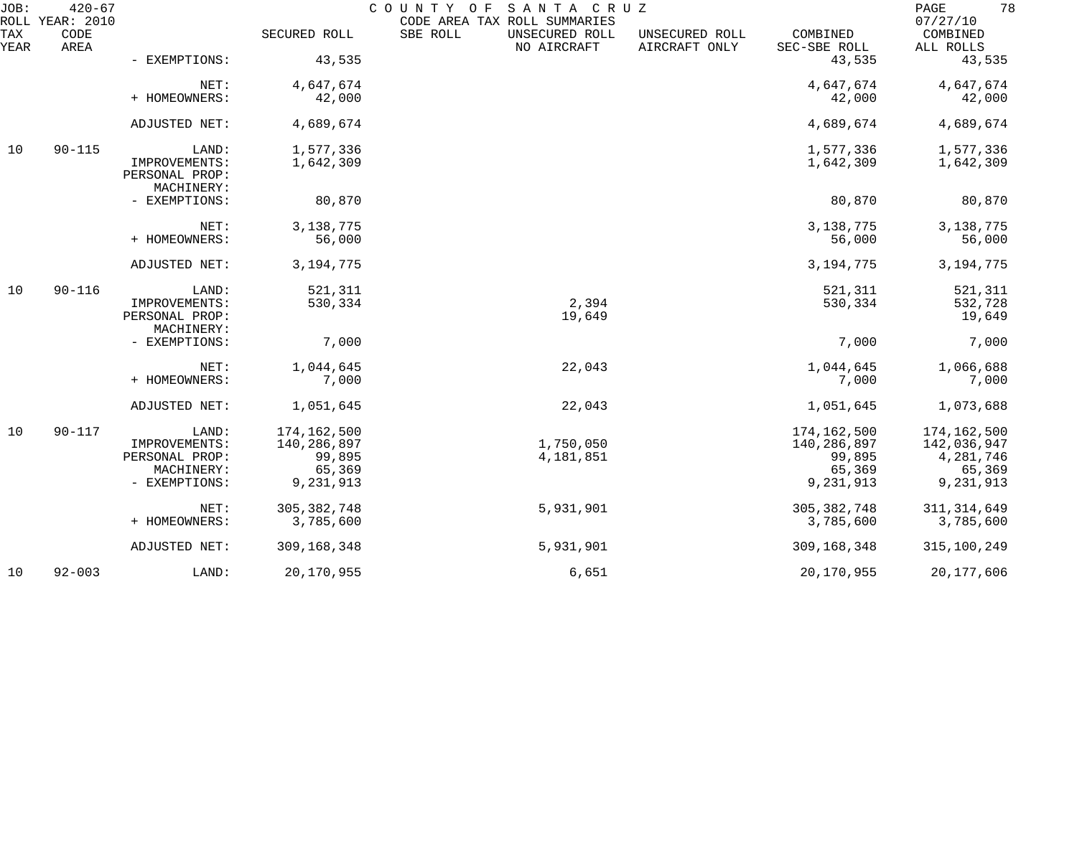| JOB:        | $420 - 67$<br>ROLL YEAR: 2010 |                                               |                    | COUNTY OF<br>SANTA CRUZ<br>CODE AREA TAX ROLL SUMMARIES |                                 |                          | 78<br>PAGE<br>07/27/10 |
|-------------|-------------------------------|-----------------------------------------------|--------------------|---------------------------------------------------------|---------------------------------|--------------------------|------------------------|
| TAX<br>YEAR | CODE<br>AREA                  |                                               | SECURED ROLL       | SBE ROLL<br>UNSECURED ROLL<br>NO AIRCRAFT               | UNSECURED ROLL<br>AIRCRAFT ONLY | COMBINED<br>SEC-SBE ROLL | COMBINED<br>ALL ROLLS  |
|             |                               | - EXEMPTIONS:                                 | 43,535             |                                                         |                                 | 43,535                   | 43,535                 |
|             |                               | NET:                                          | 4,647,674          |                                                         |                                 | 4,647,674                | 4,647,674              |
|             |                               | + HOMEOWNERS:                                 | 42,000             |                                                         |                                 | 42,000                   | 42,000                 |
|             |                               | ADJUSTED NET:                                 | 4,689,674          |                                                         |                                 | 4,689,674                | 4,689,674              |
| 10          | $90 - 115$                    | LAND:                                         | 1,577,336          |                                                         |                                 | 1,577,336                | 1,577,336              |
|             |                               | IMPROVEMENTS:<br>PERSONAL PROP:<br>MACHINERY: | 1,642,309          |                                                         |                                 | 1,642,309                | 1,642,309              |
|             |                               | - EXEMPTIONS:                                 | 80,870             |                                                         |                                 | 80,870                   | 80,870                 |
|             |                               | NET:                                          | 3, 138, 775        |                                                         |                                 | 3, 138, 775              | 3, 138, 775            |
|             |                               | + HOMEOWNERS:                                 | 56,000             |                                                         |                                 | 56,000                   | 56,000                 |
|             |                               | ADJUSTED NET:                                 | 3, 194, 775        |                                                         |                                 | 3, 194, 775              | 3, 194, 775            |
| 10          | $90 - 116$                    | LAND:                                         | 521,311            |                                                         |                                 | 521,311                  | 521,311                |
|             |                               | IMPROVEMENTS:<br>PERSONAL PROP:               | 530,334            | 2,394<br>19,649                                         |                                 | 530,334                  | 532,728<br>19,649      |
|             |                               | MACHINERY:<br>- EXEMPTIONS:                   | 7,000              |                                                         |                                 | 7,000                    | 7,000                  |
|             |                               |                                               |                    |                                                         |                                 |                          |                        |
|             |                               | NET:<br>+ HOMEOWNERS:                         | 1,044,645<br>7,000 | 22,043                                                  |                                 | 1,044,645<br>7,000       | 1,066,688<br>7,000     |
|             |                               | ADJUSTED NET:                                 | 1,051,645          | 22,043                                                  |                                 | 1,051,645                | 1,073,688              |
| 10          | $90 - 117$                    | LAND:                                         | 174,162,500        |                                                         |                                 | 174,162,500              | 174,162,500            |
|             |                               | IMPROVEMENTS:                                 | 140,286,897        | 1,750,050                                               |                                 | 140,286,897              | 142,036,947            |
|             |                               | PERSONAL PROP:<br>MACHINERY:                  | 99,895<br>65,369   | 4,181,851                                               |                                 | 99,895<br>65,369         | 4,281,746<br>65,369    |
|             |                               | - EXEMPTIONS:                                 | 9,231,913          |                                                         |                                 | 9,231,913                | 9,231,913              |
|             |                               | NET:                                          | 305, 382, 748      | 5,931,901                                               |                                 | 305, 382, 748            | 311, 314, 649          |
|             |                               | + HOMEOWNERS:                                 | 3,785,600          |                                                         |                                 | 3,785,600                | 3,785,600              |
|             |                               | ADJUSTED NET:                                 | 309,168,348        | 5,931,901                                               |                                 | 309,168,348              | 315,100,249            |
| 10          | $92 - 003$                    | LAND:                                         | 20,170,955         | 6,651                                                   |                                 | 20,170,955               | 20,177,606             |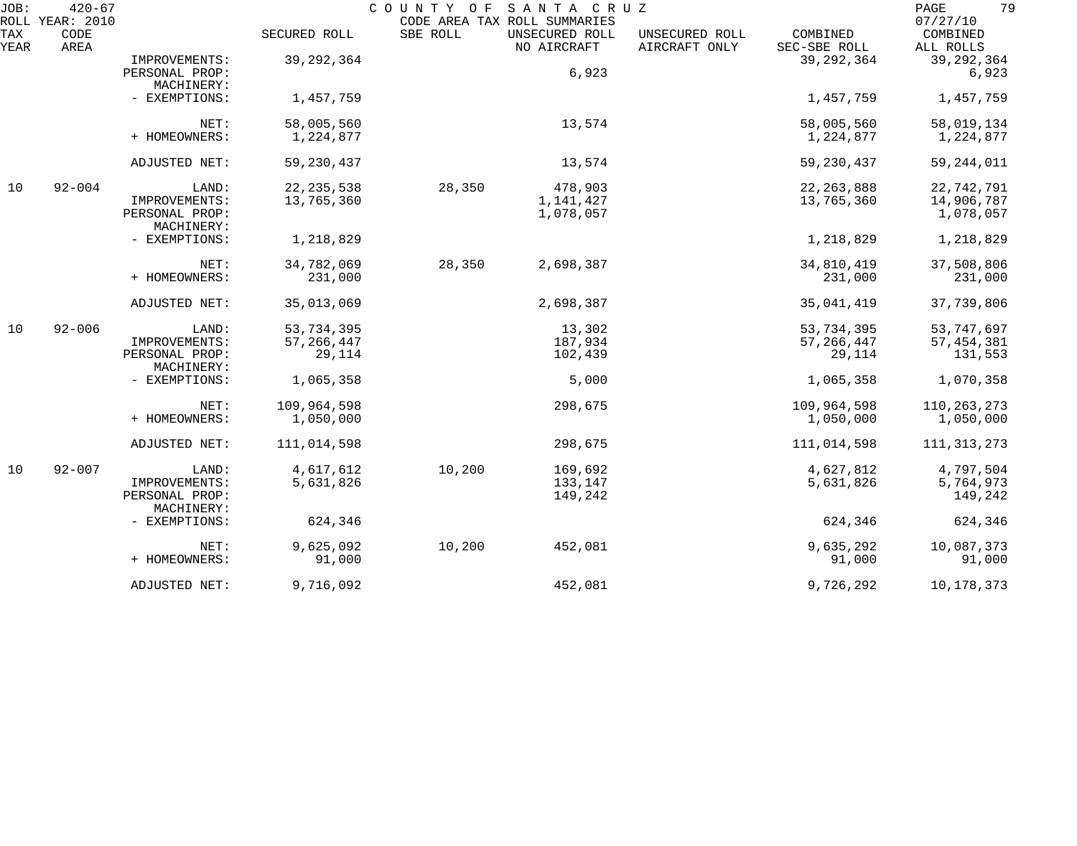| JOB:        | $420 - 67$<br>ROLL YEAR: 2010 |                                          |                                      | COUNTY OF | SANTA CRUZ<br>CODE AREA TAX ROLL SUMMARIES |                                 |                                      | 79<br>PAGE<br>07/27/10                |
|-------------|-------------------------------|------------------------------------------|--------------------------------------|-----------|--------------------------------------------|---------------------------------|--------------------------------------|---------------------------------------|
| TAX<br>YEAR | CODE<br>AREA                  |                                          | SECURED ROLL                         | SBE ROLL  | UNSECURED ROLL<br>NO AIRCRAFT              | UNSECURED ROLL<br>AIRCRAFT ONLY | COMBINED<br>SEC-SBE ROLL             | COMBINED<br>ALL ROLLS                 |
|             |                               | IMPROVEMENTS:<br>PERSONAL PROP:          | 39, 292, 364                         |           | 6,923                                      |                                 | 39, 292, 364                         | 39, 292, 364<br>6,923                 |
|             |                               | MACHINERY:<br>- EXEMPTIONS:              | 1,457,759                            |           |                                            |                                 | 1,457,759                            | 1,457,759                             |
|             |                               | NET:<br>+ HOMEOWNERS:                    | 58,005,560<br>1,224,877              |           | 13,574                                     |                                 | 58,005,560<br>1,224,877              | 58,019,134<br>1,224,877               |
|             |                               | ADJUSTED NET:                            | 59, 230, 437                         |           | 13,574                                     |                                 | 59, 230, 437                         | 59, 244, 011                          |
| 10          | $92 - 004$                    | LAND:<br>IMPROVEMENTS:<br>PERSONAL PROP: | 22, 235, 538<br>13,765,360           | 28,350    | 478,903<br>1,141,427<br>1,078,057          |                                 | 22, 263, 888<br>13,765,360           | 22,742,791<br>14,906,787<br>1,078,057 |
|             |                               | MACHINERY:<br>- EXEMPTIONS:              | 1,218,829                            |           |                                            |                                 | 1,218,829                            | 1,218,829                             |
|             |                               | NET:<br>+ HOMEOWNERS:                    | 34,782,069<br>231,000                | 28,350    | 2,698,387                                  |                                 | 34,810,419<br>231,000                | 37,508,806<br>231,000                 |
|             |                               | ADJUSTED NET:                            | 35,013,069                           |           | 2,698,387                                  |                                 | 35,041,419                           | 37,739,806                            |
| 10          | $92 - 006$                    | LAND:<br>IMPROVEMENTS:<br>PERSONAL PROP: | 53,734,395<br>57, 266, 447<br>29,114 |           | 13,302<br>187,934<br>102,439               |                                 | 53,734,395<br>57, 266, 447<br>29,114 | 53,747,697<br>57, 454, 381<br>131,553 |
|             |                               | MACHINERY:<br>- EXEMPTIONS:              | 1,065,358                            |           | 5,000                                      |                                 | 1,065,358                            | 1,070,358                             |
|             |                               | NET:<br>+ HOMEOWNERS:                    | 109,964,598<br>1,050,000             |           | 298,675                                    |                                 | 109,964,598<br>1,050,000             | 110, 263, 273<br>1,050,000            |
|             |                               | ADJUSTED NET:                            | 111,014,598                          |           | 298,675                                    |                                 | 111,014,598                          | 111, 313, 273                         |
| 10          | $92 - 007$                    | LAND:<br>IMPROVEMENTS:<br>PERSONAL PROP: | 4,617,612<br>5,631,826               | 10,200    | 169,692<br>133,147<br>149,242              |                                 | 4,627,812<br>5,631,826               | 4,797,504<br>5,764,973<br>149,242     |
|             |                               | MACHINERY:<br>- EXEMPTIONS:              | 624,346                              |           |                                            |                                 | 624,346                              | 624,346                               |
|             |                               | NET:<br>+ HOMEOWNERS:                    | 9,625,092<br>91,000                  | 10,200    | 452,081                                    |                                 | 9,635,292<br>91,000                  | 10,087,373<br>91,000                  |
|             |                               | ADJUSTED NET:                            | 9,716,092                            |           | 452,081                                    |                                 | 9,726,292                            | 10,178,373                            |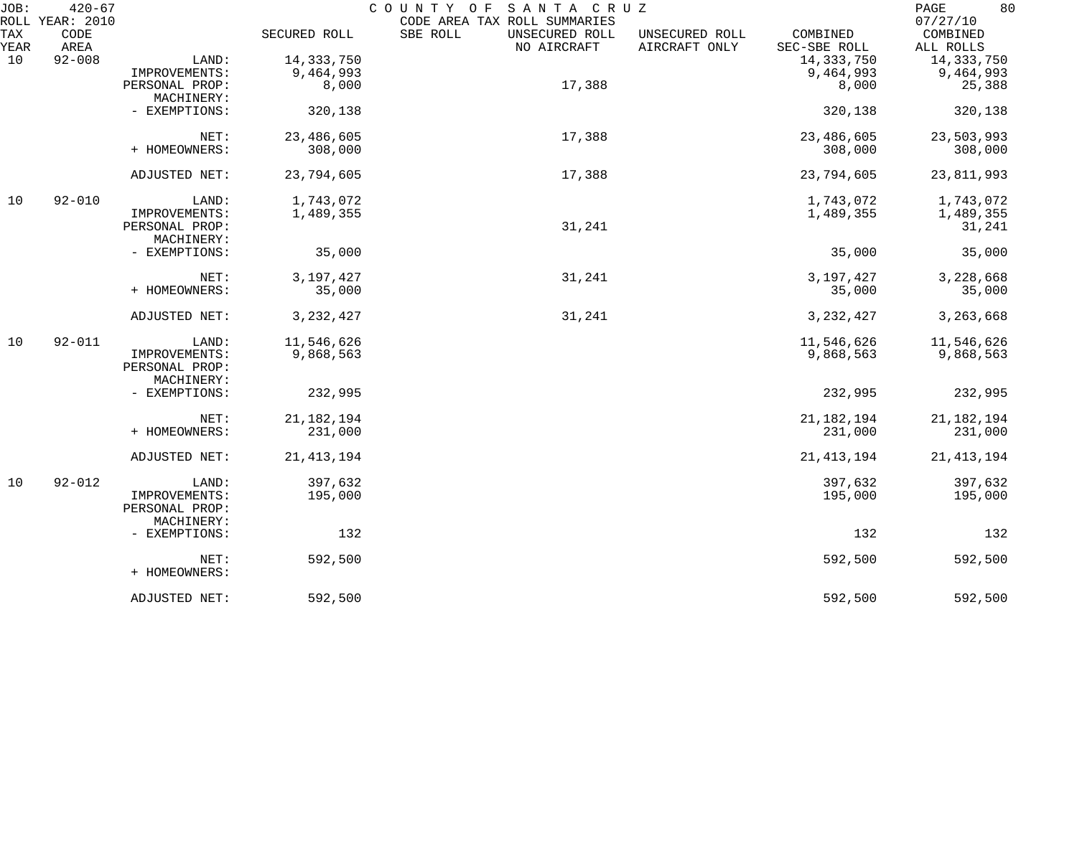| ROLL YEAR: 2010<br>TAX<br>CODE<br>SBE ROLL<br>SECURED ROLL<br>UNSECURED ROLL<br>COMBINED<br>COMBINED<br>UNSECURED ROLL<br>YEAR<br>AREA<br>AIRCRAFT ONLY<br>NO AIRCRAFT<br>SEC-SBE ROLL<br>ALL ROLLS<br>10<br>$92 - 008$<br>14, 333, 750<br>14, 333, 750<br>14,333,750<br>LAND:<br>9,464,993<br>9,464,993<br>9,464,993<br>IMPROVEMENTS:<br>17,388<br>PERSONAL PROP:<br>8,000<br>8,000<br>25,388<br>MACHINERY:<br>- EXEMPTIONS:<br>320,138<br>320,138<br>320,138<br>23,486,605<br>17,388<br>23,486,605<br>23,503,993<br>NET:<br>+ HOMEOWNERS:<br>308,000<br>308,000<br>308,000<br>23,794,605<br>17,388<br>23,794,605<br>ADJUSTED NET:<br>23,811,993<br>1,743,072<br>10<br>$92 - 010$<br>1,743,072<br>1,743,072<br>LAND:<br>IMPROVEMENTS:<br>1,489,355<br>1,489,355<br>1,489,355<br>31,241<br>PERSONAL PROP:<br>31,241<br>MACHINERY:<br>35,000<br>- EXEMPTIONS:<br>35,000<br>35,000<br>3,197,427<br>31,241<br>3,197,427<br>3,228,668<br>NET:<br>+ HOMEOWNERS:<br>35,000<br>35,000<br>3, 232, 427<br>31,241<br>3, 232, 427<br>3,263,668<br>ADJUSTED NET:<br>10<br>$92 - 011$<br>11,546,626<br>11,546,626<br>11,546,626<br>LAND:<br>IMPROVEMENTS:<br>9,868,563<br>9,868,563<br>9,868,563<br>PERSONAL PROP:<br>MACHINERY:<br>232,995<br>232,995<br>232,995<br>- EXEMPTIONS:<br>21, 182, 194<br>21, 182, 194<br>21, 182, 194<br>NET:<br>+ HOMEOWNERS:<br>231,000<br>231,000<br>231,000<br>ADJUSTED NET:<br>21, 413, 194<br>21, 413, 194<br>10<br>$92 - 012$<br>397,632<br>397,632<br>397,632<br>LAND:<br>195,000<br>195,000<br>195,000<br>IMPROVEMENTS:<br>PERSONAL PROP:<br>MACHINERY:<br>132<br>132<br>132<br>- EXEMPTIONS:<br>592,500<br>NET:<br>592,500<br>+ HOMEOWNERS:<br>592,500<br>592,500<br>ADJUSTED NET: | JOB: | $420 - 67$ |  | COUNTY OF SANTA CRUZ         | 80<br>$\mathop{\mathrm{PAGE}}$ |
|--------------------------------------------------------------------------------------------------------------------------------------------------------------------------------------------------------------------------------------------------------------------------------------------------------------------------------------------------------------------------------------------------------------------------------------------------------------------------------------------------------------------------------------------------------------------------------------------------------------------------------------------------------------------------------------------------------------------------------------------------------------------------------------------------------------------------------------------------------------------------------------------------------------------------------------------------------------------------------------------------------------------------------------------------------------------------------------------------------------------------------------------------------------------------------------------------------------------------------------------------------------------------------------------------------------------------------------------------------------------------------------------------------------------------------------------------------------------------------------------------------------------------------------------------------------------------------------------------------------------------------------------------------------------------------------------------------------|------|------------|--|------------------------------|--------------------------------|
|                                                                                                                                                                                                                                                                                                                                                                                                                                                                                                                                                                                                                                                                                                                                                                                                                                                                                                                                                                                                                                                                                                                                                                                                                                                                                                                                                                                                                                                                                                                                                                                                                                                                                                              |      |            |  | CODE AREA TAX ROLL SUMMARIES | 07/27/10                       |
|                                                                                                                                                                                                                                                                                                                                                                                                                                                                                                                                                                                                                                                                                                                                                                                                                                                                                                                                                                                                                                                                                                                                                                                                                                                                                                                                                                                                                                                                                                                                                                                                                                                                                                              |      |            |  |                              |                                |
|                                                                                                                                                                                                                                                                                                                                                                                                                                                                                                                                                                                                                                                                                                                                                                                                                                                                                                                                                                                                                                                                                                                                                                                                                                                                                                                                                                                                                                                                                                                                                                                                                                                                                                              |      |            |  |                              |                                |
|                                                                                                                                                                                                                                                                                                                                                                                                                                                                                                                                                                                                                                                                                                                                                                                                                                                                                                                                                                                                                                                                                                                                                                                                                                                                                                                                                                                                                                                                                                                                                                                                                                                                                                              |      |            |  |                              |                                |
|                                                                                                                                                                                                                                                                                                                                                                                                                                                                                                                                                                                                                                                                                                                                                                                                                                                                                                                                                                                                                                                                                                                                                                                                                                                                                                                                                                                                                                                                                                                                                                                                                                                                                                              |      |            |  |                              |                                |
|                                                                                                                                                                                                                                                                                                                                                                                                                                                                                                                                                                                                                                                                                                                                                                                                                                                                                                                                                                                                                                                                                                                                                                                                                                                                                                                                                                                                                                                                                                                                                                                                                                                                                                              |      |            |  |                              |                                |
|                                                                                                                                                                                                                                                                                                                                                                                                                                                                                                                                                                                                                                                                                                                                                                                                                                                                                                                                                                                                                                                                                                                                                                                                                                                                                                                                                                                                                                                                                                                                                                                                                                                                                                              |      |            |  |                              |                                |
|                                                                                                                                                                                                                                                                                                                                                                                                                                                                                                                                                                                                                                                                                                                                                                                                                                                                                                                                                                                                                                                                                                                                                                                                                                                                                                                                                                                                                                                                                                                                                                                                                                                                                                              |      |            |  |                              |                                |
|                                                                                                                                                                                                                                                                                                                                                                                                                                                                                                                                                                                                                                                                                                                                                                                                                                                                                                                                                                                                                                                                                                                                                                                                                                                                                                                                                                                                                                                                                                                                                                                                                                                                                                              |      |            |  |                              |                                |
|                                                                                                                                                                                                                                                                                                                                                                                                                                                                                                                                                                                                                                                                                                                                                                                                                                                                                                                                                                                                                                                                                                                                                                                                                                                                                                                                                                                                                                                                                                                                                                                                                                                                                                              |      |            |  |                              |                                |
|                                                                                                                                                                                                                                                                                                                                                                                                                                                                                                                                                                                                                                                                                                                                                                                                                                                                                                                                                                                                                                                                                                                                                                                                                                                                                                                                                                                                                                                                                                                                                                                                                                                                                                              |      |            |  |                              |                                |
|                                                                                                                                                                                                                                                                                                                                                                                                                                                                                                                                                                                                                                                                                                                                                                                                                                                                                                                                                                                                                                                                                                                                                                                                                                                                                                                                                                                                                                                                                                                                                                                                                                                                                                              |      |            |  |                              |                                |
|                                                                                                                                                                                                                                                                                                                                                                                                                                                                                                                                                                                                                                                                                                                                                                                                                                                                                                                                                                                                                                                                                                                                                                                                                                                                                                                                                                                                                                                                                                                                                                                                                                                                                                              |      |            |  |                              |                                |
|                                                                                                                                                                                                                                                                                                                                                                                                                                                                                                                                                                                                                                                                                                                                                                                                                                                                                                                                                                                                                                                                                                                                                                                                                                                                                                                                                                                                                                                                                                                                                                                                                                                                                                              |      |            |  |                              |                                |
|                                                                                                                                                                                                                                                                                                                                                                                                                                                                                                                                                                                                                                                                                                                                                                                                                                                                                                                                                                                                                                                                                                                                                                                                                                                                                                                                                                                                                                                                                                                                                                                                                                                                                                              |      |            |  |                              |                                |
|                                                                                                                                                                                                                                                                                                                                                                                                                                                                                                                                                                                                                                                                                                                                                                                                                                                                                                                                                                                                                                                                                                                                                                                                                                                                                                                                                                                                                                                                                                                                                                                                                                                                                                              |      |            |  |                              |                                |
|                                                                                                                                                                                                                                                                                                                                                                                                                                                                                                                                                                                                                                                                                                                                                                                                                                                                                                                                                                                                                                                                                                                                                                                                                                                                                                                                                                                                                                                                                                                                                                                                                                                                                                              |      |            |  |                              |                                |
|                                                                                                                                                                                                                                                                                                                                                                                                                                                                                                                                                                                                                                                                                                                                                                                                                                                                                                                                                                                                                                                                                                                                                                                                                                                                                                                                                                                                                                                                                                                                                                                                                                                                                                              |      |            |  |                              | 35,000                         |
|                                                                                                                                                                                                                                                                                                                                                                                                                                                                                                                                                                                                                                                                                                                                                                                                                                                                                                                                                                                                                                                                                                                                                                                                                                                                                                                                                                                                                                                                                                                                                                                                                                                                                                              |      |            |  |                              |                                |
|                                                                                                                                                                                                                                                                                                                                                                                                                                                                                                                                                                                                                                                                                                                                                                                                                                                                                                                                                                                                                                                                                                                                                                                                                                                                                                                                                                                                                                                                                                                                                                                                                                                                                                              |      |            |  |                              |                                |
|                                                                                                                                                                                                                                                                                                                                                                                                                                                                                                                                                                                                                                                                                                                                                                                                                                                                                                                                                                                                                                                                                                                                                                                                                                                                                                                                                                                                                                                                                                                                                                                                                                                                                                              |      |            |  |                              |                                |
|                                                                                                                                                                                                                                                                                                                                                                                                                                                                                                                                                                                                                                                                                                                                                                                                                                                                                                                                                                                                                                                                                                                                                                                                                                                                                                                                                                                                                                                                                                                                                                                                                                                                                                              |      |            |  |                              |                                |
|                                                                                                                                                                                                                                                                                                                                                                                                                                                                                                                                                                                                                                                                                                                                                                                                                                                                                                                                                                                                                                                                                                                                                                                                                                                                                                                                                                                                                                                                                                                                                                                                                                                                                                              |      |            |  |                              |                                |
|                                                                                                                                                                                                                                                                                                                                                                                                                                                                                                                                                                                                                                                                                                                                                                                                                                                                                                                                                                                                                                                                                                                                                                                                                                                                                                                                                                                                                                                                                                                                                                                                                                                                                                              |      |            |  |                              |                                |
|                                                                                                                                                                                                                                                                                                                                                                                                                                                                                                                                                                                                                                                                                                                                                                                                                                                                                                                                                                                                                                                                                                                                                                                                                                                                                                                                                                                                                                                                                                                                                                                                                                                                                                              |      |            |  |                              |                                |
|                                                                                                                                                                                                                                                                                                                                                                                                                                                                                                                                                                                                                                                                                                                                                                                                                                                                                                                                                                                                                                                                                                                                                                                                                                                                                                                                                                                                                                                                                                                                                                                                                                                                                                              |      |            |  |                              |                                |
|                                                                                                                                                                                                                                                                                                                                                                                                                                                                                                                                                                                                                                                                                                                                                                                                                                                                                                                                                                                                                                                                                                                                                                                                                                                                                                                                                                                                                                                                                                                                                                                                                                                                                                              |      |            |  |                              |                                |
|                                                                                                                                                                                                                                                                                                                                                                                                                                                                                                                                                                                                                                                                                                                                                                                                                                                                                                                                                                                                                                                                                                                                                                                                                                                                                                                                                                                                                                                                                                                                                                                                                                                                                                              |      |            |  |                              |                                |
|                                                                                                                                                                                                                                                                                                                                                                                                                                                                                                                                                                                                                                                                                                                                                                                                                                                                                                                                                                                                                                                                                                                                                                                                                                                                                                                                                                                                                                                                                                                                                                                                                                                                                                              |      |            |  |                              | 21, 413, 194                   |
|                                                                                                                                                                                                                                                                                                                                                                                                                                                                                                                                                                                                                                                                                                                                                                                                                                                                                                                                                                                                                                                                                                                                                                                                                                                                                                                                                                                                                                                                                                                                                                                                                                                                                                              |      |            |  |                              |                                |
|                                                                                                                                                                                                                                                                                                                                                                                                                                                                                                                                                                                                                                                                                                                                                                                                                                                                                                                                                                                                                                                                                                                                                                                                                                                                                                                                                                                                                                                                                                                                                                                                                                                                                                              |      |            |  |                              |                                |
|                                                                                                                                                                                                                                                                                                                                                                                                                                                                                                                                                                                                                                                                                                                                                                                                                                                                                                                                                                                                                                                                                                                                                                                                                                                                                                                                                                                                                                                                                                                                                                                                                                                                                                              |      |            |  |                              |                                |
|                                                                                                                                                                                                                                                                                                                                                                                                                                                                                                                                                                                                                                                                                                                                                                                                                                                                                                                                                                                                                                                                                                                                                                                                                                                                                                                                                                                                                                                                                                                                                                                                                                                                                                              |      |            |  |                              |                                |
|                                                                                                                                                                                                                                                                                                                                                                                                                                                                                                                                                                                                                                                                                                                                                                                                                                                                                                                                                                                                                                                                                                                                                                                                                                                                                                                                                                                                                                                                                                                                                                                                                                                                                                              |      |            |  |                              |                                |
|                                                                                                                                                                                                                                                                                                                                                                                                                                                                                                                                                                                                                                                                                                                                                                                                                                                                                                                                                                                                                                                                                                                                                                                                                                                                                                                                                                                                                                                                                                                                                                                                                                                                                                              |      |            |  |                              |                                |
|                                                                                                                                                                                                                                                                                                                                                                                                                                                                                                                                                                                                                                                                                                                                                                                                                                                                                                                                                                                                                                                                                                                                                                                                                                                                                                                                                                                                                                                                                                                                                                                                                                                                                                              |      |            |  |                              | 592,500                        |
|                                                                                                                                                                                                                                                                                                                                                                                                                                                                                                                                                                                                                                                                                                                                                                                                                                                                                                                                                                                                                                                                                                                                                                                                                                                                                                                                                                                                                                                                                                                                                                                                                                                                                                              |      |            |  |                              |                                |
|                                                                                                                                                                                                                                                                                                                                                                                                                                                                                                                                                                                                                                                                                                                                                                                                                                                                                                                                                                                                                                                                                                                                                                                                                                                                                                                                                                                                                                                                                                                                                                                                                                                                                                              |      |            |  |                              | 592,500                        |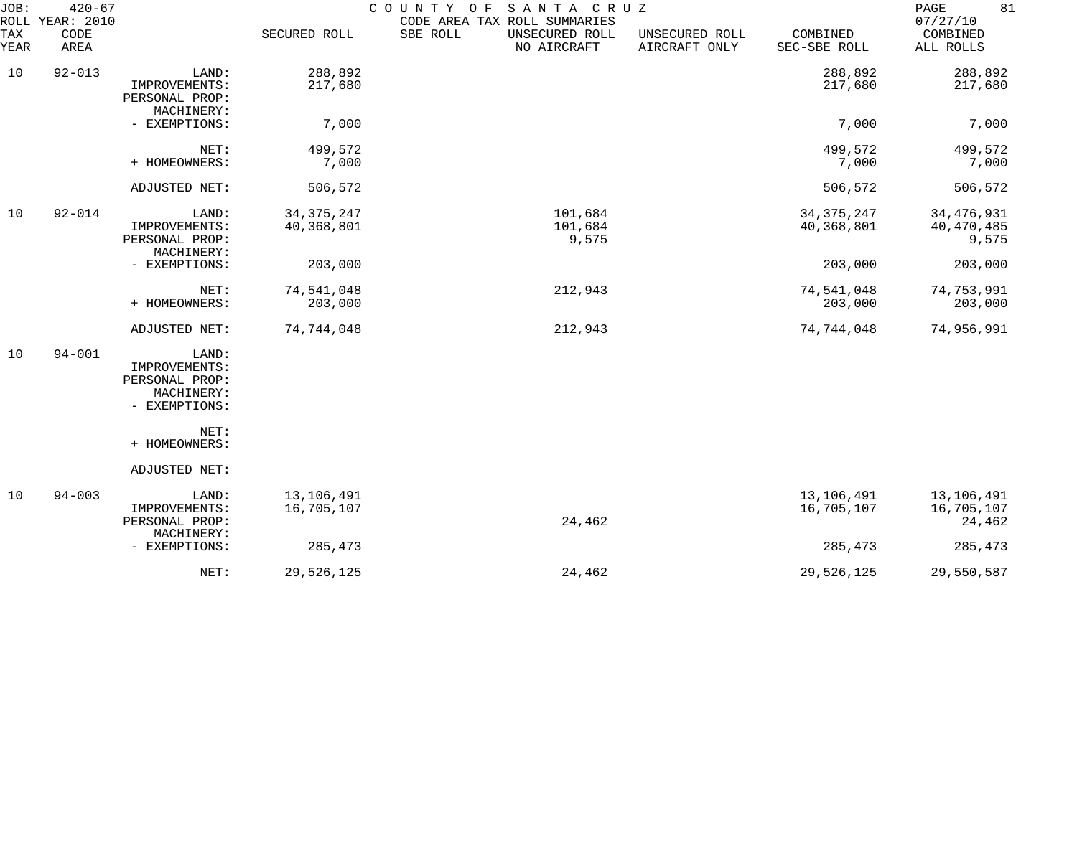| JOB:<br>ROLL       | $420 - 67$<br>YEAR: 2010 |                                                                         |                            | COUNTY OF<br>SANTA CRUZ<br>CODE AREA TAX ROLL SUMMARIES |                                 |                            | 81<br>PAGE<br>07/27/10              |
|--------------------|--------------------------|-------------------------------------------------------------------------|----------------------------|---------------------------------------------------------|---------------------------------|----------------------------|-------------------------------------|
| <b>TAX</b><br>YEAR | CODE<br>AREA             |                                                                         | SECURED ROLL               | SBE ROLL<br>UNSECURED ROLL<br>NO AIRCRAFT               | UNSECURED ROLL<br>AIRCRAFT ONLY | COMBINED<br>SEC-SBE ROLL   | COMBINED<br>ALL ROLLS               |
| 10                 | $92 - 013$               | LAND:<br>IMPROVEMENTS:<br>PERSONAL PROP:<br>MACHINERY:                  | 288,892<br>217,680         |                                                         |                                 | 288,892<br>217,680         | 288,892<br>217,680                  |
|                    |                          | - EXEMPTIONS:                                                           | 7,000                      |                                                         |                                 | 7,000                      | 7,000                               |
|                    |                          | NET:<br>+ HOMEOWNERS:                                                   | 499,572<br>7,000           |                                                         |                                 | 499,572<br>7,000           | 499,572<br>7,000                    |
|                    |                          | ADJUSTED NET:                                                           | 506,572                    |                                                         |                                 | 506,572                    | 506,572                             |
| 10                 | $92 - 014$               | LAND:<br>IMPROVEMENTS:<br>PERSONAL PROP:<br>MACHINERY:                  | 34, 375, 247<br>40,368,801 | 101,684<br>101,684<br>9,575                             |                                 | 34, 375, 247<br>40,368,801 | 34, 476, 931<br>40,470,485<br>9,575 |
|                    |                          | - EXEMPTIONS:                                                           | 203,000                    |                                                         |                                 | 203,000                    | 203,000                             |
|                    |                          | NET:<br>+ HOMEOWNERS:                                                   | 74,541,048<br>203,000      | 212,943                                                 |                                 | 74,541,048<br>203,000      | 74,753,991<br>203,000               |
|                    |                          | ADJUSTED NET:                                                           | 74,744,048                 | 212,943                                                 |                                 | 74,744,048                 | 74,956,991                          |
| 10                 | $94 - 001$               | LAND:<br>IMPROVEMENTS:<br>PERSONAL PROP:<br>MACHINERY:<br>- EXEMPTIONS: |                            |                                                         |                                 |                            |                                     |
|                    |                          | NET:<br>+ HOMEOWNERS:                                                   |                            |                                                         |                                 |                            |                                     |
|                    |                          | ADJUSTED NET:                                                           |                            |                                                         |                                 |                            |                                     |
| 10                 | $94 - 003$               | LAND:<br>IMPROVEMENTS:<br>PERSONAL PROP:<br>MACHINERY:                  | 13,106,491<br>16,705,107   | 24,462                                                  |                                 | 13,106,491<br>16,705,107   | 13,106,491<br>16,705,107<br>24,462  |
|                    |                          | - EXEMPTIONS:                                                           | 285,473                    |                                                         |                                 | 285,473                    | 285,473                             |
|                    |                          | NET:                                                                    | 29,526,125                 | 24,462                                                  |                                 | 29,526,125                 | 29,550,587                          |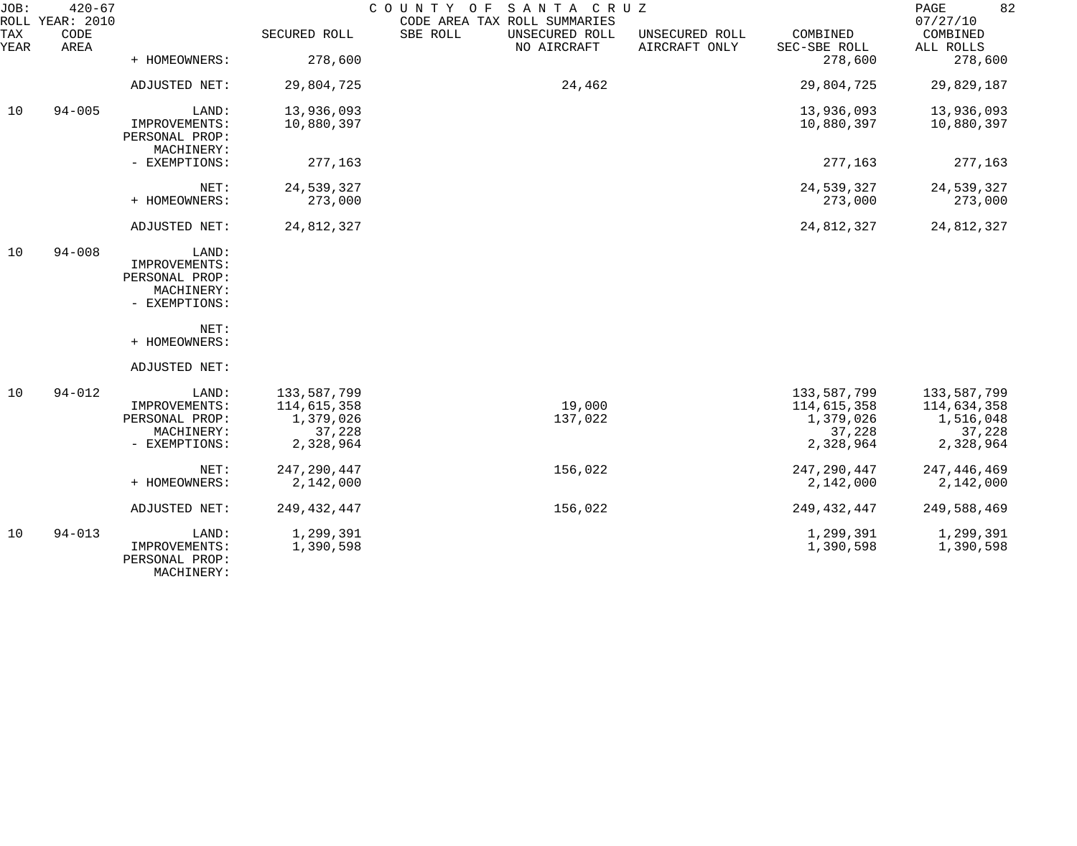| JOB:        | $420 - 67$<br>ROLL YEAR: 2010 |                                                                         |                                                                | COUNTY OF SANTA CRUZ<br>CODE AREA TAX ROLL SUMMARIES |                               |                                 |                                                                | 82<br>PAGE<br>07/27/10                                         |
|-------------|-------------------------------|-------------------------------------------------------------------------|----------------------------------------------------------------|------------------------------------------------------|-------------------------------|---------------------------------|----------------------------------------------------------------|----------------------------------------------------------------|
| TAX<br>YEAR | CODE<br>AREA                  |                                                                         | SECURED ROLL                                                   | SBE ROLL                                             | UNSECURED ROLL<br>NO AIRCRAFT | UNSECURED ROLL<br>AIRCRAFT ONLY | COMBINED<br>SEC-SBE ROLL                                       | COMBINED<br>ALL ROLLS                                          |
|             |                               | + HOMEOWNERS:                                                           | 278,600                                                        |                                                      |                               |                                 | 278,600                                                        | 278,600                                                        |
|             |                               | ADJUSTED NET:                                                           | 29,804,725                                                     |                                                      | 24,462                        |                                 | 29,804,725                                                     | 29,829,187                                                     |
| 10          | $94 - 005$                    | LAND:                                                                   | 13,936,093                                                     |                                                      |                               |                                 | 13,936,093                                                     | 13,936,093                                                     |
|             |                               | IMPROVEMENTS:<br>PERSONAL PROP:<br>MACHINERY:                           | 10,880,397                                                     |                                                      |                               |                                 | 10,880,397                                                     | 10,880,397                                                     |
|             |                               | - EXEMPTIONS:                                                           | 277,163                                                        |                                                      |                               |                                 | 277,163                                                        | 277,163                                                        |
|             |                               | NET:                                                                    | 24,539,327                                                     |                                                      |                               |                                 | 24,539,327                                                     | 24,539,327                                                     |
|             |                               | + HOMEOWNERS:                                                           | 273,000                                                        |                                                      |                               |                                 | 273,000                                                        | 273,000                                                        |
|             |                               | ADJUSTED NET:                                                           | 24,812,327                                                     |                                                      |                               |                                 | 24,812,327                                                     | 24,812,327                                                     |
| 10          | $94 - 008$                    | LAND:<br>IMPROVEMENTS:<br>PERSONAL PROP:                                |                                                                |                                                      |                               |                                 |                                                                |                                                                |
|             |                               | MACHINERY:<br>- EXEMPTIONS:                                             |                                                                |                                                      |                               |                                 |                                                                |                                                                |
|             |                               | NET:<br>+ HOMEOWNERS:                                                   |                                                                |                                                      |                               |                                 |                                                                |                                                                |
|             |                               | ADJUSTED NET:                                                           |                                                                |                                                      |                               |                                 |                                                                |                                                                |
| 10          | $94 - 012$                    | LAND:<br>IMPROVEMENTS:<br>PERSONAL PROP:<br>MACHINERY:<br>- EXEMPTIONS: | 133,587,799<br>114,615,358<br>1,379,026<br>37,228<br>2,328,964 |                                                      | 19,000<br>137,022             |                                 | 133,587,799<br>114,615,358<br>1,379,026<br>37,228<br>2,328,964 | 133,587,799<br>114,634,358<br>1,516,048<br>37,228<br>2,328,964 |
|             |                               | NET:<br>+ HOMEOWNERS:                                                   | 247, 290, 447<br>2,142,000                                     |                                                      | 156,022                       |                                 | 247, 290, 447<br>2,142,000                                     | 247,446,469<br>2,142,000                                       |
|             |                               | ADJUSTED NET:                                                           | 249, 432, 447                                                  |                                                      | 156,022                       |                                 | 249, 432, 447                                                  | 249,588,469                                                    |
| 10          | $94 - 013$                    | LAND:<br>IMPROVEMENTS:<br>PERSONAL PROP:                                | 1,299,391<br>1,390,598                                         |                                                      |                               |                                 | 1,299,391<br>1,390,598                                         | 1,299,391<br>1,390,598                                         |

MACHINERY: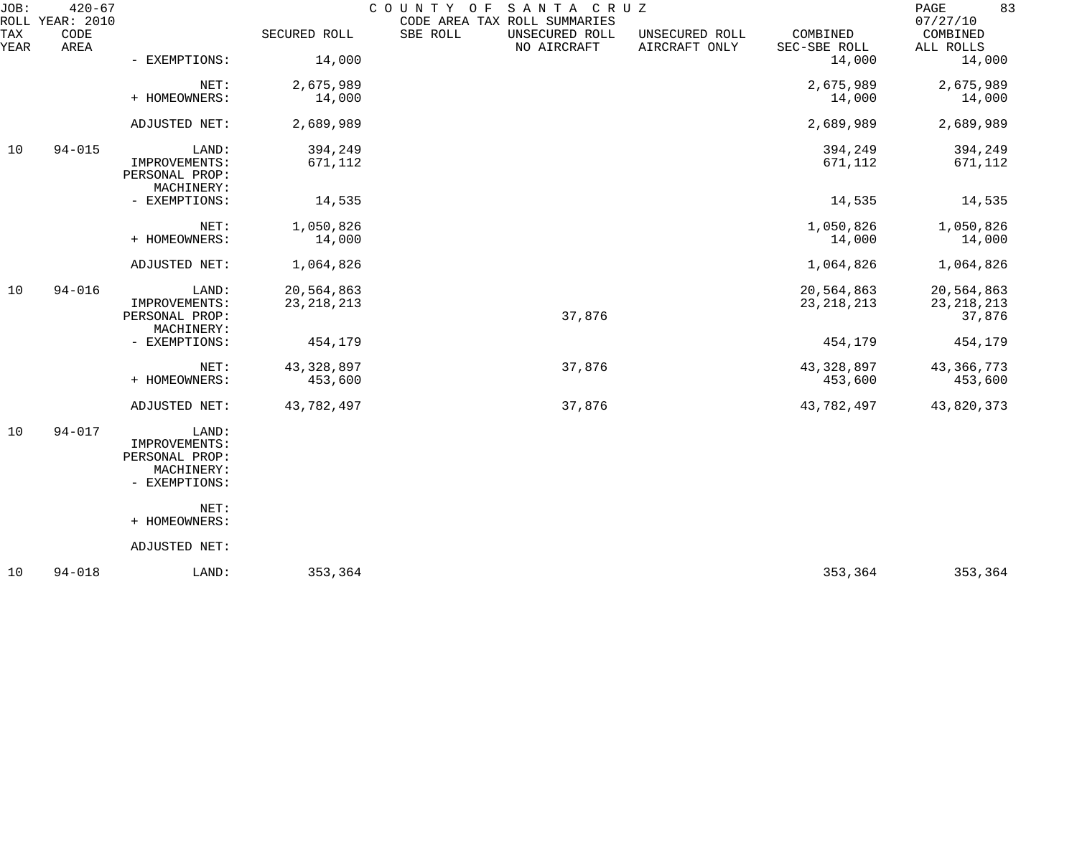| JOB:        | $420 - 67$<br>ROLL YEAR: 2010 |                                                                         |                            | COUNTY OF<br>SANTA CRUZ<br>CODE AREA TAX ROLL SUMMARIES |                                 |                            | 83<br>PAGE<br>07/27/10               |
|-------------|-------------------------------|-------------------------------------------------------------------------|----------------------------|---------------------------------------------------------|---------------------------------|----------------------------|--------------------------------------|
| TAX<br>YEAR | CODE<br>AREA                  |                                                                         | SECURED ROLL               | SBE ROLL<br>UNSECURED ROLL<br>NO AIRCRAFT               | UNSECURED ROLL<br>AIRCRAFT ONLY | COMBINED<br>SEC-SBE ROLL   | COMBINED<br>ALL ROLLS                |
|             |                               | - EXEMPTIONS:                                                           | 14,000                     |                                                         |                                 | 14,000                     | 14,000                               |
|             |                               | NET:<br>+ HOMEOWNERS:                                                   | 2,675,989<br>14,000        |                                                         |                                 | 2,675,989<br>14,000        | 2,675,989<br>14,000                  |
|             |                               | ADJUSTED NET:                                                           | 2,689,989                  |                                                         |                                 | 2,689,989                  | 2,689,989                            |
| 10          | $94 - 015$                    | LAND:<br>IMPROVEMENTS:<br>PERSONAL PROP:<br>MACHINERY:                  | 394,249<br>671,112         |                                                         |                                 | 394,249<br>671,112         | 394,249<br>671,112                   |
|             |                               | - EXEMPTIONS:                                                           | 14,535                     |                                                         |                                 | 14,535                     | 14,535                               |
|             |                               | NET:<br>+ HOMEOWNERS:                                                   | 1,050,826<br>14,000        |                                                         |                                 | 1,050,826<br>14,000        | 1,050,826<br>14,000                  |
|             |                               | ADJUSTED NET:                                                           | 1,064,826                  |                                                         |                                 | 1,064,826                  | 1,064,826                            |
| 10          | $94 - 016$                    | LAND:<br>IMPROVEMENTS:<br>PERSONAL PROP:                                | 20,564,863<br>23, 218, 213 | 37,876                                                  |                                 | 20,564,863<br>23, 218, 213 | 20,564,863<br>23, 218, 213<br>37,876 |
|             |                               | MACHINERY:<br>- EXEMPTIONS:                                             | 454,179                    |                                                         |                                 | 454,179                    | 454,179                              |
|             |                               | NET:<br>+ HOMEOWNERS:                                                   | 43, 328, 897<br>453,600    | 37,876                                                  |                                 | 43, 328, 897<br>453,600    | 43, 366, 773<br>453,600              |
|             |                               | ADJUSTED NET:                                                           | 43,782,497                 | 37,876                                                  |                                 | 43,782,497                 | 43,820,373                           |
| 10          | $94 - 017$                    | LAND:<br>IMPROVEMENTS:<br>PERSONAL PROP:<br>MACHINERY:<br>- EXEMPTIONS: |                            |                                                         |                                 |                            |                                      |
|             |                               | NET:<br>+ HOMEOWNERS:                                                   |                            |                                                         |                                 |                            |                                      |
|             |                               | ADJUSTED NET:                                                           |                            |                                                         |                                 |                            |                                      |
| 10          | $94 - 018$                    | LAND:                                                                   | 353,364                    |                                                         |                                 | 353,364                    | 353,364                              |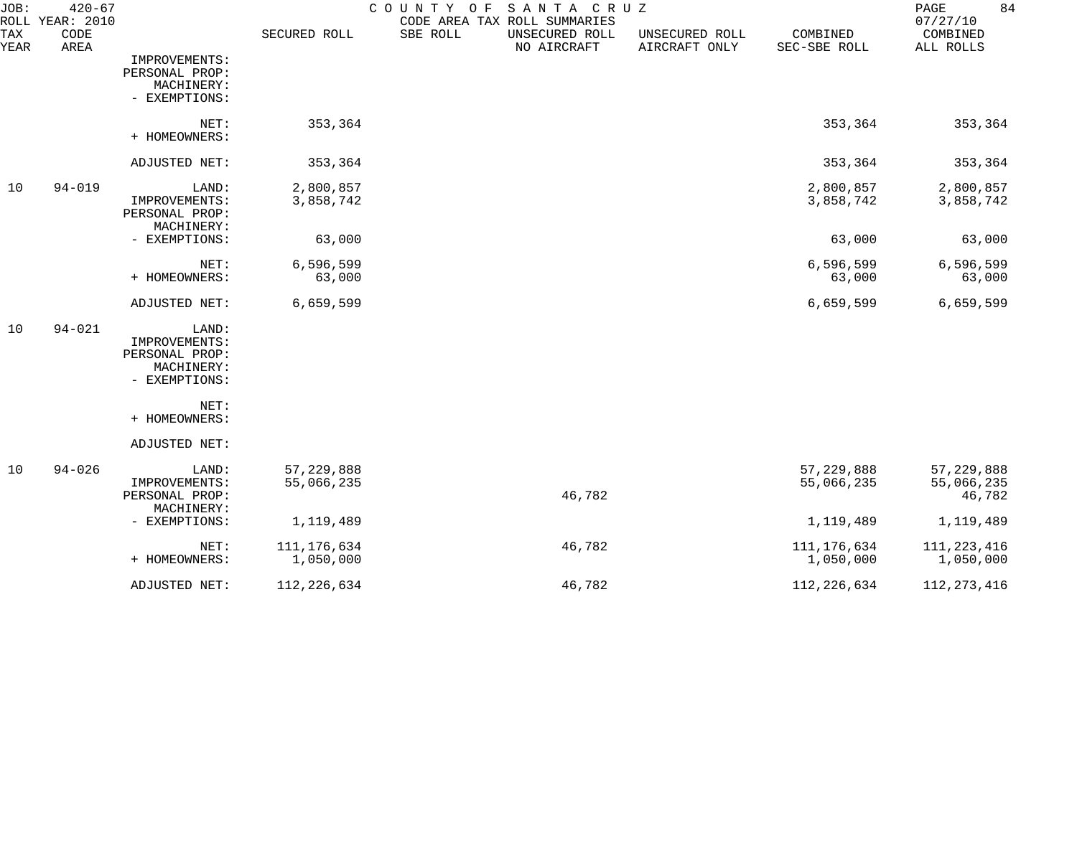| JOB:        | $420 - 67$<br>ROLL YEAR: 2010 |                                                                         |                            | COUNTY OF<br>SANTA CRUZ<br>CODE AREA TAX ROLL SUMMARIES |                                 |                            | 84<br>PAGE<br>07/27/10               |
|-------------|-------------------------------|-------------------------------------------------------------------------|----------------------------|---------------------------------------------------------|---------------------------------|----------------------------|--------------------------------------|
| TAX<br>YEAR | CODE<br>AREA                  |                                                                         | SECURED ROLL               | SBE ROLL<br>UNSECURED ROLL<br>NO AIRCRAFT               | UNSECURED ROLL<br>AIRCRAFT ONLY | COMBINED<br>SEC-SBE ROLL   | COMBINED<br>ALL ROLLS                |
|             |                               | IMPROVEMENTS:<br>PERSONAL PROP:<br>MACHINERY:<br>- EXEMPTIONS:          |                            |                                                         |                                 |                            |                                      |
|             |                               | NET:<br>+ HOMEOWNERS:                                                   | 353,364                    |                                                         |                                 | 353,364                    | 353,364                              |
|             |                               | ADJUSTED NET:                                                           | 353,364                    |                                                         |                                 | 353,364                    | 353,364                              |
| 10          | $94 - 019$                    | LAND:<br>IMPROVEMENTS:<br>PERSONAL PROP:<br>MACHINERY:                  | 2,800,857<br>3,858,742     |                                                         |                                 | 2,800,857<br>3,858,742     | 2,800,857<br>3,858,742               |
|             |                               | - EXEMPTIONS:                                                           | 63,000                     |                                                         |                                 | 63,000                     | 63,000                               |
|             |                               | NET:<br>+ HOMEOWNERS:                                                   | 6,596,599<br>63,000        |                                                         |                                 | 6,596,599<br>63,000        | 6,596,599<br>63,000                  |
|             |                               | ADJUSTED NET:                                                           | 6,659,599                  |                                                         |                                 | 6,659,599                  | 6,659,599                            |
| 10          | $94 - 021$                    | LAND:<br>IMPROVEMENTS:<br>PERSONAL PROP:<br>MACHINERY:<br>- EXEMPTIONS: |                            |                                                         |                                 |                            |                                      |
|             |                               | NET:<br>+ HOMEOWNERS:                                                   |                            |                                                         |                                 |                            |                                      |
|             |                               | ADJUSTED NET:                                                           |                            |                                                         |                                 |                            |                                      |
| 10          | $94 - 026$                    | LAND:<br>IMPROVEMENTS:<br>PERSONAL PROP:<br>MACHINERY:                  | 57, 229, 888<br>55,066,235 | 46,782                                                  |                                 | 57, 229, 888<br>55,066,235 | 57, 229, 888<br>55,066,235<br>46,782 |
|             |                               | - EXEMPTIONS:                                                           | 1,119,489                  |                                                         |                                 | 1,119,489                  | 1,119,489                            |
|             |                               | NET:<br>+ HOMEOWNERS:                                                   | 111, 176, 634<br>1,050,000 | 46,782                                                  |                                 | 111, 176, 634<br>1,050,000 | 111, 223, 416<br>1,050,000           |
|             |                               | ADJUSTED NET:                                                           | 112, 226, 634              | 46,782                                                  |                                 | 112, 226, 634              | 112, 273, 416                        |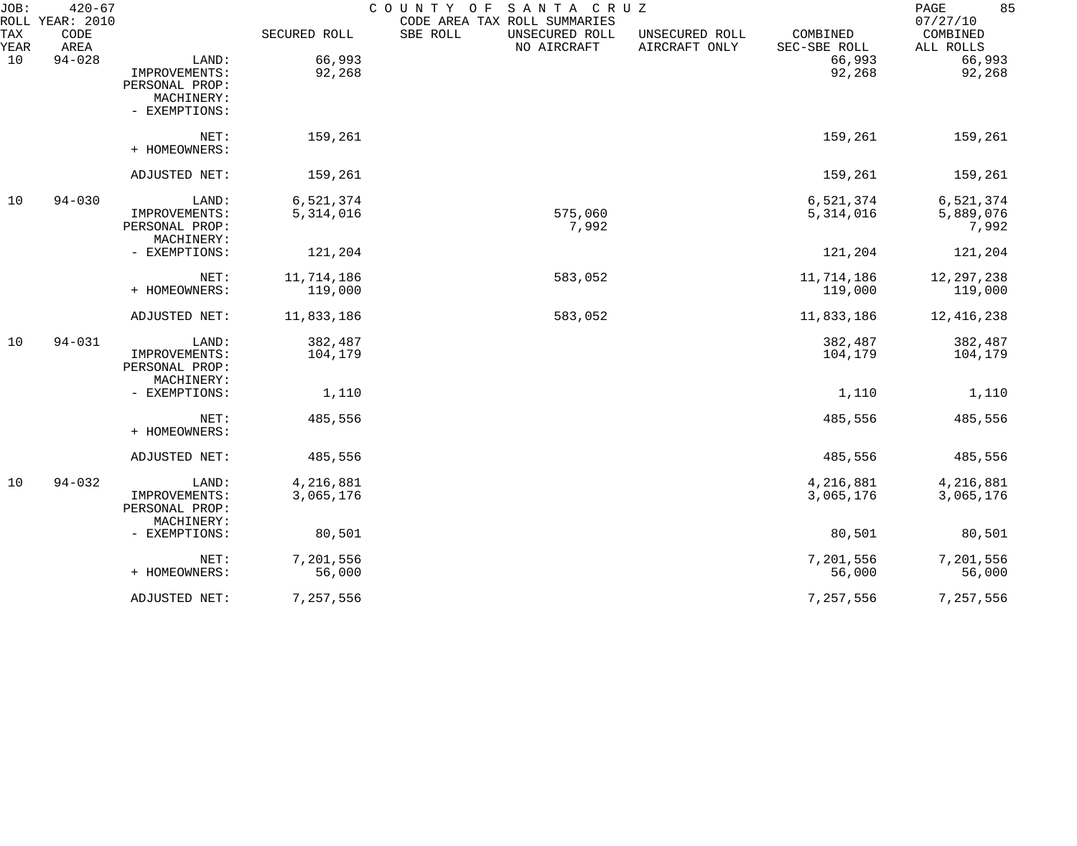| JOB:        | $420 - 67$<br>ROLL YEAR: 2010 |                |              | COUNTY OF<br>SANTA CRUZ<br>CODE AREA TAX ROLL SUMMARIES |                                 |                          | 85<br>PAGE<br>07/27/10 |
|-------------|-------------------------------|----------------|--------------|---------------------------------------------------------|---------------------------------|--------------------------|------------------------|
| TAX<br>YEAR | CODE<br>AREA                  |                | SECURED ROLL | SBE ROLL<br>UNSECURED ROLL<br>NO AIRCRAFT               | UNSECURED ROLL<br>AIRCRAFT ONLY | COMBINED<br>SEC-SBE ROLL | COMBINED<br>ALL ROLLS  |
| 10          | $94 - 028$                    | LAND:          | 66,993       |                                                         |                                 | 66,993                   | 66,993                 |
|             |                               | IMPROVEMENTS:  | 92,268       |                                                         |                                 | 92,268                   | 92,268                 |
|             |                               | PERSONAL PROP: |              |                                                         |                                 |                          |                        |
|             |                               | MACHINERY:     |              |                                                         |                                 |                          |                        |
|             |                               | - EXEMPTIONS:  |              |                                                         |                                 |                          |                        |
|             |                               | NET:           | 159,261      |                                                         |                                 | 159,261                  | 159,261                |
|             |                               | + HOMEOWNERS:  |              |                                                         |                                 |                          |                        |
|             |                               | ADJUSTED NET:  | 159,261      |                                                         |                                 | 159,261                  | 159,261                |
| 10          | $94 - 030$                    | LAND:          | 6,521,374    |                                                         |                                 | 6,521,374                | 6,521,374              |
|             |                               | IMPROVEMENTS:  | 5,314,016    | 575,060                                                 |                                 | 5,314,016                | 5,889,076              |
|             |                               | PERSONAL PROP: |              | 7,992                                                   |                                 |                          | 7,992                  |
|             |                               | MACHINERY:     |              |                                                         |                                 |                          |                        |
|             |                               | - EXEMPTIONS:  | 121,204      |                                                         |                                 | 121,204                  | 121,204                |
|             |                               | NET:           | 11,714,186   | 583,052                                                 |                                 | 11,714,186               | 12, 297, 238           |
|             |                               | + HOMEOWNERS:  | 119,000      |                                                         |                                 | 119,000                  | 119,000                |
|             |                               | ADJUSTED NET:  | 11,833,186   | 583,052                                                 |                                 | 11,833,186               | 12, 416, 238           |
| 10          | $94 - 031$                    | LAND:          | 382,487      |                                                         |                                 | 382,487                  | 382,487                |
|             |                               | IMPROVEMENTS:  | 104,179      |                                                         |                                 | 104,179                  | 104,179                |
|             |                               | PERSONAL PROP: |              |                                                         |                                 |                          |                        |
|             |                               | MACHINERY:     |              |                                                         |                                 |                          |                        |
|             |                               | - EXEMPTIONS:  | 1,110        |                                                         |                                 | 1,110                    | 1,110                  |
|             |                               | NET:           | 485,556      |                                                         |                                 | 485,556                  | 485,556                |
|             |                               | + HOMEOWNERS:  |              |                                                         |                                 |                          |                        |
|             |                               | ADJUSTED NET:  | 485,556      |                                                         |                                 | 485,556                  | 485,556                |
| 10          | $94 - 032$                    | LAND:          | 4,216,881    |                                                         |                                 | 4,216,881                | 4,216,881              |
|             |                               | IMPROVEMENTS:  | 3,065,176    |                                                         |                                 | 3,065,176                | 3,065,176              |
|             |                               | PERSONAL PROP: |              |                                                         |                                 |                          |                        |
|             |                               | MACHINERY:     |              |                                                         |                                 |                          |                        |
|             |                               | - EXEMPTIONS:  | 80,501       |                                                         |                                 | 80,501                   | 80,501                 |
|             |                               | NET:           | 7,201,556    |                                                         |                                 | 7,201,556                | 7,201,556              |
|             |                               | + HOMEOWNERS:  | 56,000       |                                                         |                                 | 56,000                   | 56,000                 |
|             |                               | ADJUSTED NET:  | 7,257,556    |                                                         |                                 | 7,257,556                | 7,257,556              |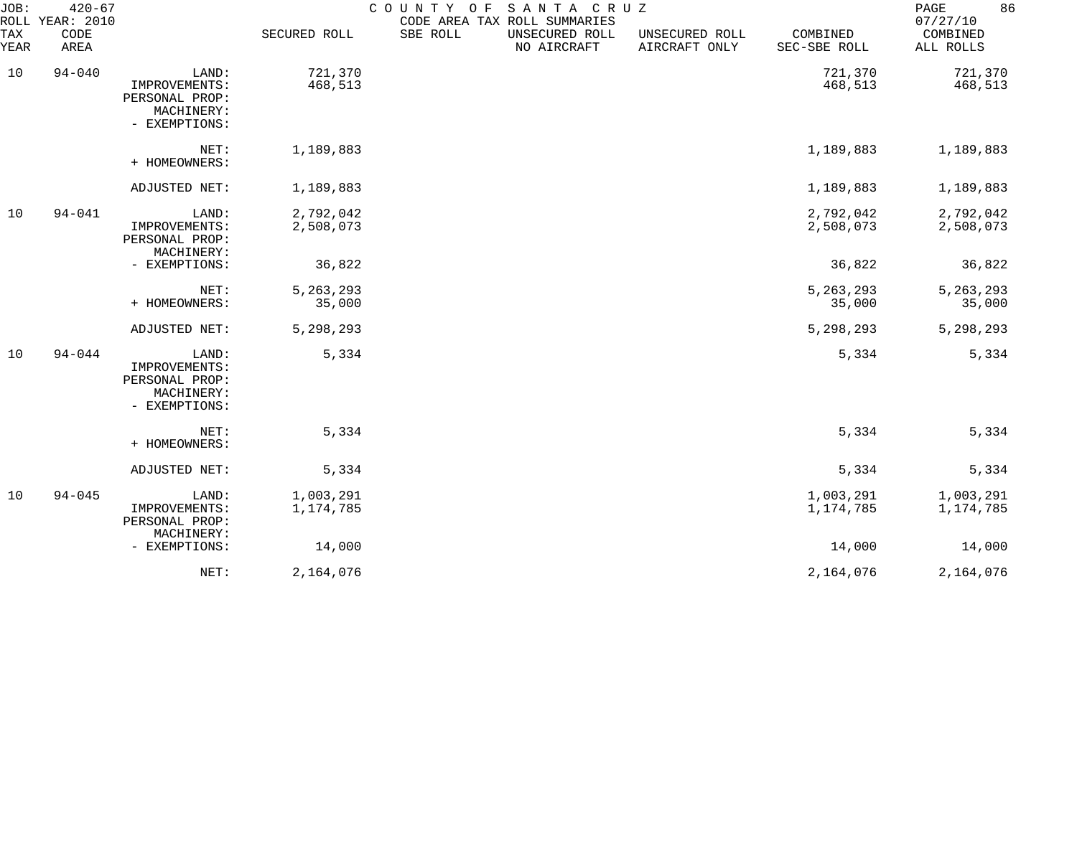| JOB:<br>ROLL | $420 - 67$<br>YEAR: 2010 |                                                                         |                        | COUNTY OF<br>CODE AREA TAX ROLL SUMMARIES | SANTA CRUZ                    |                                 |                          | 86<br>PAGE<br>07/27/10 |
|--------------|--------------------------|-------------------------------------------------------------------------|------------------------|-------------------------------------------|-------------------------------|---------------------------------|--------------------------|------------------------|
| TAX<br>YEAR  | CODE<br>AREA             |                                                                         | SECURED ROLL           | SBE ROLL                                  | UNSECURED ROLL<br>NO AIRCRAFT | UNSECURED ROLL<br>AIRCRAFT ONLY | COMBINED<br>SEC-SBE ROLL | COMBINED<br>ALL ROLLS  |
| 10           | $94 - 040$               | LAND:<br>IMPROVEMENTS:<br>PERSONAL PROP:<br>MACHINERY:<br>- EXEMPTIONS: | 721,370<br>468,513     |                                           |                               |                                 | 721,370<br>468,513       | 721,370<br>468,513     |
|              |                          | NET:<br>+ HOMEOWNERS:                                                   | 1,189,883              |                                           |                               |                                 | 1,189,883                | 1,189,883              |
|              |                          | ADJUSTED NET:                                                           | 1,189,883              |                                           |                               |                                 | 1,189,883                | 1,189,883              |
| 10           | $94 - 041$               | LAND:<br>IMPROVEMENTS:<br>PERSONAL PROP:<br>MACHINERY:                  | 2,792,042<br>2,508,073 |                                           |                               |                                 | 2,792,042<br>2,508,073   | 2,792,042<br>2,508,073 |
|              |                          | - EXEMPTIONS:                                                           | 36,822                 |                                           |                               |                                 | 36,822                   | 36,822                 |
|              |                          | NET:<br>+ HOMEOWNERS:                                                   | 5, 263, 293<br>35,000  |                                           |                               |                                 | 5, 263, 293<br>35,000    | 5, 263, 293<br>35,000  |
|              |                          | ADJUSTED NET:                                                           | 5,298,293              |                                           |                               |                                 | 5,298,293                | 5,298,293              |
| 10           | $94 - 044$               | LAND:<br>IMPROVEMENTS:<br>PERSONAL PROP:<br>MACHINERY:<br>- EXEMPTIONS: | 5,334                  |                                           |                               |                                 | 5,334                    | 5,334                  |
|              |                          | NET:<br>+ HOMEOWNERS:                                                   | 5,334                  |                                           |                               |                                 | 5,334                    | 5,334                  |
|              |                          | ADJUSTED NET:                                                           | 5,334                  |                                           |                               |                                 | 5,334                    | 5,334                  |
| 10           | $94 - 045$               | LAND:<br>IMPROVEMENTS:<br>PERSONAL PROP:<br>MACHINERY:                  | 1,003,291<br>1,174,785 |                                           |                               |                                 | 1,003,291<br>1,174,785   | 1,003,291<br>1,174,785 |
|              |                          | - EXEMPTIONS:                                                           | 14,000                 |                                           |                               |                                 | 14,000                   | 14,000                 |
|              |                          | NET:                                                                    | 2,164,076              |                                           |                               |                                 | 2,164,076                | 2,164,076              |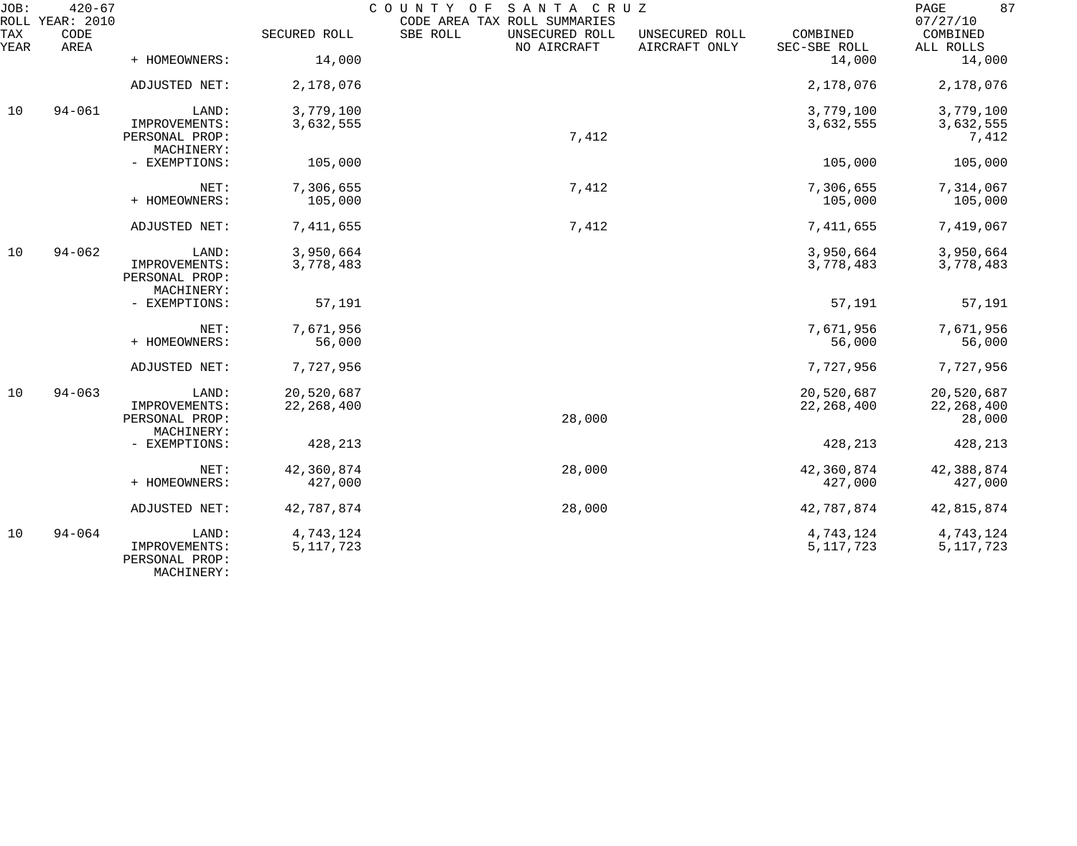| JOB:        | $420 - 67$<br>ROLL YEAR: 2010 |                                               |              | COUNTY OF<br>SANTA CRUZ<br>CODE AREA TAX ROLL SUMMARIES |                                 |                          | 87<br>PAGE<br>07/27/10 |
|-------------|-------------------------------|-----------------------------------------------|--------------|---------------------------------------------------------|---------------------------------|--------------------------|------------------------|
| TAX<br>YEAR | CODE<br>AREA                  |                                               | SECURED ROLL | SBE ROLL<br>UNSECURED ROLL<br>NO AIRCRAFT               | UNSECURED ROLL<br>AIRCRAFT ONLY | COMBINED<br>SEC-SBE ROLL | COMBINED<br>ALL ROLLS  |
|             |                               | + HOMEOWNERS:                                 | 14,000       |                                                         |                                 | 14,000                   | 14,000                 |
|             |                               | ADJUSTED NET:                                 | 2,178,076    |                                                         |                                 | 2,178,076                | 2,178,076              |
| 10          | $94 - 061$                    | LAND:                                         | 3,779,100    |                                                         |                                 | 3,779,100                | 3,779,100              |
|             |                               | IMPROVEMENTS:<br>PERSONAL PROP:<br>MACHINERY: | 3,632,555    | 7,412                                                   |                                 | 3,632,555                | 3,632,555<br>7,412     |
|             |                               | - EXEMPTIONS:                                 | 105,000      |                                                         |                                 | 105,000                  | 105,000                |
|             |                               | NET:                                          | 7,306,655    | 7,412                                                   |                                 | 7,306,655                | 7,314,067              |
|             |                               | + HOMEOWNERS:                                 | 105,000      |                                                         |                                 | 105,000                  | 105,000                |
|             |                               | ADJUSTED NET:                                 | 7,411,655    | 7,412                                                   |                                 | 7,411,655                | 7,419,067              |
| 10          | $94 - 062$                    | LAND:                                         | 3,950,664    |                                                         |                                 | 3,950,664                | 3,950,664              |
|             |                               | IMPROVEMENTS:<br>PERSONAL PROP:<br>MACHINERY: | 3,778,483    |                                                         |                                 | 3,778,483                | 3,778,483              |
|             |                               | - EXEMPTIONS:                                 | 57,191       |                                                         |                                 | 57,191                   | 57,191                 |
|             |                               | NET:                                          | 7,671,956    |                                                         |                                 | 7,671,956                | 7,671,956              |
|             |                               | + HOMEOWNERS:                                 | 56,000       |                                                         |                                 | 56,000                   | 56,000                 |
|             |                               | ADJUSTED NET:                                 | 7,727,956    |                                                         |                                 | 7,727,956                | 7,727,956              |
| 10          | $94 - 063$                    | LAND:                                         | 20,520,687   |                                                         |                                 | 20,520,687               | 20,520,687             |
|             |                               | IMPROVEMENTS:<br>PERSONAL PROP:<br>MACHINERY: | 22, 268, 400 | 28,000                                                  |                                 | 22, 268, 400             | 22, 268, 400<br>28,000 |
|             |                               | - EXEMPTIONS:                                 | 428,213      |                                                         |                                 | 428,213                  | 428,213                |
|             |                               | NET:                                          | 42,360,874   | 28,000                                                  |                                 | 42,360,874               | 42,388,874             |
|             |                               | + HOMEOWNERS:                                 | 427,000      |                                                         |                                 | 427,000                  | 427,000                |
|             |                               | ADJUSTED NET:                                 | 42,787,874   | 28,000                                                  |                                 | 42,787,874               | 42,815,874             |
| 10          | $94 - 064$                    | LAND:                                         | 4,743,124    |                                                         |                                 | 4,743,124                | 4,743,124              |
|             |                               | IMPROVEMENTS:<br>PERSONAL PROP:               | 5, 117, 723  |                                                         |                                 | 5, 117, 723              | 5, 117, 723            |

MACHINERY: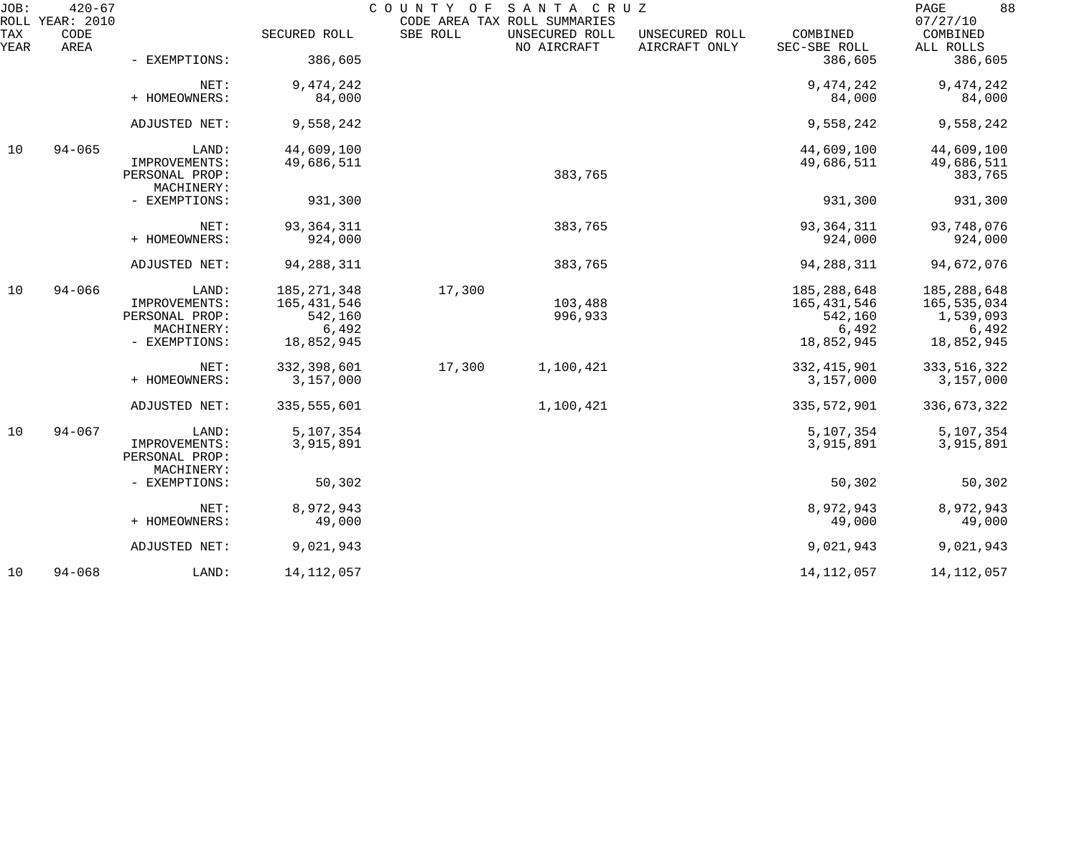| JOB:        | $420 - 67$<br>ROLL YEAR: 2010 |                                 |                  | COUNTY OF | SANTA CRUZ<br>CODE AREA TAX ROLL SUMMARIES |                                 |                          | 88<br>PAGE<br>07/27/10 |
|-------------|-------------------------------|---------------------------------|------------------|-----------|--------------------------------------------|---------------------------------|--------------------------|------------------------|
| TAX<br>YEAR | CODE<br>AREA                  |                                 | SECURED ROLL     | SBE ROLL  | UNSECURED ROLL<br>NO AIRCRAFT              | UNSECURED ROLL<br>AIRCRAFT ONLY | COMBINED<br>SEC-SBE ROLL | COMBINED<br>ALL ROLLS  |
|             |                               | - EXEMPTIONS:                   | 386,605          |           |                                            |                                 | 386,605                  | 386,605                |
|             |                               | NET:                            | 9, 474, 242      |           |                                            |                                 | 9,474,242                | 9, 474, 242            |
|             |                               | + HOMEOWNERS:                   | 84,000           |           |                                            |                                 | 84,000                   | 84,000                 |
|             |                               | ADJUSTED NET:                   | 9,558,242        |           |                                            |                                 | 9,558,242                | 9,558,242              |
| 10          | $94 - 065$                    | LAND:                           | 44,609,100       |           |                                            |                                 | 44,609,100               | 44,609,100             |
|             |                               | IMPROVEMENTS:<br>PERSONAL PROP: | 49,686,511       |           | 383,765                                    |                                 | 49,686,511               | 49,686,511<br>383,765  |
|             |                               | MACHINERY:<br>- EXEMPTIONS:     | 931,300          |           |                                            |                                 | 931,300                  | 931,300                |
|             |                               | NET:                            | 93, 364, 311     |           | 383,765                                    |                                 | 93, 364, 311             | 93,748,076             |
|             |                               | + HOMEOWNERS:                   | 924,000          |           |                                            |                                 | 924,000                  | 924,000                |
|             |                               | ADJUSTED NET:                   | 94, 288, 311     |           | 383,765                                    |                                 | 94, 288, 311             | 94,672,076             |
| 10          | $94 - 066$                    | LAND:                           | 185, 271, 348    | 17,300    |                                            |                                 | 185, 288, 648            | 185, 288, 648          |
|             |                               | IMPROVEMENTS:<br>PERSONAL PROP: | 165,431,546      |           | 103,488                                    |                                 | 165, 431, 546            | 165,535,034            |
|             |                               | MACHINERY:                      | 542,160<br>6,492 |           | 996,933                                    |                                 | 542,160<br>6,492         | 1,539,093<br>6,492     |
|             |                               | - EXEMPTIONS:                   | 18,852,945       |           |                                            |                                 | 18,852,945               | 18,852,945             |
|             |                               | NET:                            | 332,398,601      | 17,300    | 1,100,421                                  |                                 | 332, 415, 901            | 333, 516, 322          |
|             |                               | + HOMEOWNERS:                   | 3,157,000        |           |                                            |                                 | 3,157,000                | 3,157,000              |
|             |                               | ADJUSTED NET:                   | 335, 555, 601    |           | 1,100,421                                  |                                 | 335, 572, 901            | 336, 673, 322          |
| 10          | $94 - 067$                    | LAND:                           | 5,107,354        |           |                                            |                                 | 5,107,354                | 5,107,354              |
|             |                               | IMPROVEMENTS:<br>PERSONAL PROP: | 3,915,891        |           |                                            |                                 | 3,915,891                | 3,915,891              |
|             |                               | MACHINERY:<br>- EXEMPTIONS:     | 50,302           |           |                                            |                                 | 50,302                   | 50,302                 |
|             |                               | NET:                            | 8,972,943        |           |                                            |                                 | 8,972,943                | 8,972,943              |
|             |                               | + HOMEOWNERS:                   | 49,000           |           |                                            |                                 | 49,000                   | 49,000                 |
|             |                               | ADJUSTED NET:                   | 9,021,943        |           |                                            |                                 | 9,021,943                | 9,021,943              |
| 10          | $94 - 068$                    | LAND:                           | 14, 112, 057     |           |                                            |                                 | 14, 112, 057             | 14, 112, 057           |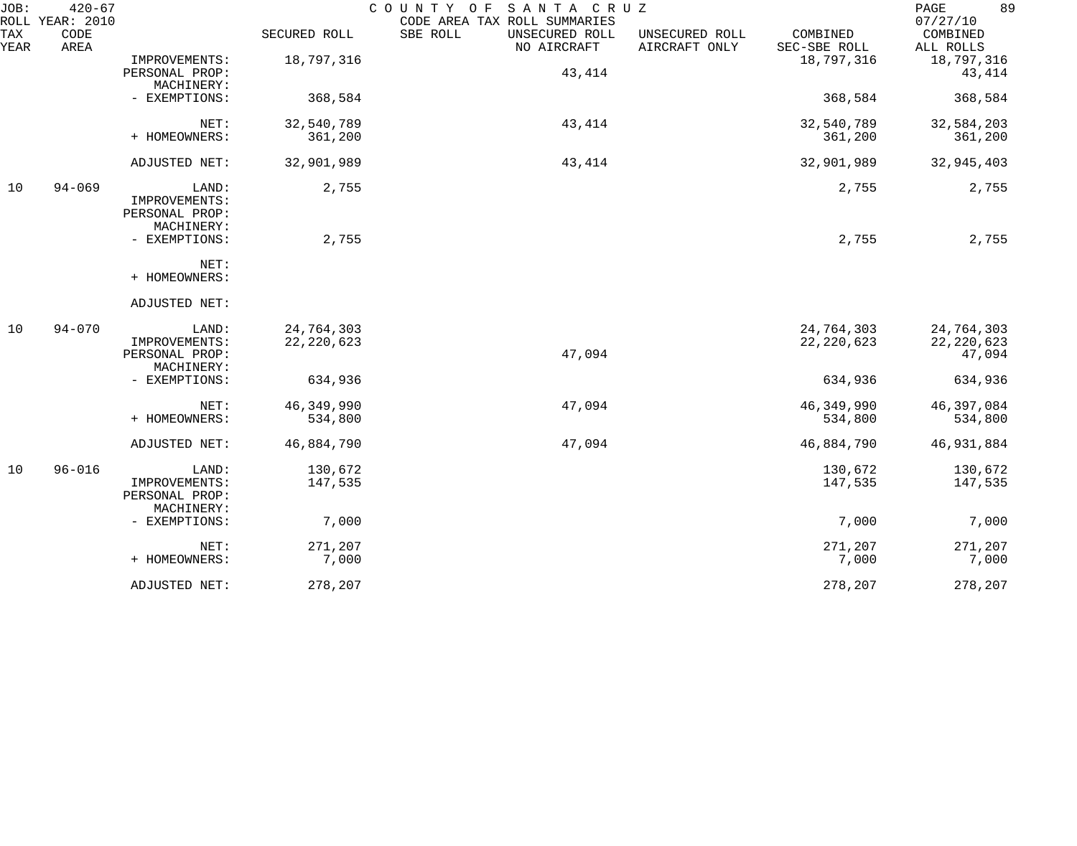| JOB:        | $420 - 67$<br>ROLL YEAR: 2010 |                |              | COUNTY OF<br>SANTA CRUZ<br>CODE AREA TAX ROLL SUMMARIES |                                                             | 89<br>PAGE<br>07/27/10 |
|-------------|-------------------------------|----------------|--------------|---------------------------------------------------------|-------------------------------------------------------------|------------------------|
| TAX<br>YEAR | CODE<br>AREA                  |                | SECURED ROLL | SBE ROLL<br>UNSECURED ROLL<br>NO AIRCRAFT               | COMBINED<br>UNSECURED ROLL<br>AIRCRAFT ONLY<br>SEC-SBE ROLL | COMBINED<br>ALL ROLLS  |
|             |                               | IMPROVEMENTS:  | 18,797,316   |                                                         | 18,797,316                                                  | 18,797,316             |
|             |                               | PERSONAL PROP: |              | 43,414                                                  |                                                             | 43,414                 |
|             |                               | MACHINERY:     |              |                                                         |                                                             |                        |
|             |                               | - EXEMPTIONS:  | 368,584      |                                                         | 368,584                                                     | 368,584                |
|             |                               | NET:           | 32,540,789   | 43,414                                                  | 32,540,789                                                  | 32,584,203             |
|             |                               | + HOMEOWNERS:  | 361,200      |                                                         | 361,200                                                     | 361,200                |
|             |                               | ADJUSTED NET:  | 32,901,989   | 43,414                                                  | 32,901,989                                                  | 32,945,403             |
| 10          | $94 - 069$                    | LAND:          | 2,755        |                                                         | 2,755                                                       | 2,755                  |
|             |                               | IMPROVEMENTS:  |              |                                                         |                                                             |                        |
|             |                               | PERSONAL PROP: |              |                                                         |                                                             |                        |
|             |                               | MACHINERY:     |              |                                                         |                                                             |                        |
|             |                               | - EXEMPTIONS:  | 2,755        |                                                         | 2,755                                                       | 2,755                  |
|             |                               | NET:           |              |                                                         |                                                             |                        |
|             |                               | + HOMEOWNERS:  |              |                                                         |                                                             |                        |
|             |                               | ADJUSTED NET:  |              |                                                         |                                                             |                        |
| 10          | $94 - 070$                    | LAND:          | 24,764,303   |                                                         | 24,764,303                                                  | 24,764,303             |
|             |                               | IMPROVEMENTS:  | 22, 220, 623 |                                                         | 22, 220, 623                                                | 22, 220, 623           |
|             |                               | PERSONAL PROP: |              | 47,094                                                  |                                                             | 47,094                 |
|             |                               | MACHINERY:     |              |                                                         |                                                             |                        |
|             |                               | - EXEMPTIONS:  | 634,936      |                                                         | 634,936                                                     | 634,936                |
|             |                               | NET:           | 46, 349, 990 | 47,094                                                  | 46,349,990                                                  | 46,397,084             |
|             |                               | + HOMEOWNERS:  | 534,800      |                                                         | 534,800                                                     | 534,800                |
|             |                               | ADJUSTED NET:  | 46,884,790   | 47,094                                                  | 46,884,790                                                  | 46,931,884             |
| 10          | $96 - 016$                    | LAND:          | 130,672      |                                                         | 130,672                                                     | 130,672                |
|             |                               | IMPROVEMENTS:  | 147,535      |                                                         | 147,535                                                     | 147,535                |
|             |                               | PERSONAL PROP: |              |                                                         |                                                             |                        |
|             |                               | MACHINERY:     |              |                                                         |                                                             |                        |
|             |                               | - EXEMPTIONS:  | 7,000        |                                                         | 7,000                                                       | 7,000                  |
|             |                               | NET:           | 271,207      |                                                         | 271,207                                                     | 271,207                |
|             |                               | + HOMEOWNERS:  | 7,000        |                                                         | 7,000                                                       | 7,000                  |
|             |                               | ADJUSTED NET:  | 278,207      |                                                         | 278,207                                                     | 278,207                |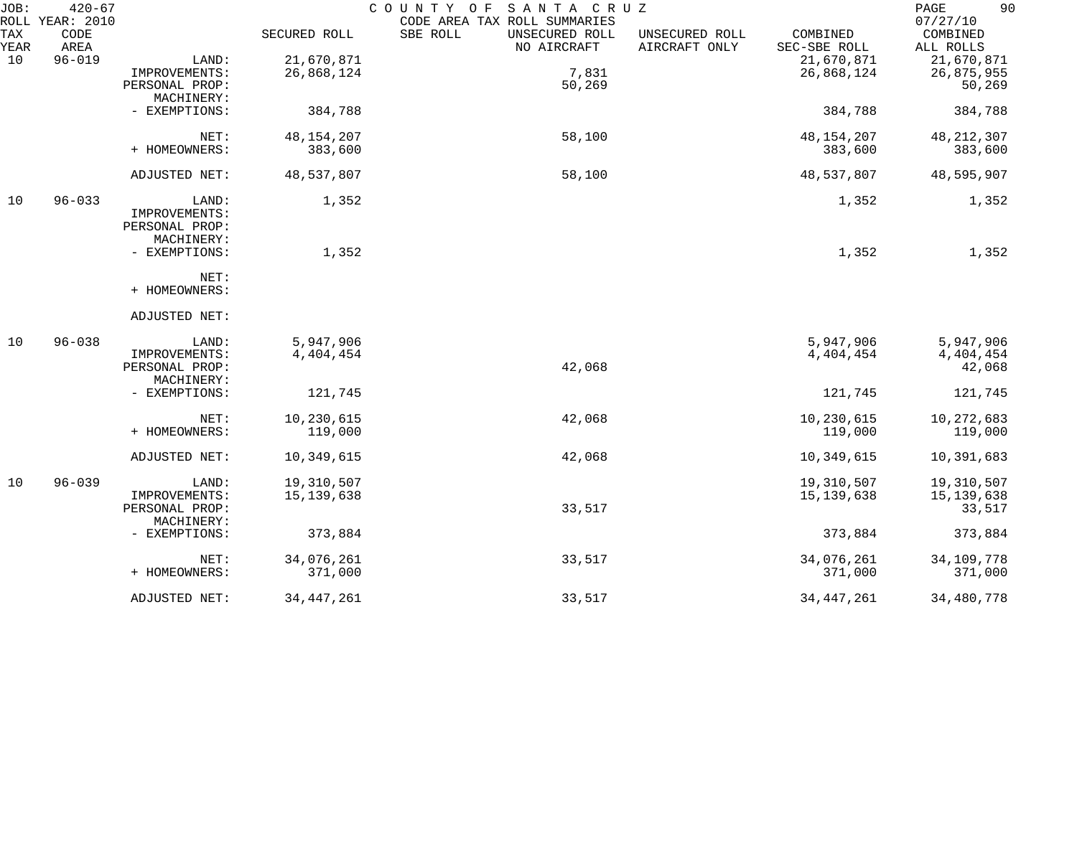| JOB:        | $420 - 67$<br>ROLL YEAR: 2010 |                              |              | COUNTY OF<br>SANTA CRUZ<br>CODE AREA TAX ROLL SUMMARIES                      |                          | 90<br>PAGE<br>07/27/10 |
|-------------|-------------------------------|------------------------------|--------------|------------------------------------------------------------------------------|--------------------------|------------------------|
| TAX<br>YEAR | CODE<br>AREA                  |                              | SECURED ROLL | SBE ROLL<br>UNSECURED ROLL<br>UNSECURED ROLL<br>NO AIRCRAFT<br>AIRCRAFT ONLY | COMBINED<br>SEC-SBE ROLL | COMBINED<br>ALL ROLLS  |
| 10          | $96 - 019$                    | LAND:                        | 21,670,871   |                                                                              | 21,670,871               | 21,670,871             |
|             |                               | IMPROVEMENTS:                | 26,868,124   | 7,831                                                                        | 26,868,124               | 26,875,955             |
|             |                               | PERSONAL PROP:               |              | 50,269                                                                       |                          | 50,269                 |
|             |                               | MACHINERY:                   |              |                                                                              |                          |                        |
|             |                               | - EXEMPTIONS:                | 384,788      |                                                                              | 384,788                  | 384,788                |
|             |                               | NET:                         | 48, 154, 207 | 58,100                                                                       | 48, 154, 207             | 48, 212, 307           |
|             |                               | + HOMEOWNERS:                | 383,600      |                                                                              | 383,600                  | 383,600                |
|             |                               | ADJUSTED NET:                | 48,537,807   | 58,100                                                                       | 48,537,807               | 48,595,907             |
| 10          | $96 - 033$                    | LAND:                        | 1,352        |                                                                              | 1,352                    | 1,352                  |
|             |                               | IMPROVEMENTS:                |              |                                                                              |                          |                        |
|             |                               | PERSONAL PROP:               |              |                                                                              |                          |                        |
|             |                               | MACHINERY:                   |              |                                                                              |                          |                        |
|             |                               | - EXEMPTIONS:                | 1,352        |                                                                              | 1,352                    | 1,352                  |
|             |                               | NET:                         |              |                                                                              |                          |                        |
|             |                               | + HOMEOWNERS:                |              |                                                                              |                          |                        |
|             |                               | ADJUSTED NET:                |              |                                                                              |                          |                        |
| 10          | $96 - 038$                    | LAND:                        | 5,947,906    |                                                                              | 5,947,906                | 5,947,906              |
|             |                               | IMPROVEMENTS:                | 4,404,454    |                                                                              | 4,404,454                | 4, 404, 454            |
|             |                               | PERSONAL PROP:               |              | 42,068                                                                       |                          | 42,068                 |
|             |                               | MACHINERY:                   |              |                                                                              |                          |                        |
|             |                               | - EXEMPTIONS:                | 121,745      |                                                                              | 121,745                  | 121,745                |
|             |                               | NET:                         | 10,230,615   | 42,068                                                                       | 10,230,615               | 10,272,683             |
|             |                               | + HOMEOWNERS:                | 119,000      |                                                                              | 119,000                  | 119,000                |
|             |                               | ADJUSTED NET:                | 10,349,615   | 42,068                                                                       | 10,349,615               | 10,391,683             |
| 10          | $96 - 039$                    | LAND:                        | 19,310,507   |                                                                              | 19,310,507               | 19,310,507             |
|             |                               | IMPROVEMENTS:                | 15, 139, 638 |                                                                              | 15, 139, 638             | 15, 139, 638           |
|             |                               | PERSONAL PROP:<br>MACHINERY: |              | 33,517                                                                       |                          | 33,517                 |
|             |                               | - EXEMPTIONS:                | 373,884      |                                                                              | 373,884                  | 373,884                |
|             |                               | NET:                         | 34,076,261   | 33,517                                                                       | 34,076,261               | 34,109,778             |
|             |                               | + HOMEOWNERS:                | 371,000      |                                                                              | 371,000                  | 371,000                |
|             |                               | ADJUSTED NET:                | 34, 447, 261 | 33,517                                                                       | 34, 447, 261             | 34,480,778             |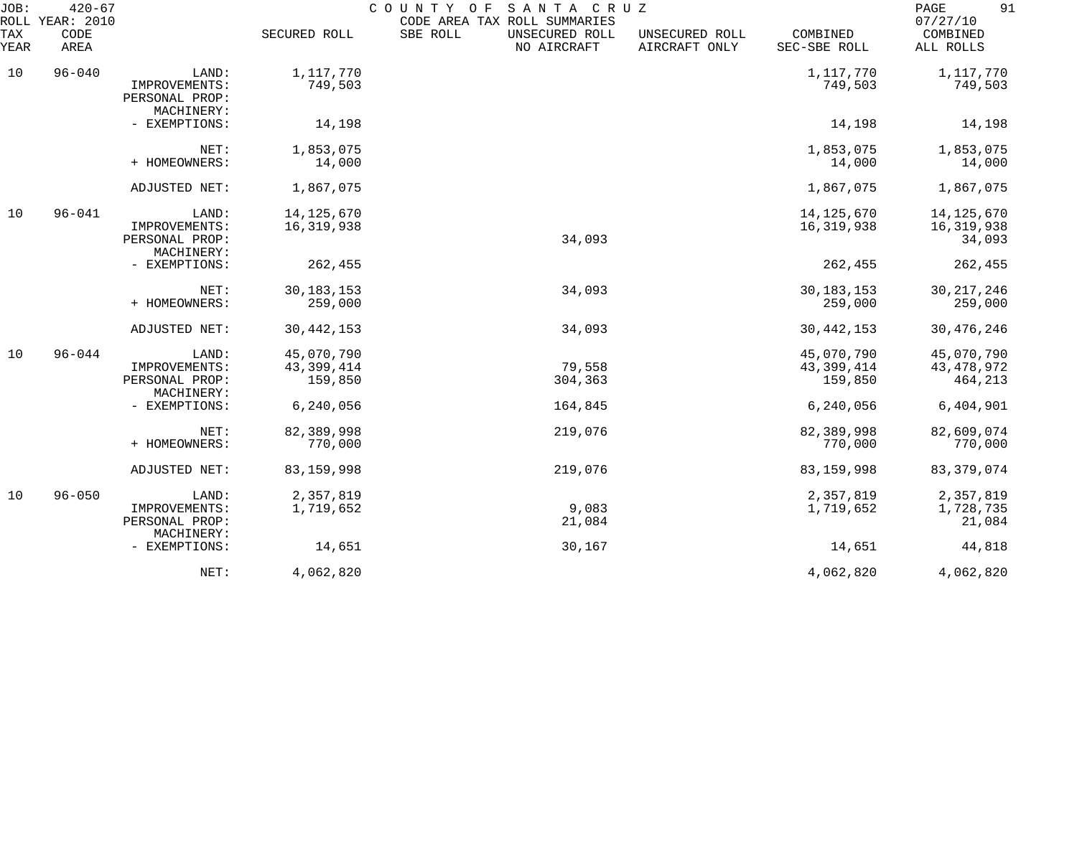| JOB:<br>ROLL | $420 - 67$<br>YEAR: 2010 |                                               |                         | COUNTY<br>O F<br>SANTA CRUZ<br>CODE AREA TAX ROLL SUMMARIES |                                 |                          | 91<br>PAGE<br>07/27/10 |
|--------------|--------------------------|-----------------------------------------------|-------------------------|-------------------------------------------------------------|---------------------------------|--------------------------|------------------------|
| TAX<br>YEAR  | CODE<br>AREA             |                                               | SECURED ROLL            | SBE ROLL<br>UNSECURED ROLL<br>NO AIRCRAFT                   | UNSECURED ROLL<br>AIRCRAFT ONLY | COMBINED<br>SEC-SBE ROLL | COMBINED<br>ALL ROLLS  |
| 10           | $96 - 040$               | LAND:                                         | 1,117,770               |                                                             |                                 | 1,117,770                | 1,117,770              |
|              |                          | IMPROVEMENTS:<br>PERSONAL PROP:<br>MACHINERY: | 749,503                 |                                                             |                                 | 749,503                  | 749,503                |
|              |                          | - EXEMPTIONS:                                 | 14,198                  |                                                             |                                 | 14,198                   | 14,198                 |
|              |                          | NET:                                          | 1,853,075               |                                                             |                                 | 1,853,075                | 1,853,075              |
|              |                          | + HOMEOWNERS:                                 | 14,000                  |                                                             |                                 | 14,000                   | 14,000                 |
|              |                          | ADJUSTED NET:                                 | 1,867,075               |                                                             |                                 | 1,867,075                | 1,867,075              |
| 10           | $96 - 041$               | LAND:                                         | 14, 125, 670            |                                                             |                                 | 14, 125, 670             | 14, 125, 670           |
|              |                          | IMPROVEMENTS:<br>PERSONAL PROP:<br>MACHINERY: | 16,319,938              | 34,093                                                      |                                 | 16,319,938               | 16, 319, 938<br>34,093 |
|              |                          | - EXEMPTIONS:                                 | 262,455                 |                                                             |                                 | 262,455                  | 262,455                |
|              |                          | NET:                                          | 30, 183, 153            | 34,093                                                      |                                 | 30, 183, 153             | 30, 217, 246           |
|              |                          | + HOMEOWNERS:                                 | 259,000                 |                                                             |                                 | 259,000                  | 259,000                |
|              |                          | ADJUSTED NET:                                 | 30, 442, 153            | 34,093                                                      |                                 | 30, 442, 153             | 30, 476, 246           |
| 10           | $96 - 044$               | LAND:                                         | 45,070,790              |                                                             |                                 | 45,070,790               | 45,070,790             |
|              |                          | IMPROVEMENTS:<br>PERSONAL PROP:               | 43, 399, 414<br>159,850 | 79,558<br>304,363                                           |                                 | 43, 399, 414<br>159,850  | 43, 478, 972           |
|              |                          | MACHINERY:                                    |                         |                                                             |                                 |                          | 464,213                |
|              |                          | - EXEMPTIONS:                                 | 6, 240, 056             | 164,845                                                     |                                 | 6,240,056                | 6,404,901              |
|              |                          | NET:                                          | 82,389,998              | 219,076                                                     |                                 | 82,389,998               | 82,609,074             |
|              |                          | + HOMEOWNERS:                                 | 770,000                 |                                                             |                                 | 770,000                  | 770,000                |
|              |                          | ADJUSTED NET:                                 | 83, 159, 998            | 219,076                                                     |                                 | 83, 159, 998             | 83, 379, 074           |
| 10           | $96 - 050$               | LAND:                                         | 2,357,819               |                                                             |                                 | 2,357,819                | 2,357,819              |
|              |                          | IMPROVEMENTS:<br>PERSONAL PROP:<br>MACHINERY: | 1,719,652               | 9,083<br>21,084                                             |                                 | 1,719,652                | 1,728,735<br>21,084    |
|              |                          | - EXEMPTIONS:                                 | 14,651                  | 30,167                                                      |                                 | 14,651                   | 44,818                 |
|              |                          | NET:                                          | 4,062,820               |                                                             |                                 | 4,062,820                | 4,062,820              |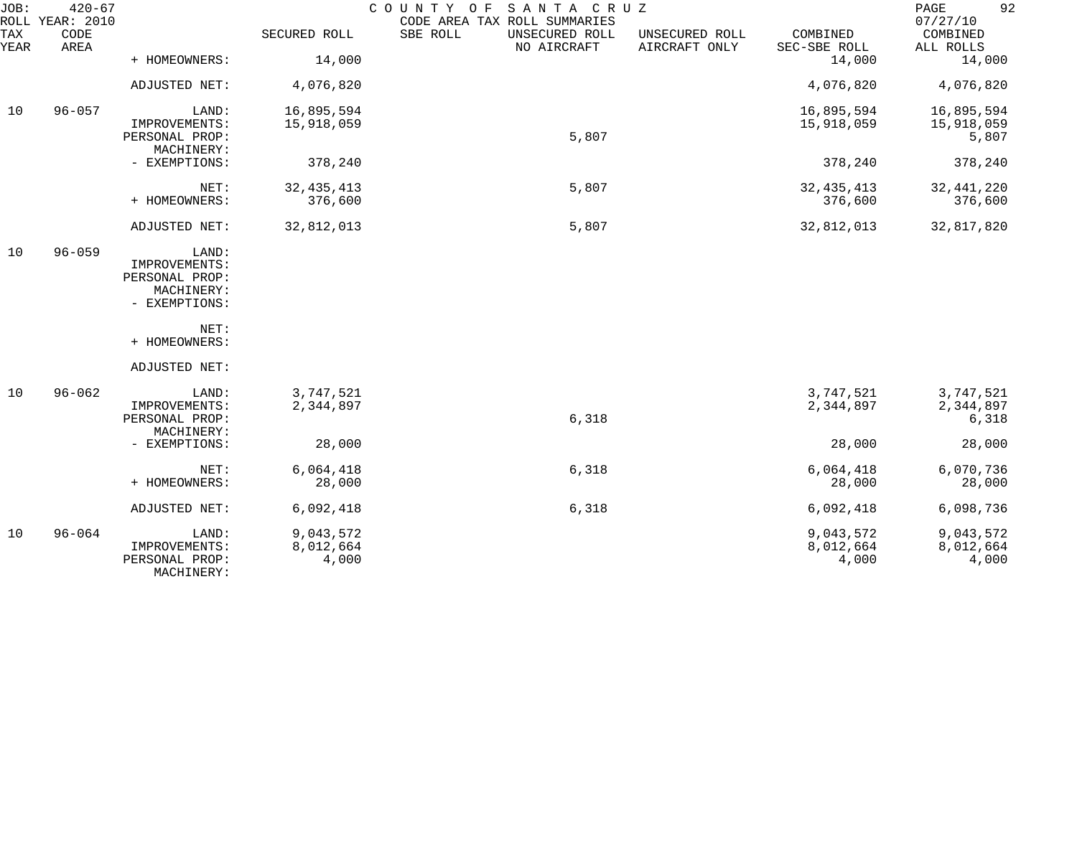| JOB:        | $420 - 67$<br>ROLL YEAR: 2010 |                                                                         |                                 | SANTA CRUZ<br>COUNTY OF<br>CODE AREA TAX ROLL SUMMARIES |                                 |                                 | 92<br>PAGE<br>07/27/10          |
|-------------|-------------------------------|-------------------------------------------------------------------------|---------------------------------|---------------------------------------------------------|---------------------------------|---------------------------------|---------------------------------|
| TAX<br>YEAR | CODE<br>AREA                  |                                                                         | SECURED ROLL                    | SBE ROLL<br>UNSECURED ROLL<br>NO AIRCRAFT               | UNSECURED ROLL<br>AIRCRAFT ONLY | COMBINED<br>SEC-SBE ROLL        | COMBINED<br>ALL ROLLS           |
|             |                               | + HOMEOWNERS:                                                           | 14,000                          |                                                         |                                 | 14,000                          | 14,000                          |
|             |                               | ADJUSTED NET:                                                           | 4,076,820                       |                                                         |                                 | 4,076,820                       | 4,076,820                       |
| 10          | $96 - 057$                    | LAND:                                                                   | 16,895,594                      |                                                         |                                 | 16,895,594                      | 16,895,594                      |
|             |                               | IMPROVEMENTS:<br>PERSONAL PROP:<br>MACHINERY:                           | 15,918,059                      | 5,807                                                   |                                 | 15,918,059                      | 15,918,059<br>5,807             |
|             |                               | - EXEMPTIONS:                                                           | 378,240                         |                                                         |                                 | 378,240                         | 378,240                         |
|             |                               | NET:<br>+ HOMEOWNERS:                                                   | 32, 435, 413<br>376,600         | 5,807                                                   |                                 | 32, 435, 413<br>376,600         | 32, 441, 220<br>376,600         |
|             |                               | ADJUSTED NET:                                                           | 32,812,013                      | 5,807                                                   |                                 | 32,812,013                      | 32,817,820                      |
| 10          | $96 - 059$                    | LAND:<br>IMPROVEMENTS:<br>PERSONAL PROP:<br>MACHINERY:<br>- EXEMPTIONS: |                                 |                                                         |                                 |                                 |                                 |
|             |                               | NET:<br>+ HOMEOWNERS:                                                   |                                 |                                                         |                                 |                                 |                                 |
|             |                               | ADJUSTED NET:                                                           |                                 |                                                         |                                 |                                 |                                 |
| 10          | $96 - 062$                    | LAND:<br>IMPROVEMENTS:<br>PERSONAL PROP:                                | 3,747,521<br>2,344,897          | 6,318                                                   |                                 | 3,747,521<br>2,344,897          | 3,747,521<br>2,344,897<br>6,318 |
|             |                               | MACHINERY:<br>- EXEMPTIONS:                                             | 28,000                          |                                                         |                                 | 28,000                          | 28,000                          |
|             |                               | NET:<br>+ HOMEOWNERS:                                                   | 6,064,418<br>28,000             | 6,318                                                   |                                 | 6,064,418<br>28,000             | 6,070,736<br>28,000             |
|             |                               | ADJUSTED NET:                                                           | 6,092,418                       | 6,318                                                   |                                 | 6,092,418                       | 6,098,736                       |
| 10          | $96 - 064$                    | LAND:<br>IMPROVEMENTS:<br>PERSONAL PROP:<br>MACHINERY:                  | 9,043,572<br>8,012,664<br>4,000 |                                                         |                                 | 9,043,572<br>8,012,664<br>4,000 | 9,043,572<br>8,012,664<br>4,000 |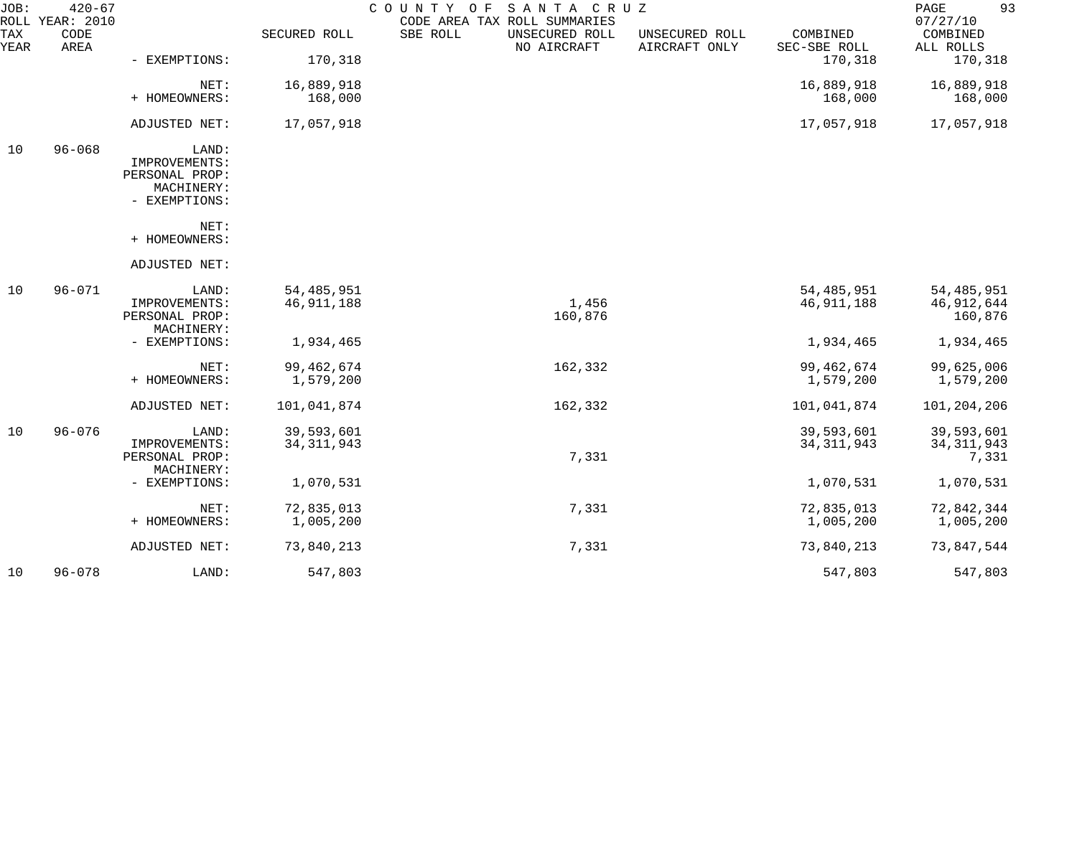| JOB:        | $420 - 67$<br>ROLL YEAR: 2010 |                                 |              | SANTA CRUZ<br>COUNTY OF<br>CODE AREA TAX ROLL SUMMARIES |                                 |                          | 93<br>PAGE<br>07/27/10 |
|-------------|-------------------------------|---------------------------------|--------------|---------------------------------------------------------|---------------------------------|--------------------------|------------------------|
| TAX<br>YEAR | CODE<br>AREA                  |                                 | SECURED ROLL | SBE ROLL<br>UNSECURED ROLL<br>NO AIRCRAFT               | UNSECURED ROLL<br>AIRCRAFT ONLY | COMBINED<br>SEC-SBE ROLL | COMBINED<br>ALL ROLLS  |
|             |                               | - EXEMPTIONS:                   | 170,318      |                                                         |                                 | 170,318                  | 170,318                |
|             |                               | NET:                            | 16,889,918   |                                                         |                                 | 16,889,918               | 16,889,918             |
|             |                               | + HOMEOWNERS:                   | 168,000      |                                                         |                                 | 168,000                  | 168,000                |
|             |                               | ADJUSTED NET:                   | 17,057,918   |                                                         |                                 | 17,057,918               | 17,057,918             |
| 10          | $96 - 068$                    | LAND:                           |              |                                                         |                                 |                          |                        |
|             |                               | IMPROVEMENTS:<br>PERSONAL PROP: |              |                                                         |                                 |                          |                        |
|             |                               | MACHINERY:                      |              |                                                         |                                 |                          |                        |
|             |                               | - EXEMPTIONS:                   |              |                                                         |                                 |                          |                        |
|             |                               | NET:                            |              |                                                         |                                 |                          |                        |
|             |                               | + HOMEOWNERS:                   |              |                                                         |                                 |                          |                        |
|             |                               | ADJUSTED NET:                   |              |                                                         |                                 |                          |                        |
| 10          | $96 - 071$                    | LAND:                           | 54, 485, 951 |                                                         |                                 | 54, 485, 951             | 54, 485, 951           |
|             |                               | IMPROVEMENTS:                   | 46, 911, 188 | 1,456                                                   |                                 | 46, 911, 188             | 46,912,644             |
|             |                               | PERSONAL PROP:<br>MACHINERY:    |              | 160,876                                                 |                                 |                          | 160,876                |
|             |                               | - EXEMPTIONS:                   | 1,934,465    |                                                         |                                 | 1,934,465                | 1,934,465              |
|             |                               | NET:                            | 99, 462, 674 | 162,332                                                 |                                 | 99, 462, 674             | 99,625,006             |
|             |                               | + HOMEOWNERS:                   | 1,579,200    |                                                         |                                 | 1,579,200                | 1,579,200              |
|             |                               | ADJUSTED NET:                   | 101,041,874  | 162,332                                                 |                                 | 101,041,874              | 101,204,206            |
| 10          | $96 - 076$                    | LAND:                           | 39,593,601   |                                                         |                                 | 39,593,601               | 39,593,601             |
|             |                               | IMPROVEMENTS:                   | 34, 311, 943 |                                                         |                                 | 34, 311, 943             | 34, 311, 943           |
|             |                               | PERSONAL PROP:<br>MACHINERY:    |              | 7,331                                                   |                                 |                          | 7,331                  |
|             |                               | - EXEMPTIONS:                   | 1,070,531    |                                                         |                                 | 1,070,531                | 1,070,531              |
|             |                               | NET:                            | 72,835,013   | 7,331                                                   |                                 | 72,835,013               | 72,842,344             |
|             |                               | + HOMEOWNERS:                   | 1,005,200    |                                                         |                                 | 1,005,200                | 1,005,200              |
|             |                               | ADJUSTED NET:                   | 73,840,213   | 7,331                                                   |                                 | 73,840,213               | 73,847,544             |
| 10          | $96 - 078$                    | LAND:                           | 547,803      |                                                         |                                 | 547,803                  | 547,803                |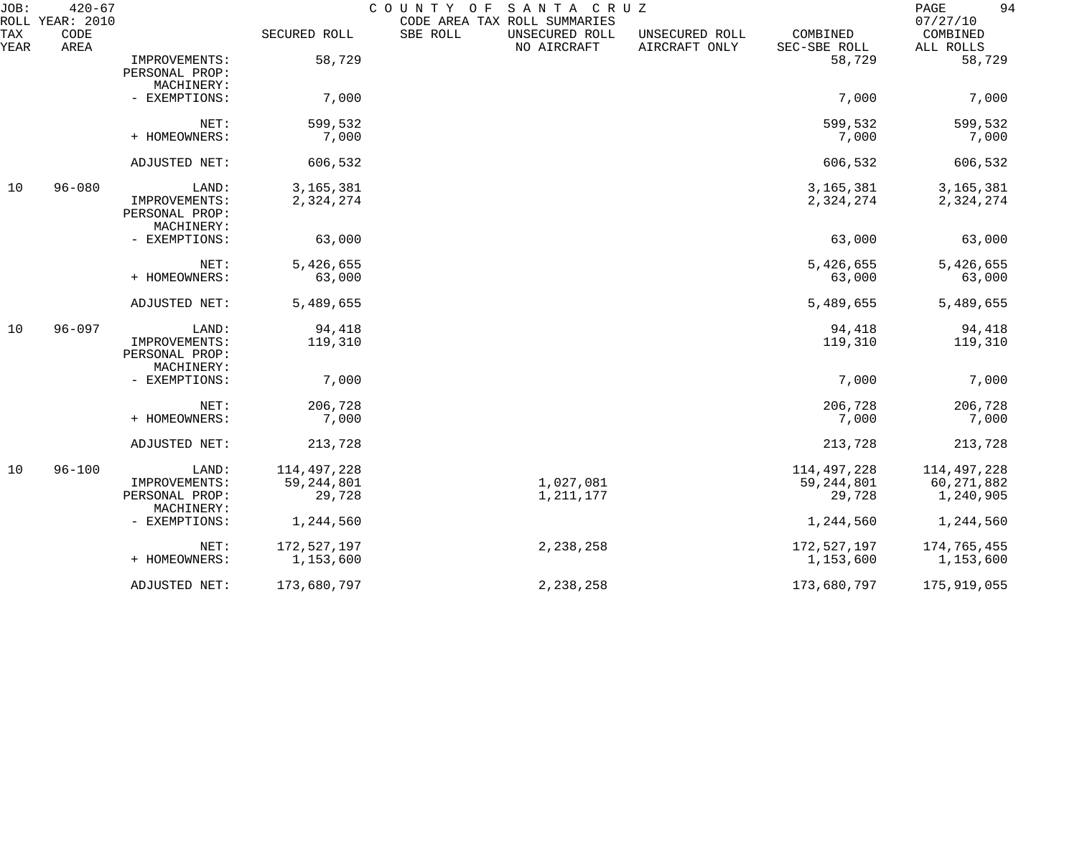| JOB:<br>ROLL | $420 - 67$<br>YEAR: 2010 |                              |               | COUNTY<br>O F | SANTA CRUZ<br>CODE AREA TAX ROLL SUMMARIES |                                 |                          | 94<br>PAGE<br>07/27/10 |
|--------------|--------------------------|------------------------------|---------------|---------------|--------------------------------------------|---------------------------------|--------------------------|------------------------|
| TAX<br>YEAR  | CODE<br>AREA             |                              | SECURED ROLL  | SBE ROLL      | UNSECURED ROLL<br>NO AIRCRAFT              | UNSECURED ROLL<br>AIRCRAFT ONLY | COMBINED<br>SEC-SBE ROLL | COMBINED<br>ALL ROLLS  |
|              |                          | IMPROVEMENTS:                | 58,729        |               |                                            |                                 | 58,729                   | 58,729                 |
|              |                          | PERSONAL PROP:               |               |               |                                            |                                 |                          |                        |
|              |                          | MACHINERY:                   |               |               |                                            |                                 |                          |                        |
|              |                          | - EXEMPTIONS:                | 7,000         |               |                                            |                                 | 7,000                    | 7,000                  |
|              |                          | NET:                         | 599,532       |               |                                            |                                 | 599,532                  | 599,532                |
|              |                          | + HOMEOWNERS:                | 7,000         |               |                                            |                                 | 7,000                    | 7,000                  |
|              |                          | ADJUSTED NET:                | 606,532       |               |                                            |                                 | 606,532                  | 606,532                |
| 10           | $96 - 080$               | LAND:                        | 3, 165, 381   |               |                                            |                                 | 3, 165, 381              | 3, 165, 381            |
|              |                          | IMPROVEMENTS:                | 2,324,274     |               |                                            |                                 | 2,324,274                | 2,324,274              |
|              |                          | PERSONAL PROP:<br>MACHINERY: |               |               |                                            |                                 |                          |                        |
|              |                          | - EXEMPTIONS:                | 63,000        |               |                                            |                                 | 63,000                   | 63,000                 |
|              |                          | NET:                         | 5,426,655     |               |                                            |                                 | 5,426,655                | 5,426,655              |
|              |                          | + HOMEOWNERS:                | 63,000        |               |                                            |                                 | 63,000                   | 63,000                 |
|              |                          | ADJUSTED NET:                | 5,489,655     |               |                                            |                                 | 5,489,655                | 5,489,655              |
| 10           | $96 - 097$               | LAND:                        | 94,418        |               |                                            |                                 | 94,418                   | 94,418                 |
|              |                          | IMPROVEMENTS:                | 119,310       |               |                                            |                                 | 119,310                  | 119,310                |
|              |                          | PERSONAL PROP:               |               |               |                                            |                                 |                          |                        |
|              |                          | MACHINERY:                   |               |               |                                            |                                 |                          |                        |
|              |                          | - EXEMPTIONS:                | 7,000         |               |                                            |                                 | 7,000                    | 7,000                  |
|              |                          | NET:                         | 206,728       |               |                                            |                                 | 206,728                  | 206,728                |
|              |                          | + HOMEOWNERS:                | 7,000         |               |                                            |                                 | 7,000                    | 7,000                  |
|              |                          | ADJUSTED NET:                | 213,728       |               |                                            |                                 | 213,728                  | 213,728                |
| 10           | $96 - 100$               | LAND:                        | 114, 497, 228 |               |                                            |                                 | 114,497,228              | 114, 497, 228          |
|              |                          | IMPROVEMENTS:                | 59, 244, 801  |               | 1,027,081                                  |                                 | 59, 244, 801             | 60, 271, 882           |
|              |                          | PERSONAL PROP:<br>MACHINERY: | 29,728        |               | 1, 211, 177                                |                                 | 29,728                   | 1,240,905              |
|              |                          | - EXEMPTIONS:                | 1,244,560     |               |                                            |                                 | 1,244,560                | 1,244,560              |
|              |                          | NET:                         | 172,527,197   |               | 2,238,258                                  |                                 | 172,527,197              | 174,765,455            |
|              |                          | + HOMEOWNERS:                | 1,153,600     |               |                                            |                                 | 1,153,600                | 1,153,600              |
|              |                          | ADJUSTED NET:                | 173,680,797   |               | 2,238,258                                  |                                 | 173,680,797              | 175,919,055            |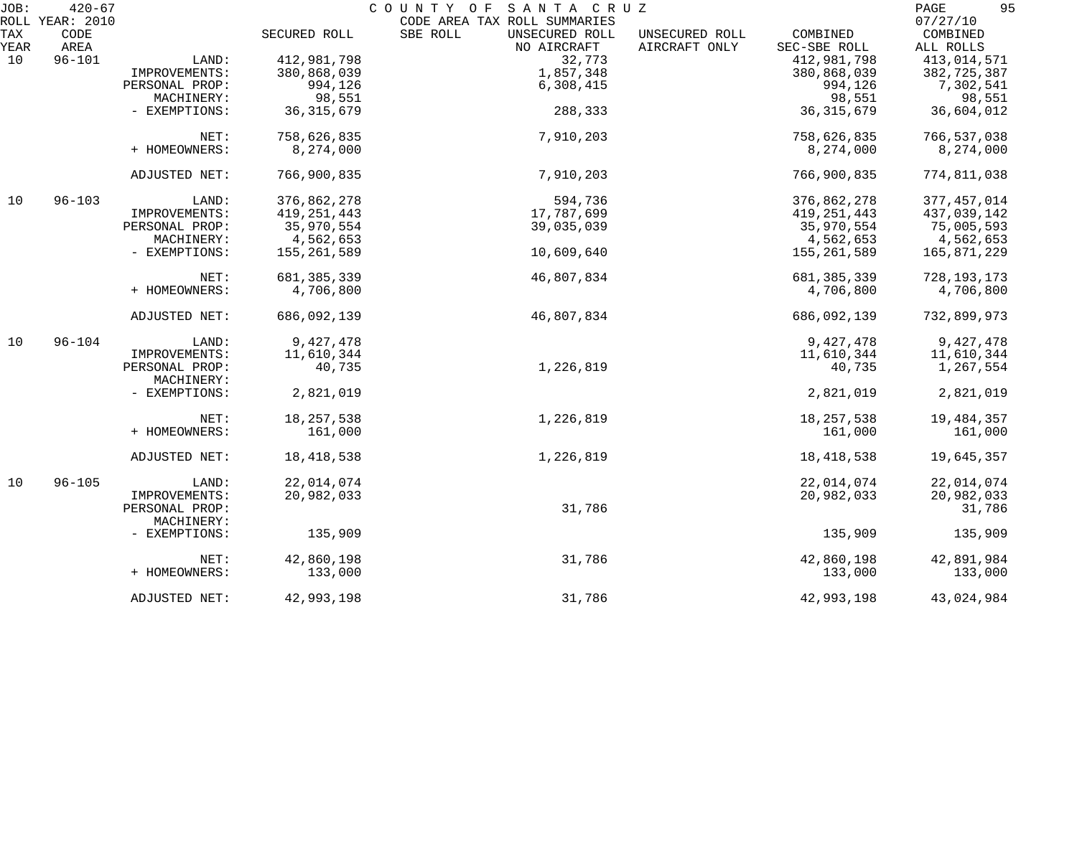| JOB:        | $420 - 67$      |                |               | COUNTY OF<br>SANTA CRUZ                   |                                 |                          | 95<br>PAGE            |
|-------------|-----------------|----------------|---------------|-------------------------------------------|---------------------------------|--------------------------|-----------------------|
|             | ROLL YEAR: 2010 |                |               | CODE AREA TAX ROLL SUMMARIES              |                                 |                          | 07/27/10              |
| TAX<br>YEAR | CODE<br>AREA    |                | SECURED ROLL  | SBE ROLL<br>UNSECURED ROLL<br>NO AIRCRAFT | UNSECURED ROLL<br>AIRCRAFT ONLY | COMBINED<br>SEC-SBE ROLL | COMBINED<br>ALL ROLLS |
| 10          | $96 - 101$      | LAND:          | 412,981,798   | 32,773                                    |                                 | 412,981,798              | 413,014,571           |
|             |                 | IMPROVEMENTS:  | 380,868,039   | 1,857,348                                 |                                 | 380,868,039              | 382,725,387           |
|             |                 | PERSONAL PROP: | 994,126       | 6,308,415                                 |                                 | 994,126                  | 7,302,541             |
|             |                 | MACHINERY:     | 98,551        |                                           |                                 | 98,551                   | 98,551                |
|             |                 |                |               |                                           |                                 |                          |                       |
|             |                 | - EXEMPTIONS:  | 36, 315, 679  | 288,333                                   |                                 | 36, 315, 679             | 36,604,012            |
|             |                 | NET:           | 758,626,835   | 7,910,203                                 |                                 | 758,626,835              | 766,537,038           |
|             |                 | + HOMEOWNERS:  | 8,274,000     |                                           |                                 | 8,274,000                | 8,274,000             |
|             |                 |                |               |                                           |                                 |                          |                       |
|             |                 | ADJUSTED NET:  | 766,900,835   | 7,910,203                                 |                                 | 766,900,835              | 774,811,038           |
| 10          | $96 - 103$      | LAND:          | 376,862,278   | 594,736                                   |                                 | 376,862,278              | 377, 457, 014         |
|             |                 | IMPROVEMENTS:  | 419, 251, 443 | 17,787,699                                |                                 | 419, 251, 443            | 437,039,142           |
|             |                 | PERSONAL PROP: | 35,970,554    | 39,035,039                                |                                 | 35,970,554               | 75,005,593            |
|             |                 | MACHINERY:     | 4,562,653     |                                           |                                 | 4,562,653                | 4,562,653             |
|             |                 | - EXEMPTIONS:  | 155,261,589   | 10,609,640                                |                                 | 155,261,589              | 165,871,229           |
|             |                 |                |               |                                           |                                 |                          |                       |
|             |                 | NET:           | 681, 385, 339 | 46,807,834                                |                                 | 681, 385, 339            | 728, 193, 173         |
|             |                 | + HOMEOWNERS:  | 4,706,800     |                                           |                                 | 4,706,800                | 4,706,800             |
|             |                 | ADJUSTED NET:  | 686,092,139   | 46,807,834                                |                                 | 686,092,139              | 732,899,973           |
| 10          | $96 - 104$      | LAND:          | 9,427,478     |                                           |                                 | 9,427,478                | 9,427,478             |
|             |                 | IMPROVEMENTS:  | 11,610,344    |                                           |                                 | 11,610,344               | 11,610,344            |
|             |                 | PERSONAL PROP: | 40,735        | 1,226,819                                 |                                 | 40,735                   | 1,267,554             |
|             |                 | MACHINERY:     |               |                                           |                                 |                          |                       |
|             |                 | - EXEMPTIONS:  | 2,821,019     |                                           |                                 | 2,821,019                | 2,821,019             |
|             |                 | NET:           | 18, 257, 538  | 1,226,819                                 |                                 | 18, 257, 538             | 19,484,357            |
|             |                 | + HOMEOWNERS:  | 161,000       |                                           |                                 | 161,000                  | 161,000               |
|             |                 |                |               |                                           |                                 |                          |                       |
|             |                 | ADJUSTED NET:  | 18,418,538    | 1,226,819                                 |                                 | 18, 418, 538             | 19,645,357            |
| 10          | $96 - 105$      | LAND:          | 22,014,074    |                                           |                                 | 22,014,074               | 22,014,074            |
|             |                 | IMPROVEMENTS:  | 20,982,033    |                                           |                                 | 20,982,033               | 20,982,033            |
|             |                 | PERSONAL PROP: |               | 31,786                                    |                                 |                          | 31,786                |
|             |                 | MACHINERY:     |               |                                           |                                 |                          |                       |
|             |                 |                | 135,909       |                                           |                                 | 135,909                  | 135,909               |
|             |                 | - EXEMPTIONS:  |               |                                           |                                 |                          |                       |
|             |                 | NET:           | 42,860,198    | 31,786                                    |                                 | 42,860,198               | 42,891,984            |
|             |                 | + HOMEOWNERS:  | 133,000       |                                           |                                 | 133,000                  | 133,000               |
|             |                 | ADJUSTED NET:  | 42,993,198    | 31,786                                    |                                 | 42,993,198               | 43,024,984            |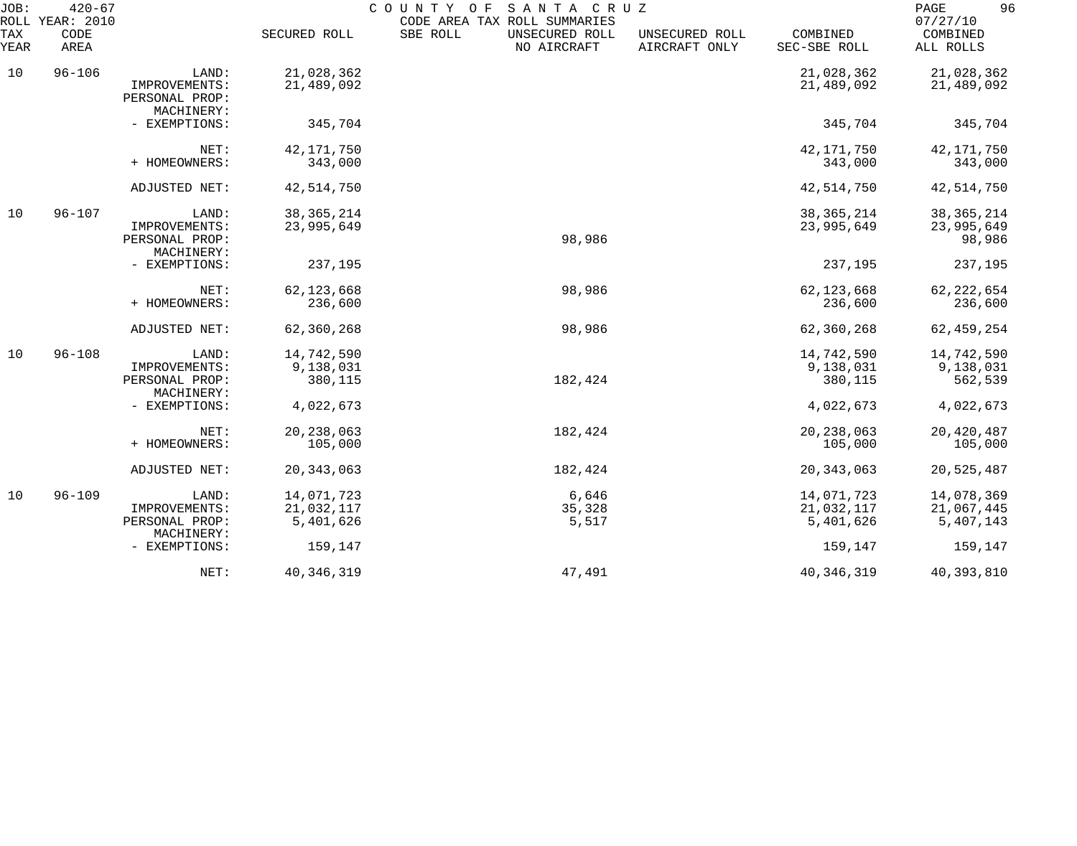| JOB:        | $420 - 67$<br>ROLL YEAR: 2010 |                                               |                      | COUNTY OF<br>SANTA CRUZ<br>CODE AREA TAX ROLL SUMMARIES |                                 |                          | 96<br>PAGE<br>07/27/10 |
|-------------|-------------------------------|-----------------------------------------------|----------------------|---------------------------------------------------------|---------------------------------|--------------------------|------------------------|
| TAX<br>YEAR | CODE<br>AREA                  |                                               | SECURED ROLL         | SBE ROLL<br>UNSECURED ROLL<br>NO AIRCRAFT               | UNSECURED ROLL<br>AIRCRAFT ONLY | COMBINED<br>SEC-SBE ROLL | COMBINED<br>ALL ROLLS  |
| 10          | $96 - 106$                    | LAND:                                         | 21,028,362           |                                                         |                                 | 21,028,362               | 21,028,362             |
|             |                               | IMPROVEMENTS:<br>PERSONAL PROP:<br>MACHINERY: | 21,489,092           |                                                         |                                 | 21,489,092               | 21,489,092             |
|             |                               | - EXEMPTIONS:                                 | 345,704              |                                                         |                                 | 345,704                  | 345,704                |
|             |                               | NET:                                          | 42, 171, 750         |                                                         |                                 | 42, 171, 750             | 42, 171, 750           |
|             |                               | + HOMEOWNERS:                                 | 343,000              |                                                         |                                 | 343,000                  | 343,000                |
|             |                               | ADJUSTED NET:                                 | 42,514,750           |                                                         |                                 | 42,514,750               | 42,514,750             |
| 10          | $96 - 107$                    | LAND:                                         | 38, 365, 214         |                                                         |                                 | 38, 365, 214             | 38, 365, 214           |
|             |                               | IMPROVEMENTS:<br>PERSONAL PROP:<br>MACHINERY: | 23,995,649           | 98,986                                                  |                                 | 23,995,649               | 23,995,649<br>98,986   |
|             |                               | - EXEMPTIONS:                                 | 237,195              |                                                         |                                 | 237,195                  | 237,195                |
|             |                               | NET:                                          | 62, 123, 668         | 98,986                                                  |                                 | 62, 123, 668             | 62, 222, 654           |
|             |                               | + HOMEOWNERS:                                 | 236,600              |                                                         |                                 | 236,600                  | 236,600                |
|             |                               | ADJUSTED NET:                                 | 62,360,268           | 98,986                                                  |                                 | 62,360,268               | 62,459,254             |
| 10          | $96 - 108$                    | LAND:                                         | 14,742,590           |                                                         |                                 | 14,742,590               | 14,742,590             |
|             |                               | IMPROVEMENTS:<br>PERSONAL PROP:<br>MACHINERY: | 9,138,031<br>380,115 | 182,424                                                 |                                 | 9,138,031<br>380,115     | 9,138,031<br>562,539   |
|             |                               | - EXEMPTIONS:                                 | 4,022,673            |                                                         |                                 | 4,022,673                | 4,022,673              |
|             |                               | NET:                                          | 20, 238, 063         | 182,424                                                 |                                 | 20, 238, 063             | 20,420,487             |
|             |                               | + HOMEOWNERS:                                 | 105,000              |                                                         |                                 | 105,000                  | 105,000                |
|             |                               | ADJUSTED NET:                                 | 20, 343, 063         | 182,424                                                 |                                 | 20, 343, 063             | 20,525,487             |
| 10          | $96 - 109$                    | LAND:                                         | 14,071,723           | 6,646                                                   |                                 | 14,071,723               | 14,078,369             |
|             |                               | IMPROVEMENTS:                                 | 21,032,117           | 35,328                                                  |                                 | 21,032,117               | 21,067,445             |
|             |                               | PERSONAL PROP:<br>MACHINERY:                  | 5,401,626            | 5,517                                                   |                                 | 5,401,626                | 5,407,143              |
|             |                               | - EXEMPTIONS:                                 | 159,147              |                                                         |                                 | 159,147                  | 159,147                |
|             |                               | NET:                                          | 40, 346, 319         | 47,491                                                  |                                 | 40, 346, 319             | 40,393,810             |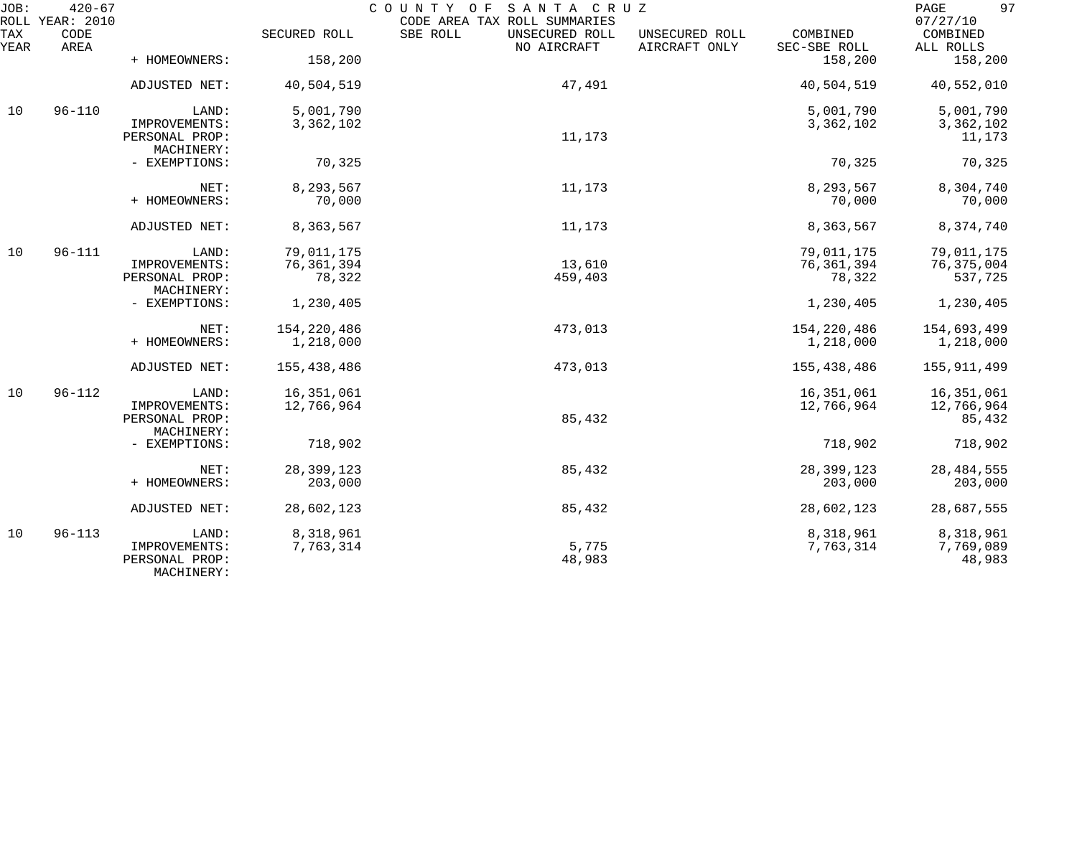| JOB:        | $420 - 67$<br>ROLL YEAR: 2010 | COUNTY OF<br>SANTA CRUZ<br>CODE AREA TAX ROLL SUMMARIES |                        |                                           |                                 |                          | 97<br>$\mathop{\mathtt{PAGE}}$<br>07/27/10 |
|-------------|-------------------------------|---------------------------------------------------------|------------------------|-------------------------------------------|---------------------------------|--------------------------|--------------------------------------------|
| TAX<br>YEAR | CODE<br>AREA                  |                                                         | SECURED ROLL           | SBE ROLL<br>UNSECURED ROLL<br>NO AIRCRAFT | UNSECURED ROLL<br>AIRCRAFT ONLY | COMBINED<br>SEC-SBE ROLL | COMBINED<br>ALL ROLLS                      |
|             |                               | + HOMEOWNERS:                                           | 158,200                |                                           |                                 | 158,200                  | 158,200                                    |
|             |                               | ADJUSTED NET:                                           | 40,504,519             | 47,491                                    |                                 | 40,504,519               | 40,552,010                                 |
| 10          | $96 - 110$                    | LAND:                                                   | 5,001,790              |                                           |                                 | 5,001,790                | 5,001,790                                  |
|             |                               | IMPROVEMENTS:<br>PERSONAL PROP:<br>MACHINERY:           | 3,362,102              | 11,173                                    |                                 | 3,362,102                | 3,362,102<br>11,173                        |
|             |                               | - EXEMPTIONS:                                           | 70,325                 |                                           |                                 | 70,325                   | 70,325                                     |
|             |                               | NET:                                                    | 8,293,567              | 11,173                                    |                                 | 8,293,567                | 8,304,740                                  |
|             |                               | + HOMEOWNERS:                                           | 70,000                 |                                           |                                 | 70,000                   | 70,000                                     |
|             |                               | ADJUSTED NET:                                           | 8,363,567              | 11,173                                    |                                 | 8,363,567                | 8,374,740                                  |
| 10          | $96 - 111$                    | LAND:                                                   | 79,011,175             |                                           |                                 | 79,011,175               | 79,011,175                                 |
|             |                               | IMPROVEMENTS:<br>PERSONAL PROP:                         | 76, 361, 394<br>78,322 | 13,610<br>459,403                         |                                 | 76, 361, 394<br>78,322   | 76,375,004<br>537,725                      |
|             |                               | MACHINERY:                                              |                        |                                           |                                 |                          |                                            |
|             |                               | - EXEMPTIONS:                                           | 1,230,405              |                                           |                                 | 1,230,405                | 1,230,405                                  |
|             |                               | NET:                                                    | 154,220,486            | 473,013                                   |                                 | 154,220,486              | 154,693,499                                |
|             |                               | + HOMEOWNERS:                                           | 1,218,000              |                                           |                                 | 1,218,000                | 1,218,000                                  |
|             |                               | ADJUSTED NET:                                           | 155,438,486            | 473,013                                   |                                 | 155,438,486              | 155,911,499                                |
| 10          | $96 - 112$                    | LAND:                                                   | 16,351,061             |                                           |                                 | 16, 351, 061             | 16,351,061                                 |
|             |                               | IMPROVEMENTS:<br>PERSONAL PROP:                         | 12,766,964             | 85,432                                    |                                 | 12,766,964               | 12,766,964<br>85,432                       |
|             |                               | MACHINERY:                                              |                        |                                           |                                 |                          |                                            |
|             |                               | - EXEMPTIONS:                                           | 718,902                |                                           |                                 | 718,902                  | 718,902                                    |
|             |                               | NET:                                                    | 28, 399, 123           | 85,432                                    |                                 | 28,399,123               | 28, 484, 555                               |
|             |                               | + HOMEOWNERS:                                           | 203,000                |                                           |                                 | 203,000                  | 203,000                                    |
|             |                               | <b>ADJUSTED NET:</b>                                    | 28,602,123             | 85,432                                    |                                 | 28,602,123               | 28,687,555                                 |
| 10          | $96 - 113$                    | LAND:                                                   | 8,318,961              |                                           |                                 | 8,318,961                | 8,318,961                                  |
|             |                               | IMPROVEMENTS:<br>PERSONAL PROP:<br>MACHINERY:           | 7,763,314              | 5,775<br>48,983                           |                                 | 7,763,314                | 7,769,089<br>48,983                        |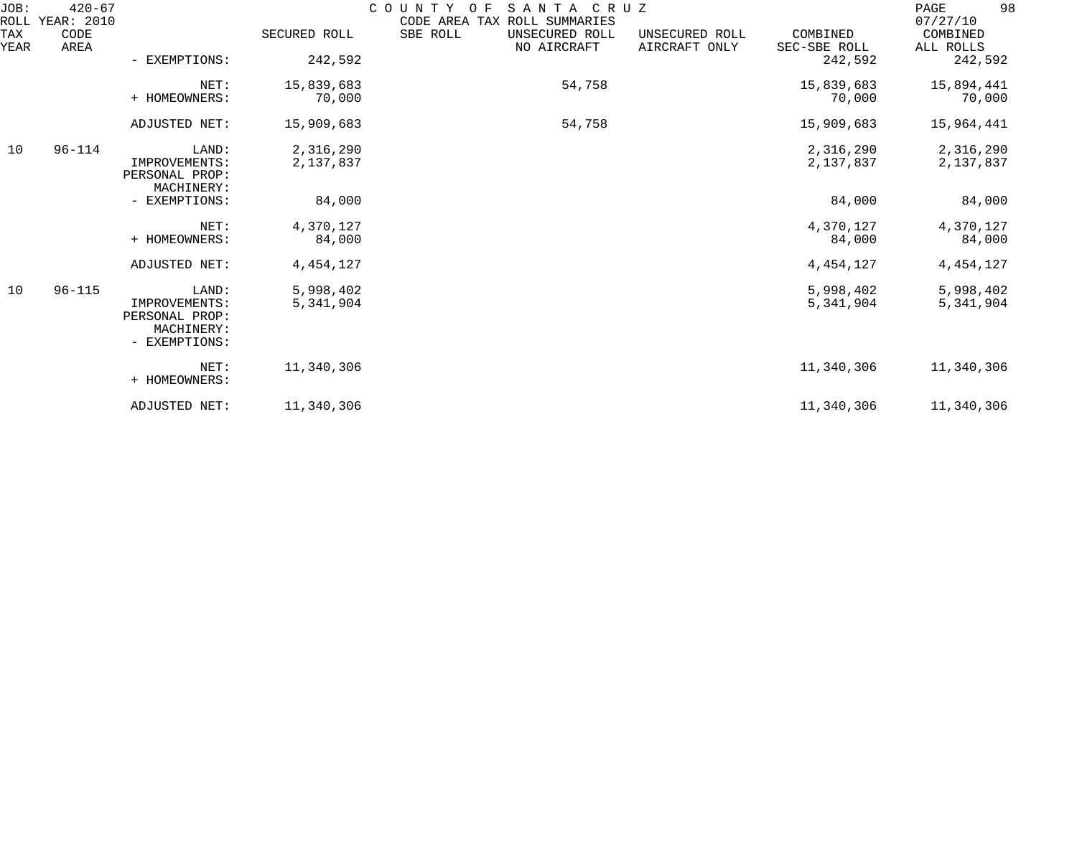| JOB:<br>ROLL | $420 - 67$<br>YEAR: 2010 | COUNTY<br>SANTA<br>C R U Z<br>O F<br>CODE AREA TAX ROLL SUMMARIES       |                        |                                           |                                 |                          | 98<br>PAGE<br>07/27/10 |
|--------------|--------------------------|-------------------------------------------------------------------------|------------------------|-------------------------------------------|---------------------------------|--------------------------|------------------------|
| TAX<br>YEAR  | CODE<br>AREA             |                                                                         | SECURED ROLL           | SBE ROLL<br>UNSECURED ROLL<br>NO AIRCRAFT | UNSECURED ROLL<br>AIRCRAFT ONLY | COMBINED<br>SEC-SBE ROLL | COMBINED<br>ALL ROLLS  |
|              |                          | - EXEMPTIONS:                                                           | 242,592                |                                           |                                 | 242,592                  | 242,592                |
|              |                          | NET:<br>+ HOMEOWNERS:                                                   | 15,839,683<br>70,000   | 54,758                                    |                                 | 15,839,683<br>70,000     | 15,894,441<br>70,000   |
|              |                          | ADJUSTED NET:                                                           | 15,909,683             | 54,758                                    |                                 | 15,909,683               | 15,964,441             |
| 10           | $96 - 114$               | LAND:<br>IMPROVEMENTS:<br>PERSONAL PROP:<br>MACHINERY:                  | 2,316,290<br>2,137,837 |                                           |                                 | 2,316,290<br>2,137,837   | 2,316,290<br>2,137,837 |
|              |                          | - EXEMPTIONS:                                                           | 84,000                 |                                           |                                 | 84,000                   | 84,000                 |
|              |                          | NET:<br>+ HOMEOWNERS:                                                   | 4,370,127<br>84,000    |                                           |                                 | 4,370,127<br>84,000      | 4,370,127<br>84,000    |
|              |                          | ADJUSTED NET:                                                           | 4, 454, 127            |                                           |                                 | 4, 454, 127              | 4, 454, 127            |
| 10           | $96 - 115$               | LAND:<br>IMPROVEMENTS:<br>PERSONAL PROP:<br>MACHINERY:<br>- EXEMPTIONS: | 5,998,402<br>5,341,904 |                                           |                                 | 5,998,402<br>5,341,904   | 5,998,402<br>5,341,904 |
|              |                          | NET:<br>+ HOMEOWNERS:                                                   | 11,340,306             |                                           |                                 | 11,340,306               | 11,340,306             |
|              |                          | ADJUSTED NET:                                                           | 11,340,306             |                                           |                                 | 11,340,306               | 11,340,306             |